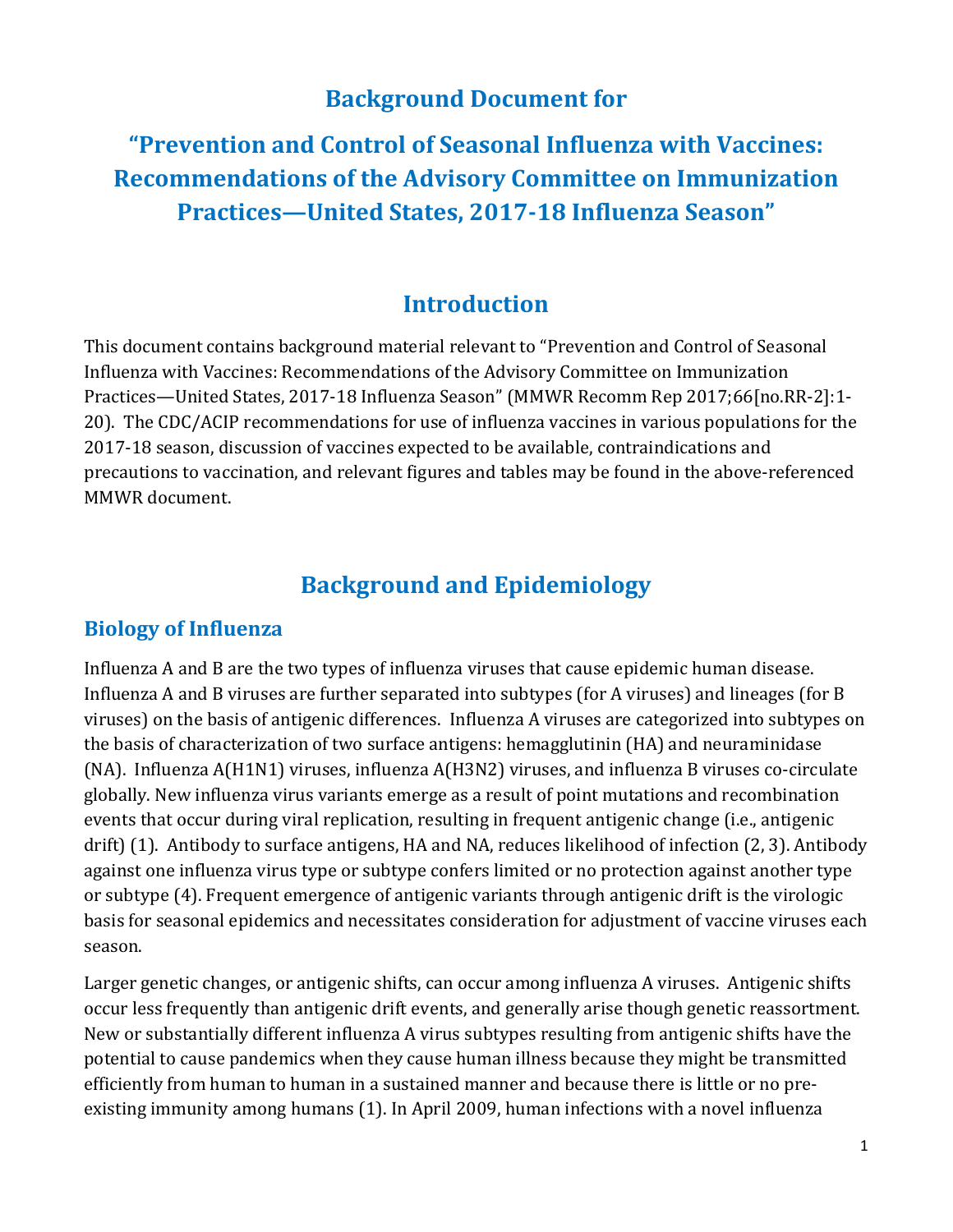# **Background Document for**

**"Prevention and Control of Seasonal Influenza with Vaccines: Recommendations of the Advisory Committee on Immunization Practices—United States, 2017-18 Influenza Season"** 

## **Introduction**

This document contains background material relevant to "Prevention and Control of Seasonal Influenza with Vaccines: Recommendations of the Advisory Committee on Immunization Practices—United States, 2017-18 Influenza Season" (MMWR Recomm Rep 2017;66[no.RR-2]:1- 20). The CDC/ACIP recommendations for use of influenza vaccines in various populations for the 2017-18 season, discussion of vaccines expected to be available, contraindications and precautions to vaccination, and relevant figures and tables may be found in the above-referenced MMWR document.

# **Background and Epidemiology**

### **Biology of Influenza**

 drift) (1). Antibody to surface antigens, HA and NA, reduces likelihood of infection (2, 3). Antibody Influenza A and B are the two types of influenza viruses that cause epidemic human disease. Influenza A and B viruses are further separated into subtypes (for A viruses) and lineages (for B viruses) on the basis of antigenic differences. Influenza A viruses are categorized into subtypes on the basis of characterization of two surface antigens: hemagglutinin (HA) and neuraminidase (NA). Influenza A(H1N1) viruses, influenza A(H3N2) viruses, and influenza B viruses co-circulate globally. New influenza virus variants emerge as a result of point mutations and recombination events that occur during viral replication, resulting in frequent antigenic change (i.e., antigenic against one influenza virus type or subtype confers limited or no protection against another type or subtype (4). Frequent emergence of antigenic variants through antigenic drift is the virologic basis for seasonal epidemics and necessitates consideration for adjustment of vaccine viruses each season.

Larger genetic changes, or antigenic shifts, can occur among influenza A viruses. Antigenic shifts occur less frequently than antigenic drift events, and generally arise though genetic reassortment. New or substantially different influenza A virus subtypes resulting from antigenic shifts have the potential to cause pandemics when they cause human illness because they might be transmitted efficiently from human to human in a sustained manner and because there is little or no preexisting immunity among humans (1). In April 2009, human infections with a novel influenza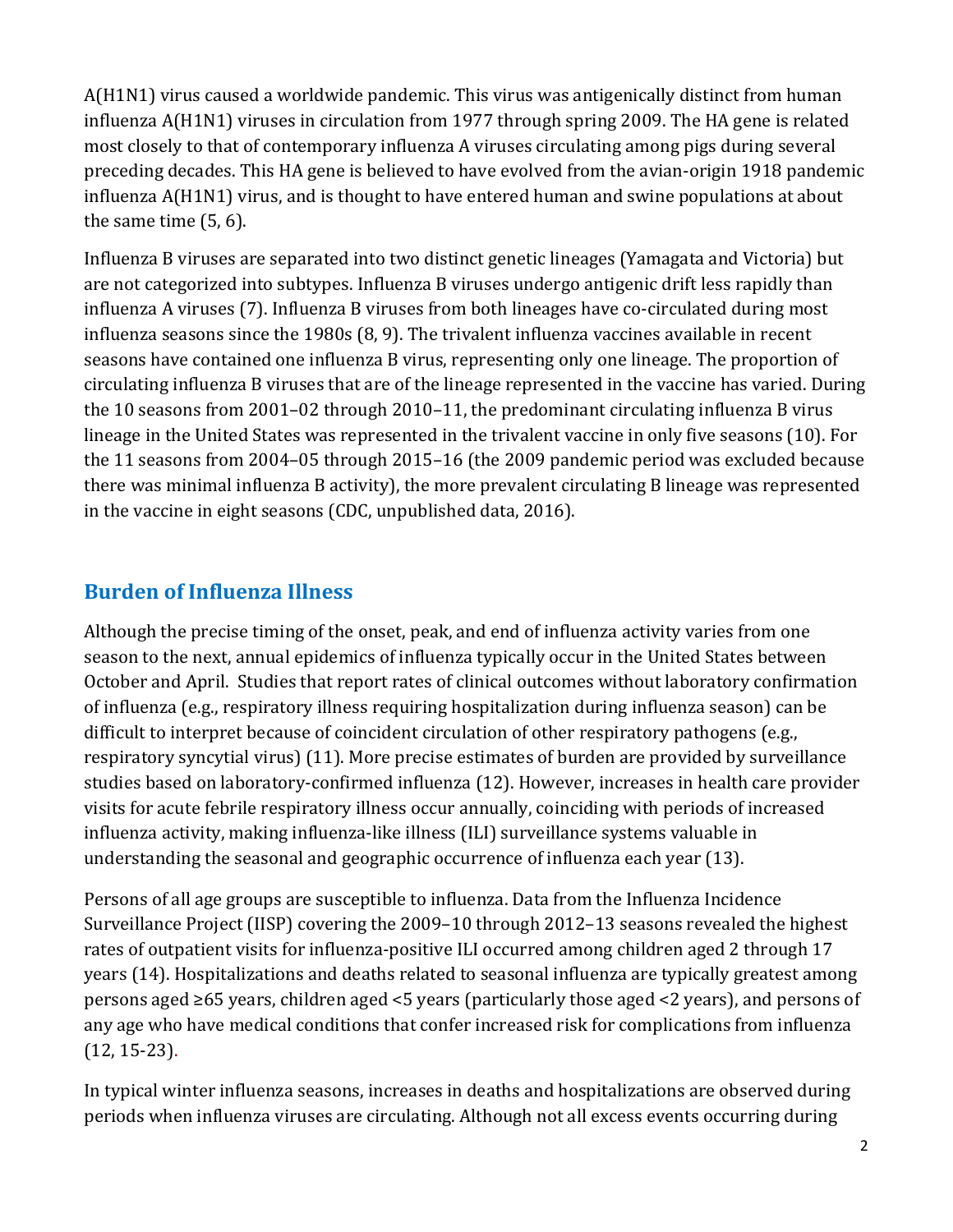A(H1N1) virus caused a worldwide pandemic. This virus was antigenically distinct from human influenza A(H1N1) viruses in circulation from 1977 through spring 2009. The HA gene is related most closely to that of contemporary influenza A viruses circulating among pigs during several preceding decades. This HA gene is believed to have evolved from the avian-origin 1918 pandemic influenza A(H1N1) virus, and is thought to have entered human and swine populations at about the same time (5, 6).

Influenza B viruses are separated into two distinct genetic lineages (Yamagata and Victoria) but are not categorized into subtypes. Influenza B viruses undergo antigenic drift less rapidly than influenza A viruses (7). Influenza B viruses from both lineages have co-circulated during most influenza seasons since the 1980s (8, 9). The trivalent influenza vaccines available in recent seasons have contained one influenza B virus, representing only one lineage. The proportion of circulating influenza B viruses that are of the lineage represented in the vaccine has varied. During the 10 seasons from 2001–02 through 2010–11, the predominant circulating influenza B virus lineage in the United States was represented in the trivalent vaccine in only five seasons (10). For the 11 seasons from 2004–05 through 2015–16 (the 2009 pandemic period was excluded because there was minimal influenza B activity), the more prevalent circulating B lineage was represented in the vaccine in eight seasons (CDC, unpublished data, 2016).

## **Burden of Influenza Illness**

 understanding the seasonal and geographic occurrence of influenza each year (13). Although the precise timing of the onset, peak, and end of influenza activity varies from one season to the next, annual epidemics of influenza typically occur in the United States between October and April. Studies that report rates of clinical outcomes without laboratory confirmation of influenza (e.g., respiratory illness requiring hospitalization during influenza season) can be difficult to interpret because of coincident circulation of other respiratory pathogens (e.g., respiratory syncytial virus) (11). More precise estimates of burden are provided by surveillance studies based on laboratory-confirmed influenza (12). However, increases in health care provider visits for acute febrile respiratory illness occur annually, coinciding with periods of increased influenza activity, making influenza-like illness (ILI) surveillance systems valuable in

Persons of all age groups are susceptible to influenza. Data from the Influenza Incidence Surveillance Project (IISP) covering the 2009–10 through 2012–13 seasons revealed the highest rates of outpatient visits for influenza-positive ILI occurred among children aged 2 through 17 years (14). Hospitalizations and deaths related to seasonal influenza are typically greatest among persons aged ≥65 years, children aged <5 years (particularly those aged <2 years), and persons of any age who have medical conditions that confer increased risk for complications from influenza (12, 15-23).

In typical winter influenza seasons, increases in deaths and hospitalizations are observed during periods when influenza viruses are circulating. Although not all excess events occurring during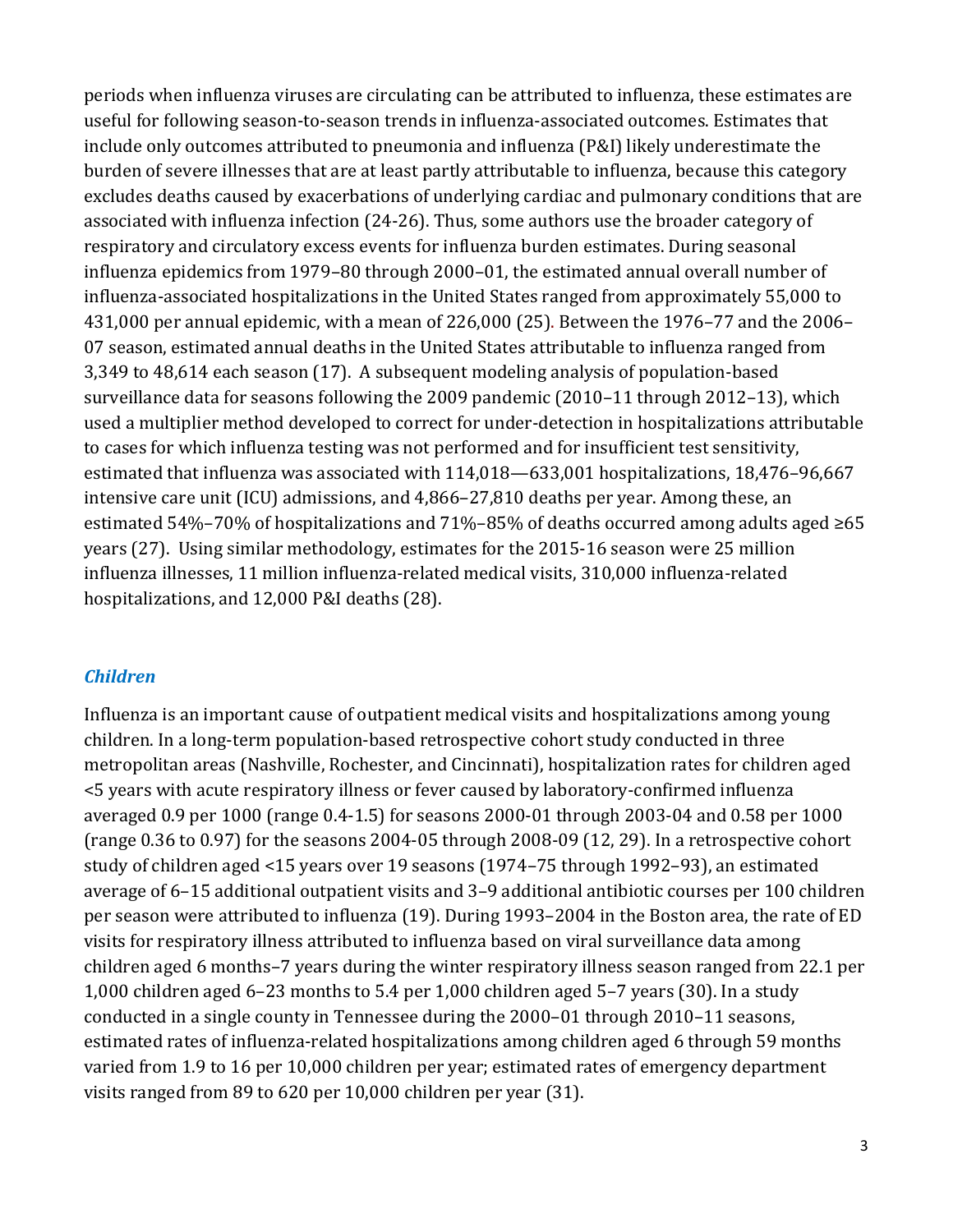useful for following season-to-season trends in influenza-associated outcomes. Estimates that 3,349 to 48,614 each season (17). A subsequent modeling analysis of population-based estimated 54%–70% of hospitalizations and 71%–85% of deaths occurred among adults aged ≥65 years (27). Using similar methodology, estimates for the 2015-16 season were 25 million hospitalizations, and 12,000 P&I deaths (28). periods when influenza viruses are circulating can be attributed to influenza, these estimates are include only outcomes attributed to pneumonia and influenza (P&I) likely underestimate the burden of severe illnesses that are at least partly attributable to influenza, because this category excludes deaths caused by exacerbations of underlying cardiac and pulmonary conditions that are associated with influenza infection (24-26). Thus, some authors use the broader category of respiratory and circulatory excess events for influenza burden estimates. During seasonal influenza epidemics from 1979–80 through 2000–01, the estimated annual overall number of influenza-associated hospitalizations in the United States ranged from approximately 55,000 to 431,000 per annual epidemic, with a mean of 226,000 (25). Between the 1976–77 and the 2006– 07 season, estimated annual deaths in the United States attributable to influenza ranged from surveillance data for seasons following the 2009 pandemic (2010–11 through 2012–13), which used a multiplier method developed to correct for under-detection in hospitalizations attributable to cases for which influenza testing was not performed and for insufficient test sensitivity, estimated that influenza was associated with 114,018—633,001 hospitalizations, 18,476–96,667 intensive care unit (ICU) admissions, and 4,866–27,810 deaths per year. Among these, an influenza illnesses, 11 million influenza-related medical visits, 310,000 influenza-related

#### *Children*

 <5 years with acute respiratory illness or fever caused by laboratory-confirmed influenza children aged 6 months–7 years during the winter respiratory illness season ranged from 22.1 per estimated rates of influenza-related hospitalizations among children aged 6 through 59 months Influenza is an important cause of outpatient medical visits and hospitalizations among young children. In a long-term population-based retrospective cohort study conducted in three metropolitan areas (Nashville, Rochester, and Cincinnati), hospitalization rates for children aged averaged 0.9 per 1000 (range 0.4-1.5) for seasons 2000-01 through 2003-04 and 0.58 per 1000 (range 0.36 to 0.97) for the seasons 2004-05 through 2008-09 (12, 29). In a retrospective cohort study of children aged <15 years over 19 seasons (1974–75 through 1992–93), an estimated average of 6–15 additional outpatient visits and 3–9 additional antibiotic courses per 100 children per season were attributed to influenza (19). During 1993–2004 in the Boston area, the rate of ED visits for respiratory illness attributed to influenza based on viral surveillance data among 1,000 children aged 6–23 months to 5.4 per 1,000 children aged 5–7 years (30). In a study conducted in a single county in Tennessee during the 2000–01 through 2010–11 seasons, varied from 1.9 to 16 per 10,000 children per year; estimated rates of emergency department visits ranged from 89 to 620 per 10,000 children per year (31).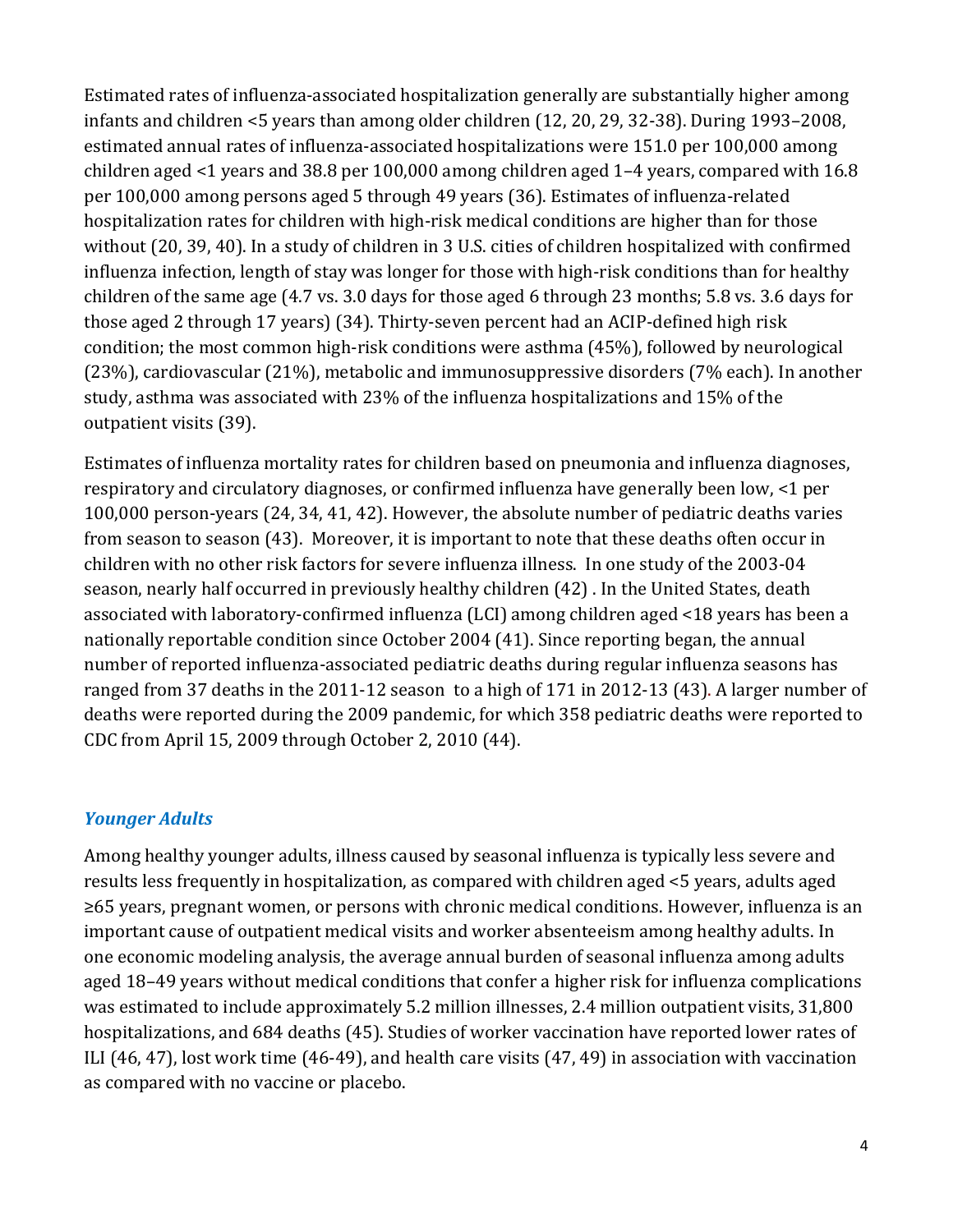infants and children <5 years than among older children (12, 20, 29, 32-38). During 1993–2008, children aged <1 years and 38.8 per 100,000 among children aged 1–4 years, compared with 16.8 (23%), cardiovascular (21%), metabolic and immunosuppressive disorders (7% each). In another Estimated rates of influenza-associated hospitalization generally are substantially higher among estimated annual rates of influenza-associated hospitalizations were 151.0 per 100,000 among per 100,000 among persons aged 5 through 49 years (36). Estimates of influenza-related hospitalization rates for children with high-risk medical conditions are higher than for those without (20, 39, 40). In a study of children in 3 U.S. cities of children hospitalized with confirmed influenza infection, length of stay was longer for those with high-risk conditions than for healthy children of the same age (4.7 vs. 3.0 days for those aged 6 through 23 months; 5.8 vs. 3.6 days for those aged 2 through 17 years) (34). Thirty-seven percent had an ACIP-defined high risk condition; the most common high-risk conditions were asthma (45%), followed by neurological study, asthma was associated with 23% of the influenza hospitalizations and 15% of the outpatient visits (39).

Estimates of influenza mortality rates for children based on pneumonia and influenza diagnoses, respiratory and circulatory diagnoses, or confirmed influenza have generally been low, <1 per 100,000 person-years (24, 34, 41, 42). However, the absolute number of pediatric deaths varies from season to season (43). Moreover, it is important to note that these deaths often occur in children with no other risk factors for severe influenza illness. In one study of the 2003-04 season, nearly half occurred in previously healthy children (42) . In the United States, death associated with laboratory-confirmed influenza (LCI) among children aged <18 years has been a nationally reportable condition since October 2004 (41). Since reporting began, the annual number of reported influenza-associated pediatric deaths during regular influenza seasons has ranged from 37 deaths in the 2011-12 season to a high of 171 in 2012-13 (43). A larger number of deaths were reported during the 2009 pandemic, for which 358 pediatric deaths were reported to CDC from April 15, 2009 through October 2, 2010 (44).

### *Younger Adults*

Among healthy younger adults, illness caused by seasonal influenza is typically less severe and results less frequently in hospitalization, as compared with children aged <5 years, adults aged ≥65 years, pregnant women, or persons with chronic medical conditions. However, influenza is an important cause of outpatient medical visits and worker absenteeism among healthy adults. In one economic modeling analysis, the average annual burden of seasonal influenza among adults aged 18–49 years without medical conditions that confer a higher risk for influenza complications was estimated to include approximately 5.2 million illnesses, 2.4 million outpatient visits, 31,800 hospitalizations, and 684 deaths (45). Studies of worker vaccination have reported lower rates of ILI (46, 47), lost work time (46-49), and health care visits (47, 49) in association with vaccination as compared with no vaccine or placebo.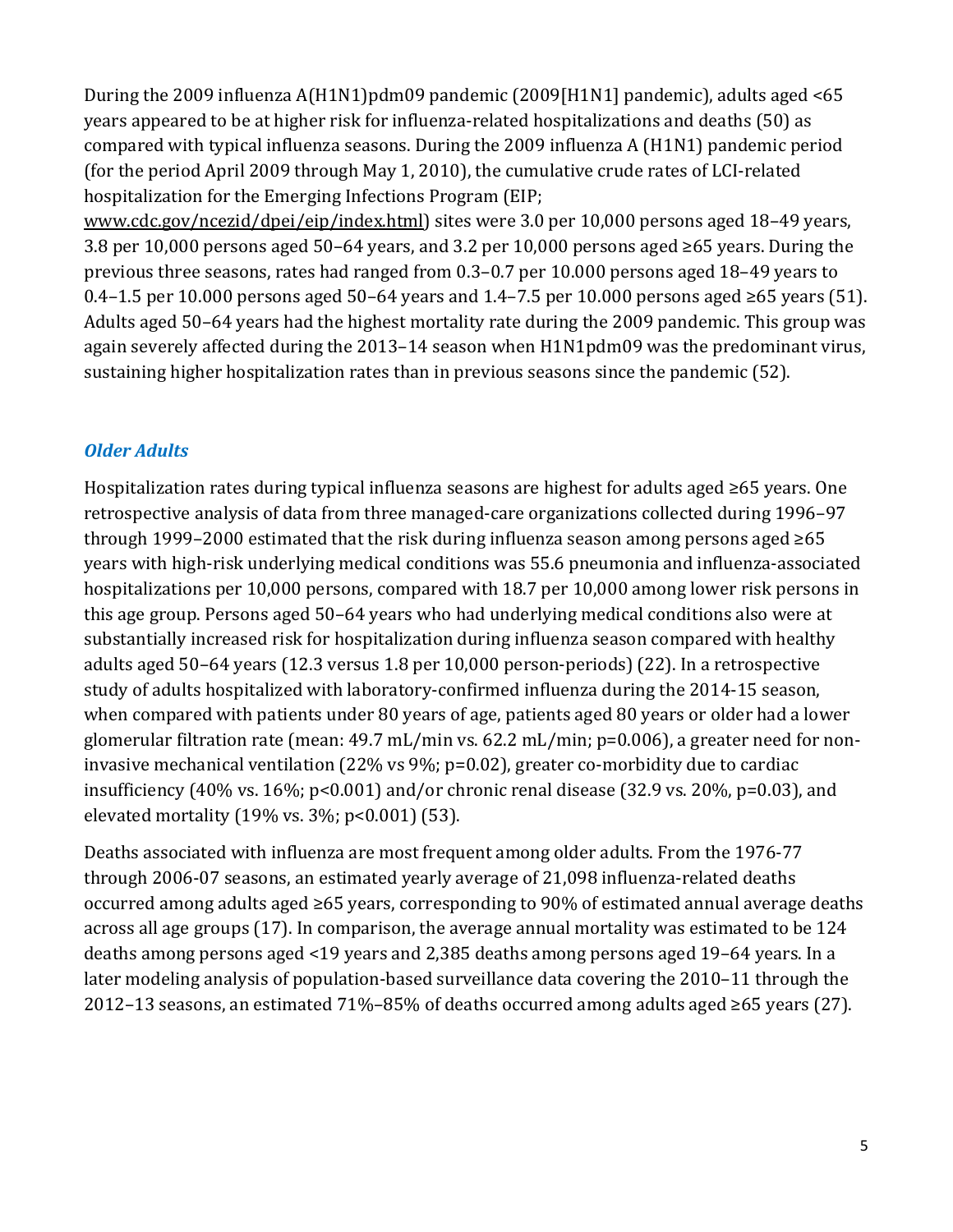During the 2009 influenza A(H1N1)pdm09 pandemic (2009[H1N1] pandemic), adults aged <65 years appeared to be at higher risk for influenza-related hospitalizations and deaths (50) as compared with typical influenza seasons. During the 2009 influenza A (H1N1) pandemic period (for the period April 2009 through May 1, 2010), the cumulative crude rates of LCI-related hospitalization for the Emerging Infections Program (EIP;

 3.8 per 10,000 persons aged 50–64 years, and 3.2 per 10,000 persons aged ≥65 years. During the 0.4–1.5 per 10.000 persons aged 50–64 years and 1.4–7.5 per 10.000 persons aged ≥65 years (51). [www.cdc.gov/ncezid/dpei/eip/index.html\)](http://www.cdc.gov/ncezid/dpei/eip/index.html) sites were 3.0 per 10,000 persons aged 18–49 years, previous three seasons, rates had ranged from 0.3–0.7 per 10.000 persons aged 18–49 years to Adults aged 50–64 years had the highest mortality rate during the 2009 pandemic. This group was again severely affected during the 2013–14 season when H1N1pdm09 was the predominant virus, sustaining higher hospitalization rates than in previous seasons since the pandemic (52).

## *Older Adults*

Hospitalization rates during typical influenza seasons are highest for adults aged ≥65 years. One retrospective analysis of data from three managed-care organizations collected during 1996–97 through 1999–2000 estimated that the risk during influenza season among persons aged ≥65 years with high-risk underlying medical conditions was 55.6 pneumonia and influenza-associated hospitalizations per 10,000 persons, compared with 18.7 per 10,000 among lower risk persons in this age group. Persons aged 50–64 years who had underlying medical conditions also were at substantially increased risk for hospitalization during influenza season compared with healthy adults aged 50–64 years (12.3 versus 1.8 per 10,000 person-periods) (22). In a retrospective study of adults hospitalized with laboratory-confirmed influenza during the 2014-15 season, when compared with patients under 80 years of age, patients aged 80 years or older had a lower glomerular filtration rate (mean: 49.7 mL/min vs. 62.2 mL/min; p=0.006), a greater need for noninvasive mechanical ventilation (22% vs 9%; p=0.02), greater co-morbidity due to cardiac insufficiency (40% vs. 16%; p<0.001) and/or chronic renal disease (32.9 vs. 20%, p=0.03), and elevated mortality (19% vs. 3%; p<0.001) (53).

Deaths associated with influenza are most frequent among older adults. From the 1976-77 through 2006-07 seasons, an estimated yearly average of 21,098 influenza-related deaths occurred among adults aged ≥65 years, corresponding to 90% of estimated annual average deaths across all age groups (17). In comparison, the average annual mortality was estimated to be 124 deaths among persons aged <19 years and 2,385 deaths among persons aged 19–64 years. In a later modeling analysis of population-based surveillance data covering the 2010–11 through the 2012–13 seasons, an estimated 71%–85% of deaths occurred among adults aged ≥65 years (27).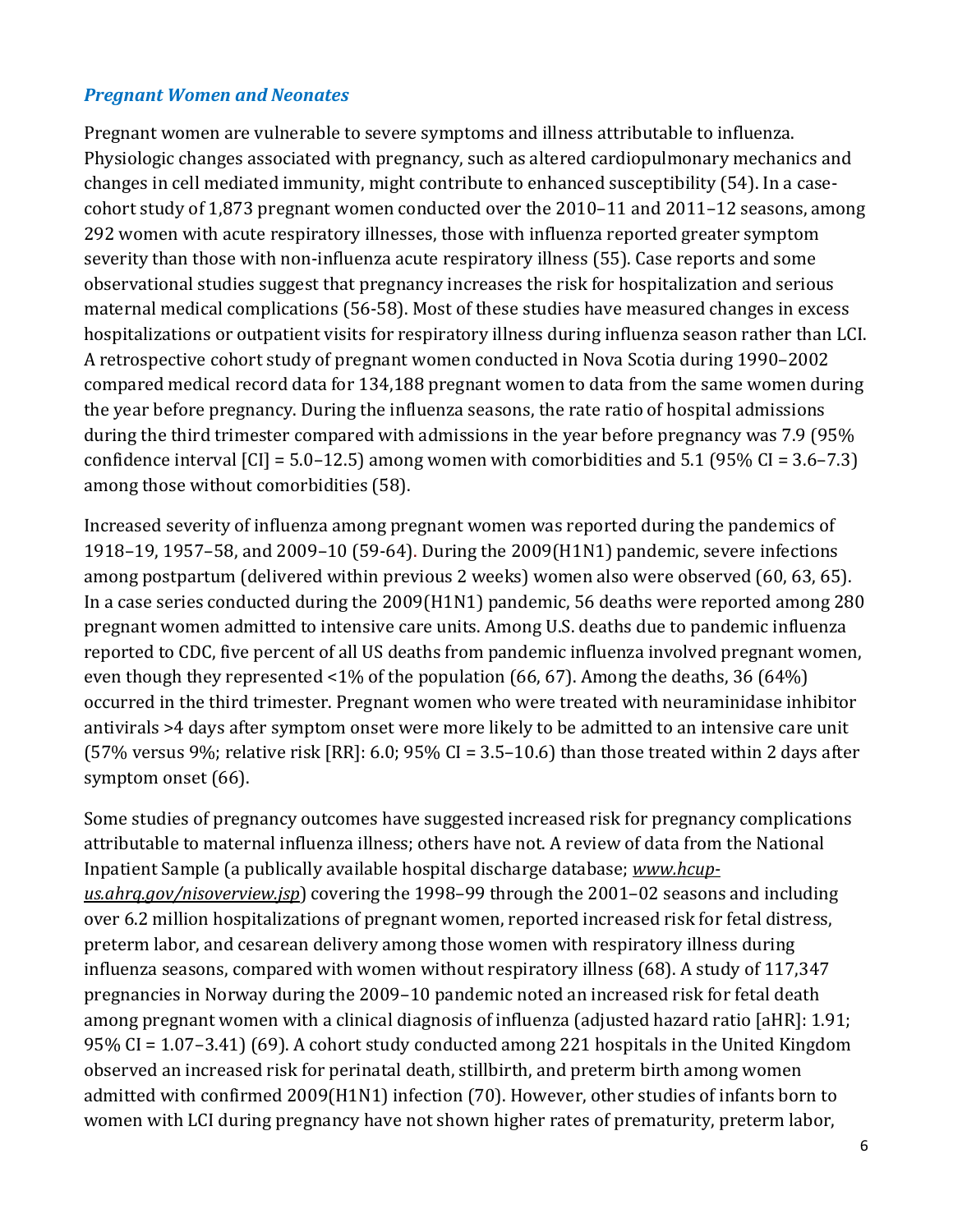### *Pregnant Women and Neonates*

 severity than those with non-influenza acute respiratory illness (55). Case reports and some Pregnant women are vulnerable to severe symptoms and illness attributable to influenza. Physiologic changes associated with pregnancy, such as altered cardiopulmonary mechanics and changes in cell mediated immunity, might contribute to enhanced susceptibility (54). In a casecohort study of 1,873 pregnant women conducted over the 2010–11 and 2011–12 seasons, among 292 women with acute respiratory illnesses, those with influenza reported greater symptom observational studies suggest that pregnancy increases the risk for hospitalization and serious maternal medical complications (56-58). Most of these studies have measured changes in excess hospitalizations or outpatient visits for respiratory illness during influenza season rather than LCI. A retrospective cohort study of pregnant women conducted in Nova Scotia during 1990–2002 compared medical record data for 134,188 pregnant women to data from the same women during the year before pregnancy. During the influenza seasons, the rate ratio of hospital admissions during the third trimester compared with admissions in the year before pregnancy was 7.9 (95% confidence interval  $\text{[CI]} = 5.0 - 12.5$  among women with comorbidities and  $5.1$  (95% CI = 3.6–7.3) among those without comorbidities (58).

 In a case series conducted during the 2009(H1N1) pandemic, 56 deaths were reported among 280 even though they represented <1% of the population (66, 67). Among the deaths, 36 (64%) Increased severity of influenza among pregnant women was reported during the pandemics of 1918–19, 1957–58, and 2009–10 (59-64). During the 2009(H1N1) pandemic, severe infections among postpartum (delivered within previous 2 weeks) women also were observed (60, 63, 65). pregnant women admitted to intensive care units. Among U.S. deaths due to pandemic influenza reported to CDC, five percent of all US deaths from pandemic influenza involved pregnant women, occurred in the third trimester. Pregnant women who were treated with neuraminidase inhibitor antivirals >4 days after symptom onset were more likely to be admitted to an intensive care unit (57% versus 9%; relative risk [RR]: 6.0; 95% CI = 3.5–10.6) than those treated within 2 days after symptom onset (66).

Some studies of pregnancy outcomes have suggested increased risk for pregnancy complications attributable to maternal influenza illness; others have not. A review of data from the National Inpatient Sample (a publically available hospital discharge database; *[www.hcup](http://www.hcup-us.ahrq.gov/nisoverview.jsp)[us.ahrq.gov/nisoverview.jsp](http://www.hcup-us.ahrq.gov/nisoverview.jsp)*) covering the 1998–99 through the 2001–02 seasons and including over 6.2 million hospitalizations of pregnant women, reported increased risk for fetal distress, preterm labor, and cesarean delivery among those women with respiratory illness during influenza seasons, compared with women without respiratory illness (68). A study of 117,347 pregnancies in Norway during the 2009–10 pandemic noted an increased risk for fetal death among pregnant women with a clinical diagnosis of influenza (adjusted hazard ratio [aHR]: 1.91; 95% CI = 1.07–3.41) (69). A cohort study conducted among 221 hospitals in the United Kingdom observed an increased risk for perinatal death, stillbirth, and preterm birth among women admitted with confirmed 2009(H1N1) infection (70). However, other studies of infants born to women with LCI during pregnancy have not shown higher rates of prematurity, preterm labor,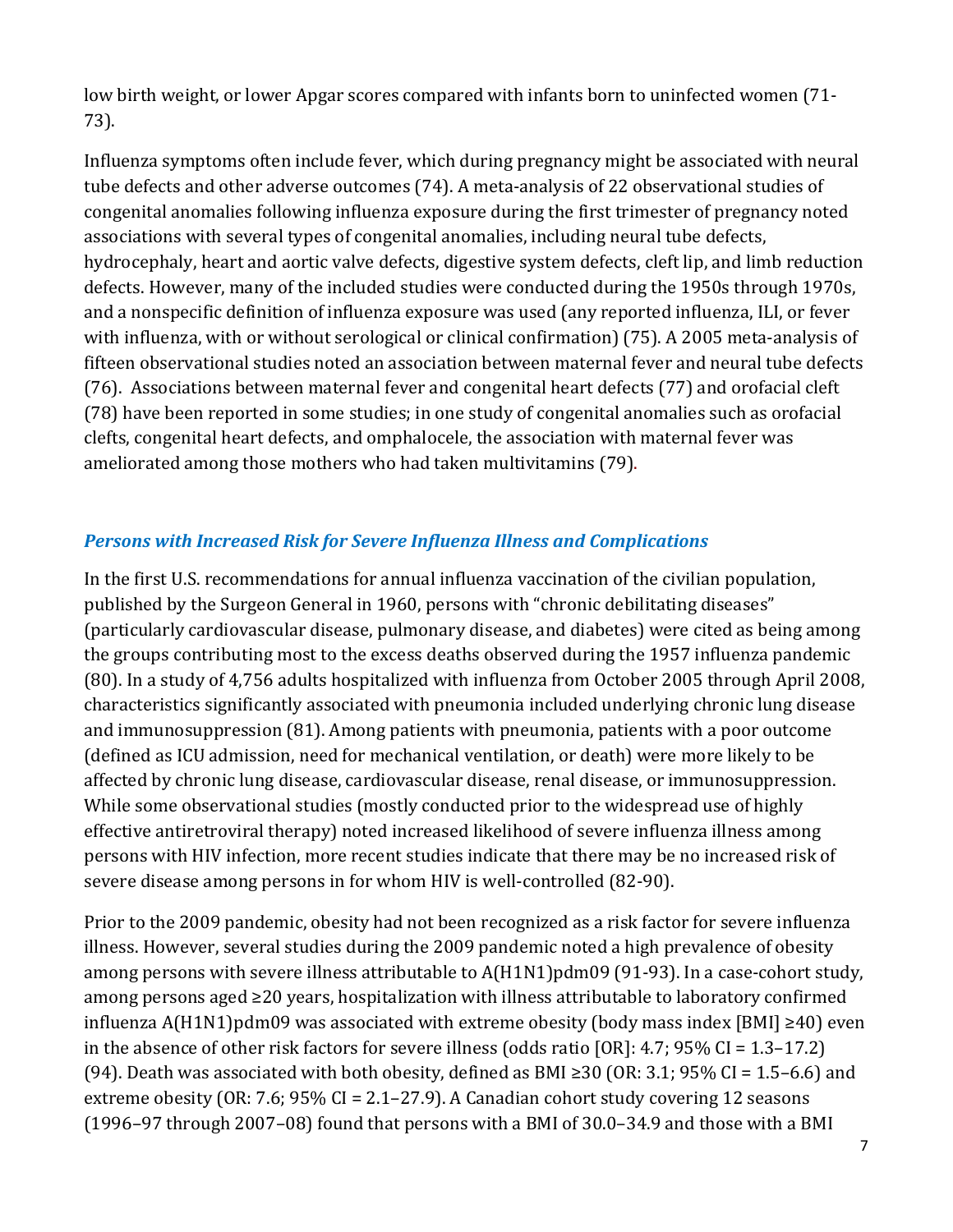low birth weight, or lower Apgar scores compared with infants born to uninfected women (71- 73).

Influenza symptoms often include fever, which during pregnancy might be associated with neural tube defects and other adverse outcomes (74). A meta-analysis of 22 observational studies of congenital anomalies following influenza exposure during the first trimester of pregnancy noted associations with several types of congenital anomalies, including neural tube defects, hydrocephaly, heart and aortic valve defects, digestive system defects, cleft lip, and limb reduction defects. However, many of the included studies were conducted during the 1950s through 1970s, and a nonspecific definition of influenza exposure was used (any reported influenza, ILI, or fever with influenza, with or without serological or clinical confirmation) (75). A 2005 meta-analysis of fifteen observational studies noted an association between maternal fever and neural tube defects (76). Associations between maternal fever and congenital heart defects (77) and orofacial cleft (78) have been reported in some studies; in one study of congenital anomalies such as orofacial clefts, congenital heart defects, and omphalocele, the association with maternal fever was ameliorated among those mothers who had taken multivitamins (79).

### *Persons with Increased Risk for Severe Influenza Illness and Complications*

 severe disease among persons in for whom HIV is well-controlled (82-90). In the first U.S. recommendations for annual influenza vaccination of the civilian population, published by the Surgeon General in 1960, persons with "chronic debilitating diseases" (particularly cardiovascular disease, pulmonary disease, and diabetes) were cited as being among the groups contributing most to the excess deaths observed during the 1957 influenza pandemic (80). In a study of 4,756 adults hospitalized with influenza from October 2005 through April 2008, characteristics significantly associated with pneumonia included underlying chronic lung disease and immunosuppression (81). Among patients with pneumonia, patients with a poor outcome (defined as ICU admission, need for mechanical ventilation, or death) were more likely to be affected by chronic lung disease, cardiovascular disease, renal disease, or immunosuppression. While some observational studies (mostly conducted prior to the widespread use of highly effective antiretroviral therapy) noted increased likelihood of severe influenza illness among persons with HIV infection, more recent studies indicate that there may be no increased risk of

 among persons aged ≥20 years, hospitalization with illness attributable to laboratory confirmed influenza A(H1N1)pdm09 was associated with extreme obesity (body mass index [BMI] ≥40) even (94). Death was associated with both obesity, defined as BMI ≥30 (OR: 3.1; 95% CI = 1.5–6.6) and extreme obesity (OR: 7.6; 95% CI = 2.1–27.9). A Canadian cohort study covering 12 seasons Prior to the 2009 pandemic, obesity had not been recognized as a risk factor for severe influenza illness. However, several studies during the 2009 pandemic noted a high prevalence of obesity among persons with severe illness attributable to A(H1N1)pdm09 (91-93). In a case-cohort study, in the absence of other risk factors for severe illness (odds ratio [OR]: 4.7; 95% CI = 1.3–17.2) (1996–97 through 2007–08) found that persons with a BMI of 30.0–34.9 and those with a BMI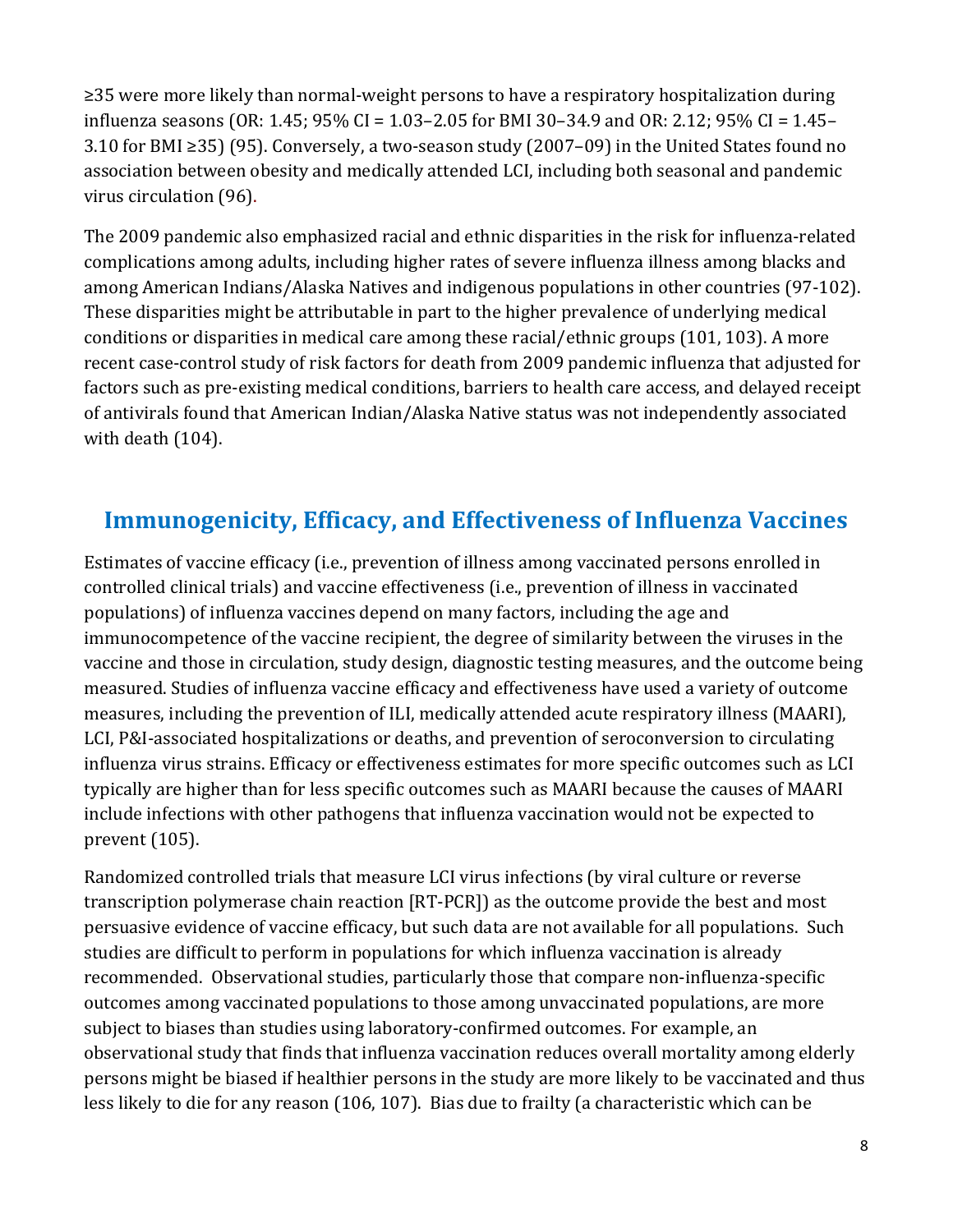≥35 were more likely than normal-weight persons to have a respiratory hospitalization during influenza seasons (OR: 1.45; 95% CI = 1.03–2.05 for BMI 30–34.9 and OR: 2.12; 95% CI = 1.45– 3.10 for BMI ≥35) (95). Conversely, a two-season study (2007–09) in the United States found no association between obesity and medically attended LCI, including both seasonal and pandemic virus circulation (96).

 recent case-control study of risk factors for death from 2009 pandemic influenza that adjusted for The 2009 pandemic also emphasized racial and ethnic disparities in the risk for influenza-related complications among adults, including higher rates of severe influenza illness among blacks and among American Indians/Alaska Natives and indigenous populations in other countries (97-102). These disparities might be attributable in part to the higher prevalence of underlying medical conditions or disparities in medical care among these racial/ethnic groups (101, 103). A more factors such as pre-existing medical conditions, barriers to health care access, and delayed receipt of antivirals found that American Indian/Alaska Native status was not independently associated with death (104).

# **Immunogenicity, Efficacy, and Effectiveness of Influenza Vaccines**

 influenza virus strains. Efficacy or effectiveness estimates for more specific outcomes such as LCI Estimates of vaccine efficacy (i.e., prevention of illness among vaccinated persons enrolled in controlled clinical trials) and vaccine effectiveness (i.e., prevention of illness in vaccinated populations) of influenza vaccines depend on many factors, including the age and immunocompetence of the vaccine recipient, the degree of similarity between the viruses in the vaccine and those in circulation, study design, diagnostic testing measures, and the outcome being measured. Studies of influenza vaccine efficacy and effectiveness have used a variety of outcome measures, including the prevention of ILI, medically attended acute respiratory illness (MAARI), LCI, P&I-associated hospitalizations or deaths, and prevention of seroconversion to circulating typically are higher than for less specific outcomes such as MAARI because the causes of MAARI include infections with other pathogens that influenza vaccination would not be expected to prevent (105).

 persuasive evidence of vaccine efficacy, but such data are not available for all populations. Such recommended. Observational studies, particularly those that compare non-influenza-specific Randomized controlled trials that measure LCI virus infections (by viral culture or reverse transcription polymerase chain reaction [RT-PCR]) as the outcome provide the best and most studies are difficult to perform in populations for which influenza vaccination is already outcomes among vaccinated populations to those among unvaccinated populations, are more subject to biases than studies using laboratory-confirmed outcomes. For example, an observational study that finds that influenza vaccination reduces overall mortality among elderly persons might be biased if healthier persons in the study are more likely to be vaccinated and thus less likely to die for any reason (106, 107). Bias due to frailty (a characteristic which can be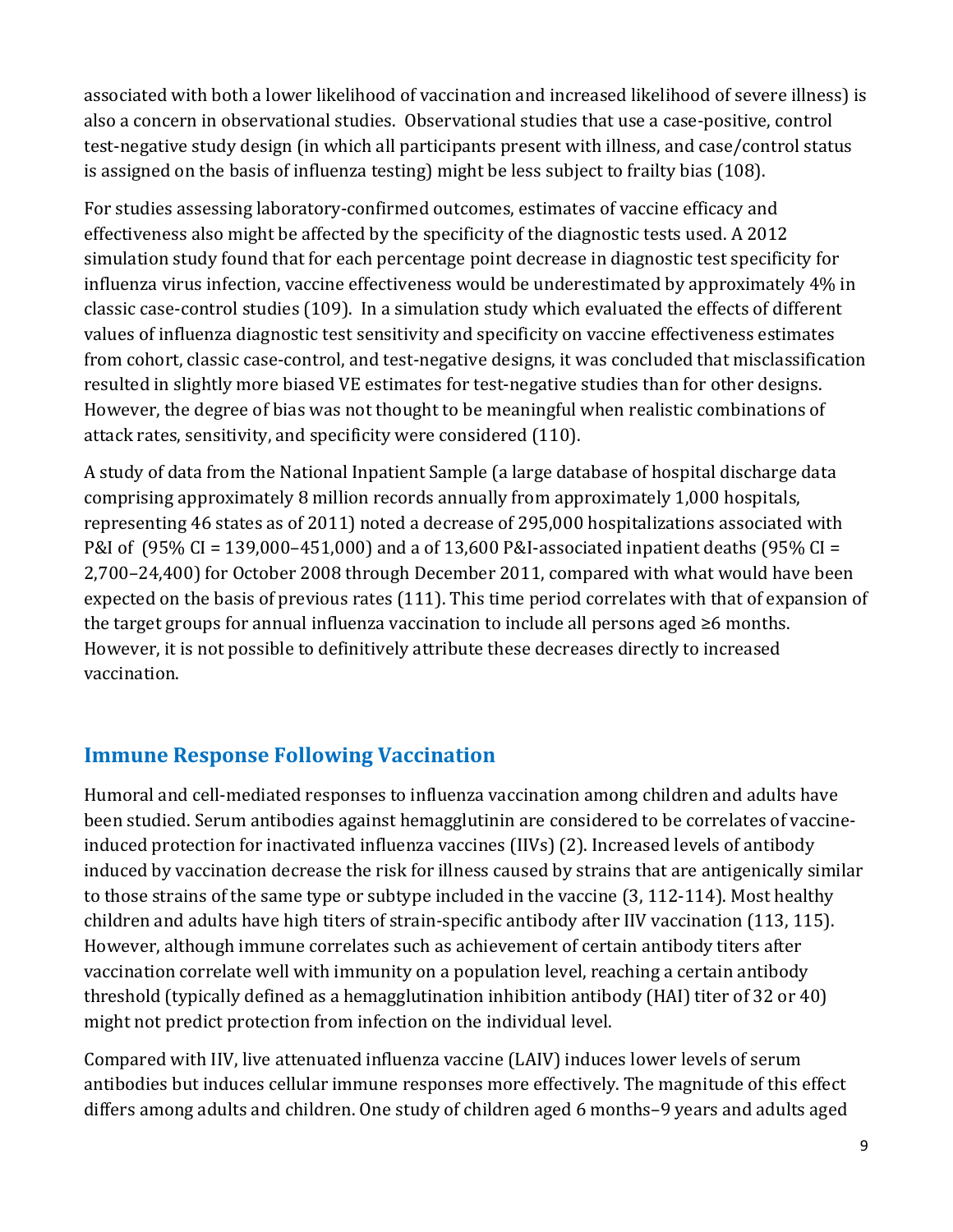also a concern in observational studies. Observational studies that use a case-positive, control associated with both a lower likelihood of vaccination and increased likelihood of severe illness) is test-negative study design (in which all participants present with illness, and case/control status is assigned on the basis of influenza testing) might be less subject to frailty bias (108).

 classic case-control studies (109). In a simulation study which evaluated the effects of different resulted in slightly more biased VE estimates for test-negative studies than for other designs. attack rates, sensitivity, and specificity were considered (110). For studies assessing laboratory-confirmed outcomes, estimates of vaccine efficacy and effectiveness also might be affected by the specificity of the diagnostic tests used. A 2012 simulation study found that for each percentage point decrease in diagnostic test specificity for influenza virus infection, vaccine effectiveness would be underestimated by approximately 4% in values of influenza diagnostic test sensitivity and specificity on vaccine effectiveness estimates from cohort, classic case-control, and test-negative designs, it was concluded that misclassification However, the degree of bias was not thought to be meaningful when realistic combinations of

A study of data from the National Inpatient Sample (a large database of hospital discharge data comprising approximately 8 million records annually from approximately 1,000 hospitals, representing 46 states as of 2011) noted a decrease of 295,000 hospitalizations associated with P&I of (95% CI = 139,000–451,000) and a of 13,600 P&I-associated inpatient deaths (95% CI = 2,700–24,400) for October 2008 through December 2011, compared with what would have been expected on the basis of previous rates (111). This time period correlates with that of expansion of the target groups for annual influenza vaccination to include all persons aged  $\geq 6$  months. However, it is not possible to definitively attribute these decreases directly to increased vaccination.

# **Immune Response Following Vaccination**

Humoral and cell-mediated responses to influenza vaccination among children and adults have been studied. Serum antibodies against hemagglutinin are considered to be correlates of vaccineinduced protection for inactivated influenza vaccines (IIVs) (2). Increased levels of antibody induced by vaccination decrease the risk for illness caused by strains that are antigenically similar to those strains of the same type or subtype included in the vaccine (3, 112-114). Most healthy children and adults have high titers of strain-specific antibody after IIV vaccination (113, 115). However, although immune correlates such as achievement of certain antibody titers after vaccination correlate well with immunity on a population level, reaching a certain antibody threshold (typically defined as a hemagglutination inhibition antibody (HAI) titer of 32 or 40) might not predict protection from infection on the individual level.

Compared with IIV, live attenuated influenza vaccine (LAIV) induces lower levels of serum antibodies but induces cellular immune responses more effectively. The magnitude of this effect differs among adults and children. One study of children aged 6 months–9 years and adults aged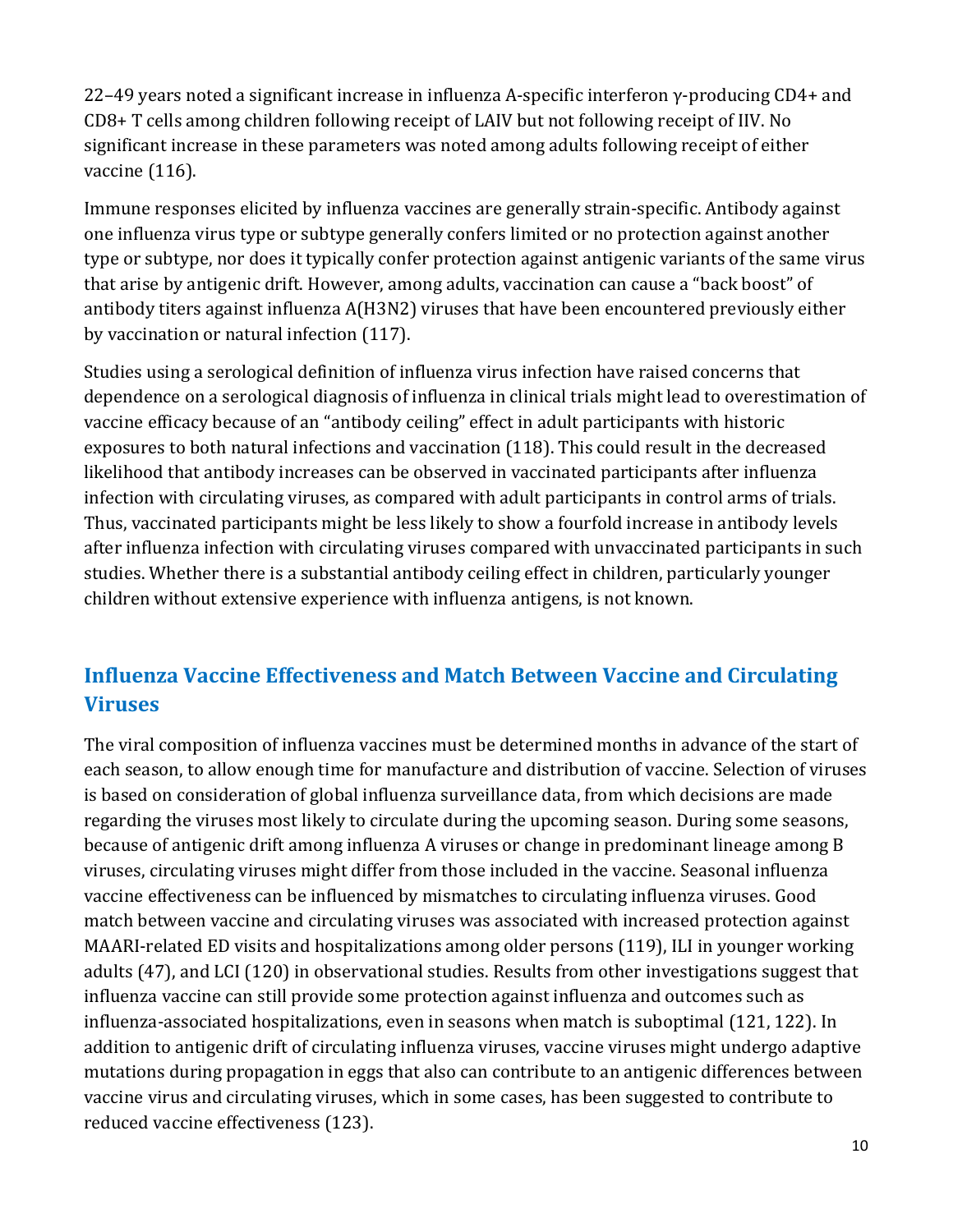22–49 years noted a significant increase in influenza A-specific interferon  $\gamma$ -producing CD4+ and CD8+ T cells among children following receipt of LAIV but not following receipt of IIV. No significant increase in these parameters was noted among adults following receipt of either vaccine (116).

Immune responses elicited by influenza vaccines are generally strain-specific. Antibody against one influenza virus type or subtype generally confers limited or no protection against another type or subtype, nor does it typically confer protection against antigenic variants of the same virus that arise by antigenic drift. However, among adults, vaccination can cause a "back boost" of antibody titers against influenza A(H3N2) viruses that have been encountered previously either by vaccination or natural infection (117).

Studies using a serological definition of influenza virus infection have raised concerns that dependence on a serological diagnosis of influenza in clinical trials might lead to overestimation of vaccine efficacy because of an "antibody ceiling" effect in adult participants with historic exposures to both natural infections and vaccination (118). This could result in the decreased likelihood that antibody increases can be observed in vaccinated participants after influenza infection with circulating viruses, as compared with adult participants in control arms of trials. Thus, vaccinated participants might be less likely to show a fourfold increase in antibody levels after influenza infection with circulating viruses compared with unvaccinated participants in such studies. Whether there is a substantial antibody ceiling effect in children, particularly younger children without extensive experience with influenza antigens, is not known.

# **Influenza Vaccine Effectiveness and Match Between Vaccine and Circulating Viruses**

 because of antigenic drift among influenza A viruses or change in predominant lineage among B The viral composition of influenza vaccines must be determined months in advance of the start of each season, to allow enough time for manufacture and distribution of vaccine. Selection of viruses is based on consideration of global influenza surveillance data, from which decisions are made regarding the viruses most likely to circulate during the upcoming season. During some seasons, viruses, circulating viruses might differ from those included in the vaccine. Seasonal influenza vaccine effectiveness can be influenced by mismatches to circulating influenza viruses. Good match between vaccine and circulating viruses was associated with increased protection against MAARI-related ED visits and hospitalizations among older persons (119), ILI in younger working adults (47), and LCI (120) in observational studies. Results from other investigations suggest that influenza vaccine can still provide some protection against influenza and outcomes such as influenza-associated hospitalizations, even in seasons when match is suboptimal (121, 122). In addition to antigenic drift of circulating influenza viruses, vaccine viruses might undergo adaptive mutations during propagation in eggs that also can contribute to an antigenic differences between vaccine virus and circulating viruses, which in some cases, has been suggested to contribute to reduced vaccine effectiveness (123).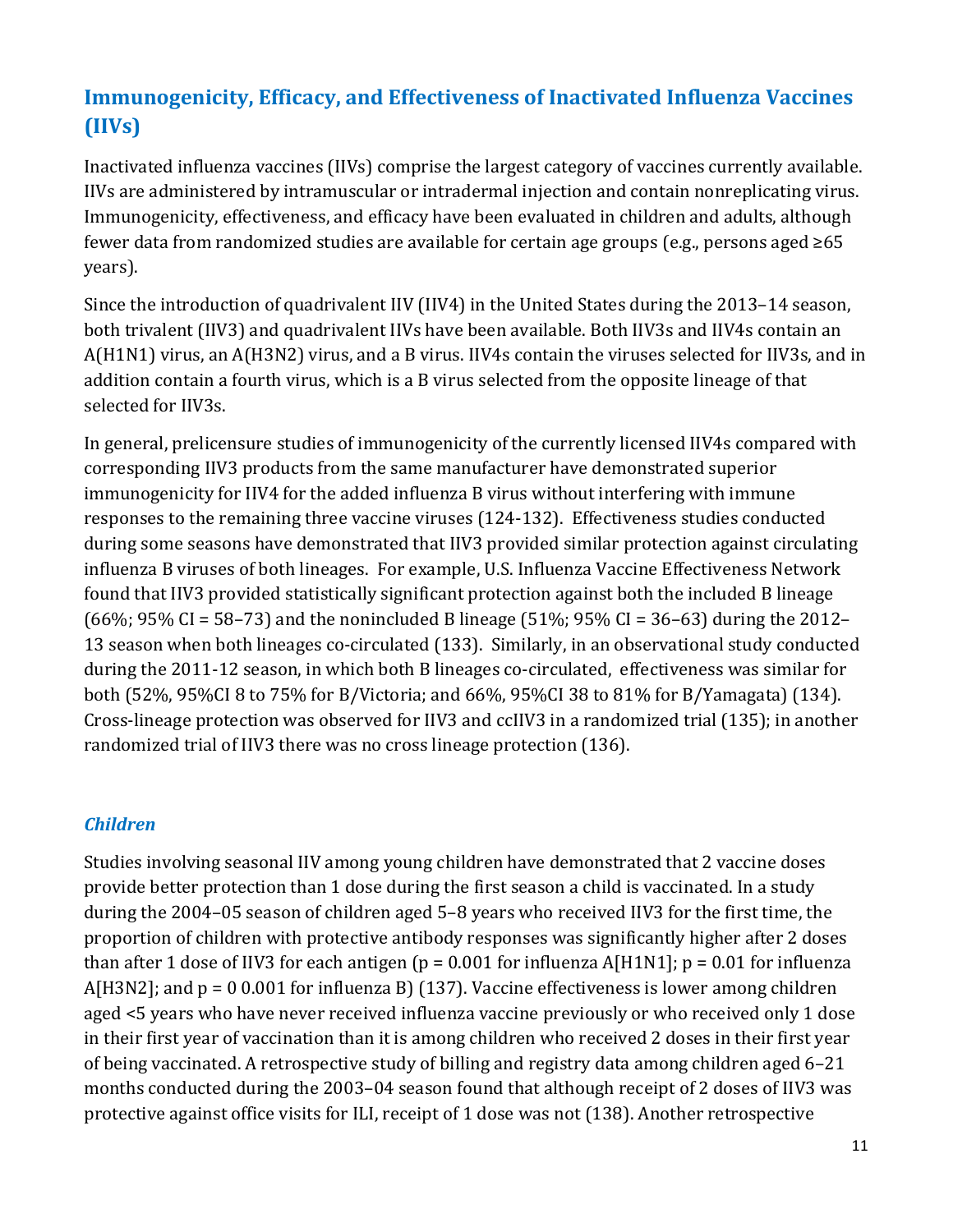# **Immunogenicity, Efficacy, and Effectiveness of Inactivated Influenza Vaccines (IIVs)**

 Inactivated influenza vaccines (IIVs) comprise the largest category of vaccines currently available. fewer data from randomized studies are available for certain age groups (e.g., persons aged ≥65 IIVs are administered by intramuscular or intradermal injection and contain nonreplicating virus. Immunogenicity, effectiveness, and efficacy have been evaluated in children and adults, although years).

Since the introduction of quadrivalent IIV (IIV4) in the United States during the 2013–14 season, both trivalent (IIV3) and quadrivalent IIVs have been available. Both IIV3s and IIV4s contain an A(H1N1) virus, an A(H3N2) virus, and a B virus. IIV4s contain the viruses selected for IIV3s, and in addition contain a fourth virus, which is a B virus selected from the opposite lineage of that selected for IIV3s.

 In general, prelicensure studies of immunogenicity of the currently licensed IIV4s compared with responses to the remaining three vaccine viruses (124-132). Effectiveness studies conducted both (52%, 95%CI 8 to 75% for B/Victoria; and 66%, 95%CI 38 to 81% for B/Yamagata) (134). randomized trial of IIV3 there was no cross lineage protection (136). corresponding IIV3 products from the same manufacturer have demonstrated superior immunogenicity for IIV4 for the added influenza B virus without interfering with immune during some seasons have demonstrated that IIV3 provided similar protection against circulating influenza B viruses of both lineages. For example, U.S. Influenza Vaccine Effectiveness Network found that IIV3 provided statistically significant protection against both the included B lineage (66%; 95% CI = 58–73) and the nonincluded B lineage (51%; 95% CI = 36–63) during the 2012– 13 season when both lineages co-circulated (133). Similarly, in an observational study conducted during the 2011-12 season, in which both B lineages co-circulated, effectiveness was similar for both (52%, 95%CI 8 to 75% for B/Victoria; and 66%, 95%CI 38 to 81% for B/Yamagata) (134). Cross-lineage protection was observed for IIV3 and ccIIV3 in a randomized trial (135); in another

### *Children*

 proportion of children with protective antibody responses was significantly higher after 2 doses aged <5 years who have never received influenza vaccine previously or who received only 1 dose months conducted during the 2003–04 season found that although receipt of 2 doses of IIV3 was Studies involving seasonal IIV among young children have demonstrated that 2 vaccine doses provide better protection than 1 dose during the first season a child is vaccinated. In a study during the 2004–05 season of children aged 5–8 years who received IIV3 for the first time, the than after 1 dose of IIV3 for each antigen ( $p = 0.001$  for influenza A[H1N1];  $p = 0.01$  for influenza A[H3N2]; and p = 0 0.001 for influenza B) (137). Vaccine effectiveness is lower among children in their first year of vaccination than it is among children who received 2 doses in their first year of being vaccinated. A retrospective study of billing and registry data among children aged 6–21 protective against office visits for ILI, receipt of 1 dose was not (138). Another retrospective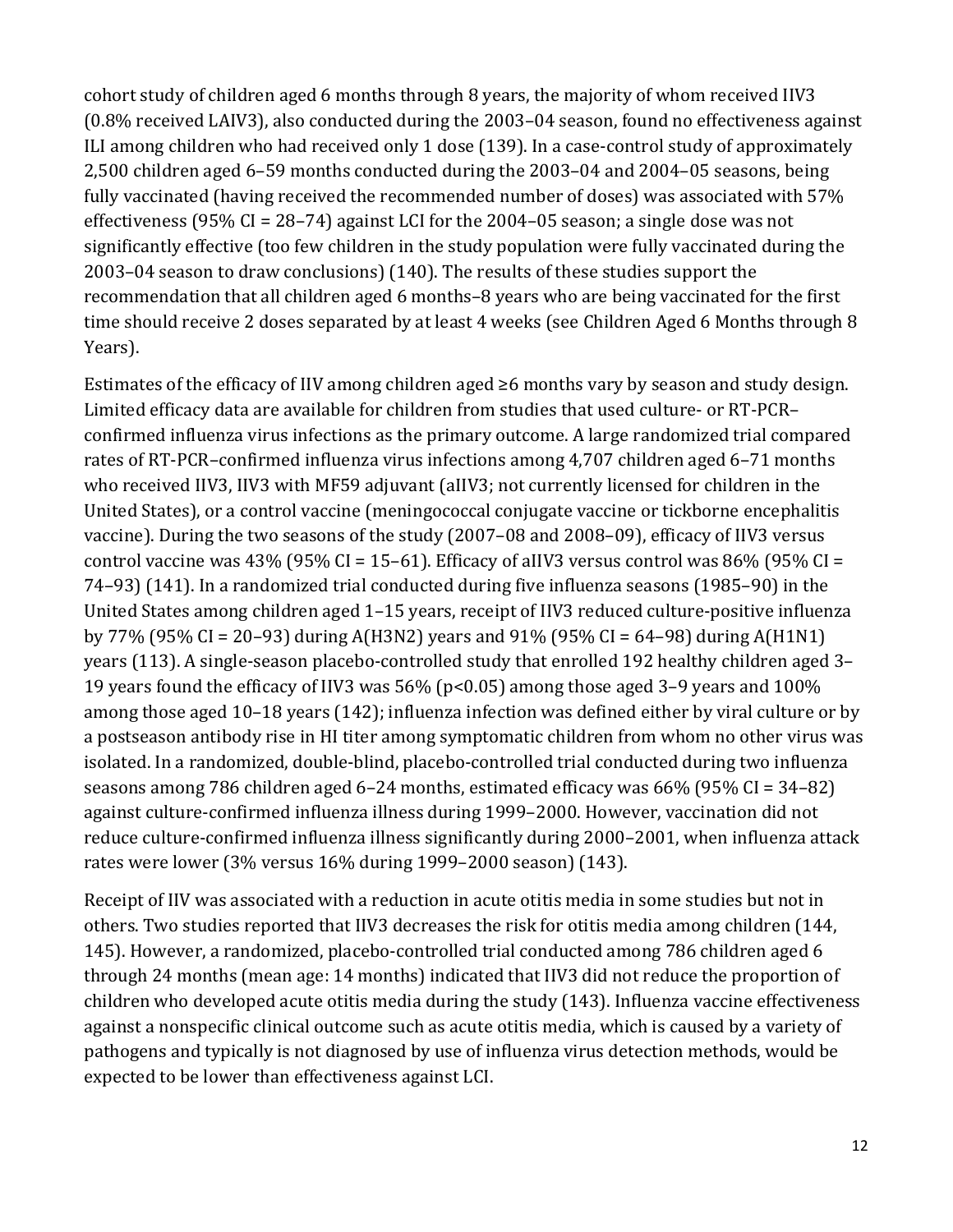fully vaccinated (having received the recommended number of doses) was associated with 57% cohort study of children aged 6 months through 8 years, the majority of whom received IIV3 (0.8% received LAIV3), also conducted during the 2003–04 season, found no effectiveness against ILI among children who had received only 1 dose (139). In a case-control study of approximately 2,500 children aged 6–59 months conducted during the 2003–04 and 2004–05 seasons, being effectiveness (95% CI = 28–74) against LCI for the 2004–05 season; a single dose was not significantly effective (too few children in the study population were fully vaccinated during the 2003–04 season to draw conclusions) (140). The results of these studies support the recommendation that all children aged 6 months–8 years who are being vaccinated for the first time should receive 2 doses separated by at least 4 weeks (see Children Aged 6 Months through 8 Years).

 Estimates of the efficacy of IIV among children aged ≥6 months vary by season and study design. who received IIV3, IIV3 with MF59 adjuvant (aIIV3; not currently licensed for children in the control vaccine was 43% (95% CI = 15–61). Efficacy of aIIV3 versus control was 86% (95% CI = 19 years found the efficacy of IIV3 was 56% (p<0.05) among those aged 3–9 years and 100% among those aged 10–18 years (142); influenza infection was defined either by viral culture or by a postseason antibody rise in HI titer among symptomatic children from whom no other virus was Limited efficacy data are available for children from studies that used culture- or RT-PCR– confirmed influenza virus infections as the primary outcome. A large randomized trial compared rates of RT-PCR–confirmed influenza virus infections among 4,707 children aged 6–71 months United States), or a control vaccine (meningococcal conjugate vaccine or tickborne encephalitis vaccine). During the two seasons of the study (2007–08 and 2008–09), efficacy of IIV3 versus 74–93) (141). In a randomized trial conducted during five influenza seasons (1985–90) in the United States among children aged 1–15 years, receipt of IIV3 reduced culture-positive influenza by 77% (95% CI = 20–93) during A(H3N2) years and 91% (95% CI = 64–98) during A(H1N1) years (113). A single-season placebo-controlled study that enrolled 192 healthy children aged 3– isolated. In a randomized, double-blind, placebo-controlled trial conducted during two influenza seasons among 786 children aged 6–24 months, estimated efficacy was 66% (95% CI = 34–82) against culture-confirmed influenza illness during 1999–2000. However, vaccination did not reduce culture-confirmed influenza illness significantly during 2000–2001, when influenza attack rates were lower (3% versus 16% during 1999–2000 season) (143).

Receipt of IIV was associated with a reduction in acute otitis media in some studies but not in others. Two studies reported that IIV3 decreases the risk for otitis media among children (144, 145). However, a randomized, placebo-controlled trial conducted among 786 children aged 6 through 24 months (mean age: 14 months) indicated that IIV3 did not reduce the proportion of children who developed acute otitis media during the study (143). Influenza vaccine effectiveness against a nonspecific clinical outcome such as acute otitis media, which is caused by a variety of pathogens and typically is not diagnosed by use of influenza virus detection methods, would be expected to be lower than effectiveness against LCI.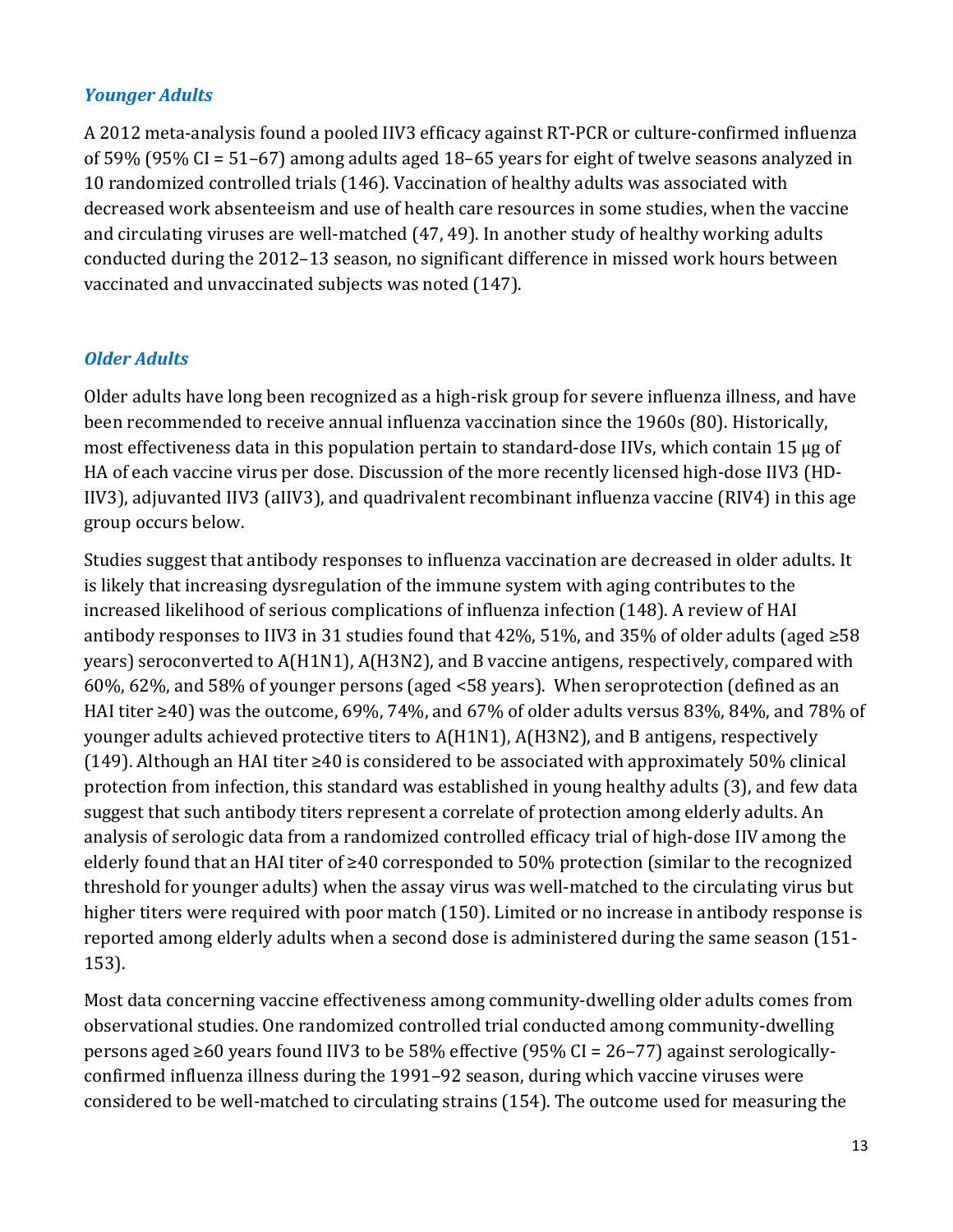### *Younger Adults*

A 2012 meta-analysis found a pooled IIV3 efficacy against RT-PCR or culture-confirmed influenza of 59% (95% CI = 51–67) among adults aged 18–65 years for eight of twelve seasons analyzed in 10 randomized controlled trials (146). Vaccination of healthy adults was associated with decreased work absenteeism and use of health care resources in some studies, when the vaccine and circulating viruses are well-matched (47, 49). In another study of healthy working adults conducted during the 2012–13 season, no significant difference in missed work hours between vaccinated and unvaccinated subjects was noted (147).

## *Older Adults*

Older adults have long been recognized as a high-risk group for severe influenza illness, and have been recommended to receive annual influenza vaccination since the 1960s (80). Historically, most effectiveness data in this population pertain to standard-dose IIVs, which contain 15 µg of HA of each vaccine virus per dose. Discussion of the more recently licensed high-dose IIV3 (HD-IIV3), adjuvanted IIV3 (aIIV3), and quadrivalent recombinant influenza vaccine (RIV4) in this age group occurs below.

Studies suggest that antibody responses to influenza vaccination are decreased in older adults. It is likely that increasing dysregulation of the immune system with aging contributes to the increased likelihood of serious complications of influenza infection (148). A review of HAI antibody responses to IIV3 in 31 studies found that 42%, 51%, and 35% of older adults (aged  $\geq 58$ ) years) seroconverted to A(H1N1), A(H3N2), and B vaccine antigens, respectively, compared with 60%, 62%, and 58% of younger persons (aged <58 years). When seroprotection (defined as an HAI titer ≥40) was the outcome, 69%, 74%, and 67% of older adults versus 83%, 84%, and 78% of younger adults achieved protective titers to A(H1N1), A(H3N2), and B antigens, respectively (149). Although an HAI titer ≥40 is considered to be associated with approximately 50% clinical protection from infection, this standard was established in young healthy adults (3), and few data suggest that such antibody titers represent a correlate of protection among elderly adults. An analysis of serologic data from a randomized controlled efficacy trial of high-dose IIV among the elderly found that an HAI titer of ≥40 corresponded to 50% protection (similar to the recognized threshold for younger adults) when the assay virus was well-matched to the circulating virus but higher titers were required with poor match (150). Limited or no increase in antibody response is reported among elderly adults when a second dose is administered during the same season (151- 153).

 persons aged ≥60 years found IIV3 to be 58% effective (95% CI = 26–77) against serologically-Most data concerning vaccine effectiveness among community-dwelling older adults comes from observational studies. One randomized controlled trial conducted among community-dwelling confirmed influenza illness during the 1991–92 season, during which vaccine viruses were considered to be well-matched to circulating strains (154). The outcome used for measuring the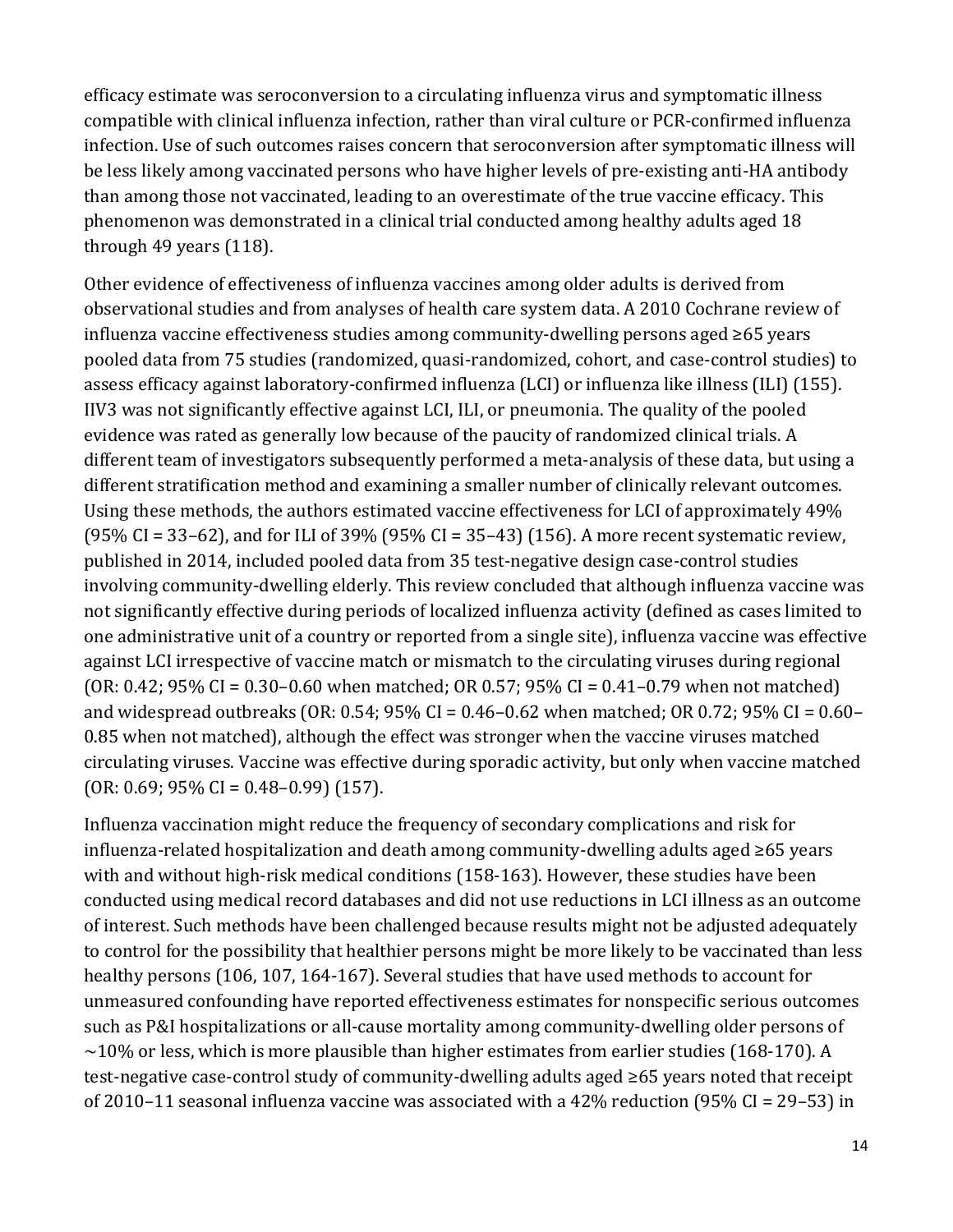through 49 years (118). efficacy estimate was seroconversion to a circulating influenza virus and symptomatic illness compatible with clinical influenza infection, rather than viral culture or PCR-confirmed influenza infection. Use of such outcomes raises concern that seroconversion after symptomatic illness will be less likely among vaccinated persons who have higher levels of pre-existing anti-HA antibody than among those not vaccinated, leading to an overestimate of the true vaccine efficacy. This phenomenon was demonstrated in a clinical trial conducted among healthy adults aged 18

Other evidence of effectiveness of influenza vaccines among older adults is derived from observational studies and from analyses of health care system data. A 2010 Cochrane review of influenza vaccine effectiveness studies among community-dwelling persons aged ≥65 years pooled data from 75 studies (randomized, quasi-randomized, cohort, and case-control studies) to assess efficacy against laboratory-confirmed influenza (LCI) or influenza like illness (ILI) (155). IIV3 was not significantly effective against LCI, ILI, or pneumonia. The quality of the pooled evidence was rated as generally low because of the paucity of randomized clinical trials. A different team of investigators subsequently performed a meta-analysis of these data, but using a different stratification method and examining a smaller number of clinically relevant outcomes. Using these methods, the authors estimated vaccine effectiveness for LCI of approximately 49% (95% CI = 33–62), and for ILI of 39% (95% CI = 35–43) (156). A more recent systematic review, published in 2014, included pooled data from 35 test-negative design case-control studies involving community-dwelling elderly. This review concluded that although influenza vaccine was not significantly effective during periods of localized influenza activity (defined as cases limited to one administrative unit of a country or reported from a single site), influenza vaccine was effective against LCI irrespective of vaccine match or mismatch to the circulating viruses during regional (OR: 0.42; 95% CI = 0.30–0.60 when matched; OR 0.57; 95% CI = 0.41–0.79 when not matched) and widespread outbreaks (OR: 0.54;  $95\%$  CI = 0.46–0.62 when matched; OR 0.72;  $95\%$  CI = 0.60– 0.85 when not matched), although the effect was stronger when the vaccine viruses matched circulating viruses. Vaccine was effective during sporadic activity, but only when vaccine matched  $(OR: 0.69; 95\% CI = 0.48-0.99)$  (157).

Influenza vaccination might reduce the frequency of secondary complications and risk for influenza-related hospitalization and death among community-dwelling adults aged ≥65 years with and without high-risk medical conditions (158-163). However, these studies have been conducted using medical record databases and did not use reductions in LCI illness as an outcome of interest. Such methods have been challenged because results might not be adjusted adequately to control for the possibility that healthier persons might be more likely to be vaccinated than less healthy persons (106, 107, 164-167). Several studies that have used methods to account for unmeasured confounding have reported effectiveness estimates for nonspecific serious outcomes such as P&I hospitalizations or all-cause mortality among community-dwelling older persons of  $\sim$ 10% or less, which is more plausible than higher estimates from earlier studies (168-170). A test-negative case-control study of community-dwelling adults aged ≥65 years noted that receipt of 2010–11 seasonal influenza vaccine was associated with a 42% reduction (95% CI = 29–53) in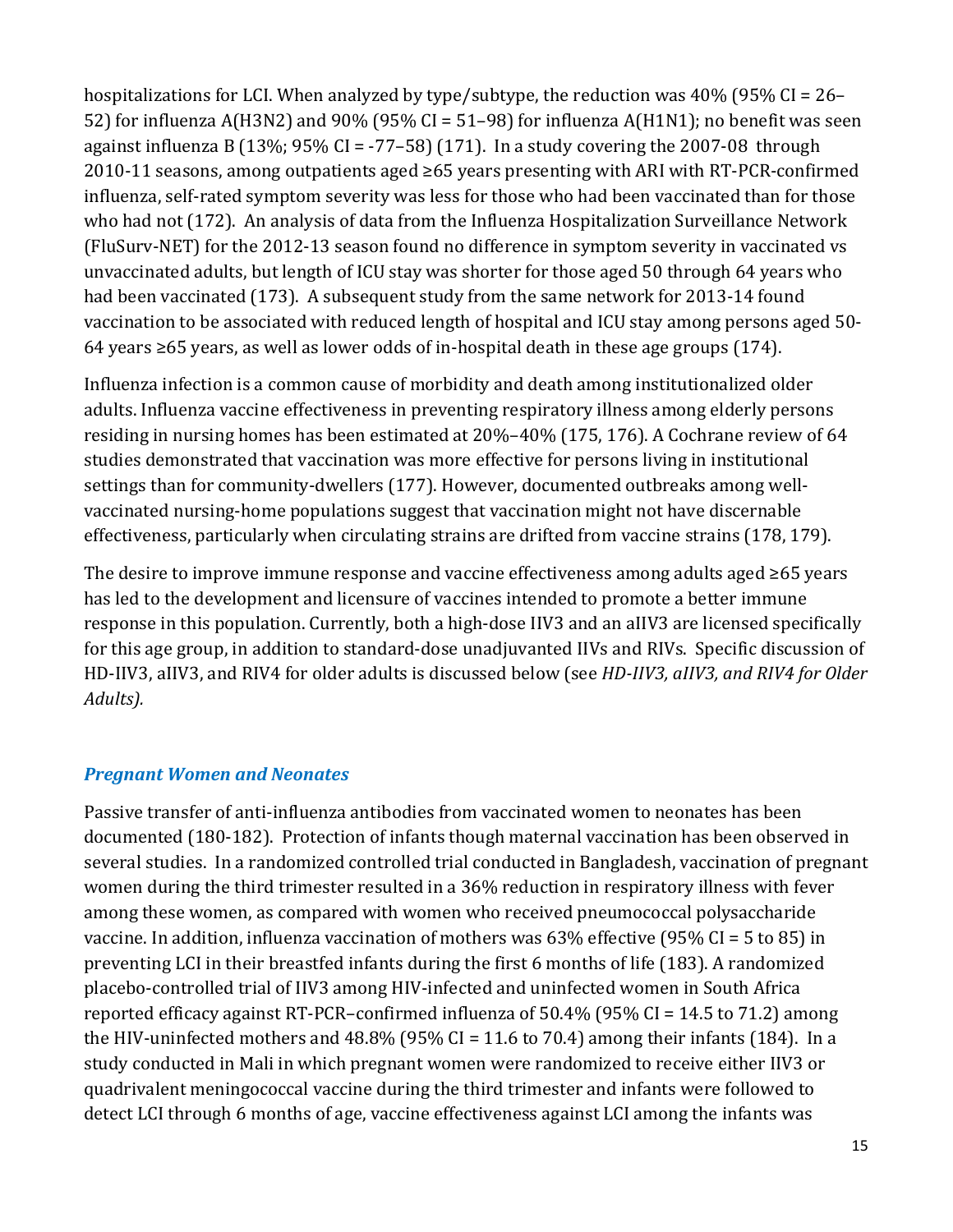hospitalizations for LCI. When analyzed by type/subtype, the reduction was 40% (95% CI = 26– 52) for influenza A(H3N2) and 90% (95% CI = 51–98) for influenza A(H1N1); no benefit was seen against influenza B (13%;  $95\%$  CI = -77-58) (171). In a study covering the 2007-08 through 2010-11 seasons, among outpatients aged ≥65 years presenting with ARI with RT-PCR-confirmed influenza, self-rated symptom severity was less for those who had been vaccinated than for those who had not (172). An analysis of data from the Influenza Hospitalization Surveillance Network (FluSurv-NET) for the 2012-13 season found no difference in symptom severity in vaccinated vs unvaccinated adults, but length of ICU stay was shorter for those aged 50 through 64 years who had been vaccinated (173). A subsequent study from the same network for 2013-14 found vaccination to be associated with reduced length of hospital and ICU stay among persons aged 50- 64 years ≥65 years, as well as lower odds of in-hospital death in these age groups (174).

Influenza infection is a common cause of morbidity and death among institutionalized older adults. Influenza vaccine effectiveness in preventing respiratory illness among elderly persons residing in nursing homes has been estimated at 20%–40% (175, 176). A Cochrane review of 64 studies demonstrated that vaccination was more effective for persons living in institutional settings than for community-dwellers (177). However, documented outbreaks among wellvaccinated nursing-home populations suggest that vaccination might not have discernable effectiveness, particularly when circulating strains are drifted from vaccine strains (178, 179).

The desire to improve immune response and vaccine effectiveness among adults aged ≥65 years has led to the development and licensure of vaccines intended to promote a better immune response in this population. Currently, both a high-dose IIV3 and an aIIV3 are licensed specifically for this age group, in addition to standard-dose unadjuvanted IIVs and RIVs. Specific discussion of HD-IIV3, aIIV3, and RIV4 for older adults is discussed below (see *HD-IIV3, aIIV3, and RIV4 for Older Adults).* 

## *Pregnant Women and Neonates*

 several studies. In a randomized controlled trial conducted in Bangladesh, vaccination of pregnant Passive transfer of anti-influenza antibodies from vaccinated women to neonates has been documented (180-182). Protection of infants though maternal vaccination has been observed in women during the third trimester resulted in a 36% reduction in respiratory illness with fever among these women, as compared with women who received pneumococcal polysaccharide vaccine. In addition, influenza vaccination of mothers was 63% effective (95% CI = 5 to 85) in preventing LCI in their breastfed infants during the first 6 months of life (183). A randomized placebo-controlled trial of IIV3 among HIV-infected and uninfected women in South Africa reported efficacy against RT-PCR–confirmed influenza of 50.4% (95% CI = 14.5 to 71.2) among the HIV-uninfected mothers and  $48.8\%$  (95% CI = 11.6 to 70.4) among their infants (184). In a study conducted in Mali in which pregnant women were randomized to receive either IIV3 or quadrivalent meningococcal vaccine during the third trimester and infants were followed to detect LCI through 6 months of age, vaccine effectiveness against LCI among the infants was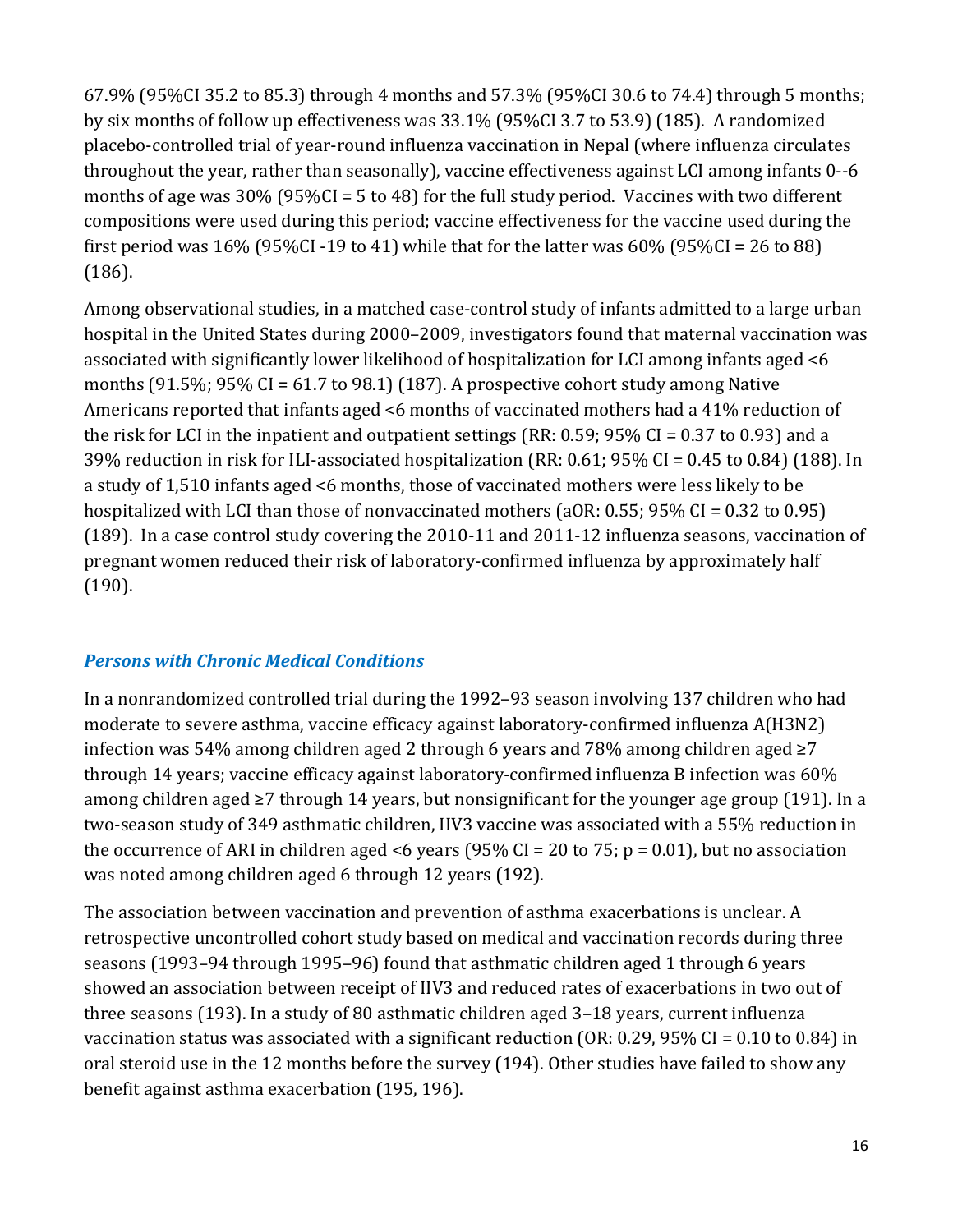by six months of follow up effectiveness was 33.1% (95%CI 3.7 to 53.9) (185). A randomized months of age was 30% (95%CI = 5 to 48) for the full study period. Vaccines with two different 67.9% (95%CI 35.2 to 85.3) through 4 months and 57.3% (95%CI 30.6 to 74.4) through 5 months; placebo-controlled trial of year-round influenza vaccination in Nepal (where influenza circulates throughout the year, rather than seasonally), vaccine effectiveness against LCI among infants 0--6 compositions were used during this period; vaccine effectiveness for the vaccine used during the first period was  $16\%$  (95%CI -19 to 41) while that for the latter was  $60\%$  (95%CI = 26 to 88) (186).

Among observational studies, in a matched case-control study of infants admitted to a large urban hospital in the United States during 2000–2009, investigators found that maternal vaccination was associated with significantly lower likelihood of hospitalization for LCI among infants aged <6 months (91.5%; 95% CI = 61.7 to 98.1) (187). A prospective cohort study among Native Americans reported that infants aged <6 months of vaccinated mothers had a 41% reduction of the risk for LCI in the inpatient and outpatient settings (RR: 0.59; 95% CI = 0.37 to 0.93) and a 39% reduction in risk for ILI-associated hospitalization (RR: 0.61; 95% CI = 0.45 to 0.84) (188). In a study of 1,510 infants aged <6 months, those of vaccinated mothers were less likely to be hospitalized with LCI than those of nonvaccinated mothers (aOR: 0.55; 95% CI = 0.32 to 0.95) (189). In a case control study covering the 2010-11 and 2011-12 influenza seasons, vaccination of pregnant women reduced their risk of laboratory-confirmed influenza by approximately half (190).

## *Persons with Chronic Medical Conditions*

In a nonrandomized controlled trial during the 1992–93 season involving 137 children who had moderate to severe asthma, vaccine efficacy against laboratory-confirmed influenza A(H3N2) infection was 54% among children aged 2 through 6 years and 78% among children aged  $\geq 7$ through 14 years; vaccine efficacy against laboratory-confirmed influenza B infection was 60% among children aged ≥7 through 14 years, but nonsignificant for the younger age group (191). In a two-season study of 349 asthmatic children, IIV3 vaccine was associated with a 55% reduction in the occurrence of ARI in children aged <6 years (95% CI = 20 to 75;  $p = 0.01$ ), but no association was noted among children aged 6 through 12 years (192).

 three seasons (193). In a study of 80 asthmatic children aged 3–18 years, current influenza vaccination status was associated with a significant reduction (OR: 0.29, 95% CI = 0.10 to 0.84) in benefit against asthma exacerbation (195, 196). The association between vaccination and prevention of asthma exacerbations is unclear. A retrospective uncontrolled cohort study based on medical and vaccination records during three seasons (1993–94 through 1995–96) found that asthmatic children aged 1 through 6 years showed an association between receipt of IIV3 and reduced rates of exacerbations in two out of oral steroid use in the 12 months before the survey (194). Other studies have failed to show any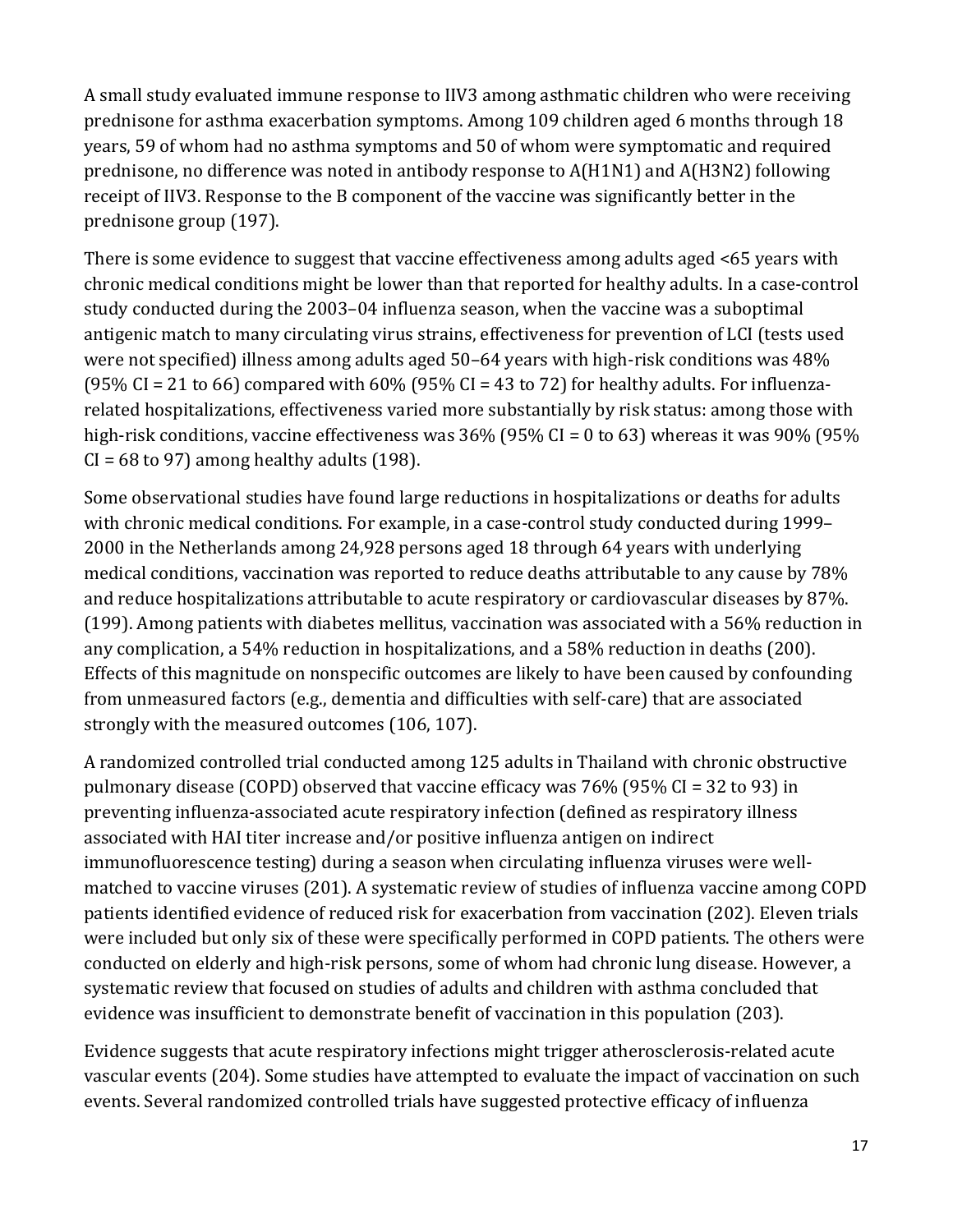years, 59 of whom had no asthma symptoms and 50 of whom were symptomatic and required A small study evaluated immune response to IIV3 among asthmatic children who were receiving prednisone for asthma exacerbation symptoms. Among 109 children aged 6 months through 18 prednisone, no difference was noted in antibody response to A(H1N1) and A(H3N2) following receipt of IIV3. Response to the B component of the vaccine was significantly better in the prednisone group (197).

 There is some evidence to suggest that vaccine effectiveness among adults aged <65 years with chronic medical conditions might be lower than that reported for healthy adults. In a case-control study conducted during the 2003–04 influenza season, when the vaccine was a suboptimal antigenic match to many circulating virus strains, effectiveness for prevention of LCI (tests used were not specified) illness among adults aged 50–64 years with high-risk conditions was 48% (95% CI = 21 to 66) compared with  $60\%$  (95% CI = 43 to 72) for healthy adults. For influenzarelated hospitalizations, effectiveness varied more substantially by risk status: among those with high-risk conditions, vaccine effectiveness was 36% (95% CI = 0 to 63) whereas it was 90% (95%  $CI = 68$  to 97) among healthy adults (198).

Some observational studies have found large reductions in hospitalizations or deaths for adults with chronic medical conditions. For example, in a case-control study conducted during 1999– 2000 in the Netherlands among 24,928 persons aged 18 through 64 years with underlying medical conditions, vaccination was reported to reduce deaths attributable to any cause by 78% and reduce hospitalizations attributable to acute respiratory or cardiovascular diseases by 87%. (199). Among patients with diabetes mellitus, vaccination was associated with a 56% reduction in any complication, a 54% reduction in hospitalizations, and a 58% reduction in deaths (200). Effects of this magnitude on nonspecific outcomes are likely to have been caused by confounding from unmeasured factors (e.g., dementia and difficulties with self-care) that are associated strongly with the measured outcomes (106, 107).

 pulmonary disease (COPD) observed that vaccine efficacy was 76% (95% CI = 32 to 93) in A randomized controlled trial conducted among 125 adults in Thailand with chronic obstructive preventing influenza-associated acute respiratory infection (defined as respiratory illness associated with HAI titer increase and/or positive influenza antigen on indirect immunofluorescence testing) during a season when circulating influenza viruses were wellmatched to vaccine viruses (201). A systematic review of studies of influenza vaccine among COPD patients identified evidence of reduced risk for exacerbation from vaccination (202). Eleven trials were included but only six of these were specifically performed in COPD patients. The others were conducted on elderly and high-risk persons, some of whom had chronic lung disease. However, a systematic review that focused on studies of adults and children with asthma concluded that evidence was insufficient to demonstrate benefit of vaccination in this population (203).

Evidence suggests that acute respiratory infections might trigger atherosclerosis-related acute vascular events (204). Some studies have attempted to evaluate the impact of vaccination on such events. Several randomized controlled trials have suggested protective efficacy of influenza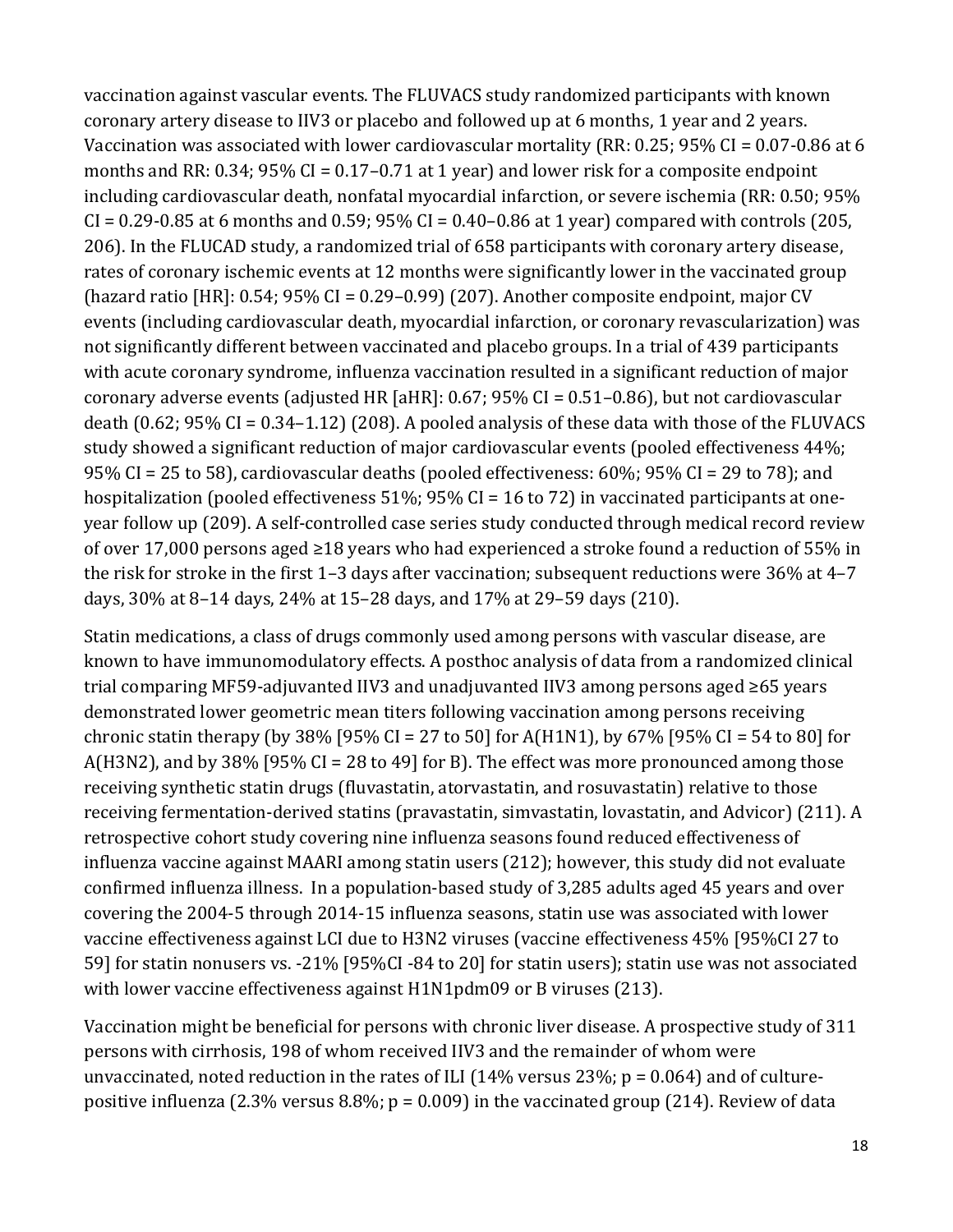vaccination against vascular events. The FLUVACS study randomized participants with known coronary artery disease to IIV3 or placebo and followed up at 6 months, 1 year and 2 years. Vaccination was associated with lower cardiovascular mortality (RR: 0.25; 95% CI = 0.07-0.86 at 6 months and RR: 0.34; 95% CI = 0.17–0.71 at 1 year) and lower risk for a composite endpoint including cardiovascular death, nonfatal myocardial infarction, or severe ischemia (RR: 0.50; 95%  $CI = 0.29 - 0.85$  at 6 months and 0.59; 95%  $CI = 0.40 - 0.86$  at 1 year) compared with controls (205, 206). In the FLUCAD study, a randomized trial of 658 participants with coronary artery disease, rates of coronary ischemic events at 12 months were significantly lower in the vaccinated group (hazard ratio [HR]: 0.54; 95% CI = 0.29–0.99) (207). Another composite endpoint, major CV events (including cardiovascular death, myocardial infarction, or coronary revascularization) was not significantly different between vaccinated and placebo groups. In a trial of 439 participants with acute coronary syndrome, influenza vaccination resulted in a significant reduction of major coronary adverse events (adjusted HR [aHR]: 0.67; 95% CI = 0.51–0.86), but not cardiovascular death (0.62;  $95\%$  CI = 0.34–1.12) (208). A pooled analysis of these data with those of the FLUVACS study showed a significant reduction of major cardiovascular events (pooled effectiveness 44%; 95% CI = 25 to 58), cardiovascular deaths (pooled effectiveness: 60%; 95% CI = 29 to 78); and hospitalization (pooled effectiveness 51%; 95% CI = 16 to 72) in vaccinated participants at oneyear follow up (209). A self-controlled case series study conducted through medical record review of over 17,000 persons aged ≥18 years who had experienced a stroke found a reduction of 55% in the risk for stroke in the first 1–3 days after vaccination; subsequent reductions were 36% at 4–7 days, 30% at 8–14 days, 24% at 15–28 days, and 17% at 29–59 days (210).

Statin medications, a class of drugs commonly used among persons with vascular disease, are known to have immunomodulatory effects. A posthoc analysis of data from a randomized clinical trial comparing MF59-adjuvanted IIV3 and unadjuvanted IIV3 among persons aged ≥65 years demonstrated lower geometric mean titers following vaccination among persons receiving chronic statin therapy (by 38% [95% CI = 27 to 50] for A(H1N1), by 67% [95% CI = 54 to 80] for A(H3N2), and by 38% [95% CI = 28 to 49] for B). The effect was more pronounced among those receiving synthetic statin drugs (fluvastatin, atorvastatin, and rosuvastatin) relative to those receiving fermentation-derived statins (pravastatin, simvastatin, lovastatin, and Advicor) (211). A retrospective cohort study covering nine influenza seasons found reduced effectiveness of influenza vaccine against MAARI among statin users (212); however, this study did not evaluate confirmed influenza illness. In a population-based study of 3,285 adults aged 45 years and over covering the 2004-5 through 2014-15 influenza seasons, statin use was associated with lower vaccine effectiveness against LCI due to H3N2 viruses (vaccine effectiveness 45% [95%CI 27 to 59] for statin nonusers vs. -21% [95%CI -84 to 20] for statin users); statin use was not associated with lower vaccine effectiveness against H1N1pdm09 or B viruses (213).

Vaccination might be beneficial for persons with chronic liver disease. A prospective study of 311 persons with cirrhosis, 198 of whom received IIV3 and the remainder of whom were unvaccinated, noted reduction in the rates of ILI (14% versus 23%;  $p = 0.064$ ) and of culturepositive influenza (2.3% versus 8.8%; p = 0.009) in the vaccinated group (214). Review of data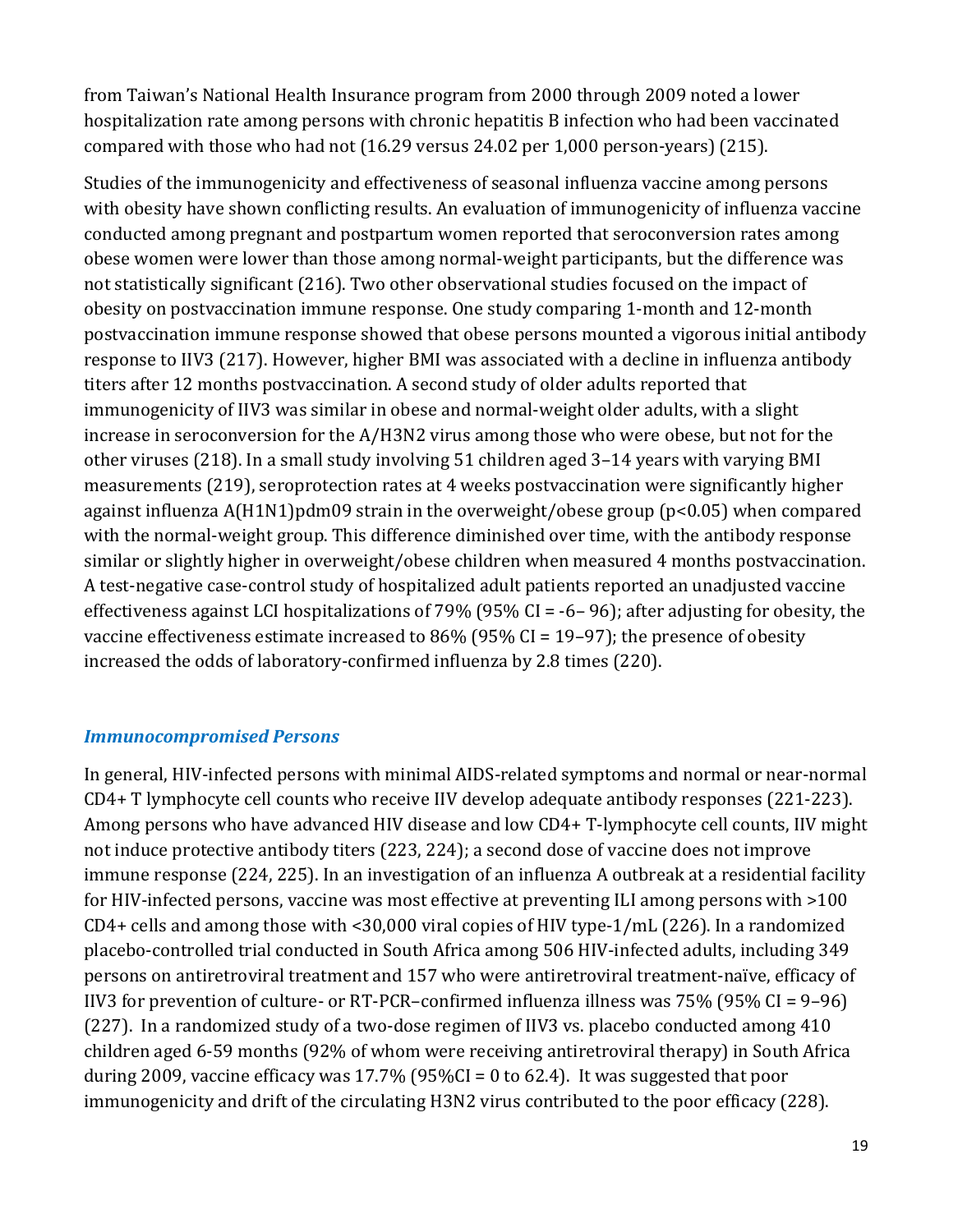from Taiwan's National Health Insurance program from 2000 through 2009 noted a lower hospitalization rate among persons with chronic hepatitis B infection who had been vaccinated compared with those who had not (16.29 versus 24.02 per 1,000 person-years) (215).

 increase in seroconversion for the A/H3N2 virus among those who were obese, but not for the against influenza A(H1N1)pdm09 strain in the overweight/obese group (p<0.05) when compared Studies of the immunogenicity and effectiveness of seasonal influenza vaccine among persons with obesity have shown conflicting results. An evaluation of immunogenicity of influenza vaccine conducted among pregnant and postpartum women reported that seroconversion rates among obese women were lower than those among normal-weight participants, but the difference was not statistically significant (216). Two other observational studies focused on the impact of obesity on postvaccination immune response. One study comparing 1-month and 12-month postvaccination immune response showed that obese persons mounted a vigorous initial antibody response to IIV3 (217). However, higher BMI was associated with a decline in influenza antibody titers after 12 months postvaccination. A second study of older adults reported that immunogenicity of IIV3 was similar in obese and normal-weight older adults, with a slight other viruses (218). In a small study involving 51 children aged 3–14 years with varying BMI measurements (219), seroprotection rates at 4 weeks postvaccination were significantly higher with the normal-weight group. This difference diminished over time, with the antibody response similar or slightly higher in overweight/obese children when measured 4 months postvaccination. A test-negative case-control study of hospitalized adult patients reported an unadjusted vaccine effectiveness against LCI hospitalizations of 79% (95% CI = -6– 96); after adjusting for obesity, the vaccine effectiveness estimate increased to 86% (95% CI = 19–97); the presence of obesity increased the odds of laboratory-confirmed influenza by 2.8 times (220).

#### *Immunocompromised Persons*

 Among persons who have advanced HIV disease and low CD4+ T-lymphocyte cell counts, IIV might CD4+ cells and among those with <30,000 viral copies of HIV type-1/mL (226). In a randomized (227). In a randomized study of a two-dose regimen of IIV3 vs. placebo conducted among 410 children aged 6-59 months (92% of whom were receiving antiretroviral therapy) in South Africa In general, HIV-infected persons with minimal AIDS-related symptoms and normal or near-normal CD4+ T lymphocyte cell counts who receive IIV develop adequate antibody responses (221-223). not induce protective antibody titers (223, 224); a second dose of vaccine does not improve immune response (224, 225). In an investigation of an influenza A outbreak at a residential facility for HIV-infected persons, vaccine was most effective at preventing ILI among persons with >100 placebo-controlled trial conducted in South Africa among 506 HIV-infected adults, including 349 persons on antiretroviral treatment and 157 who were antiretroviral treatment-naïve, efficacy of IIV3 for prevention of culture- or RT-PCR–confirmed influenza illness was 75% (95% CI = 9–96) during 2009, vaccine efficacy was  $17.7\%$  (95%CI = 0 to 62.4). It was suggested that poor immunogenicity and drift of the circulating H3N2 virus contributed to the poor efficacy (228).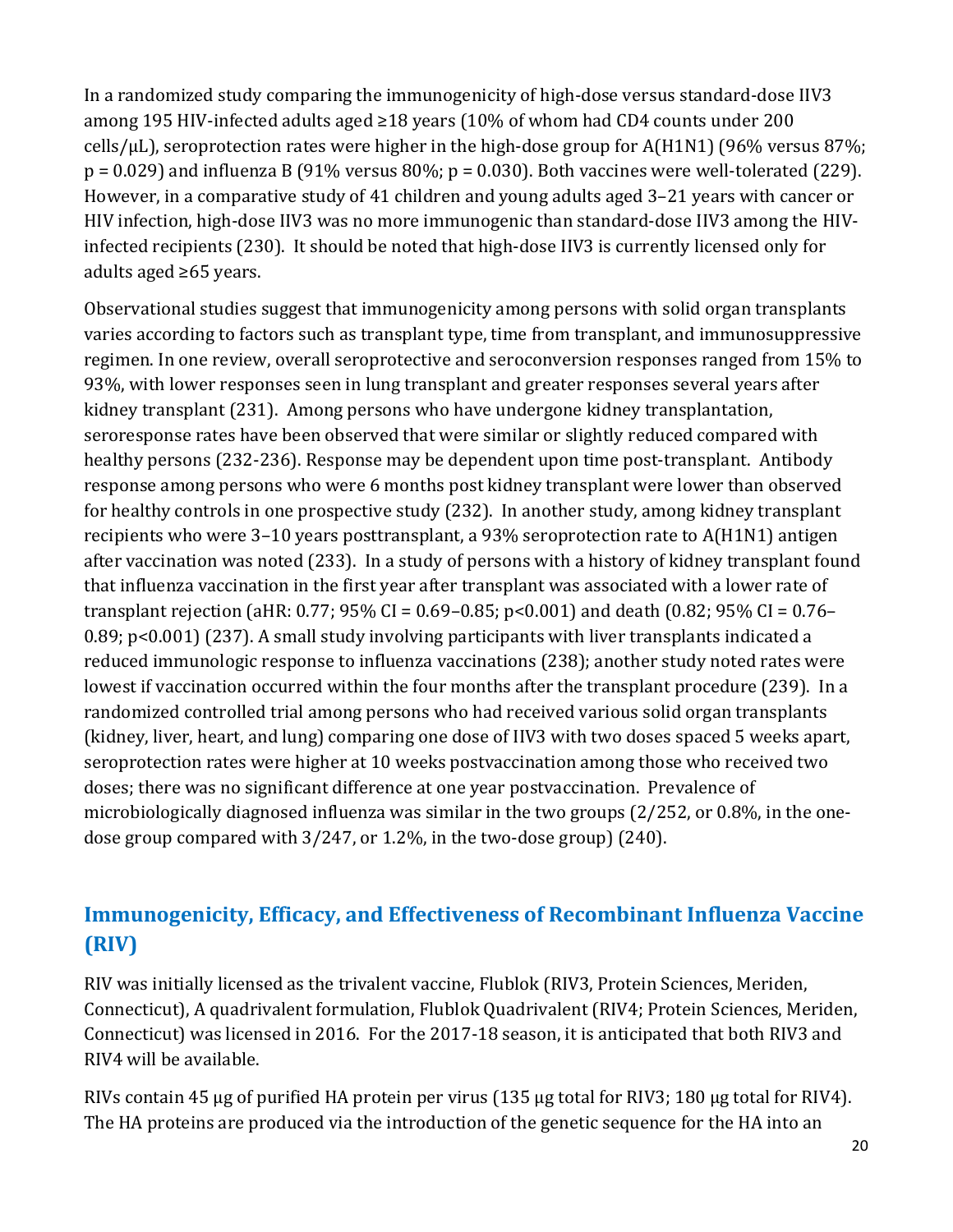In a randomized study comparing the immunogenicity of high-dose versus standard-dose IIV3 among 195 HIV-infected adults aged ≥18 years (10% of whom had CD4 counts under 200 cells/ $\mu$ L), seroprotection rates were higher in the high-dose group for A(H1N1) (96% versus 87%;  $p = 0.029$ ) and influenza B (91% versus 80%;  $p = 0.030$ ). Both vaccines were well-tolerated (229). However, in a comparative study of 41 children and young adults aged 3–21 years with cancer or HIV infection, high-dose IIV3 was no more immunogenic than standard-dose IIV3 among the HIVinfected recipients (230). It should be noted that high-dose IIV3 is currently licensed only for adults aged ≥65 years.

Observational studies suggest that immunogenicity among persons with solid organ transplants varies according to factors such as transplant type, time from transplant, and immunosuppressive regimen. In one review, overall seroprotective and seroconversion responses ranged from 15% to 93%, with lower responses seen in lung transplant and greater responses several years after kidney transplant (231). Among persons who have undergone kidney transplantation, seroresponse rates have been observed that were similar or slightly reduced compared with healthy persons (232-236). Response may be dependent upon time post-transplant. Antibody response among persons who were 6 months post kidney transplant were lower than observed for healthy controls in one prospective study (232). In another study, among kidney transplant recipients who were 3–10 years posttransplant, a 93% seroprotection rate to A(H1N1) antigen after vaccination was noted (233). In a study of persons with a history of kidney transplant found that influenza vaccination in the first year after transplant was associated with a lower rate of transplant rejection (aHR: 0.77; 95% CI = 0.69–0.85; p<0.001) and death (0.82; 95% CI = 0.76– 0.89; p<0.001) (237). A small study involving participants with liver transplants indicated a reduced immunologic response to influenza vaccinations (238); another study noted rates were lowest if vaccination occurred within the four months after the transplant procedure (239). In a randomized controlled trial among persons who had received various solid organ transplants (kidney, liver, heart, and lung) comparing one dose of IIV3 with two doses spaced 5 weeks apart, seroprotection rates were higher at 10 weeks postvaccination among those who received two doses; there was no significant difference at one year postvaccination. Prevalence of microbiologically diagnosed influenza was similar in the two groups (2/252, or 0.8%, in the onedose group compared with 3/247, or 1.2%, in the two-dose group) (240).

# **Immunogenicity, Efficacy, and Effectiveness of Recombinant Influenza Vaccine (RIV)**

RIV4 will be available. RIV was initially licensed as the trivalent vaccine, Flublok (RIV3, Protein Sciences, Meriden, Connecticut), A quadrivalent formulation, Flublok Quadrivalent (RIV4; Protein Sciences, Meriden, Connecticut) was licensed in 2016. For the 2017-18 season, it is anticipated that both RIV3 and

RIVs contain 45 µg of purified HA protein per virus (135 µg total for RIV3; 180 µg total for RIV4). The HA proteins are produced via the introduction of the genetic sequence for the HA into an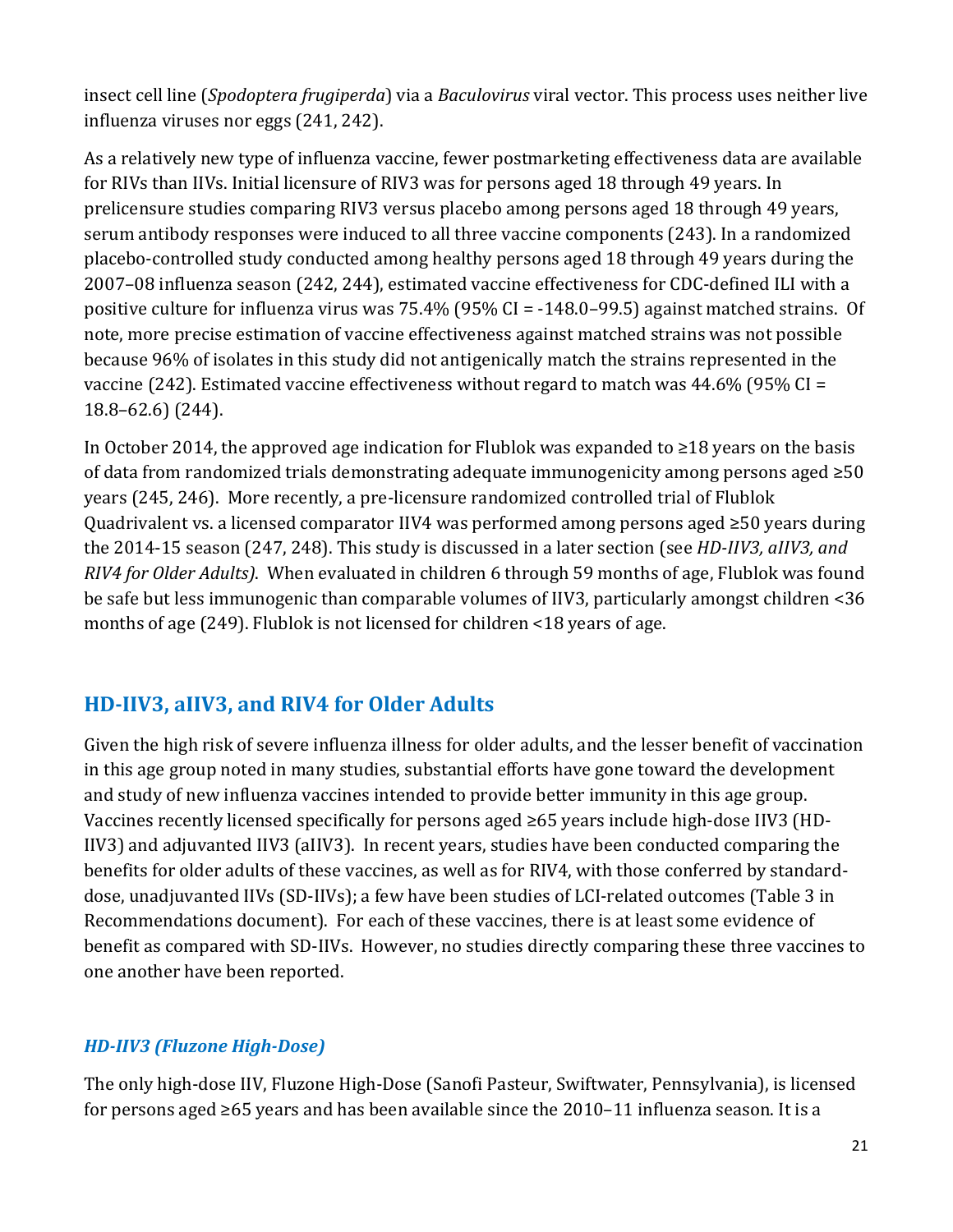insect cell line (*Spodoptera frugiperda*) via a *Baculovirus* viral vector. This process uses neither live influenza viruses nor eggs (241, 242).

 placebo-controlled study conducted among healthy persons aged 18 through 49 years during the positive culture for influenza virus was 75.4% (95% CI = -148.0–99.5) against matched strains. Of As a relatively new type of influenza vaccine, fewer postmarketing effectiveness data are available for RIVs than IIVs. Initial licensure of RIV3 was for persons aged 18 through 49 years. In prelicensure studies comparing RIV3 versus placebo among persons aged 18 through 49 years, serum antibody responses were induced to all three vaccine components (243). In a randomized 2007–08 influenza season (242, 244), estimated vaccine effectiveness for CDC-defined ILI with a note, more precise estimation of vaccine effectiveness against matched strains was not possible because 96% of isolates in this study did not antigenically match the strains represented in the vaccine (242). Estimated vaccine effectiveness without regard to match was 44.6% (95% CI = 18.8–62.6) (244).

 In October 2014, the approved age indication for Flublok was expanded to ≥18 years on the basis of data from randomized trials demonstrating adequate immunogenicity among persons aged ≥50 years (245, 246). More recently, a pre-licensure randomized controlled trial of Flublok Quadrivalent vs. a licensed comparator IIV4 was performed among persons aged ≥50 years during months of age (249). Flublok is not licensed for children <18 years of age. the 2014-15 season (247, 248). This study is discussed in a later section (see *HD-IIV3, aIIV3, and RIV4 for Older Adults)*. When evaluated in children 6 through 59 months of age, Flublok was found be safe but less immunogenic than comparable volumes of IIV3, particularly amongst children <36

# **HD-IIV3, aIIV3, and RIV4 for Older Adults**

Given the high risk of severe influenza illness for older adults, and the lesser benefit of vaccination in this age group noted in many studies, substantial efforts have gone toward the development and study of new influenza vaccines intended to provide better immunity in this age group. Vaccines recently licensed specifically for persons aged ≥65 years include high-dose IIV3 (HD-IIV3) and adjuvanted IIV3 (aIIV3). In recent years, studies have been conducted comparing the benefits for older adults of these vaccines, as well as for RIV4, with those conferred by standarddose, unadjuvanted IIVs (SD-IIVs); a few have been studies of LCI-related outcomes (Table 3 in Recommendations document). For each of these vaccines, there is at least some evidence of benefit as compared with SD-IIVs. However, no studies directly comparing these three vaccines to one another have been reported.

## *HD-IIV3 (Fluzone High-Dose)*

 for persons aged ≥65 years and has been available since the 2010–11 influenza season. It is a The only high-dose IIV, Fluzone High-Dose (Sanofi Pasteur, Swiftwater, Pennsylvania), is licensed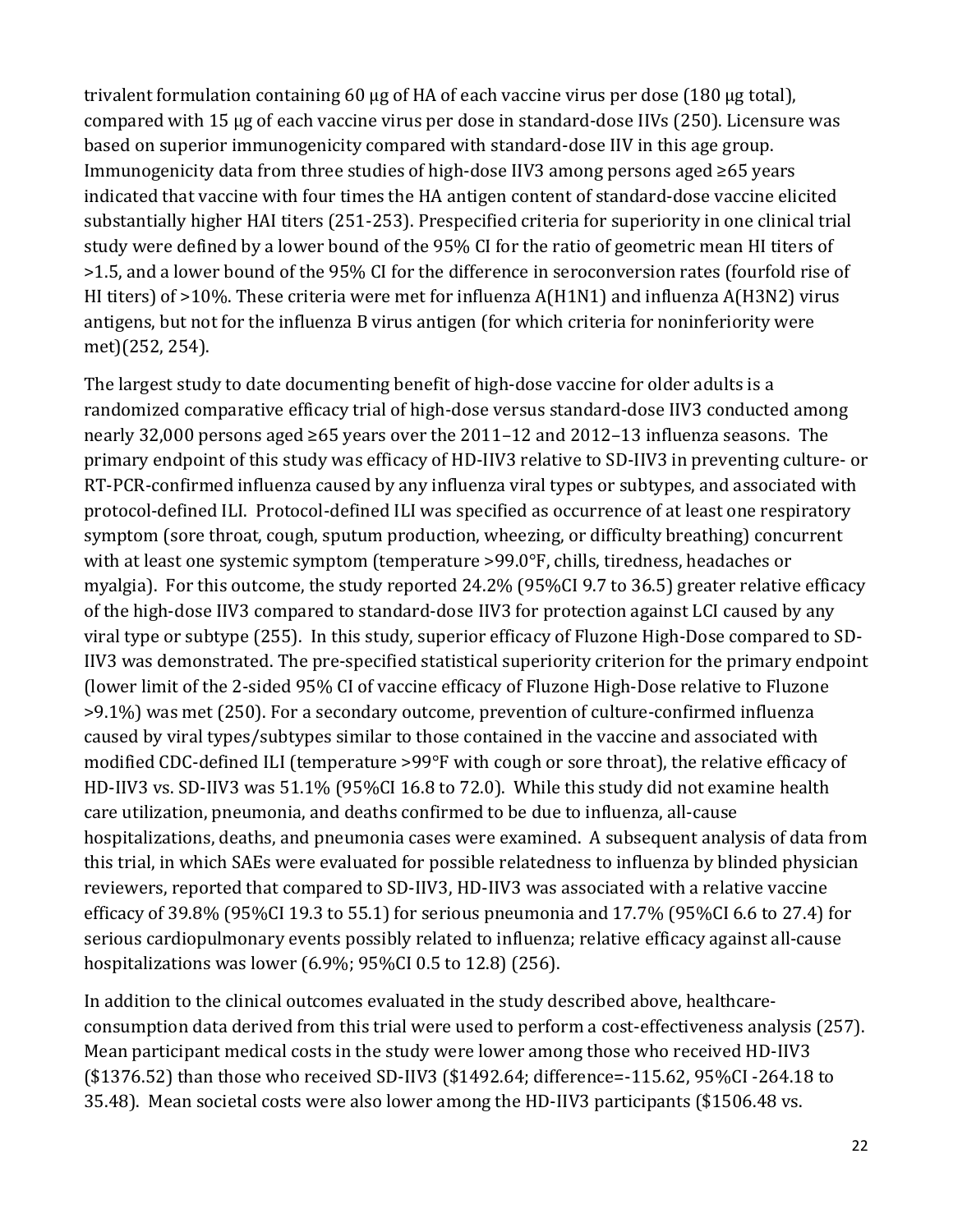trivalent formulation containing 60 µg of HA of each vaccine virus per dose (180 µg total), compared with 15 µg of each vaccine virus per dose in standard-dose IIVs (250). Licensure was based on superior immunogenicity compared with standard-dose IIV in this age group. Immunogenicity data from three studies of high-dose IIV3 among persons aged ≥65 years indicated that vaccine with four times the HA antigen content of standard-dose vaccine elicited substantially higher HAI titers (251-253). Prespecified criteria for superiority in one clinical trial study were defined by a lower bound of the 95% CI for the ratio of geometric mean HI titers of >1.5, and a lower bound of the 95% CI for the difference in seroconversion rates (fourfold rise of HI titers) of >10%. These criteria were met for influenza A(H1N1) and influenza A(H3N2) virus antigens, but not for the influenza B virus antigen (for which criteria for noninferiority were met)(252, 254).

The largest study to date documenting benefit of high-dose vaccine for older adults is a randomized comparative efficacy trial of high-dose versus standard-dose IIV3 conducted among nearly 32,000 persons aged ≥65 years over the 2011–12 and 2012–13 influenza seasons. The primary endpoint of this study was efficacy of HD-IIV3 relative to SD-IIV3 in preventing culture- or RT-PCR-confirmed influenza caused by any influenza viral types or subtypes, and associated with protocol-defined ILI. Protocol-defined ILI was specified as occurrence of at least one respiratory symptom (sore throat, cough, sputum production, wheezing, or difficulty breathing) concurrent with at least one systemic symptom (temperature >99.0°F, chills, tiredness, headaches or myalgia). For this outcome, the study reported 24.2% (95%CI 9.7 to 36.5) greater relative efficacy of the high-dose IIV3 compared to standard-dose IIV3 for protection against LCI caused by any viral type or subtype (255). In this study, superior efficacy of Fluzone High-Dose compared to SD-IIV3 was demonstrated. The pre-specified statistical superiority criterion for the primary endpoint (lower limit of the 2-sided 95% CI of vaccine efficacy of Fluzone High-Dose relative to Fluzone >9.1%) was met (250). For a secondary outcome, prevention of culture-confirmed influenza caused by viral types/subtypes similar to those contained in the vaccine and associated with modified CDC-defined ILI (temperature >99°F with cough or sore throat), the relative efficacy of HD-IIV3 vs. SD-IIV3 was 51.1% (95%CI 16.8 to 72.0). While this study did not examine health care utilization, pneumonia, and deaths confirmed to be due to influenza, all-cause hospitalizations, deaths, and pneumonia cases were examined. A subsequent analysis of data from this trial, in which SAEs were evaluated for possible relatedness to influenza by blinded physician reviewers, reported that compared to SD-IIV3, HD-IIV3 was associated with a relative vaccine efficacy of 39.8% (95%CI 19.3 to 55.1) for serious pneumonia and 17.7% (95%CI 6.6 to 27.4) for serious cardiopulmonary events possibly related to influenza; relative efficacy against all-cause hospitalizations was lower (6.9%; 95%CI 0.5 to 12.8) (256).

In addition to the clinical outcomes evaluated in the study described above, healthcareconsumption data derived from this trial were used to perform a cost-effectiveness analysis (257). Mean participant medical costs in the study were lower among those who received HD-IIV3 (\$1376.52) than those who received SD-IIV3 (\$1492.64; difference=-115.62, 95%CI -264.18 to 35.48). Mean societal costs were also lower among the HD-IIV3 participants (\$1506.48 vs.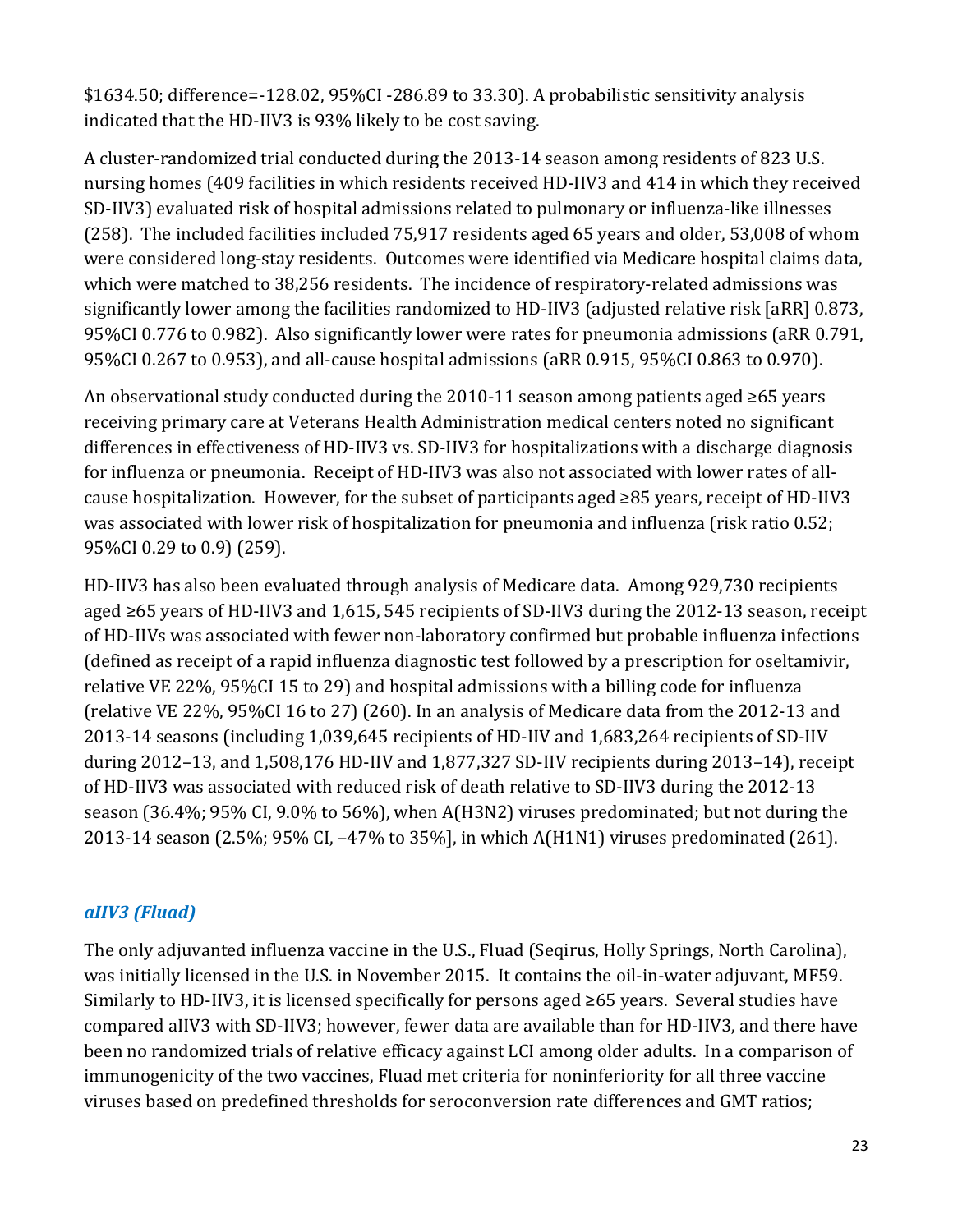\$1634.50; difference=-128.02, 95%CI -286.89 to 33.30). A probabilistic sensitivity analysis indicated that the HD-IIV3 is 93% likely to be cost saving.

 95%CI 0.776 to 0.982). Also significantly lower were rates for pneumonia admissions (aRR 0.791, A cluster-randomized trial conducted during the 2013-14 season among residents of 823 U.S. nursing homes (409 facilities in which residents received HD-IIV3 and 414 in which they received SD-IIV3) evaluated risk of hospital admissions related to pulmonary or influenza-like illnesses (258). The included facilities included 75,917 residents aged 65 years and older, 53,008 of whom were considered long-stay residents. Outcomes were identified via Medicare hospital claims data, which were matched to 38,256 residents. The incidence of respiratory-related admissions was significantly lower among the facilities randomized to HD-IIV3 (adjusted relative risk [aRR] 0.873, 95%CI 0.267 to 0.953), and all-cause hospital admissions (aRR 0.915, 95%CI 0.863 to 0.970).

 An observational study conducted during the 2010-11 season among patients aged ≥65 years for influenza or pneumonia. Receipt of HD-IIV3 was also not associated with lower rates of all- cause hospitalization. However, for the subset of participants aged ≥85 years, receipt of HD-IIV3 receiving primary care at Veterans Health Administration medical centers noted no significant differences in effectiveness of HD-IIV3 vs. SD-IIV3 for hospitalizations with a discharge diagnosis was associated with lower risk of hospitalization for pneumonia and influenza (risk ratio 0.52; 95%CI 0.29 to 0.9) (259).

 HD-IIV3 has also been evaluated through analysis of Medicare data. Among 929,730 recipients aged ≥65 years of HD-IIV3 and 1,615, 545 recipients of SD-IIV3 during the 2012-13 season, receipt (relative VE 22%, 95%CI 16 to 27) (260). In an analysis of Medicare data from the 2012-13 and of HD-IIV3 was associated with reduced risk of death relative to SD-IIV3 during the 2012-13 season (36.4%; 95% CI, 9.0% to 56%), when A(H3N2) viruses predominated; but not during the 2013-14 season (2.5%; 95% CI, –47% to 35%], in which A(H1N1) viruses predominated (261). of HD-IIVs was associated with fewer non-laboratory confirmed but probable influenza infections (defined as receipt of a rapid influenza diagnostic test followed by a prescription for oseltamivir, relative VE 22%, 95%CI 15 to 29) and hospital admissions with a billing code for influenza 2013-14 seasons (including 1,039,645 recipients of HD-IIV and 1,683,264 recipients of SD-IIV during 2012–13, and 1,508,176 HD-IIV and 1,877,327 SD-IIV recipients during 2013–14), receipt

### *aIIV3 (Fluad)*

 was initially licensed in the U.S. in November 2015. It contains the oil-in-water adjuvant, MF59. Similarly to HD-IIV3, it is licensed specifically for persons aged ≥65 years. Several studies have The only adjuvanted influenza vaccine in the U.S., Fluad (Seqirus, Holly Springs, North Carolina), compared aIIV3 with SD-IIV3; however, fewer data are available than for HD-IIV3, and there have been no randomized trials of relative efficacy against LCI among older adults. In a comparison of immunogenicity of the two vaccines, Fluad met criteria for noninferiority for all three vaccine viruses based on predefined thresholds for seroconversion rate differences and GMT ratios;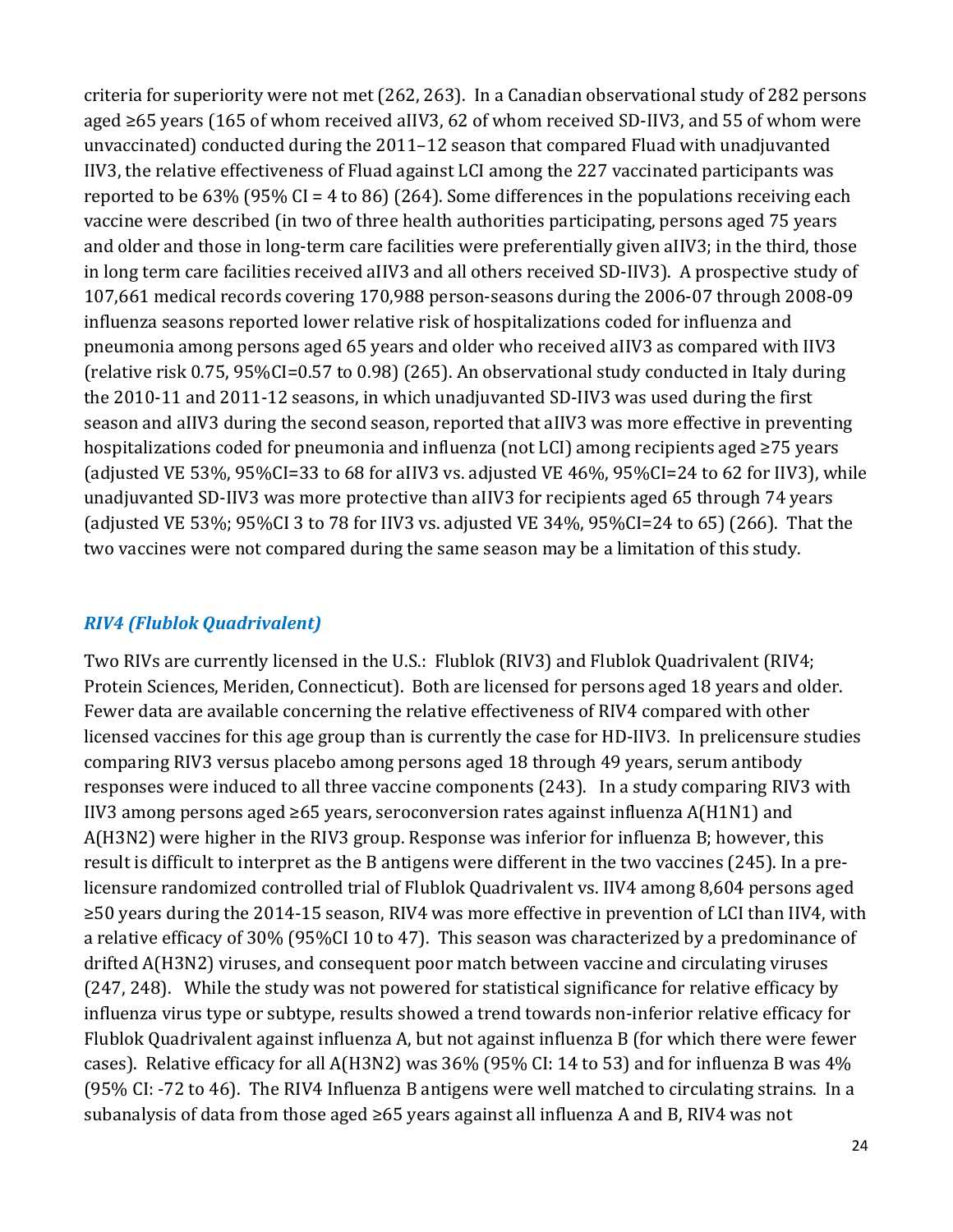criteria for superiority were not met (262, 263). In a Canadian observational study of 282 persons aged ≥65 years (165 of whom received aIIV3, 62 of whom received SD-IIV3, and 55 of whom were unvaccinated) conducted during the 2011–12 season that compared Fluad with unadjuvanted IIV3, the relative effectiveness of Fluad against LCI among the 227 vaccinated participants was reported to be  $63\%$  (95% CI = 4 to 86) (264). Some differences in the populations receiving each vaccine were described (in two of three health authorities participating, persons aged 75 years and older and those in long-term care facilities were preferentially given aIIV3; in the third, those in long term care facilities received aIIV3 and all others received SD-IIV3). A prospective study of 107,661 medical records covering 170,988 person-seasons during the 2006-07 through 2008-09 influenza seasons reported lower relative risk of hospitalizations coded for influenza and pneumonia among persons aged 65 years and older who received aIIV3 as compared with IIV3 (relative risk 0.75, 95%CI=0.57 to 0.98) (265). An observational study conducted in Italy during the 2010-11 and 2011-12 seasons, in which unadjuvanted SD-IIV3 was used during the first season and aIIV3 during the second season, reported that aIIV3 was more effective in preventing hospitalizations coded for pneumonia and influenza (not LCI) among recipients aged ≥75 years (adjusted VE 53%, 95%CI=33 to 68 for aIIV3 vs. adjusted VE 46%, 95%CI=24 to 62 for IIV3), while unadjuvanted SD-IIV3 was more protective than aIIV3 for recipients aged 65 through 74 years (adjusted VE 53%; 95%CI 3 to 78 for IIV3 vs. adjusted VE 34%, 95%CI=24 to 65) (266). That the two vaccines were not compared during the same season may be a limitation of this study.

### *RIV4 (Flublok Quadrivalent)*

Two RIVs are currently licensed in the U.S.: Flublok (RIV3) and Flublok Quadrivalent (RIV4; Protein Sciences, Meriden, Connecticut). Both are licensed for persons aged 18 years and older. Fewer data are available concerning the relative effectiveness of RIV4 compared with other licensed vaccines for this age group than is currently the case for HD-IIV3. In prelicensure studies comparing RIV3 versus placebo among persons aged 18 through 49 years, serum antibody responses were induced to all three vaccine components (243). In a study comparing RIV3 with IIV3 among persons aged ≥65 years, seroconversion rates against influenza A(H1N1) and A(H3N2) were higher in the RIV3 group. Response was inferior for influenza B; however, this result is difficult to interpret as the B antigens were different in the two vaccines (245). In a prelicensure randomized controlled trial of Flublok Quadrivalent vs. IIV4 among 8,604 persons aged ≥50 years during the 2014-15 season, RIV4 was more effective in prevention of LCI than IIV4, with a relative efficacy of 30% (95%CI 10 to 47). This season was characterized by a predominance of drifted A(H3N2) viruses, and consequent poor match between vaccine and circulating viruses (247, 248). While the study was not powered for statistical significance for relative efficacy by influenza virus type or subtype, results showed a trend towards non-inferior relative efficacy for Flublok Quadrivalent against influenza A, but not against influenza B (for which there were fewer cases). Relative efficacy for all A(H3N2) was 36% (95% CI: 14 to 53) and for influenza B was 4% (95% CI: -72 to 46). The RIV4 Influenza B antigens were well matched to circulating strains. In a subanalysis of data from those aged ≥65 years against all influenza A and B, RIV4 was not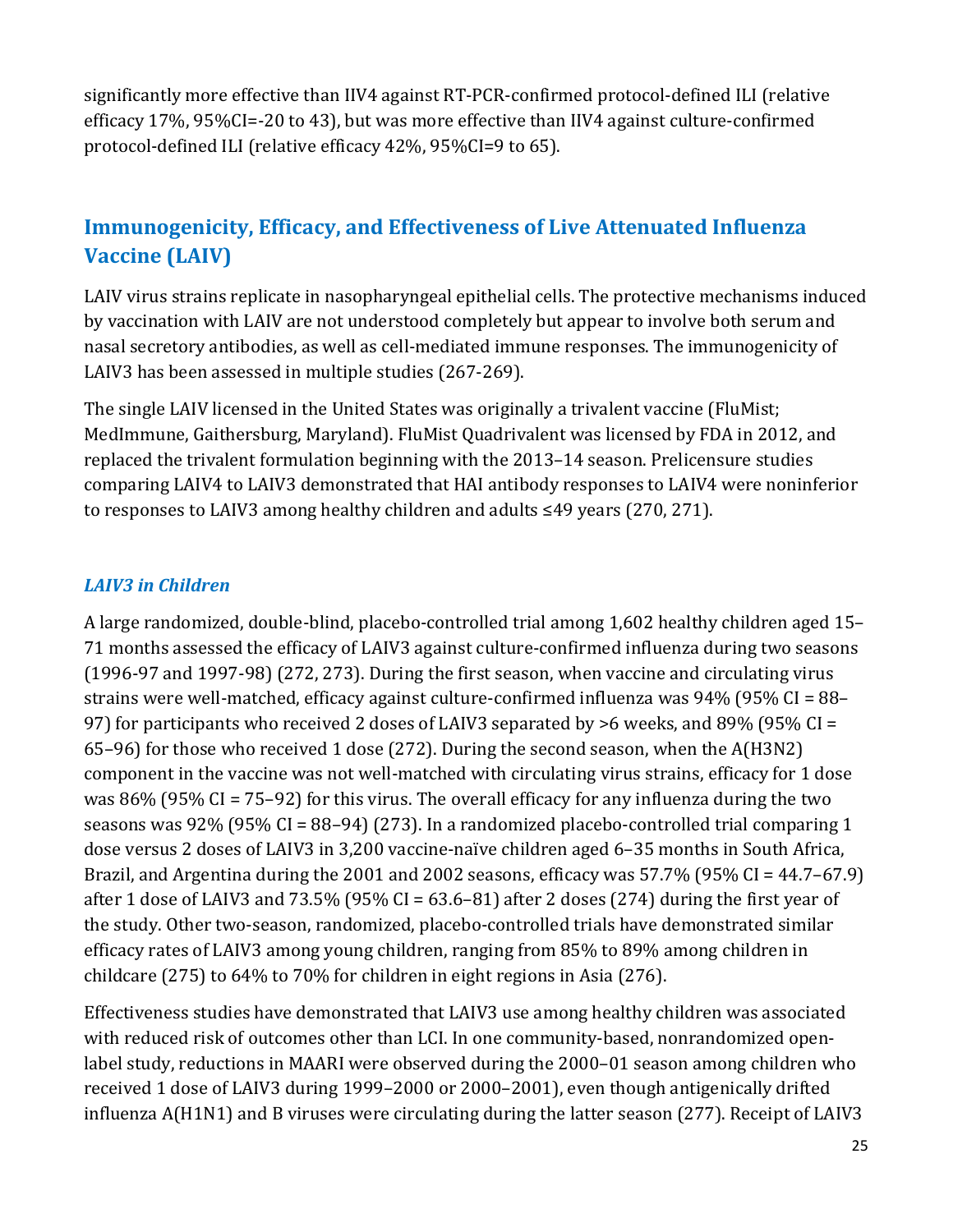significantly more effective than IIV4 against RT-PCR-confirmed protocol-defined ILI (relative efficacy 17%, 95%CI=-20 to 43), but was more effective than IIV4 against culture-confirmed protocol-defined ILI (relative efficacy 42%, 95%CI=9 to 65).

# **Immunogenicity, Efficacy, and Effectiveness of Live Attenuated Influenza Vaccine (LAIV)**

LAIV virus strains replicate in nasopharyngeal epithelial cells. The protective mechanisms induced by vaccination with LAIV are not understood completely but appear to involve both serum and nasal secretory antibodies, as well as cell-mediated immune responses. The immunogenicity of LAIV3 has been assessed in multiple studies (267-269).

 to responses to LAIV3 among healthy children and adults ≤49 years (270, 271). The single LAIV licensed in the United States was originally a trivalent vaccine (FluMist; MedImmune, Gaithersburg, Maryland). FluMist Quadrivalent was licensed by FDA in 2012, and replaced the trivalent formulation beginning with the 2013–14 season. Prelicensure studies comparing LAIV4 to LAIV3 demonstrated that HAI antibody responses to LAIV4 were noninferior

## *LAIV3 in Children*

A large randomized, double-blind, placebo-controlled trial among 1,602 healthy children aged 15– 71 months assessed the efficacy of LAIV3 against culture-confirmed influenza during two seasons (1996-97 and 1997-98) (272, 273). During the first season, when vaccine and circulating virus strains were well-matched, efficacy against culture-confirmed influenza was 94% (95% CI = 88– 97) for participants who received 2 doses of LAIV3 separated by >6 weeks, and 89% (95% CI = 65–96) for those who received 1 dose (272). During the second season, when the A(H3N2) component in the vaccine was not well-matched with circulating virus strains, efficacy for 1 dose was 86% (95% CI = 75–92) for this virus. The overall efficacy for any influenza during the two seasons was 92% (95% CI = 88–94) (273). In a randomized placebo-controlled trial comparing 1 dose versus 2 doses of LAIV3 in 3,200 vaccine-naïve children aged 6–35 months in South Africa, Brazil, and Argentina during the 2001 and 2002 seasons, efficacy was 57.7% (95% CI = 44.7–67.9) after 1 dose of LAIV3 and 73.5% (95% CI =  $63.6-81$ ) after 2 doses (274) during the first year of the study. Other two-season, randomized, placebo-controlled trials have demonstrated similar efficacy rates of LAIV3 among young children, ranging from 85% to 89% among children in childcare (275) to 64% to 70% for children in eight regions in Asia (276).

 with reduced risk of outcomes other than LCI. In one community-based, nonrandomized open-Effectiveness studies have demonstrated that LAIV3 use among healthy children was associated label study, reductions in MAARI were observed during the 2000–01 season among children who received 1 dose of LAIV3 during 1999–2000 or 2000–2001), even though antigenically drifted influenza A(H1N1) and B viruses were circulating during the latter season (277). Receipt of LAIV3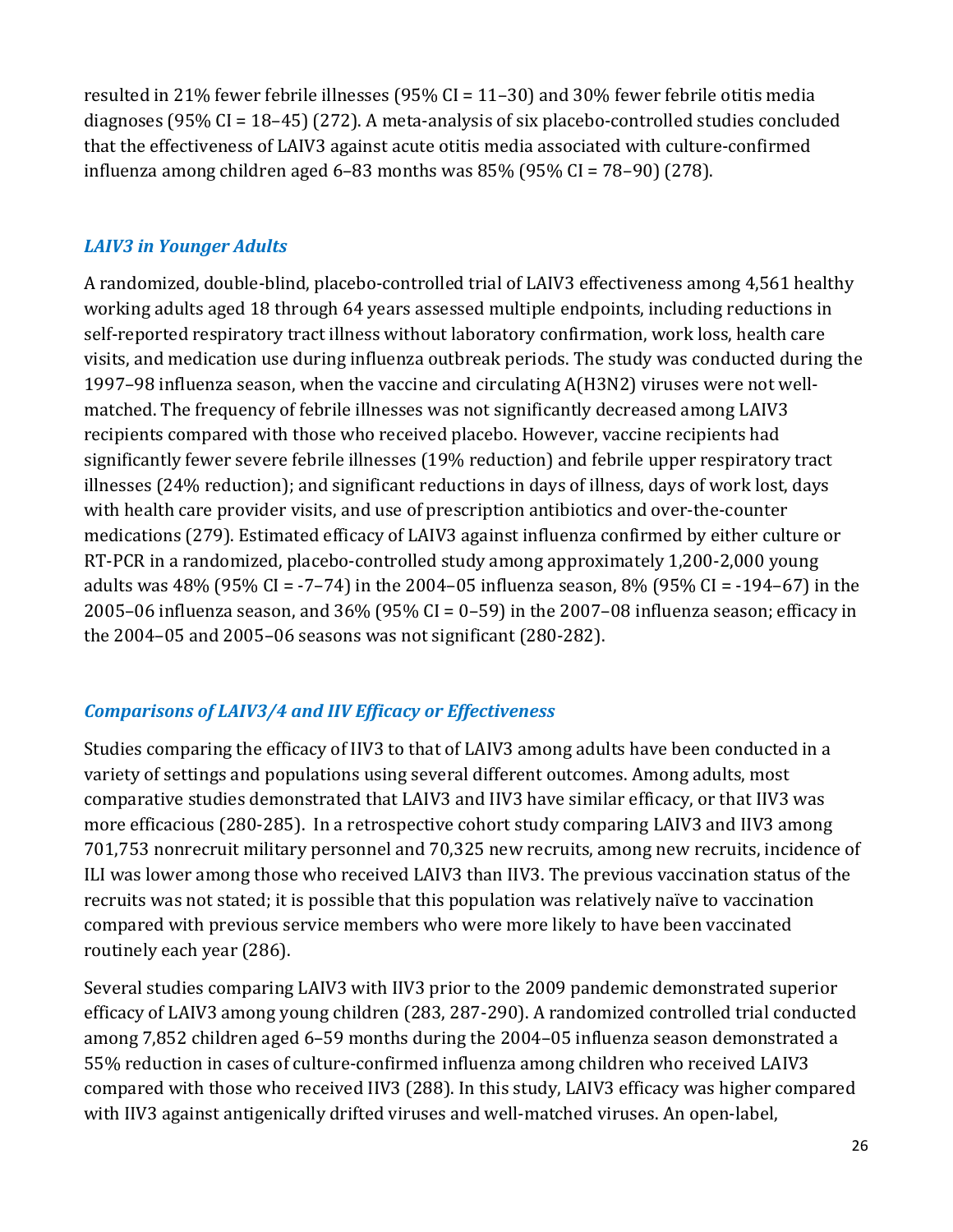resulted in 21% fewer febrile illnesses (95% CI = 11–30) and 30% fewer febrile otitis media diagnoses (95% CI = 18–45) (272). A meta-analysis of six placebo-controlled studies concluded that the effectiveness of LAIV3 against acute otitis media associated with culture-confirmed influenza among children aged 6–83 months was 85% (95% CI = 78–90) (278).

### *LAIV3 in Younger Adults*

 working adults aged 18 through 64 years assessed multiple endpoints, including reductions in illnesses (24% reduction); and significant reductions in days of illness, days of work lost, days 2005–06 influenza season, and 36% (95% CI = 0–59) in the 2007–08 influenza season; efficacy in A randomized, double-blind, placebo-controlled trial of LAIV3 effectiveness among 4,561 healthy self-reported respiratory tract illness without laboratory confirmation, work loss, health care visits, and medication use during influenza outbreak periods. The study was conducted during the 1997–98 influenza season, when the vaccine and circulating A(H3N2) viruses were not wellmatched. The frequency of febrile illnesses was not significantly decreased among LAIV3 recipients compared with those who received placebo. However, vaccine recipients had significantly fewer severe febrile illnesses (19% reduction) and febrile upper respiratory tract with health care provider visits, and use of prescription antibiotics and over-the-counter medications (279). Estimated efficacy of LAIV3 against influenza confirmed by either culture or RT-PCR in a randomized, placebo-controlled study among approximately 1,200-2,000 young adults was  $48\%$  (95% CI = -7–74) in the 2004–05 influenza season, 8% (95% CI = -194–67) in the the 2004–05 and 2005–06 seasons was not significant (280-282).

## *Comparisons of LAIV3/4 and IIV Efficacy or Effectiveness*

 more efficacious (280-285). In a retrospective cohort study comparing LAIV3 and IIV3 among Studies comparing the efficacy of IIV3 to that of LAIV3 among adults have been conducted in a variety of settings and populations using several different outcomes. Among adults, most comparative studies demonstrated that LAIV3 and IIV3 have similar efficacy, or that IIV3 was 701,753 nonrecruit military personnel and 70,325 new recruits, among new recruits, incidence of ILI was lower among those who received LAIV3 than IIV3. The previous vaccination status of the recruits was not stated; it is possible that this population was relatively naïve to vaccination compared with previous service members who were more likely to have been vaccinated routinely each year (286).

 compared with those who received IIV3 (288). In this study, LAIV3 efficacy was higher compared Several studies comparing LAIV3 with IIV3 prior to the 2009 pandemic demonstrated superior efficacy of LAIV3 among young children (283, 287-290). A randomized controlled trial conducted among 7,852 children aged 6–59 months during the 2004–05 influenza season demonstrated a 55% reduction in cases of culture-confirmed influenza among children who received LAIV3 with IIV3 against antigenically drifted viruses and well-matched viruses. An open-label,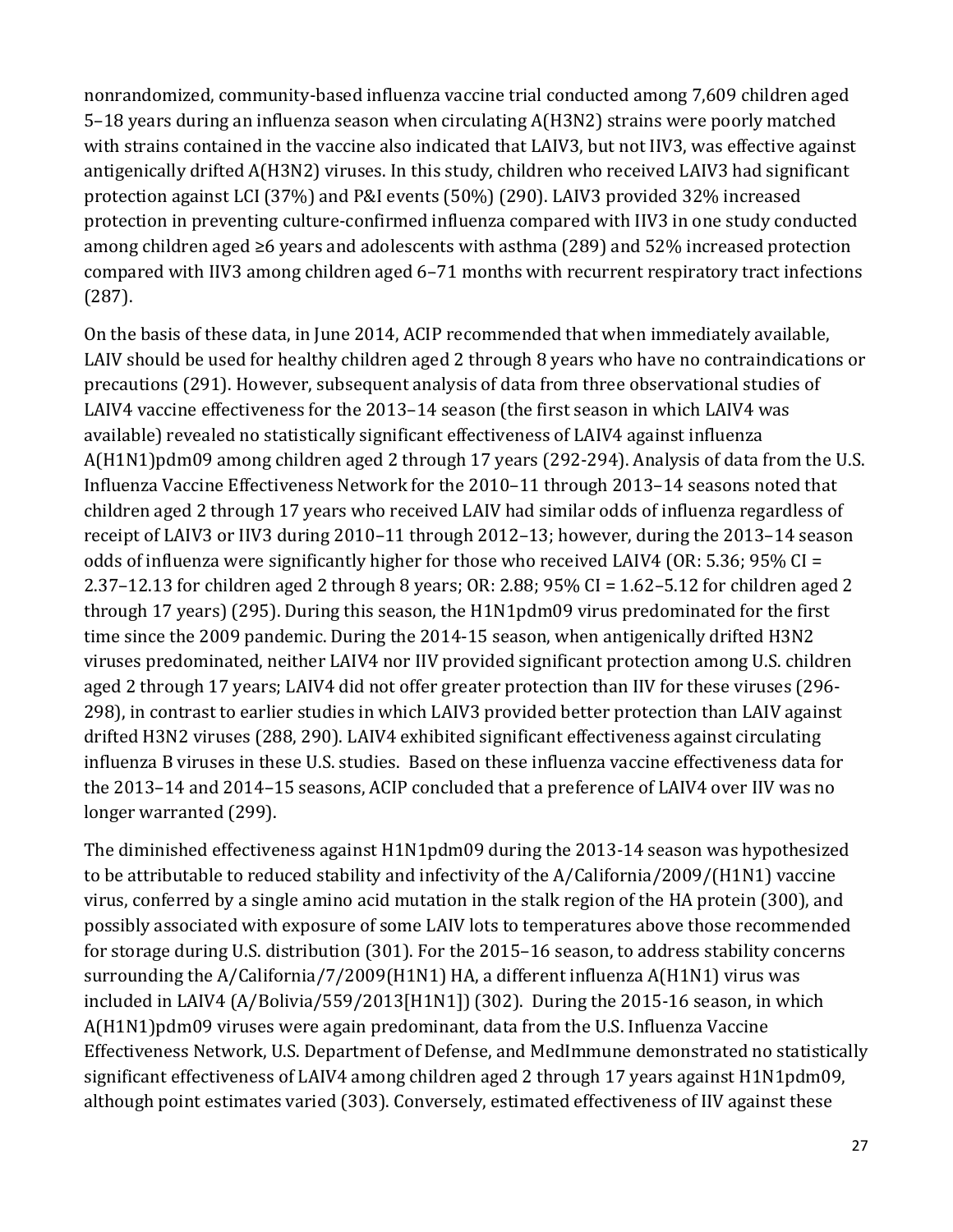protection in preventing culture-confirmed influenza compared with IIV3 in one study conducted among children aged ≥6 years and adolescents with asthma (289) and 52% increased protection nonrandomized, community-based influenza vaccine trial conducted among 7,609 children aged 5–18 years during an influenza season when circulating A(H3N2) strains were poorly matched with strains contained in the vaccine also indicated that LAIV3, but not IIV3, was effective against antigenically drifted A(H3N2) viruses. In this study, children who received LAIV3 had significant protection against LCI (37%) and P&I events (50%) (290). LAIV3 provided 32% increased compared with IIV3 among children aged 6–71 months with recurrent respiratory tract infections (287).

On the basis of these data, in June 2014, ACIP recommended that when immediately available, LAIV should be used for healthy children aged 2 through 8 years who have no contraindications or precautions (291). However, subsequent analysis of data from three observational studies of LAIV4 vaccine effectiveness for the 2013–14 season (the first season in which LAIV4 was available) revealed no statistically significant effectiveness of LAIV4 against influenza A(H1N1)pdm09 among children aged 2 through 17 years (292-294). Analysis of data from the U.S. Influenza Vaccine Effectiveness Network for the 2010–11 through 2013–14 seasons noted that children aged 2 through 17 years who received LAIV had similar odds of influenza regardless of receipt of LAIV3 or IIV3 during 2010–11 through 2012–13; however, during the 2013–14 season odds of influenza were significantly higher for those who received LAIV4 (OR: 5.36; 95% CI = 2.37–12.13 for children aged 2 through 8 years; OR: 2.88; 95% CI = 1.62–5.12 for children aged 2 through 17 years) (295). During this season, the H1N1pdm09 virus predominated for the first time since the 2009 pandemic. During the 2014-15 season, when antigenically drifted H3N2 viruses predominated, neither LAIV4 nor IIV provided significant protection among U.S. children aged 2 through 17 years; LAIV4 did not offer greater protection than IIV for these viruses (296- 298), in contrast to earlier studies in which LAIV3 provided better protection than LAIV against drifted H3N2 viruses (288, 290). LAIV4 exhibited significant effectiveness against circulating influenza B viruses in these U.S. studies. Based on these influenza vaccine effectiveness data for the 2013–14 and 2014–15 seasons, ACIP concluded that a preference of LAIV4 over IIV was no longer warranted (299).

 surrounding the A/California/7/2009(H1N1) HA, a different influenza A(H1N1) virus was included in LAIV4 (A/Bolivia/559/2013[H1N1]) (302). During the 2015-16 season, in which The diminished effectiveness against H1N1pdm09 during the 2013-14 season was hypothesized to be attributable to reduced stability and infectivity of the A/California/2009/(H1N1) vaccine virus, conferred by a single amino acid mutation in the stalk region of the HA protein (300), and possibly associated with exposure of some LAIV lots to temperatures above those recommended for storage during U.S. distribution (301). For the 2015–16 season, to address stability concerns A(H1N1)pdm09 viruses were again predominant, data from the U.S. Influenza Vaccine Effectiveness Network, U.S. Department of Defense, and MedImmune demonstrated no statistically significant effectiveness of LAIV4 among children aged 2 through 17 years against H1N1pdm09, although point estimates varied (303). Conversely, estimated effectiveness of IIV against these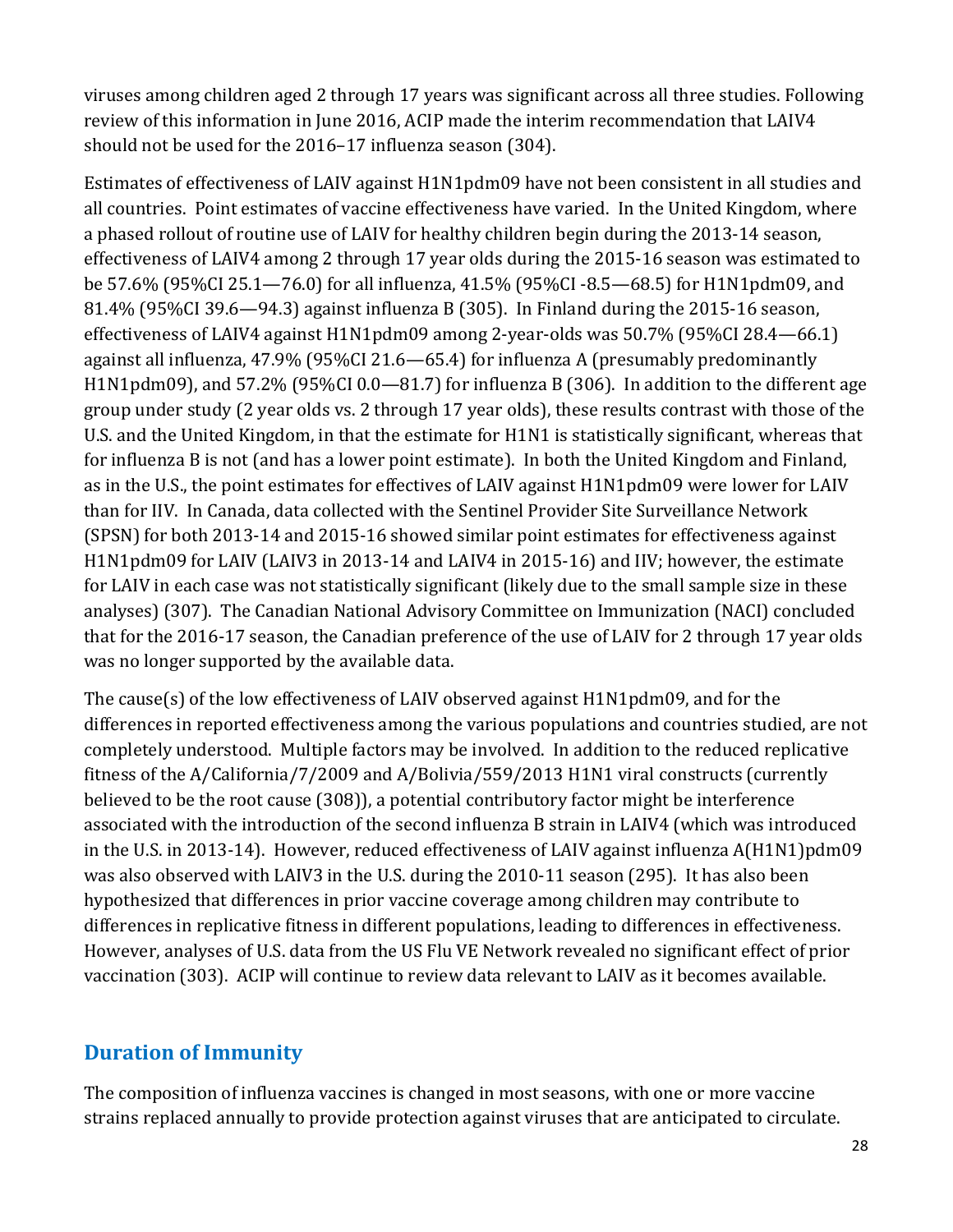viruses among children aged 2 through 17 years was significant across all three studies. Following should not be used for the 2016–17 influenza season (304). review of this information in June 2016, ACIP made the interim recommendation that LAIV4

Estimates of effectiveness of LAIV against H1N1pdm09 have not been consistent in all studies and all countries. Point estimates of vaccine effectiveness have varied. In the United Kingdom, where a phased rollout of routine use of LAIV for healthy children begin during the 2013-14 season, effectiveness of LAIV4 among 2 through 17 year olds during the 2015-16 season was estimated to be 57.6% (95%CI 25.1—76.0) for all influenza, 41.5% (95%CI -8.5—68.5) for H1N1pdm09, and 81.4% (95%CI 39.6—94.3) against influenza B (305). In Finland during the 2015-16 season, effectiveness of LAIV4 against H1N1pdm09 among 2-year-olds was 50.7% (95%CI 28.4—66.1) against all influenza, 47.9% (95%CI 21.6—65.4) for influenza A (presumably predominantly H1N1pdm09), and 57.2% (95%CI 0.0—81.7) for influenza B (306). In addition to the different age group under study (2 year olds vs. 2 through 17 year olds), these results contrast with those of the U.S. and the United Kingdom, in that the estimate for H1N1 is statistically significant, whereas that for influenza B is not (and has a lower point estimate). In both the United Kingdom and Finland, as in the U.S., the point estimates for effectives of LAIV against H1N1pdm09 were lower for LAIV than for IIV. In Canada, data collected with the Sentinel Provider Site Surveillance Network (SPSN) for both 2013-14 and 2015-16 showed similar point estimates for effectiveness against H1N1pdm09 for LAIV (LAIV3 in 2013-14 and LAIV4 in 2015-16) and IIV; however, the estimate for LAIV in each case was not statistically significant (likely due to the small sample size in these analyses) (307). The Canadian National Advisory Committee on Immunization (NACI) concluded that for the 2016-17 season, the Canadian preference of the use of LAIV for 2 through 17 year olds was no longer supported by the available data.

 completely understood. Multiple factors may be involved. In addition to the reduced replicative associated with the introduction of the second influenza B strain in LAIV4 (which was introduced in the U.S. in 2013-14). However, reduced effectiveness of LAIV against influenza A(H1N1)pdm09 differences in replicative fitness in different populations, leading to differences in effectiveness. The cause(s) of the low effectiveness of LAIV observed against H1N1pdm09, and for the differences in reported effectiveness among the various populations and countries studied, are not fitness of the A/California/7/2009 and A/Bolivia/559/2013 H1N1 viral constructs (currently believed to be the root cause (308)), a potential contributory factor might be interference was also observed with LAIV3 in the U.S. during the 2010-11 season (295). It has also been hypothesized that differences in prior vaccine coverage among children may contribute to However, analyses of U.S. data from the US Flu VE Network revealed no significant effect of prior vaccination (303). ACIP will continue to review data relevant to LAIV as it becomes available.

# **Duration of Immunity**

 strains replaced annually to provide protection against viruses that are anticipated to circulate. The composition of influenza vaccines is changed in most seasons, with one or more vaccine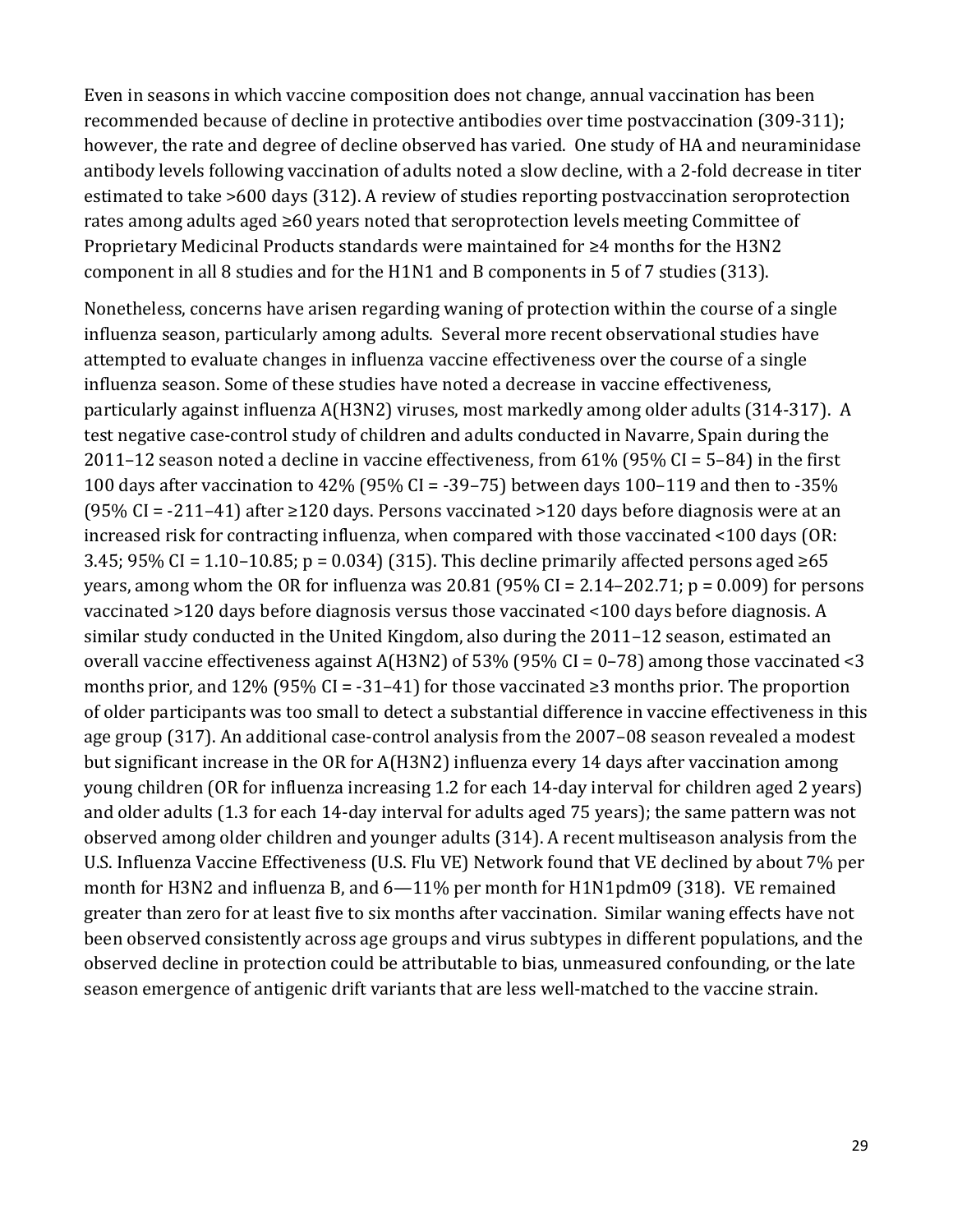Even in seasons in which vaccine composition does not change, annual vaccination has been recommended because of decline in protective antibodies over time postvaccination (309-311); however, the rate and degree of decline observed has varied. One study of HA and neuraminidase antibody levels following vaccination of adults noted a slow decline, with a 2-fold decrease in titer estimated to take >600 days (312). A review of studies reporting postvaccination seroprotection rates among adults aged ≥60 years noted that seroprotection levels meeting Committee of Proprietary Medicinal Products standards were maintained for ≥4 months for the H3N2 component in all 8 studies and for the H1N1 and B components in 5 of 7 studies (313).

Nonetheless, concerns have arisen regarding waning of protection within the course of a single influenza season, particularly among adults. Several more recent observational studies have attempted to evaluate changes in influenza vaccine effectiveness over the course of a single influenza season. Some of these studies have noted a decrease in vaccine effectiveness, particularly against influenza A(H3N2) viruses, most markedly among older adults (314-317). A test negative case-control study of children and adults conducted in Navarre, Spain during the 2011–12 season noted a decline in vaccine effectiveness, from 61% (95% CI = 5–84) in the first 100 days after vaccination to 42% (95% CI = -39–75) between days 100–119 and then to -35% (95% CI =  $-211-41$ ) after  $\geq$ 120 days. Persons vaccinated  $>$ 120 days before diagnosis were at an increased risk for contracting influenza, when compared with those vaccinated <100 days (OR: 3.45; 95% CI = 1.10–10.85; p = 0.034) (315). This decline primarily affected persons aged  $\geq 65$ years, among whom the OR for influenza was 20.81 (95% CI = 2.14–202.71;  $p = 0.009$ ) for persons vaccinated >120 days before diagnosis versus those vaccinated <100 days before diagnosis. A similar study conducted in the United Kingdom, also during the 2011–12 season, estimated an overall vaccine effectiveness against A(H3N2) of 53% (95% CI = 0–78) among those vaccinated <3 months prior, and 12% (95% CI = -31–41) for those vaccinated  $\geq$ 3 months prior. The proportion of older participants was too small to detect a substantial difference in vaccine effectiveness in this age group (317). An additional case-control analysis from the 2007–08 season revealed a modest but significant increase in the OR for A(H3N2) influenza every 14 days after vaccination among young children (OR for influenza increasing 1.2 for each 14-day interval for children aged 2 years) and older adults (1.3 for each 14-day interval for adults aged 75 years); the same pattern was not observed among older children and younger adults (314). A recent multiseason analysis from the U.S. Influenza Vaccine Effectiveness (U.S. Flu VE) Network found that VE declined by about 7% per month for H3N2 and influenza B, and 6—11% per month for H1N1pdm09 (318). VE remained greater than zero for at least five to six months after vaccination. Similar waning effects have not been observed consistently across age groups and virus subtypes in different populations, and the observed decline in protection could be attributable to bias, unmeasured confounding, or the late season emergence of antigenic drift variants that are less well-matched to the vaccine strain.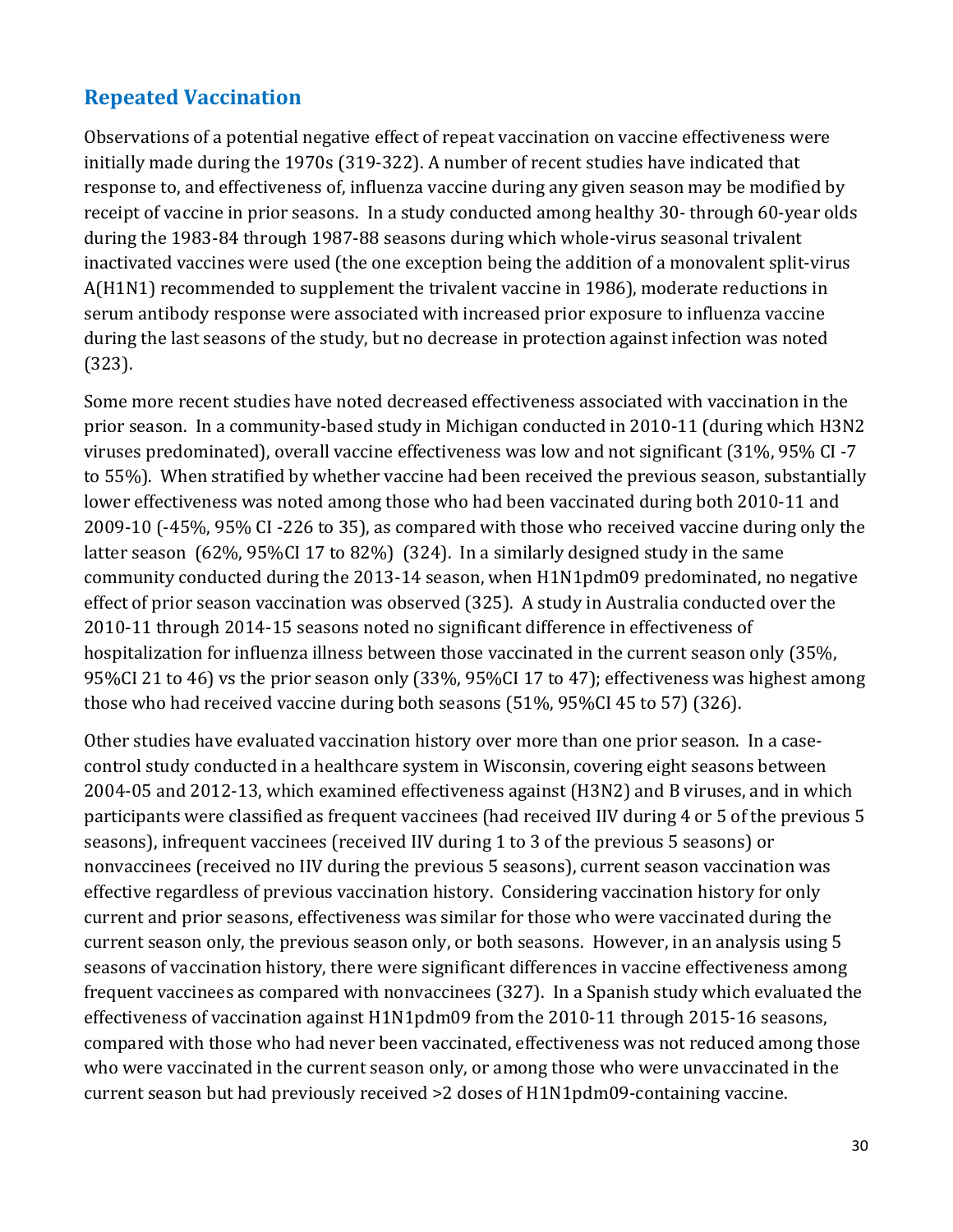# **Repeated Vaccination**

Observations of a potential negative effect of repeat vaccination on vaccine effectiveness were initially made during the 1970s (319-322). A number of recent studies have indicated that response to, and effectiveness of, influenza vaccine during any given season may be modified by receipt of vaccine in prior seasons. In a study conducted among healthy 30- through 60-year olds during the 1983-84 through 1987-88 seasons during which whole-virus seasonal trivalent inactivated vaccines were used (the one exception being the addition of a monovalent split-virus A(H1N1) recommended to supplement the trivalent vaccine in 1986), moderate reductions in serum antibody response were associated with increased prior exposure to influenza vaccine during the last seasons of the study, but no decrease in protection against infection was noted (323).

 2009-10 (-45%, 95% CI -226 to 35), as compared with those who received vaccine during only the latter season (62%, 95%CI 17 to 82%) (324). In a similarly designed study in the same Some more recent studies have noted decreased effectiveness associated with vaccination in the prior season. In a community-based study in Michigan conducted in 2010-11 (during which H3N2 viruses predominated), overall vaccine effectiveness was low and not significant (31%, 95% CI -7 to 55%). When stratified by whether vaccine had been received the previous season, substantially lower effectiveness was noted among those who had been vaccinated during both 2010-11 and community conducted during the 2013-14 season, when H1N1pdm09 predominated, no negative effect of prior season vaccination was observed (325). A study in Australia conducted over the 2010-11 through 2014-15 seasons noted no significant difference in effectiveness of hospitalization for influenza illness between those vaccinated in the current season only (35%, 95%CI 21 to 46) vs the prior season only (33%, 95%CI 17 to 47); effectiveness was highest among those who had received vaccine during both seasons (51%, 95%CI 45 to 57) (326).

 Other studies have evaluated vaccination history over more than one prior season. In a case- 2004-05 and 2012-13, which examined effectiveness against (H3N2) and B viruses, and in which effective regardless of previous vaccination history. Considering vaccination history for only current season but had previously received >2 doses of H1N1pdm09-containing vaccine. control study conducted in a healthcare system in Wisconsin, covering eight seasons between participants were classified as frequent vaccinees (had received IIV during 4 or 5 of the previous 5 seasons), infrequent vaccinees (received IIV during 1 to 3 of the previous 5 seasons) or nonvaccinees (received no IIV during the previous 5 seasons), current season vaccination was current and prior seasons, effectiveness was similar for those who were vaccinated during the current season only, the previous season only, or both seasons. However, in an analysis using 5 seasons of vaccination history, there were significant differences in vaccine effectiveness among frequent vaccinees as compared with nonvaccinees (327). In a Spanish study which evaluated the effectiveness of vaccination against H1N1pdm09 from the 2010-11 through 2015-16 seasons, compared with those who had never been vaccinated, effectiveness was not reduced among those who were vaccinated in the current season only, or among those who were unvaccinated in the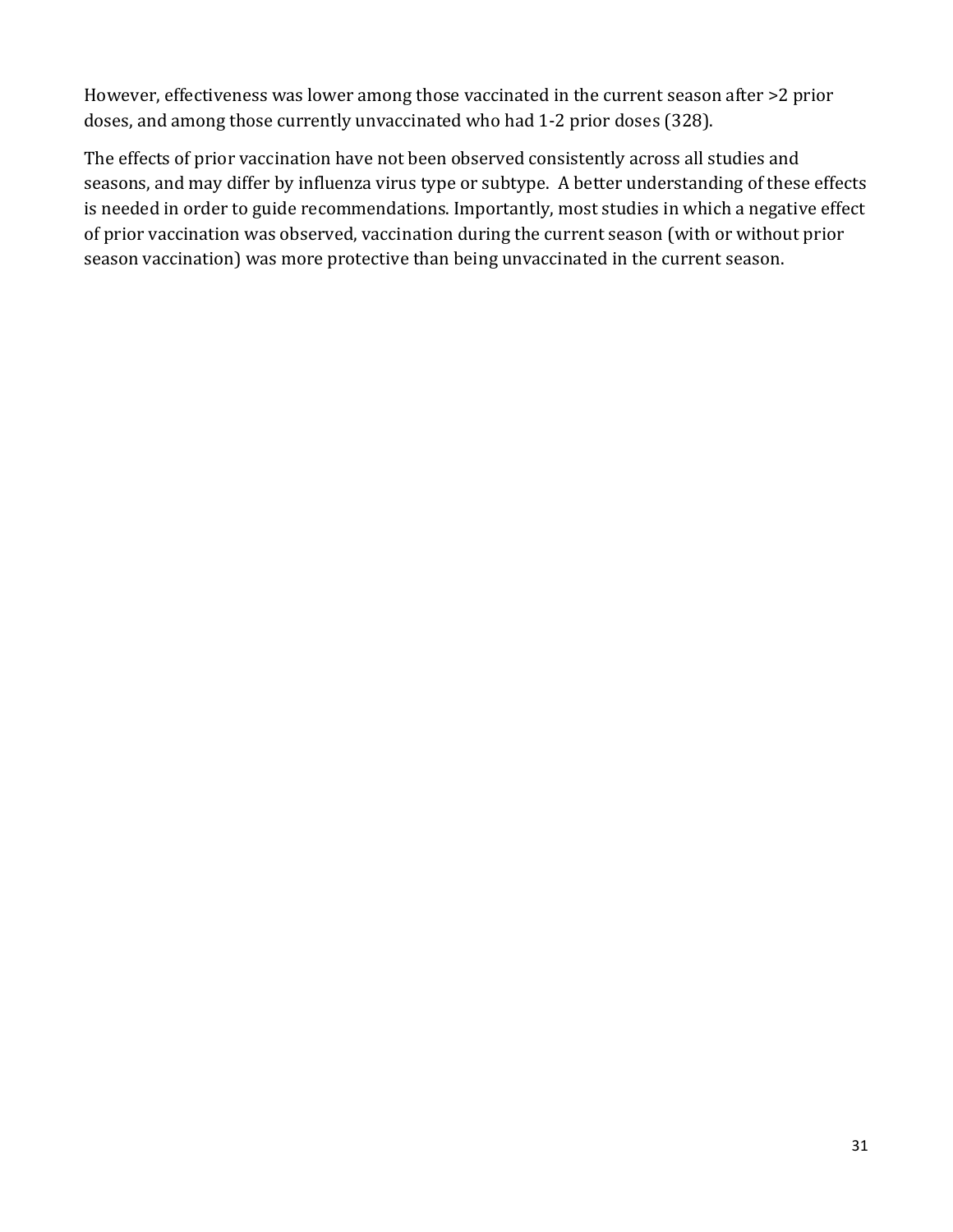However, effectiveness was lower among those vaccinated in the current season after >2 prior doses, and among those currently unvaccinated who had 1-2 prior doses (328).

The effects of prior vaccination have not been observed consistently across all studies and seasons, and may differ by influenza virus type or subtype. A better understanding of these effects is needed in order to guide recommendations. Importantly, most studies in which a negative effect of prior vaccination was observed, vaccination during the current season (with or without prior season vaccination) was more protective than being unvaccinated in the current season.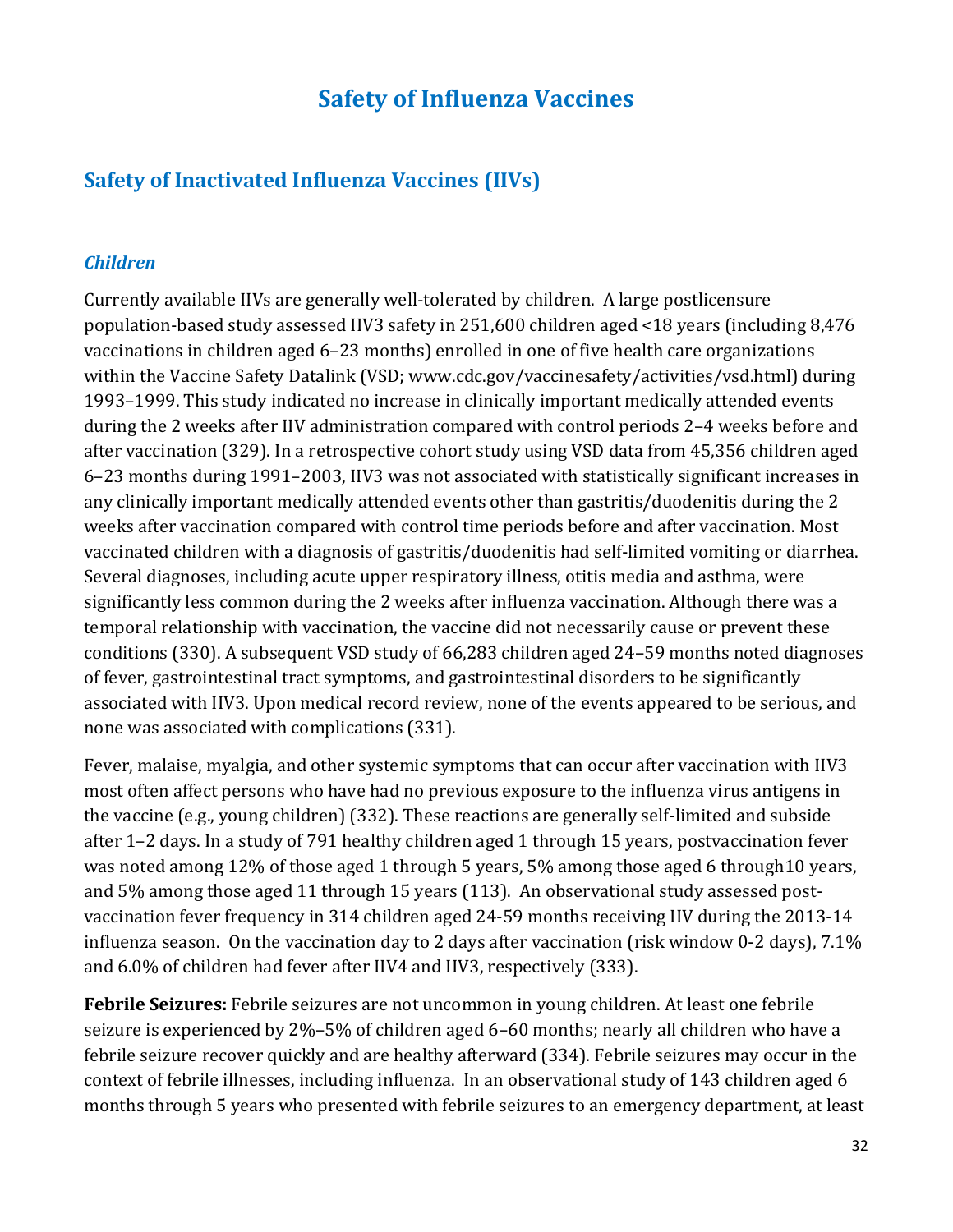# **Safety of Influenza Vaccines**

## **Safety of Inactivated Influenza Vaccines (IIVs)**

#### *Children*

 Currently available IIVs are generally well-tolerated by children. A large postlicensure population-based study assessed IIV3 safety in 251,600 children aged <18 years (including 8,476 during the 2 weeks after IIV administration compared with control periods 2–4 weeks before and vaccinations in children aged 6–23 months) enrolled in one of five health care organizations within the Vaccine Safety Datalink (VSD; www.cdc.gov/vaccinesafety/activities/vsd.html) during 1993–1999. This study indicated no increase in clinically important medically attended events after vaccination (329). In a retrospective cohort study using VSD data from 45,356 children aged 6–23 months during 1991–2003, IIV3 was not associated with statistically significant increases in any clinically important medically attended events other than gastritis/duodenitis during the 2 weeks after vaccination compared with control time periods before and after vaccination. Most vaccinated children with a diagnosis of gastritis/duodenitis had self-limited vomiting or diarrhea. Several diagnoses, including acute upper respiratory illness, otitis media and asthma, were significantly less common during the 2 weeks after influenza vaccination. Although there was a temporal relationship with vaccination, the vaccine did not necessarily cause or prevent these conditions (330). A subsequent VSD study of 66,283 children aged 24–59 months noted diagnoses of fever, gastrointestinal tract symptoms, and gastrointestinal disorders to be significantly associated with IIV3. Upon medical record review, none of the events appeared to be serious, and none was associated with complications (331).

 and 5% among those aged 11 through 15 years (113). An observational study assessed post- and 6.0% of children had fever after IIV4 and IIV3, respectively (333). Fever, malaise, myalgia, and other systemic symptoms that can occur after vaccination with IIV3 most often affect persons who have had no previous exposure to the influenza virus antigens in the vaccine (e.g., young children) (332). These reactions are generally self-limited and subside after 1–2 days. In a study of 791 healthy children aged 1 through 15 years, postvaccination fever was noted among 12% of those aged 1 through 5 years, 5% among those aged 6 through10 years, vaccination fever frequency in 314 children aged 24-59 months receiving IIV during the 2013-14 influenza season. On the vaccination day to 2 days after vaccination (risk window 0-2 days), 7.1%

 context of febrile illnesses, including influenza. In an observational study of 143 children aged 6 **Febrile Seizures:** Febrile seizures are not uncommon in young children. At least one febrile seizure is experienced by 2%–5% of children aged 6–60 months; nearly all children who have a febrile seizure recover quickly and are healthy afterward (334). Febrile seizures may occur in the months through 5 years who presented with febrile seizures to an emergency department, at least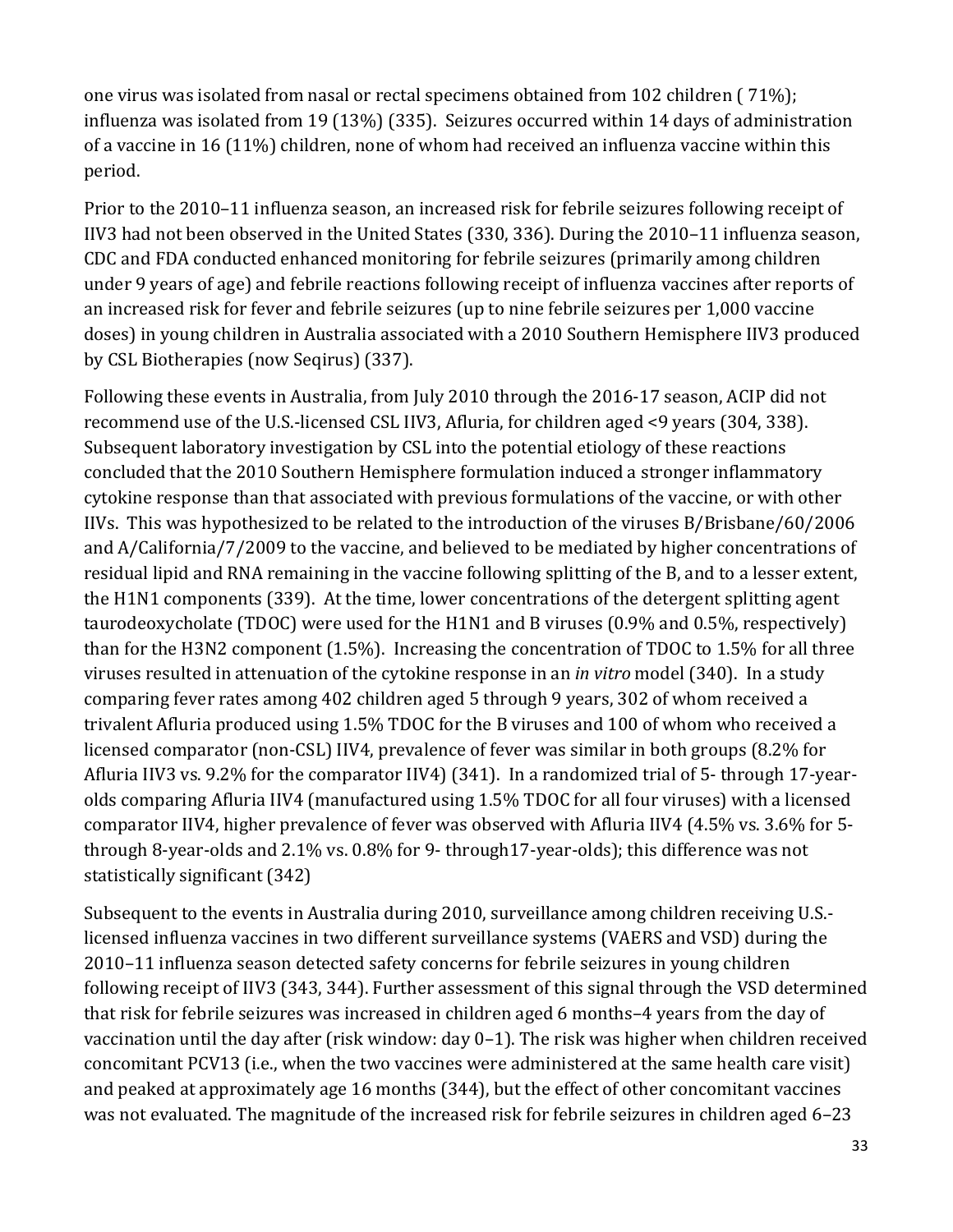one virus was isolated from nasal or rectal specimens obtained from 102 children ( 71%); influenza was isolated from 19 (13%) (335). Seizures occurred within 14 days of administration period. of a vaccine in 16 (11%) children, none of whom had received an influenza vaccine within this

 by CSL Biotherapies (now Seqirus) (337). Prior to the 2010–11 influenza season, an increased risk for febrile seizures following receipt of IIV3 had not been observed in the United States (330, 336). During the 2010–11 influenza season, CDC and FDA conducted enhanced monitoring for febrile seizures (primarily among children under 9 years of age) and febrile reactions following receipt of influenza vaccines after reports of an increased risk for fever and febrile seizures (up to nine febrile seizures per 1,000 vaccine doses) in young children in Australia associated with a 2010 Southern Hemisphere IIV3 produced

Following these events in Australia, from July 2010 through the 2016-17 season, ACIP did not recommend use of the U.S.-licensed CSL IIV3, Afluria, for children aged <9 years (304, 338). Subsequent laboratory investigation by CSL into the potential etiology of these reactions concluded that the 2010 Southern Hemisphere formulation induced a stronger inflammatory cytokine response than that associated with previous formulations of the vaccine, or with other IIVs. This was hypothesized to be related to the introduction of the viruses B/Brisbane/60/2006 and A/California/7/2009 to the vaccine, and believed to be mediated by higher concentrations of residual lipid and RNA remaining in the vaccine following splitting of the B, and to a lesser extent, the H1N1 components (339). At the time, lower concentrations of the detergent splitting agent taurodeoxycholate (TDOC) were used for the H1N1 and B viruses (0.9% and 0.5%, respectively) than for the H3N2 component (1.5%). Increasing the concentration of TDOC to 1.5% for all three viruses resulted in attenuation of the cytokine response in an *in vitro* model (340). In a study comparing fever rates among 402 children aged 5 through 9 years, 302 of whom received a trivalent Afluria produced using 1.5% TDOC for the B viruses and 100 of whom who received a licensed comparator (non-CSL) IIV4, prevalence of fever was similar in both groups (8.2% for Afluria IIV3 vs. 9.2% for the comparator IIV4) (341). In a randomized trial of 5- through 17-yearolds comparing Afluria IIV4 (manufactured using 1.5% TDOC for all four viruses) with a licensed comparator IIV4, higher prevalence of fever was observed with Afluria IIV4 (4.5% vs. 3.6% for 5 through 8-year-olds and 2.1% vs. 0.8% for 9- through17-year-olds); this difference was not statistically significant (342)

Subsequent to the events in Australia during 2010, surveillance among children receiving U.S. licensed influenza vaccines in two different surveillance systems (VAERS and VSD) during the 2010–11 influenza season detected safety concerns for febrile seizures in young children following receipt of IIV3 (343, 344). Further assessment of this signal through the VSD determined that risk for febrile seizures was increased in children aged 6 months–4 years from the day of vaccination until the day after (risk window: day 0–1). The risk was higher when children received concomitant PCV13 (i.e., when the two vaccines were administered at the same health care visit) and peaked at approximately age 16 months (344), but the effect of other concomitant vaccines was not evaluated. The magnitude of the increased risk for febrile seizures in children aged 6–23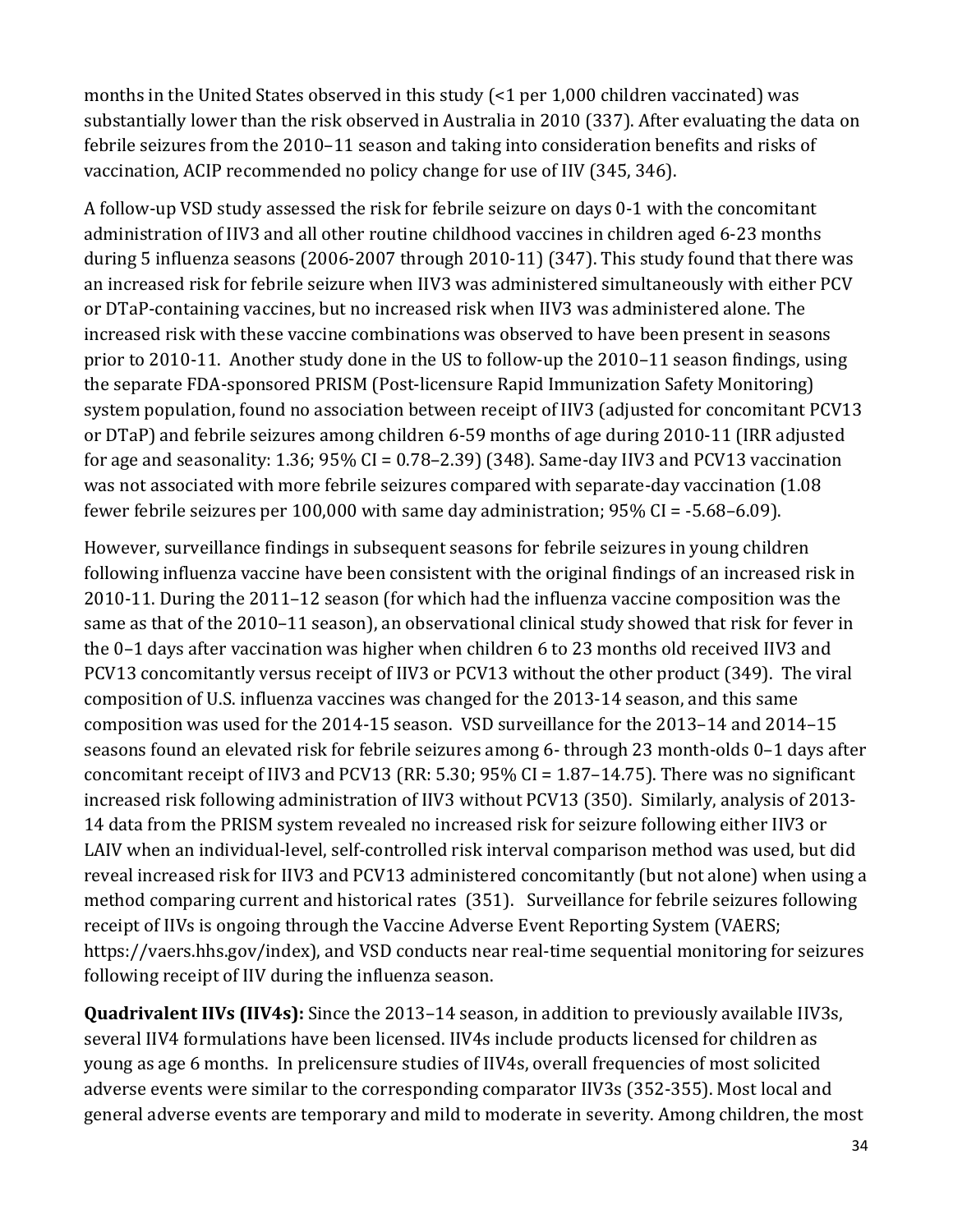months in the United States observed in this study (<1 per 1,000 children vaccinated) was substantially lower than the risk observed in Australia in 2010 (337). After evaluating the data on febrile seizures from the 2010–11 season and taking into consideration benefits and risks of vaccination, ACIP recommended no policy change for use of IIV (345, 346).

A follow-up VSD study assessed the risk for febrile seizure on days 0-1 with the concomitant administration of IIV3 and all other routine childhood vaccines in children aged 6-23 months during 5 influenza seasons (2006-2007 through 2010-11) (347). This study found that there was an increased risk for febrile seizure when IIV3 was administered simultaneously with either PCV or DTaP-containing vaccines, but no increased risk when IIV3 was administered alone. The increased risk with these vaccine combinations was observed to have been present in seasons prior to 2010-11. Another study done in the US to follow-up the 2010–11 season findings, using the separate FDA-sponsored PRISM (Post-licensure Rapid Immunization Safety Monitoring) system population, found no association between receipt of IIV3 (adjusted for concomitant PCV13 or DTaP) and febrile seizures among children 6-59 months of age during 2010-11 (IRR adjusted for age and seasonality: 1.36;  $95\%$  CI = 0.78–2.39) (348). Same-day IIV3 and PCV13 vaccination was not associated with more febrile seizures compared with separate-day vaccination (1.08 fewer febrile seizures per 100,000 with same day administration; 95% CI = -5.68–6.09).

However, surveillance findings in subsequent seasons for febrile seizures in young children following influenza vaccine have been consistent with the original findings of an increased risk in 2010-11. During the 2011–12 season (for which had the influenza vaccine composition was the same as that of the 2010–11 season), an observational clinical study showed that risk for fever in the 0–1 days after vaccination was higher when children 6 to 23 months old received IIV3 and PCV13 concomitantly versus receipt of IIV3 or PCV13 without the other product (349). The viral composition of U.S. influenza vaccines was changed for the 2013-14 season, and this same composition was used for the 2014-15 season. VSD surveillance for the 2013–14 and 2014–15 seasons found an elevated risk for febrile seizures among 6- through 23 month-olds 0–1 days after concomitant receipt of IIV3 and PCV13 (RR: 5.30; 95% CI = 1.87–14.75). There was no significant increased risk following administration of IIV3 without PCV13 (350). Similarly, analysis of 2013- 14 data from the PRISM system revealed no increased risk for seizure following either IIV3 or LAIV when an individual-level, self-controlled risk interval comparison method was used, but did reveal increased risk for IIV3 and PCV13 administered concomitantly (but not alone) when using a method comparing current and historical rates (351). Surveillance for febrile seizures following receipt of IIVs is ongoing through the Vaccine Adverse Event Reporting System (VAERS; https://vaers.hhs.gov/index), and VSD conducts near real-time sequential monitoring for seizures following receipt of IIV during the influenza season.

**Quadrivalent IIVs (IIV4s):** Since the 2013–14 season, in addition to previously available IIV3s, several IIV4 formulations have been licensed. IIV4s include products licensed for children as young as age 6 months. In prelicensure studies of IIV4s, overall frequencies of most solicited adverse events were similar to the corresponding comparator IIV3s (352-355). Most local and general adverse events are temporary and mild to moderate in severity. Among children, the most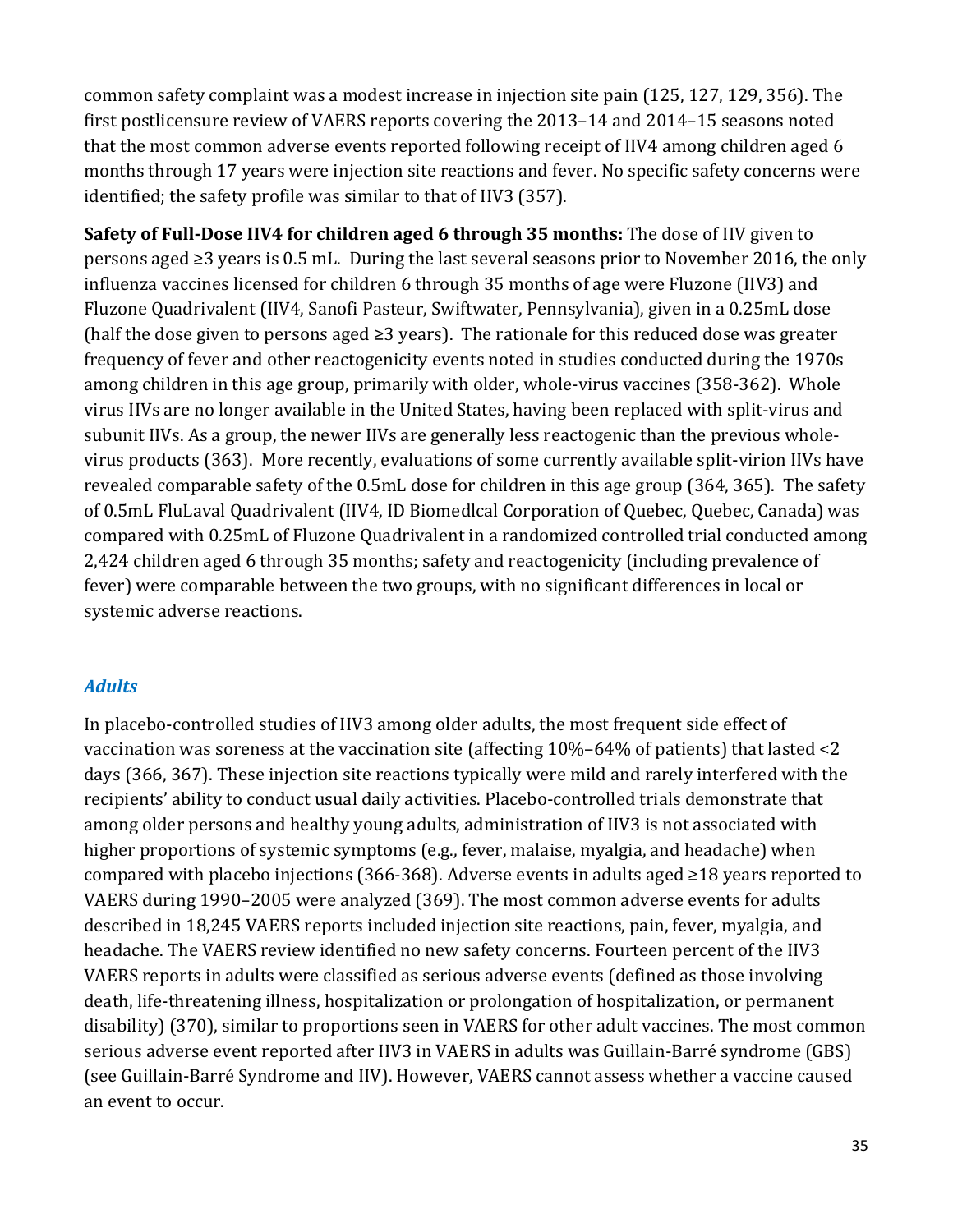months through 17 years were injection site reactions and fever. No specific safety concerns were identified; the safety profile was similar to that of IIV3 (357). common safety complaint was a modest increase in injection site pain (125, 127, 129, 356). The first postlicensure review of VAERS reports covering the 2013–14 and 2014–15 seasons noted that the most common adverse events reported following receipt of IIV4 among children aged 6

 persons aged ≥3 years is 0.5 mL. During the last several seasons prior to November 2016, the only (half the dose given to persons aged ≥3 years). The rationale for this reduced dose was greater 2,424 children aged 6 through 35 months; safety and reactogenicity (including prevalence of systemic adverse reactions. **Safety of Full-Dose IIV4 for children aged 6 through 35 months:** The dose of IIV given to influenza vaccines licensed for children 6 through 35 months of age were Fluzone (IIV3) and Fluzone Quadrivalent (IIV4, Sanofi Pasteur, Swiftwater, Pennsylvania), given in a 0.25mL dose frequency of fever and other reactogenicity events noted in studies conducted during the 1970s among children in this age group, primarily with older, whole-virus vaccines (358-362). Whole virus IIVs are no longer available in the United States, having been replaced with split-virus and subunit IIVs. As a group, the newer IIVs are generally less reactogenic than the previous wholevirus products (363). More recently, evaluations of some currently available split-virion IIVs have revealed comparable safety of the 0.5mL dose for children in this age group (364, 365). The safety of 0.5mL FluLaval Quadrivalent (IIV4, ID Biomedlcal Corporation of Quebec, Quebec, Canada) was compared with 0.25mL of Fluzone Quadrivalent in a randomized controlled trial conducted among fever) were comparable between the two groups, with no significant differences in local or

### *Adults*

 compared with placebo injections (366-368). Adverse events in adults aged ≥18 years reported to In placebo-controlled studies of IIV3 among older adults, the most frequent side effect of vaccination was soreness at the vaccination site (affecting 10%–64% of patients) that lasted <2 days (366, 367). These injection site reactions typically were mild and rarely interfered with the recipients' ability to conduct usual daily activities. Placebo-controlled trials demonstrate that among older persons and healthy young adults, administration of IIV3 is not associated with higher proportions of systemic symptoms (e.g., fever, malaise, myalgia, and headache) when VAERS during 1990–2005 were analyzed (369). The most common adverse events for adults described in 18,245 VAERS reports included injection site reactions, pain, fever, myalgia, and headache. The VAERS review identified no new safety concerns. Fourteen percent of the IIV3 VAERS reports in adults were classified as serious adverse events (defined as those involving death, life-threatening illness, hospitalization or prolongation of hospitalization, or permanent disability) (370), similar to proportions seen in VAERS for other adult vaccines. The most common serious adverse event reported after IIV3 in VAERS in adults was Guillain-Barré syndrome (GBS) (see Guillain-Barré Syndrome and IIV). However, VAERS cannot assess whether a vaccine caused an event to occur.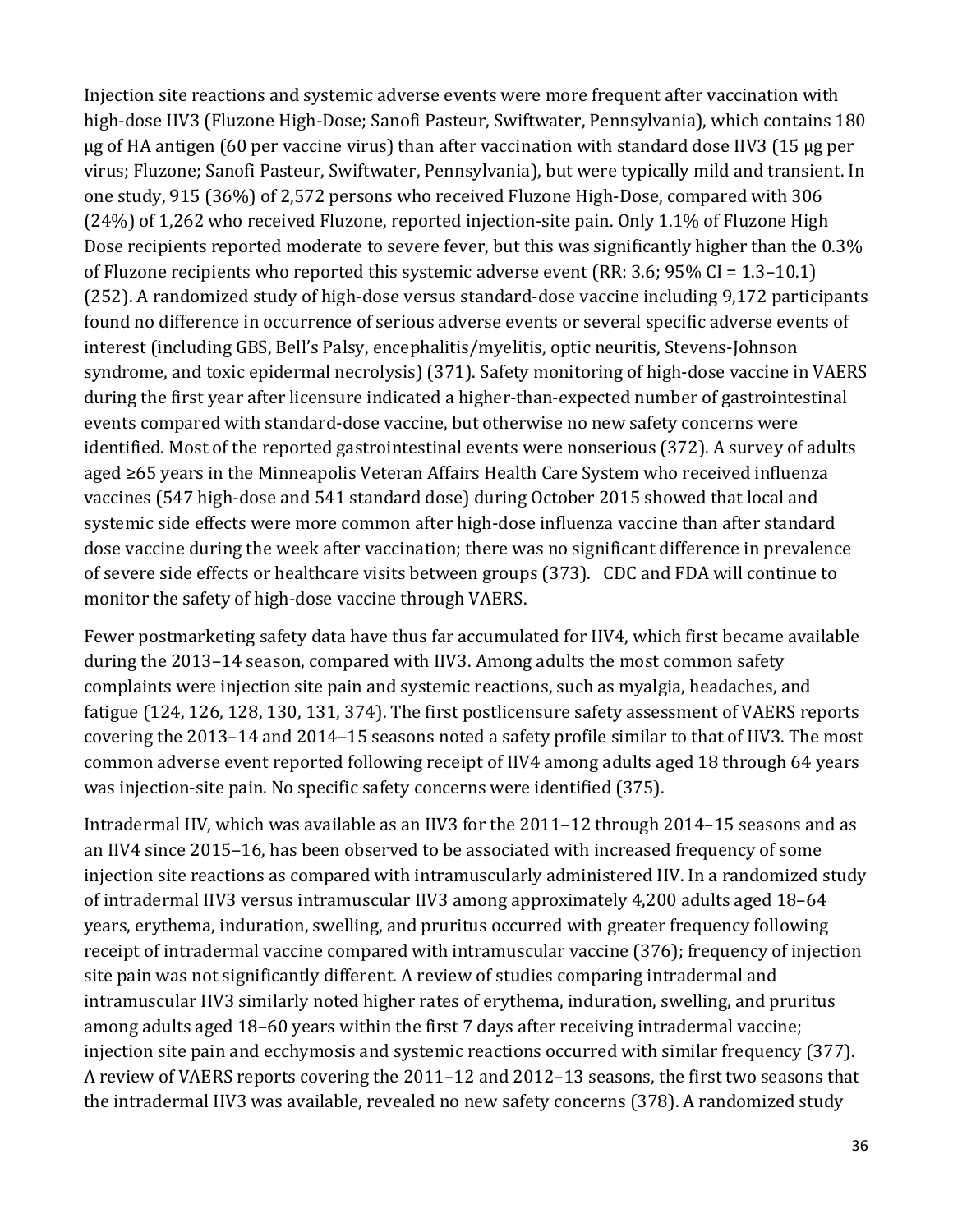(24%) of 1,262 who received Fluzone, reported injection-site pain. Only 1.1% of Fluzone High aged ≥65 years in the Minneapolis Veteran Affairs Health Care System who received influenza Injection site reactions and systemic adverse events were more frequent after vaccination with high-dose IIV3 (Fluzone High-Dose; Sanofi Pasteur, Swiftwater, Pennsylvania), which contains 180 µg of HA antigen (60 per vaccine virus) than after vaccination with standard dose IIV3 (15 µg per virus; Fluzone; Sanofi Pasteur, Swiftwater, Pennsylvania), but were typically mild and transient. In one study, 915 (36%) of 2,572 persons who received Fluzone High-Dose, compared with 306 Dose recipients reported moderate to severe fever, but this was significantly higher than the 0.3% of Fluzone recipients who reported this systemic adverse event (RR: 3.6; 95% CI = 1.3–10.1) (252). A randomized study of high-dose versus standard-dose vaccine including 9,172 participants found no difference in occurrence of serious adverse events or several specific adverse events of interest (including GBS, Bell's Palsy, encephalitis/myelitis, optic neuritis, Stevens-Johnson syndrome, and toxic epidermal necrolysis) (371). Safety monitoring of high-dose vaccine in VAERS during the first year after licensure indicated a higher-than-expected number of gastrointestinal events compared with standard-dose vaccine, but otherwise no new safety concerns were identified. Most of the reported gastrointestinal events were nonserious (372). A survey of adults vaccines (547 high-dose and 541 standard dose) during October 2015 showed that local and systemic side effects were more common after high-dose influenza vaccine than after standard dose vaccine during the week after vaccination; there was no significant difference in prevalence of severe side effects or healthcare visits between groups (373). CDC and FDA will continue to monitor the safety of high-dose vaccine through VAERS.

 common adverse event reported following receipt of IIV4 among adults aged 18 through 64 years Fewer postmarketing safety data have thus far accumulated for IIV4, which first became available during the 2013–14 season, compared with IIV3. Among adults the most common safety complaints were injection site pain and systemic reactions, such as myalgia, headaches, and fatigue (124, 126, 128, 130, 131, 374). The first postlicensure safety assessment of VAERS reports covering the 2013–14 and 2014–15 seasons noted a safety profile similar to that of IIV3. The most was injection-site pain. No specific safety concerns were identified (375).

 Intradermal IIV, which was available as an IIV3 for the 2011–12 through 2014–15 seasons and as an IIV4 since 2015–16, has been observed to be associated with increased frequency of some injection site reactions as compared with intramuscularly administered IIV. In a randomized study of intradermal IIV3 versus intramuscular IIV3 among approximately 4,200 adults aged 18–64 years, erythema, induration, swelling, and pruritus occurred with greater frequency following receipt of intradermal vaccine compared with intramuscular vaccine (376); frequency of injection site pain was not significantly different. A review of studies comparing intradermal and intramuscular IIV3 similarly noted higher rates of erythema, induration, swelling, and pruritus among adults aged 18–60 years within the first 7 days after receiving intradermal vaccine; injection site pain and ecchymosis and systemic reactions occurred with similar frequency (377). A review of VAERS reports covering the 2011–12 and 2012–13 seasons, the first two seasons that the intradermal IIV3 was available, revealed no new safety concerns (378). A randomized study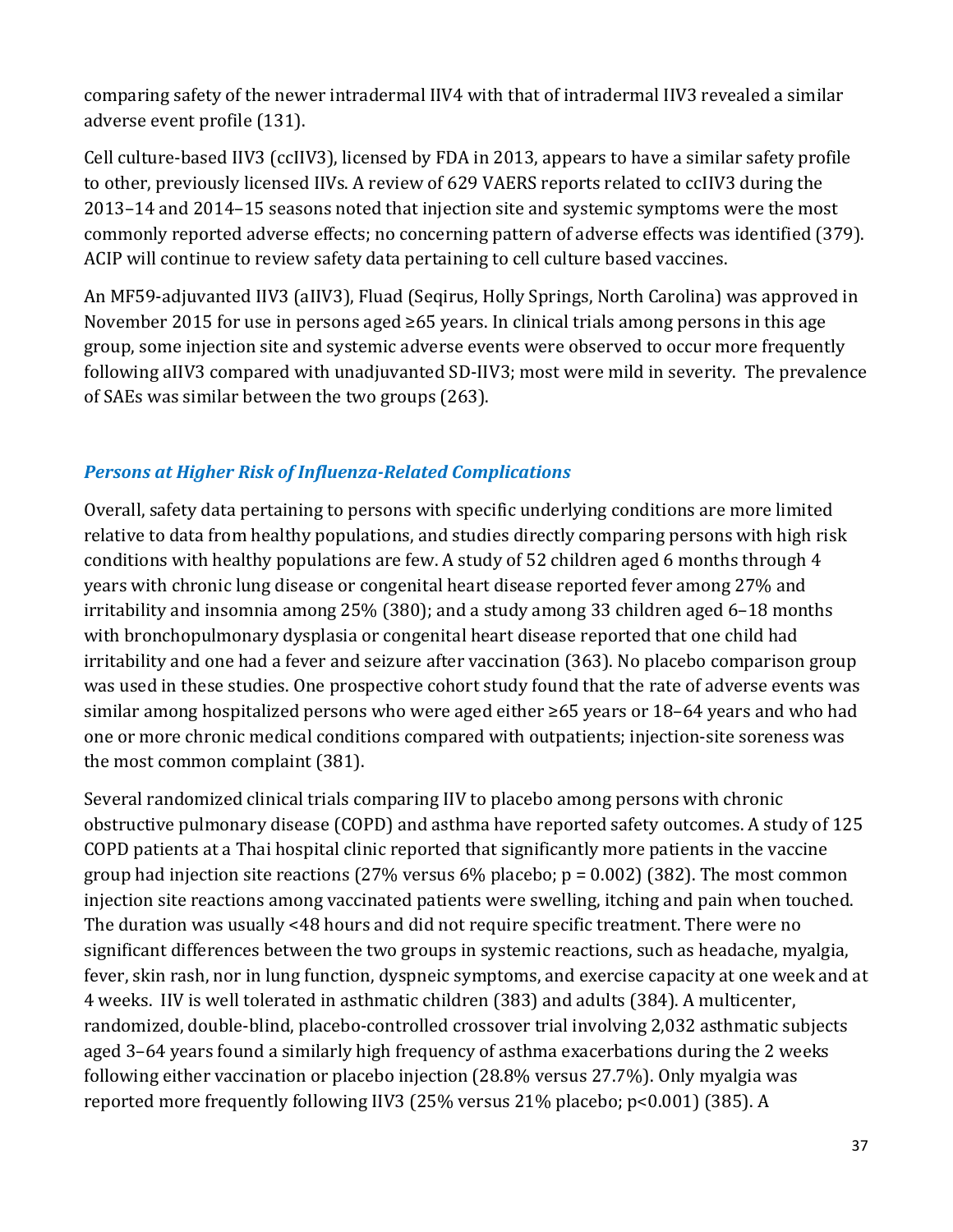adverse event profile (131). comparing safety of the newer intradermal IIV4 with that of intradermal IIV3 revealed a similar

 Cell culture-based IIV3 (ccIIV3), licensed by FDA in 2013, appears to have a similar safety profile to other, previously licensed IIVs. A review of 629 VAERS reports related to ccIIV3 during the 2013–14 and 2014–15 seasons noted that injection site and systemic symptoms were the most commonly reported adverse effects; no concerning pattern of adverse effects was identified (379). ACIP will continue to review safety data pertaining to cell culture based vaccines.

An MF59-adjuvanted IIV3 (aIIV3), Fluad (Seqirus, Holly Springs, North Carolina) was approved in November 2015 for use in persons aged ≥65 years. In clinical trials among persons in this age group, some injection site and systemic adverse events were observed to occur more frequently following aIIV3 compared with unadjuvanted SD-IIV3; most were mild in severity. The prevalence of SAEs was similar between the two groups (263).

### *Persons at Higher Risk of Influenza-Related Complications*

Overall, safety data pertaining to persons with specific underlying conditions are more limited relative to data from healthy populations, and studies directly comparing persons with high risk conditions with healthy populations are few. A study of 52 children aged 6 months through 4 years with chronic lung disease or congenital heart disease reported fever among 27% and irritability and insomnia among 25% (380); and a study among 33 children aged 6–18 months with bronchopulmonary dysplasia or congenital heart disease reported that one child had irritability and one had a fever and seizure after vaccination (363). No placebo comparison group was used in these studies. One prospective cohort study found that the rate of adverse events was similar among hospitalized persons who were aged either ≥65 years or 18–64 years and who had one or more chronic medical conditions compared with outpatients; injection-site soreness was the most common complaint (381).

Several randomized clinical trials comparing IIV to placebo among persons with chronic obstructive pulmonary disease (COPD) and asthma have reported safety outcomes. A study of 125 COPD patients at a Thai hospital clinic reported that significantly more patients in the vaccine group had injection site reactions (27% versus 6% placebo;  $p = 0.002$ ) (382). The most common injection site reactions among vaccinated patients were swelling, itching and pain when touched. The duration was usually <48 hours and did not require specific treatment. There were no significant differences between the two groups in systemic reactions, such as headache, myalgia, fever, skin rash, nor in lung function, dyspneic symptoms, and exercise capacity at one week and at 4 weeks. IIV is well tolerated in asthmatic children (383) and adults (384). A multicenter, randomized, double-blind, placebo-controlled crossover trial involving 2,032 asthmatic subjects aged 3–64 years found a similarly high frequency of asthma exacerbations during the 2 weeks following either vaccination or placebo injection (28.8% versus 27.7%). Only myalgia was reported more frequently following IIV3 (25% versus 21% placebo; p<0.001) (385). A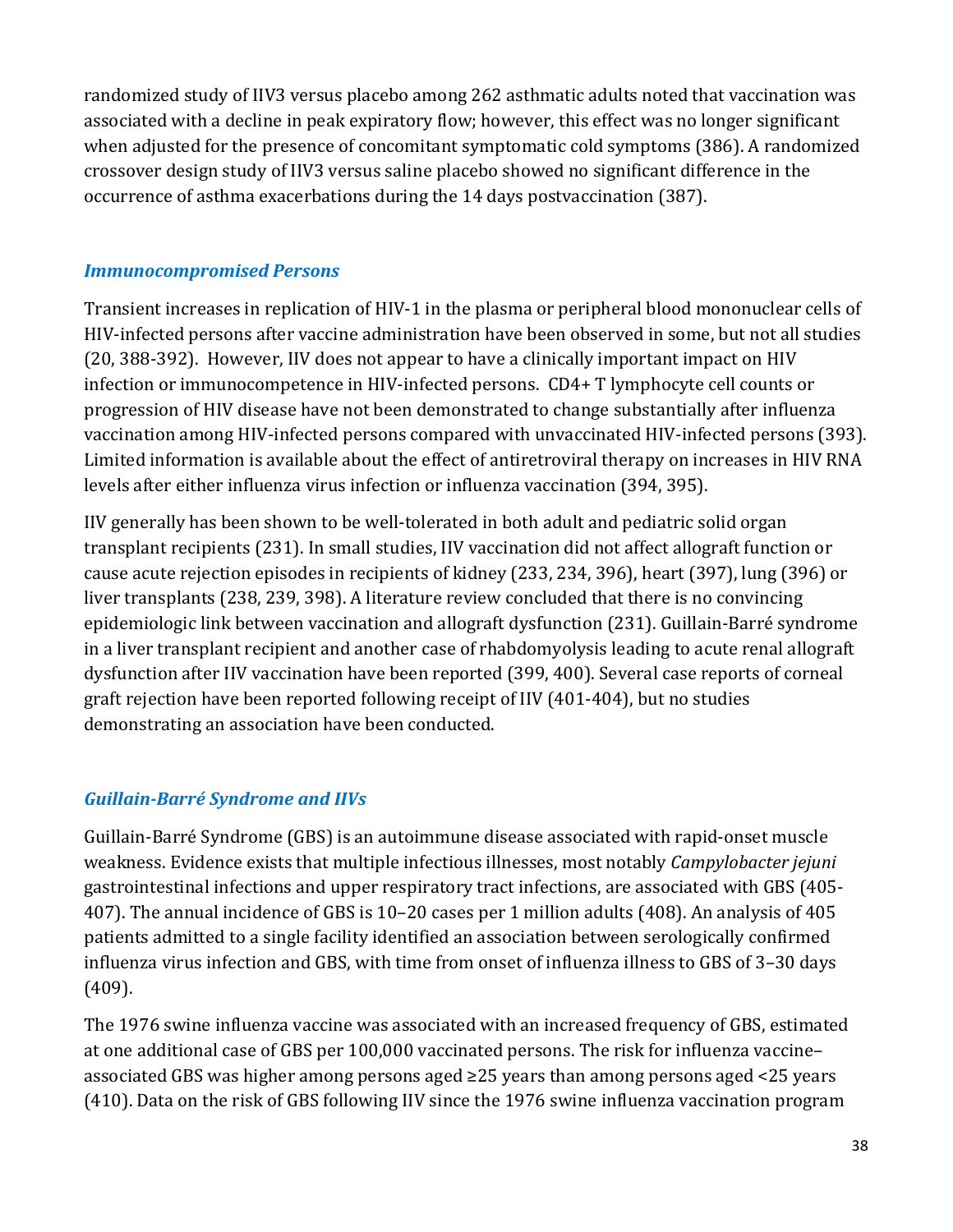randomized study of IIV3 versus placebo among 262 asthmatic adults noted that vaccination was associated with a decline in peak expiratory flow; however, this effect was no longer significant when adjusted for the presence of concomitant symptomatic cold symptoms (386). A randomized crossover design study of IIV3 versus saline placebo showed no significant difference in the occurrence of asthma exacerbations during the 14 days postvaccination (387).

#### *Immunocompromised Persons*

 infection or immunocompetence in HIV-infected persons. CD4+ T lymphocyte cell counts or Transient increases in replication of HIV-1 in the plasma or peripheral blood mononuclear cells of HIV-infected persons after vaccine administration have been observed in some, but not all studies (20, 388-392). However, IIV does not appear to have a clinically important impact on HIV progression of HIV disease have not been demonstrated to change substantially after influenza vaccination among HIV-infected persons compared with unvaccinated HIV-infected persons (393). Limited information is available about the effect of antiretroviral therapy on increases in HIV RNA levels after either influenza virus infection or influenza vaccination (394, 395).

 cause acute rejection episodes in recipients of kidney (233, 234, 396), heart (397), lung (396) or IIV generally has been shown to be well-tolerated in both adult and pediatric solid organ transplant recipients (231). In small studies, IIV vaccination did not affect allograft function or liver transplants (238, 239, 398). A literature review concluded that there is no convincing epidemiologic link between vaccination and allograft dysfunction (231). Guillain-Barré syndrome in a liver transplant recipient and another case of rhabdomyolysis leading to acute renal allograft dysfunction after IIV vaccination have been reported (399, 400). Several case reports of corneal graft rejection have been reported following receipt of IIV (401-404), but no studies demonstrating an association have been conducted.

#### *Guillain-Barré Syndrome and IIVs*

Guillain-Barré Syndrome (GBS) is an autoimmune disease associated with rapid-onset muscle weakness. Evidence exists that multiple infectious illnesses, most notably *Campylobacter jejuni*  gastrointestinal infections and upper respiratory tract infections, are associated with GBS (405- 407). The annual incidence of GBS is 10–20 cases per 1 million adults (408). An analysis of 405 patients admitted to a single facility identified an association between serologically confirmed influenza virus infection and GBS, with time from onset of influenza illness to GBS of 3–30 days (409).

The 1976 swine influenza vaccine was associated with an increased frequency of GBS, estimated at one additional case of GBS per 100,000 vaccinated persons. The risk for influenza vaccine– associated GBS was higher among persons aged ≥25 years than among persons aged <25 years (410). Data on the risk of GBS following IIV since the 1976 swine influenza vaccination program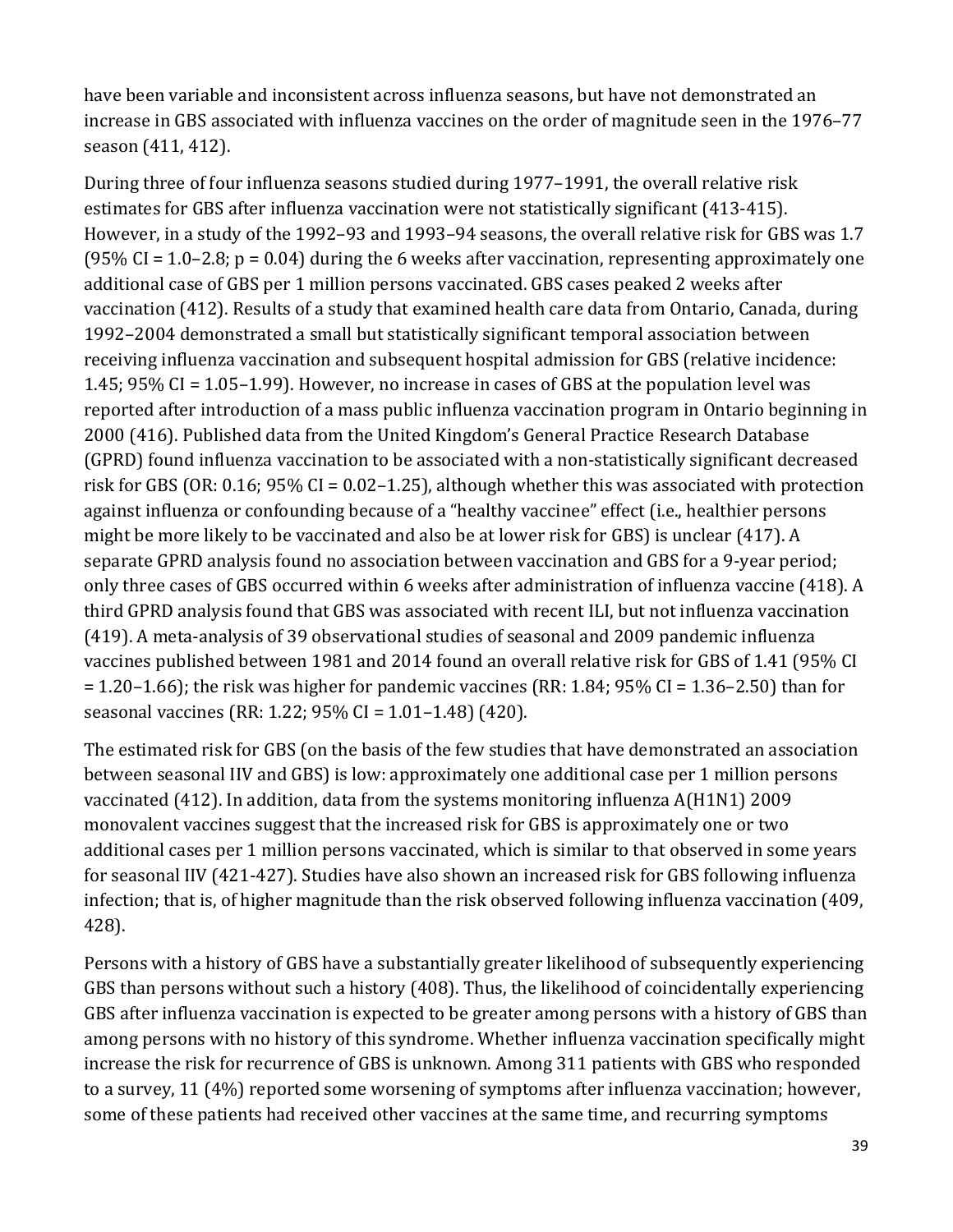have been variable and inconsistent across influenza seasons, but have not demonstrated an increase in GBS associated with influenza vaccines on the order of magnitude seen in the 1976–77 season (411, 412).

During three of four influenza seasons studied during 1977–1991, the overall relative risk estimates for GBS after influenza vaccination were not statistically significant (413-415). However, in a study of the 1992–93 and 1993–94 seasons, the overall relative risk for GBS was 1.7 (95% CI = 1.0–2.8;  $p = 0.04$ ) during the 6 weeks after vaccination, representing approximately one additional case of GBS per 1 million persons vaccinated. GBS cases peaked 2 weeks after vaccination (412). Results of a study that examined health care data from Ontario, Canada, during 1992–2004 demonstrated a small but statistically significant temporal association between receiving influenza vaccination and subsequent hospital admission for GBS (relative incidence: 1.45; 95% CI = 1.05–1.99). However, no increase in cases of GBS at the population level was reported after introduction of a mass public influenza vaccination program in Ontario beginning in 2000 (416). Published data from the United Kingdom's General Practice Research Database (GPRD) found influenza vaccination to be associated with a non-statistically significant decreased risk for GBS (OR: 0.16; 95% CI = 0.02–1.25), although whether this was associated with protection against influenza or confounding because of a "healthy vaccinee" effect (i.e., healthier persons might be more likely to be vaccinated and also be at lower risk for GBS) is unclear (417). A separate GPRD analysis found no association between vaccination and GBS for a 9-year period; only three cases of GBS occurred within 6 weeks after administration of influenza vaccine (418). A third GPRD analysis found that GBS was associated with recent ILI, but not influenza vaccination (419). A meta-analysis of 39 observational studies of seasonal and 2009 pandemic influenza vaccines published between 1981 and 2014 found an overall relative risk for GBS of 1.41 (95% CI  $= 1.20 - 1.66$ ; the risk was higher for pandemic vaccines (RR: 1.84; 95% CI = 1.36–2.50) than for seasonal vaccines (RR: 1.22; 95% CI = 1.01–1.48) (420).

The estimated risk for GBS (on the basis of the few studies that have demonstrated an association between seasonal IIV and GBS) is low: approximately one additional case per 1 million persons vaccinated (412). In addition, data from the systems monitoring influenza A(H1N1) 2009 monovalent vaccines suggest that the increased risk for GBS is approximately one or two additional cases per 1 million persons vaccinated, which is similar to that observed in some years for seasonal IIV (421-427). Studies have also shown an increased risk for GBS following influenza infection; that is, of higher magnitude than the risk observed following influenza vaccination (409, 428).

Persons with a history of GBS have a substantially greater likelihood of subsequently experiencing GBS than persons without such a history (408). Thus, the likelihood of coincidentally experiencing GBS after influenza vaccination is expected to be greater among persons with a history of GBS than among persons with no history of this syndrome. Whether influenza vaccination specifically might increase the risk for recurrence of GBS is unknown. Among 311 patients with GBS who responded to a survey, 11 (4%) reported some worsening of symptoms after influenza vaccination; however, some of these patients had received other vaccines at the same time, and recurring symptoms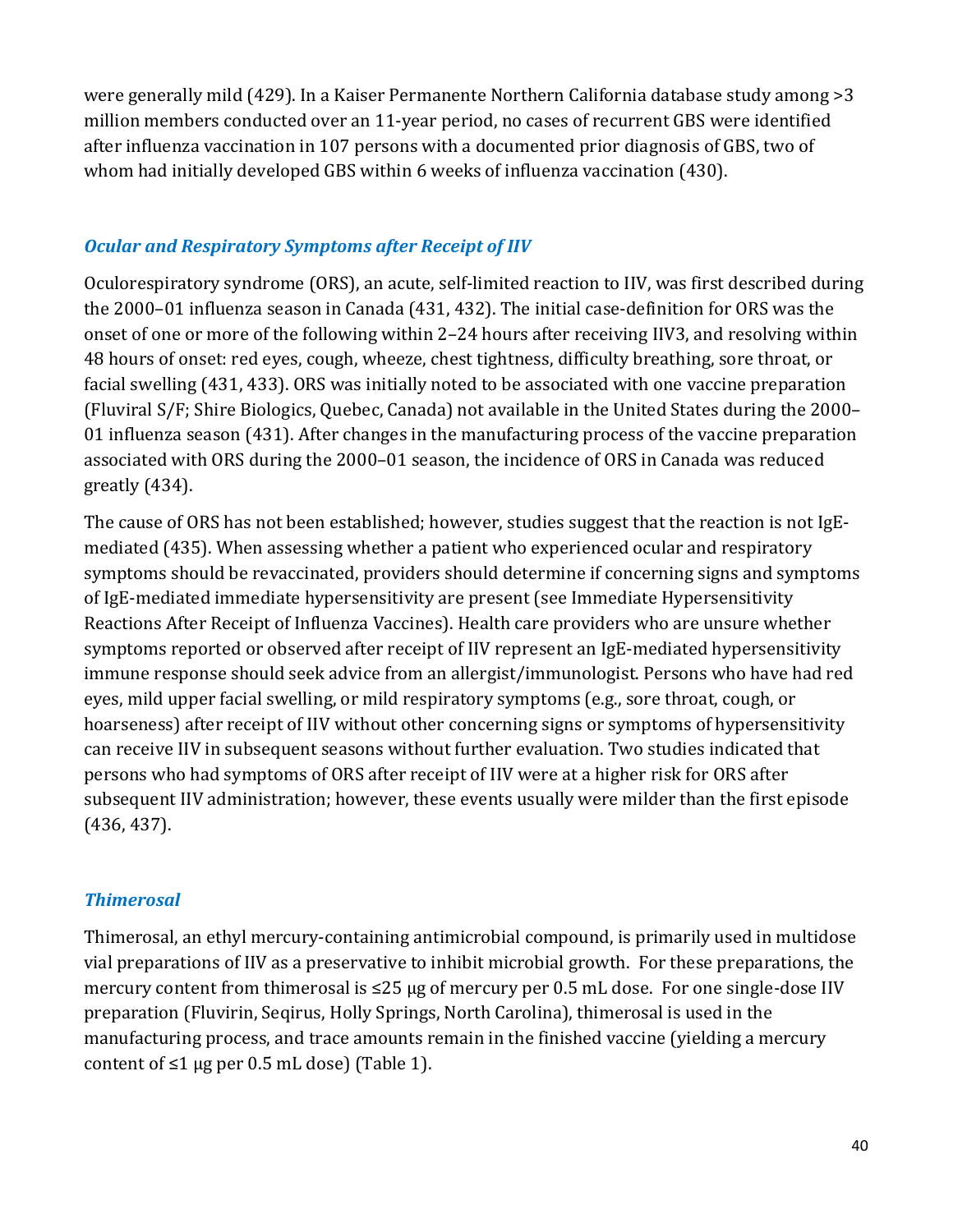were generally mild (429). In a Kaiser Permanente Northern California database study among >3 million members conducted over an 11-year period, no cases of recurrent GBS were identified after influenza vaccination in 107 persons with a documented prior diagnosis of GBS, two of whom had initially developed GBS within 6 weeks of influenza vaccination (430).

#### *Ocular and Respiratory Symptoms after Receipt of IIV*

 Oculorespiratory syndrome (ORS), an acute, self-limited reaction to IIV, was first described during facial swelling (431, 433). ORS was initially noted to be associated with one vaccine preparation the 2000–01 influenza season in Canada (431, 432). The initial case-definition for ORS was the onset of one or more of the following within 2–24 hours after receiving IIV3, and resolving within 48 hours of onset: red eyes, cough, wheeze, chest tightness, difficulty breathing, sore throat, or (Fluviral S/F; Shire Biologics, Quebec, Canada) not available in the United States during the 2000– 01 influenza season (431). After changes in the manufacturing process of the vaccine preparation associated with ORS during the 2000–01 season, the incidence of ORS in Canada was reduced greatly (434).

 immune response should seek advice from an allergist/immunologist. Persons who have had red The cause of ORS has not been established; however, studies suggest that the reaction is not IgEmediated (435). When assessing whether a patient who experienced ocular and respiratory symptoms should be revaccinated, providers should determine if concerning signs and symptoms of IgE-mediated immediate hypersensitivity are present (see Immediate Hypersensitivity Reactions After Receipt of Influenza Vaccines). Health care providers who are unsure whether symptoms reported or observed after receipt of IIV represent an IgE-mediated hypersensitivity eyes, mild upper facial swelling, or mild respiratory symptoms (e.g., sore throat, cough, or hoarseness) after receipt of IIV without other concerning signs or symptoms of hypersensitivity can receive IIV in subsequent seasons without further evaluation. Two studies indicated that persons who had symptoms of ORS after receipt of IIV were at a higher risk for ORS after subsequent IIV administration; however, these events usually were milder than the first episode (436, 437).

#### *Thimerosal*

 mercury content from thimerosal is ≤25 µg of mercury per 0.5 mL dose. For one single-dose IIV content of ≤1  $\mu$ g per 0.5 mL dose) (Table 1). Thimerosal, an ethyl mercury-containing antimicrobial compound, is primarily used in multidose vial preparations of IIV as a preservative to inhibit microbial growth. For these preparations, the preparation (Fluvirin, Seqirus, Holly Springs, North Carolina), thimerosal is used in the manufacturing process, and trace amounts remain in the finished vaccine (yielding a mercury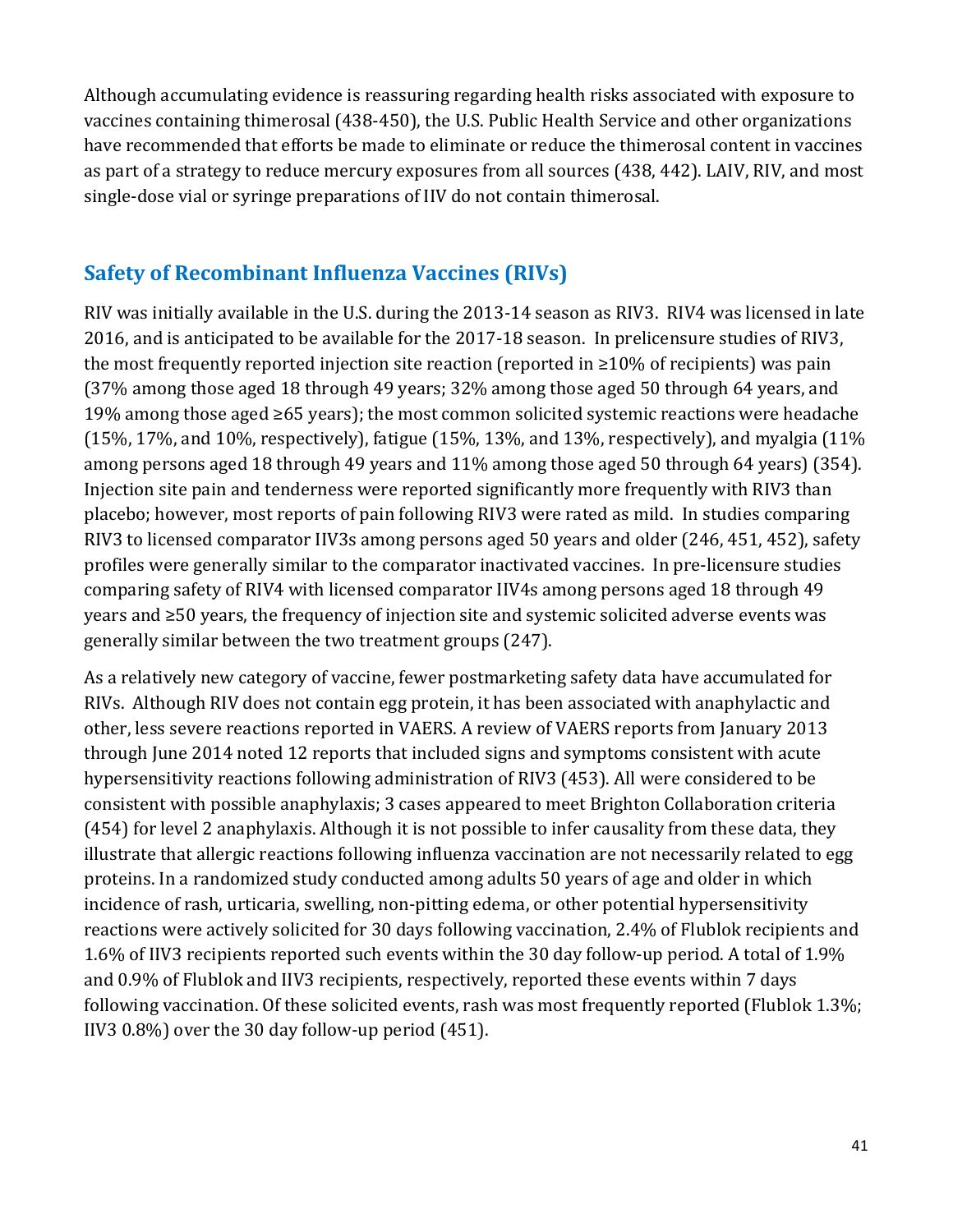as part of a strategy to reduce mercury exposures from all sources (438, 442). LAIV, RIV, and most Although accumulating evidence is reassuring regarding health risks associated with exposure to vaccines containing thimerosal (438-450), the U.S. Public Health Service and other organizations have recommended that efforts be made to eliminate or reduce the thimerosal content in vaccines single-dose vial or syringe preparations of IIV do not contain thimerosal.

### **Safety of Recombinant Influenza Vaccines (RIVs)**

RIV was initially available in the U.S. during the 2013-14 season as RIV3. RIV4 was licensed in late 2016, and is anticipated to be available for the 2017-18 season. In prelicensure studies of RIV3, the most frequently reported injection site reaction (reported in ≥10% of recipients) was pain (37% among those aged 18 through 49 years; 32% among those aged 50 through 64 years, and 19% among those aged ≥65 years); the most common solicited systemic reactions were headache (15%, 17%, and 10%, respectively), fatigue (15%, 13%, and 13%, respectively), and myalgia (11%) among persons aged 18 through 49 years and 11% among those aged 50 through 64 years) (354). Injection site pain and tenderness were reported significantly more frequently with RIV3 than placebo; however, most reports of pain following RIV3 were rated as mild. In studies comparing RIV3 to licensed comparator IIV3s among persons aged 50 years and older (246, 451, 452), safety profiles were generally similar to the comparator inactivated vaccines. In pre-licensure studies comparing safety of RIV4 with licensed comparator IIV4s among persons aged 18 through 49 years and ≥50 years, the frequency of injection site and systemic solicited adverse events was generally similar between the two treatment groups (247).

As a relatively new category of vaccine, fewer postmarketing safety data have accumulated for RIVs. Although RIV does not contain egg protein, it has been associated with anaphylactic and other, less severe reactions reported in VAERS. A review of VAERS reports from January 2013 through June 2014 noted 12 reports that included signs and symptoms consistent with acute hypersensitivity reactions following administration of RIV3 (453). All were considered to be consistent with possible anaphylaxis; 3 cases appeared to meet Brighton Collaboration criteria (454) for level 2 anaphylaxis. Although it is not possible to infer causality from these data, they illustrate that allergic reactions following influenza vaccination are not necessarily related to egg proteins. In a randomized study conducted among adults 50 years of age and older in which incidence of rash, urticaria, swelling, non-pitting edema, or other potential hypersensitivity reactions were actively solicited for 30 days following vaccination, 2.4% of Flublok recipients and 1.6% of IIV3 recipients reported such events within the 30 day follow-up period. A total of 1.9% and 0.9% of Flublok and IIV3 recipients, respectively, reported these events within 7 days following vaccination. Of these solicited events, rash was most frequently reported (Flublok 1.3%; IIV3 0.8%) over the 30 day follow-up period (451).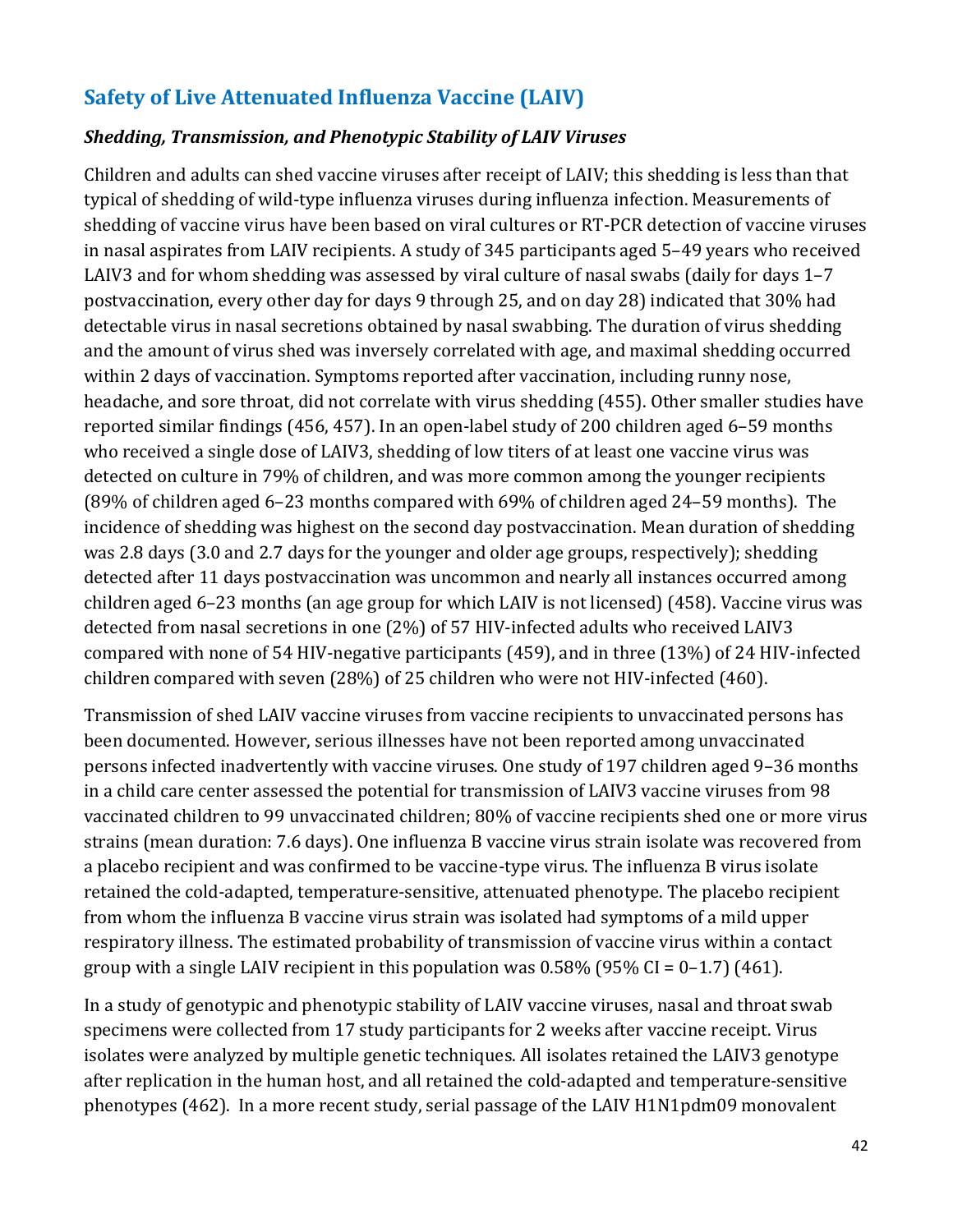# **Safety of Live Attenuated Influenza Vaccine (LAIV)**

#### *Shedding, Transmission, and Phenotypic Stability of LAIV Viruses*

 headache, and sore throat, did not correlate with virus shedding (455). Other smaller studies have who received a single dose of LAIV3, shedding of low titers of at least one vaccine virus was (89% of children aged 6–23 months compared with 69% of children aged 24–59 months). The children aged 6–23 months (an age group for which LAIV is not licensed) (458). Vaccine virus was Children and adults can shed vaccine viruses after receipt of LAIV; this shedding is less than that typical of shedding of wild-type influenza viruses during influenza infection. Measurements of shedding of vaccine virus have been based on viral cultures or RT-PCR detection of vaccine viruses in nasal aspirates from LAIV recipients. A study of 345 participants aged 5–49 years who received LAIV3 and for whom shedding was assessed by viral culture of nasal swabs (daily for days 1–7 postvaccination, every other day for days 9 through 25, and on day 28) indicated that 30% had detectable virus in nasal secretions obtained by nasal swabbing. The duration of virus shedding and the amount of virus shed was inversely correlated with age, and maximal shedding occurred within 2 days of vaccination. Symptoms reported after vaccination, including runny nose, reported similar findings (456, 457). In an open-label study of 200 children aged 6–59 months detected on culture in 79% of children, and was more common among the younger recipients incidence of shedding was highest on the second day postvaccination. Mean duration of shedding was 2.8 days (3.0 and 2.7 days for the younger and older age groups, respectively); shedding detected after 11 days postvaccination was uncommon and nearly all instances occurred among detected from nasal secretions in one (2%) of 57 HIV-infected adults who received LAIV3 compared with none of 54 HIV-negative participants (459), and in three (13%) of 24 HIV-infected children compared with seven (28%) of 25 children who were not HIV-infected (460).

 group with a single LAIV recipient in this population was 0.58% (95% CI = 0–1.7) (461). Transmission of shed LAIV vaccine viruses from vaccine recipients to unvaccinated persons has been documented. However, serious illnesses have not been reported among unvaccinated persons infected inadvertently with vaccine viruses. One study of 197 children aged 9–36 months in a child care center assessed the potential for transmission of LAIV3 vaccine viruses from 98 vaccinated children to 99 unvaccinated children; 80% of vaccine recipients shed one or more virus strains (mean duration: 7.6 days). One influenza B vaccine virus strain isolate was recovered from a placebo recipient and was confirmed to be vaccine-type virus. The influenza B virus isolate retained the cold-adapted, temperature-sensitive, attenuated phenotype. The placebo recipient from whom the influenza B vaccine virus strain was isolated had symptoms of a mild upper respiratory illness. The estimated probability of transmission of vaccine virus within a contact

 In a study of genotypic and phenotypic stability of LAIV vaccine viruses, nasal and throat swab phenotypes (462). In a more recent study, serial passage of the LAIV H1N1pdm09 monovalent specimens were collected from 17 study participants for 2 weeks after vaccine receipt. Virus isolates were analyzed by multiple genetic techniques. All isolates retained the LAIV3 genotype after replication in the human host, and all retained the cold-adapted and temperature-sensitive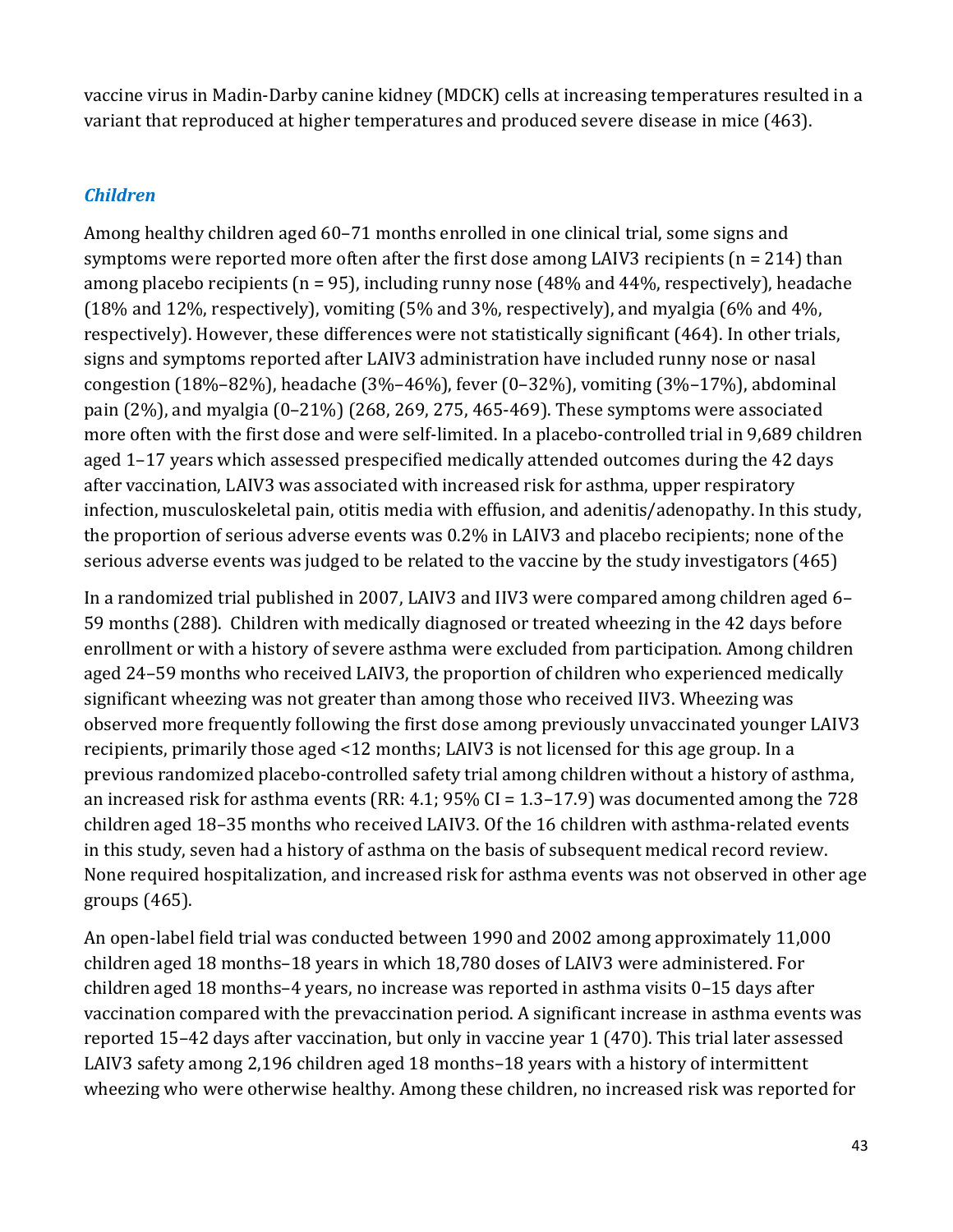vaccine virus in Madin-Darby canine kidney (MDCK) cells at increasing temperatures resulted in a variant that reproduced at higher temperatures and produced severe disease in mice (463).

#### *Children*

Among healthy children aged 60–71 months enrolled in one clinical trial, some signs and symptoms were reported more often after the first dose among LAIV3 recipients ( $n = 214$ ) than among placebo recipients ( $n = 95$ ), including runny nose (48% and 44%, respectively), headache (18% and 12%, respectively), vomiting (5% and 3%, respectively), and myalgia (6% and 4%, respectively). However, these differences were not statistically significant (464). In other trials, signs and symptoms reported after LAIV3 administration have included runny nose or nasal congestion (18%–82%), headache (3%–46%), fever (0–32%), vomiting (3%–17%), abdominal pain (2%), and myalgia (0–21%) (268, 269, 275, 465-469). These symptoms were associated more often with the first dose and were self-limited. In a placebo-controlled trial in 9,689 children aged 1–17 years which assessed prespecified medically attended outcomes during the 42 days after vaccination, LAIV3 was associated with increased risk for asthma, upper respiratory infection, musculoskeletal pain, otitis media with effusion, and adenitis/adenopathy. In this study, the proportion of serious adverse events was 0.2% in LAIV3 and placebo recipients; none of the serious adverse events was judged to be related to the vaccine by the study investigators (465)

In a randomized trial published in 2007, LAIV3 and IIV3 were compared among children aged 6– 59 months (288). Children with medically diagnosed or treated wheezing in the 42 days before enrollment or with a history of severe asthma were excluded from participation. Among children aged 24–59 months who received LAIV3, the proportion of children who experienced medically significant wheezing was not greater than among those who received IIV3. Wheezing was observed more frequently following the first dose among previously unvaccinated younger LAIV3 recipients, primarily those aged <12 months; LAIV3 is not licensed for this age group. In a previous randomized placebo-controlled safety trial among children without a history of asthma, an increased risk for asthma events (RR: 4.1; 95% CI = 1.3–17.9) was documented among the 728 children aged 18–35 months who received LAIV3. Of the 16 children with asthma-related events in this study, seven had a history of asthma on the basis of subsequent medical record review. None required hospitalization, and increased risk for asthma events was not observed in other age groups (465).

 wheezing who were otherwise healthy. Among these children, no increased risk was reported for An open-label field trial was conducted between 1990 and 2002 among approximately 11,000 children aged 18 months–18 years in which 18,780 doses of LAIV3 were administered. For children aged 18 months–4 years, no increase was reported in asthma visits 0–15 days after vaccination compared with the prevaccination period. A significant increase in asthma events was reported 15–42 days after vaccination, but only in vaccine year 1 (470). This trial later assessed LAIV3 safety among 2,196 children aged 18 months–18 years with a history of intermittent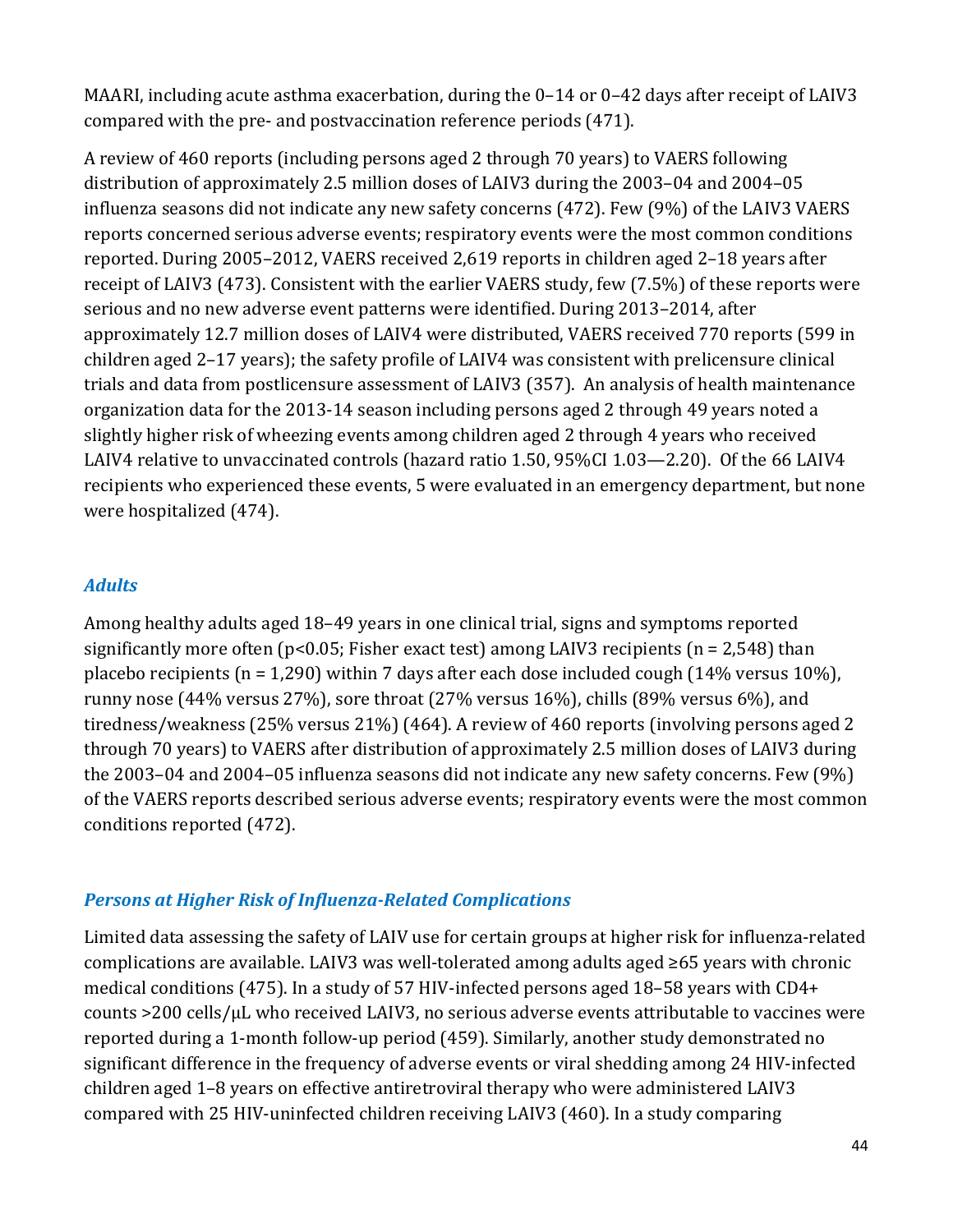MAARI, including acute asthma exacerbation, during the 0–14 or 0–42 days after receipt of LAIV3 compared with the pre- and postvaccination reference periods (471).

A review of 460 reports (including persons aged 2 through 70 years) to VAERS following distribution of approximately 2.5 million doses of LAIV3 during the 2003–04 and 2004–05 influenza seasons did not indicate any new safety concerns (472). Few (9%) of the LAIV3 VAERS reports concerned serious adverse events; respiratory events were the most common conditions reported. During 2005–2012, VAERS received 2,619 reports in children aged 2–18 years after receipt of LAIV3 (473). Consistent with the earlier VAERS study, few (7.5%) of these reports were serious and no new adverse event patterns were identified. During 2013–2014, after approximately 12.7 million doses of LAIV4 were distributed, VAERS received 770 reports (599 in children aged 2–17 years); the safety profile of LAIV4 was consistent with prelicensure clinical trials and data from postlicensure assessment of LAIV3 (357). An analysis of health maintenance organization data for the 2013-14 season including persons aged 2 through 49 years noted a slightly higher risk of wheezing events among children aged 2 through 4 years who received LAIV4 relative to unvaccinated controls (hazard ratio 1.50, 95%CI 1.03—2.20). Of the 66 LAIV4 recipients who experienced these events, 5 were evaluated in an emergency department, but none were hospitalized (474).

#### *Adults*

 runny nose (44% versus 27%), sore throat (27% versus 16%), chills (89% versus 6%), and through 70 years) to VAERS after distribution of approximately 2.5 million doses of LAIV3 during conditions reported (472). Among healthy adults aged 18–49 years in one clinical trial, signs and symptoms reported significantly more often ( $p<0.05$ ; Fisher exact test) among LAIV3 recipients ( $n = 2.548$ ) than placebo recipients (n = 1,290) within 7 days after each dose included cough (14% versus 10%), tiredness/weakness (25% versus 21%) (464). A review of 460 reports (involving persons aged 2 the 2003–04 and 2004–05 influenza seasons did not indicate any new safety concerns. Few (9%) of the VAERS reports described serious adverse events; respiratory events were the most common

#### *Persons at Higher Risk of Influenza-Related Complications*

 complications are available. LAIV3 was well-tolerated among adults aged ≥65 years with chronic Limited data assessing the safety of LAIV use for certain groups at higher risk for influenza-related medical conditions (475). In a study of 57 HIV-infected persons aged 18–58 years with CD4+ counts >200 cells/µL who received LAIV3, no serious adverse events attributable to vaccines were reported during a 1-month follow-up period (459). Similarly, another study demonstrated no significant difference in the frequency of adverse events or viral shedding among 24 HIV-infected children aged 1–8 years on effective antiretroviral therapy who were administered LAIV3 compared with 25 HIV-uninfected children receiving LAIV3 (460). In a study comparing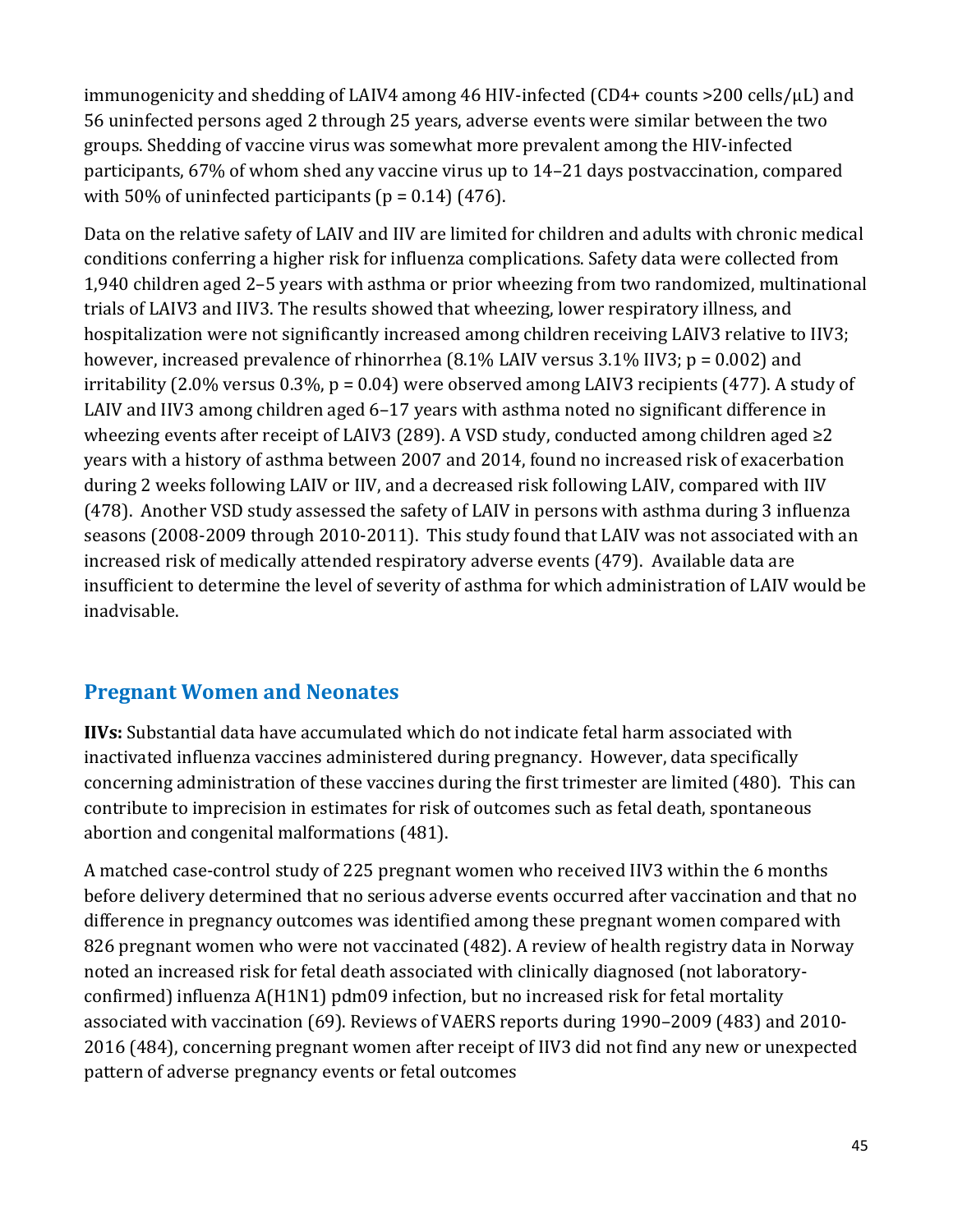56 uninfected persons aged 2 through 25 years, adverse events were similar between the two immunogenicity and shedding of LAIV4 among 46 HIV-infected (CD4+ counts >200 cells/µL) and groups. Shedding of vaccine virus was somewhat more prevalent among the HIV-infected participants, 67% of whom shed any vaccine virus up to 14–21 days postvaccination, compared with 50% of uninfected participants ( $p = 0.14$ ) (476).

 wheezing events after receipt of LAIV3 (289). A VSD study, conducted among children aged ≥2 increased risk of medically attended respiratory adverse events (479). Available data are Data on the relative safety of LAIV and IIV are limited for children and adults with chronic medical conditions conferring a higher risk for influenza complications. Safety data were collected from 1,940 children aged 2–5 years with asthma or prior wheezing from two randomized, multinational trials of LAIV3 and IIV3. The results showed that wheezing, lower respiratory illness, and hospitalization were not significantly increased among children receiving LAIV3 relative to IIV3; however, increased prevalence of rhinorrhea (8.1% LAIV versus 3.1% IIV3; p = 0.002) and irritability (2.0% versus 0.3%, p = 0.04) were observed among LAIV3 recipients (477). A study of LAIV and IIV3 among children aged 6–17 years with asthma noted no significant difference in years with a history of asthma between 2007 and 2014, found no increased risk of exacerbation during 2 weeks following LAIV or IIV, and a decreased risk following LAIV, compared with IIV (478). Another VSD study assessed the safety of LAIV in persons with asthma during 3 influenza seasons (2008-2009 through 2010-2011). This study found that LAIV was not associated with an insufficient to determine the level of severity of asthma for which administration of LAIV would be inadvisable.

# **Pregnant Women and Neonates**

 inactivated influenza vaccines administered during pregnancy. However, data specifically **IIVs:** Substantial data have accumulated which do not indicate fetal harm associated with concerning administration of these vaccines during the first trimester are limited (480). This can contribute to imprecision in estimates for risk of outcomes such as fetal death, spontaneous abortion and congenital malformations (481).

A matched case-control study of 225 pregnant women who received IIV3 within the 6 months before delivery determined that no serious adverse events occurred after vaccination and that no difference in pregnancy outcomes was identified among these pregnant women compared with 826 pregnant women who were not vaccinated (482). A review of health registry data in Norway noted an increased risk for fetal death associated with clinically diagnosed (not laboratoryconfirmed) influenza A(H1N1) pdm09 infection, but no increased risk for fetal mortality associated with vaccination (69). Reviews of VAERS reports during 1990–2009 (483) and 2010- 2016 (484), concerning pregnant women after receipt of IIV3 did not find any new or unexpected pattern of adverse pregnancy events or fetal outcomes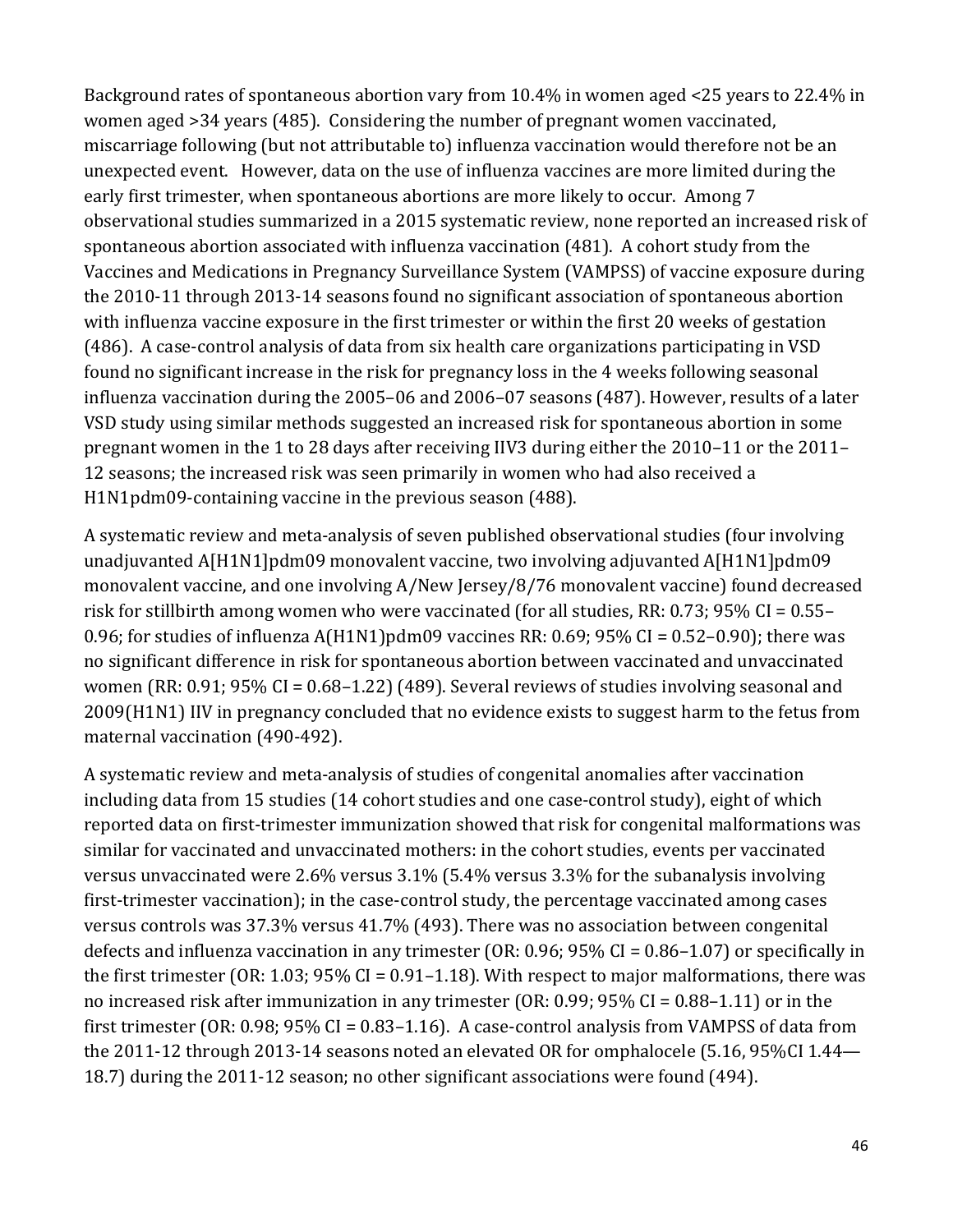Background rates of spontaneous abortion vary from 10.4% in women aged <25 years to 22.4% in unexpected event. However, data on the use of influenza vaccines are more limited during the spontaneous abortion associated with influenza vaccination (481). A cohort study from the women aged >34 years (485). Considering the number of pregnant women vaccinated, miscarriage following (but not attributable to) influenza vaccination would therefore not be an early first trimester, when spontaneous abortions are more likely to occur. Among 7 observational studies summarized in a 2015 systematic review, none reported an increased risk of Vaccines and Medications in Pregnancy Surveillance System (VAMPSS) of vaccine exposure during the 2010-11 through 2013-14 seasons found no significant association of spontaneous abortion with influenza vaccine exposure in the first trimester or within the first 20 weeks of gestation (486). A case-control analysis of data from six health care organizations participating in VSD found no significant increase in the risk for pregnancy loss in the 4 weeks following seasonal influenza vaccination during the 2005–06 and 2006–07 seasons (487). However, results of a later VSD study using similar methods suggested an increased risk for spontaneous abortion in some pregnant women in the 1 to 28 days after receiving IIV3 during either the 2010–11 or the 2011– 12 seasons; the increased risk was seen primarily in women who had also received a H1N1pdm09-containing vaccine in the previous season (488).

A systematic review and meta-analysis of seven published observational studies (four involving unadjuvanted A[H1N1]pdm09 monovalent vaccine, two involving adjuvanted A[H1N1]pdm09 monovalent vaccine, and one involving A/New Jersey/8/76 monovalent vaccine) found decreased risk for stillbirth among women who were vaccinated (for all studies, RR: 0.73; 95% CI = 0.55– 0.96; for studies of influenza A(H1N1)pdm09 vaccines RR: 0.69; 95% CI = 0.52–0.90); there was no significant difference in risk for spontaneous abortion between vaccinated and unvaccinated women (RR: 0.91; 95% CI = 0.68–1.22) (489). Several reviews of studies involving seasonal and 2009(H1N1) IIV in pregnancy concluded that no evidence exists to suggest harm to the fetus from maternal vaccination (490-492).

A systematic review and meta-analysis of studies of congenital anomalies after vaccination including data from 15 studies (14 cohort studies and one case-control study), eight of which reported data on first-trimester immunization showed that risk for congenital malformations was similar for vaccinated and unvaccinated mothers: in the cohort studies, events per vaccinated versus unvaccinated were 2.6% versus 3.1% (5.4% versus 3.3% for the subanalysis involving first-trimester vaccination); in the case-control study, the percentage vaccinated among cases versus controls was 37.3% versus 41.7% (493). There was no association between congenital defects and influenza vaccination in any trimester (OR: 0.96; 95% CI = 0.86–1.07) or specifically in the first trimester (OR: 1.03;  $95\%$  CI = 0.91–1.18). With respect to major malformations, there was no increased risk after immunization in any trimester (OR: 0.99; 95% CI = 0.88–1.11) or in the first trimester (OR: 0.98; 95% CI = 0.83–1.16). A case-control analysis from VAMPSS of data from the 2011-12 through 2013-14 seasons noted an elevated OR for omphalocele (5.16, 95%CI 1.44— 18.7) during the 2011-12 season; no other significant associations were found (494).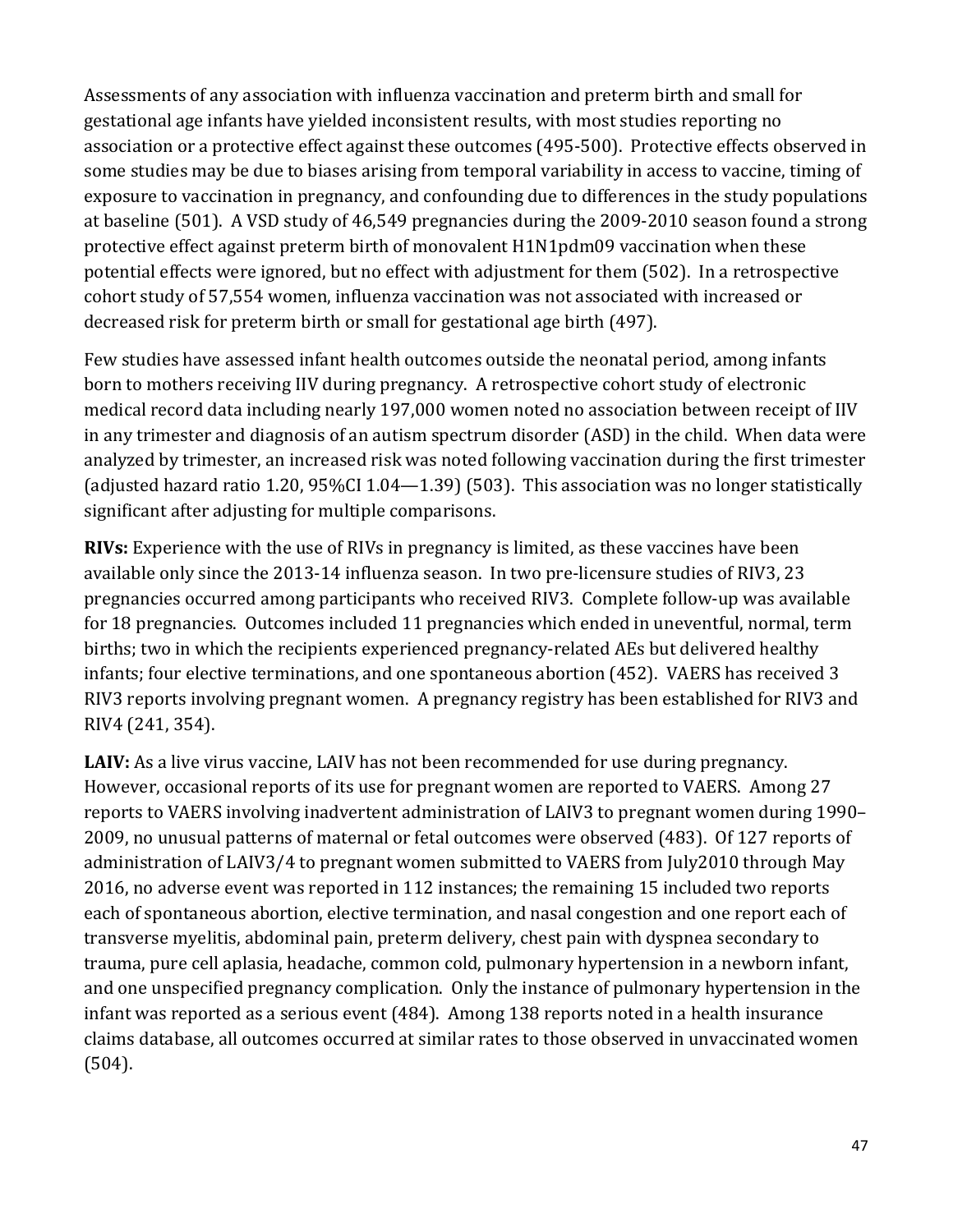at baseline (501). A VSD study of 46,549 pregnancies during the 2009-2010 season found a strong Assessments of any association with influenza vaccination and preterm birth and small for gestational age infants have yielded inconsistent results, with most studies reporting no association or a protective effect against these outcomes (495-500). Protective effects observed in some studies may be due to biases arising from temporal variability in access to vaccine, timing of exposure to vaccination in pregnancy, and confounding due to differences in the study populations protective effect against preterm birth of monovalent H1N1pdm09 vaccination when these potential effects were ignored, but no effect with adjustment for them (502). In a retrospective cohort study of 57,554 women, influenza vaccination was not associated with increased or decreased risk for preterm birth or small for gestational age birth (497).

Few studies have assessed infant health outcomes outside the neonatal period, among infants born to mothers receiving IIV during pregnancy. A retrospective cohort study of electronic medical record data including nearly 197,000 women noted no association between receipt of IIV in any trimester and diagnosis of an autism spectrum disorder (ASD) in the child. When data were analyzed by trimester, an increased risk was noted following vaccination during the first trimester (adjusted hazard ratio 1.20, 95%CI 1.04—1.39) (503). This association was no longer statistically significant after adjusting for multiple comparisons.

 available only since the 2013-14 influenza season. In two pre-licensure studies of RIV3, 23 infants; four elective terminations, and one spontaneous abortion (452). VAERS has received 3 RIV3 reports involving pregnant women. A pregnancy registry has been established for RIV3 and **RIVs:** Experience with the use of RIVs in pregnancy is limited, as these vaccines have been pregnancies occurred among participants who received RIV3. Complete follow-up was available for 18 pregnancies. Outcomes included 11 pregnancies which ended in uneventful, normal, term births; two in which the recipients experienced pregnancy-related AEs but delivered healthy RIV4 (241, 354).

 **LAIV:** As a live virus vaccine, LAIV has not been recommended for use during pregnancy. 2009, no unusual patterns of maternal or fetal outcomes were observed (483). Of 127 reports of However, occasional reports of its use for pregnant women are reported to VAERS. Among 27 reports to VAERS involving inadvertent administration of LAIV3 to pregnant women during 1990– administration of LAIV3/4 to pregnant women submitted to VAERS from July2010 through May 2016, no adverse event was reported in 112 instances; the remaining 15 included two reports each of spontaneous abortion, elective termination, and nasal congestion and one report each of transverse myelitis, abdominal pain, preterm delivery, chest pain with dyspnea secondary to trauma, pure cell aplasia, headache, common cold, pulmonary hypertension in a newborn infant, and one unspecified pregnancy complication. Only the instance of pulmonary hypertension in the infant was reported as a serious event (484). Among 138 reports noted in a health insurance claims database, all outcomes occurred at similar rates to those observed in unvaccinated women (504).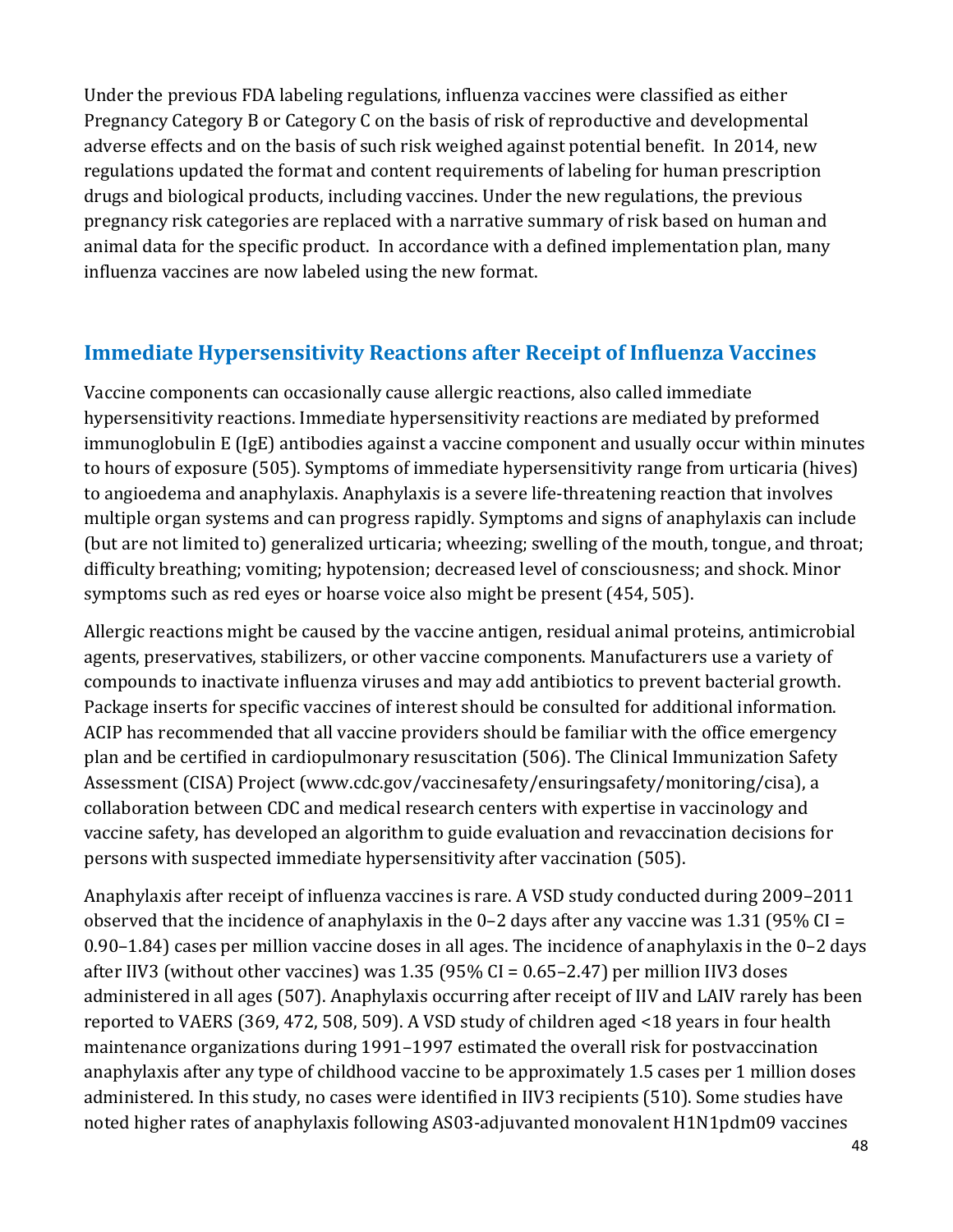Pregnancy Category B or Category C on the basis of risk of reproductive and developmental animal data for the specific product. In accordance with a defined implementation plan, many Under the previous FDA labeling regulations, influenza vaccines were classified as either adverse effects and on the basis of such risk weighed against potential benefit. In 2014, new regulations updated the format and content requirements of labeling for human prescription drugs and biological products, including vaccines. Under the new regulations, the previous pregnancy risk categories are replaced with a narrative summary of risk based on human and influenza vaccines are now labeled using the new format.

# **Immediate Hypersensitivity Reactions after Receipt of Influenza Vaccines**

Vaccine components can occasionally cause allergic reactions, also called immediate hypersensitivity reactions. Immediate hypersensitivity reactions are mediated by preformed immunoglobulin E (IgE) antibodies against a vaccine component and usually occur within minutes to hours of exposure (505). Symptoms of immediate hypersensitivity range from urticaria (hives) to angioedema and anaphylaxis. Anaphylaxis is a severe life-threatening reaction that involves multiple organ systems and can progress rapidly. Symptoms and signs of anaphylaxis can include (but are not limited to) generalized urticaria; wheezing; swelling of the mouth, tongue, and throat; difficulty breathing; vomiting; hypotension; decreased level of consciousness; and shock. Minor symptoms such as red eyes or hoarse voice also might be present (454, 505).

 compounds to inactivate influenza viruses and may add antibiotics to prevent bacterial growth. Allergic reactions might be caused by the vaccine antigen, residual animal proteins, antimicrobial agents, preservatives, stabilizers, or other vaccine components. Manufacturers use a variety of Package inserts for specific vaccines of interest should be consulted for additional information. ACIP has recommended that all vaccine providers should be familiar with the office emergency plan and be certified in cardiopulmonary resuscitation (506). The Clinical Immunization Safety Assessment (CISA) Project (www.cdc.gov/vaccinesafety/ensuringsafety/monitoring/cisa), a collaboration between CDC and medical research centers with expertise in vaccinology and vaccine safety, has developed an algorithm to guide evaluation and revaccination decisions for persons with suspected immediate hypersensitivity after vaccination (505).

Anaphylaxis after receipt of influenza vaccines is rare. A VSD study conducted during 2009–2011 observed that the incidence of anaphylaxis in the  $0-2$  days after any vaccine was 1.31 (95% CI = 0.90–1.84) cases per million vaccine doses in all ages. The incidence of anaphylaxis in the 0–2 days after IIV3 (without other vaccines) was 1.35 (95% CI = 0.65–2.47) per million IIV3 doses administered in all ages (507). Anaphylaxis occurring after receipt of IIV and LAIV rarely has been reported to VAERS (369, 472, 508, 509). A VSD study of children aged <18 years in four health maintenance organizations during 1991–1997 estimated the overall risk for postvaccination anaphylaxis after any type of childhood vaccine to be approximately 1.5 cases per 1 million doses administered. In this study, no cases were identified in IIV3 recipients (510). Some studies have noted higher rates of anaphylaxis following AS03-adjuvanted monovalent H1N1pdm09 vaccines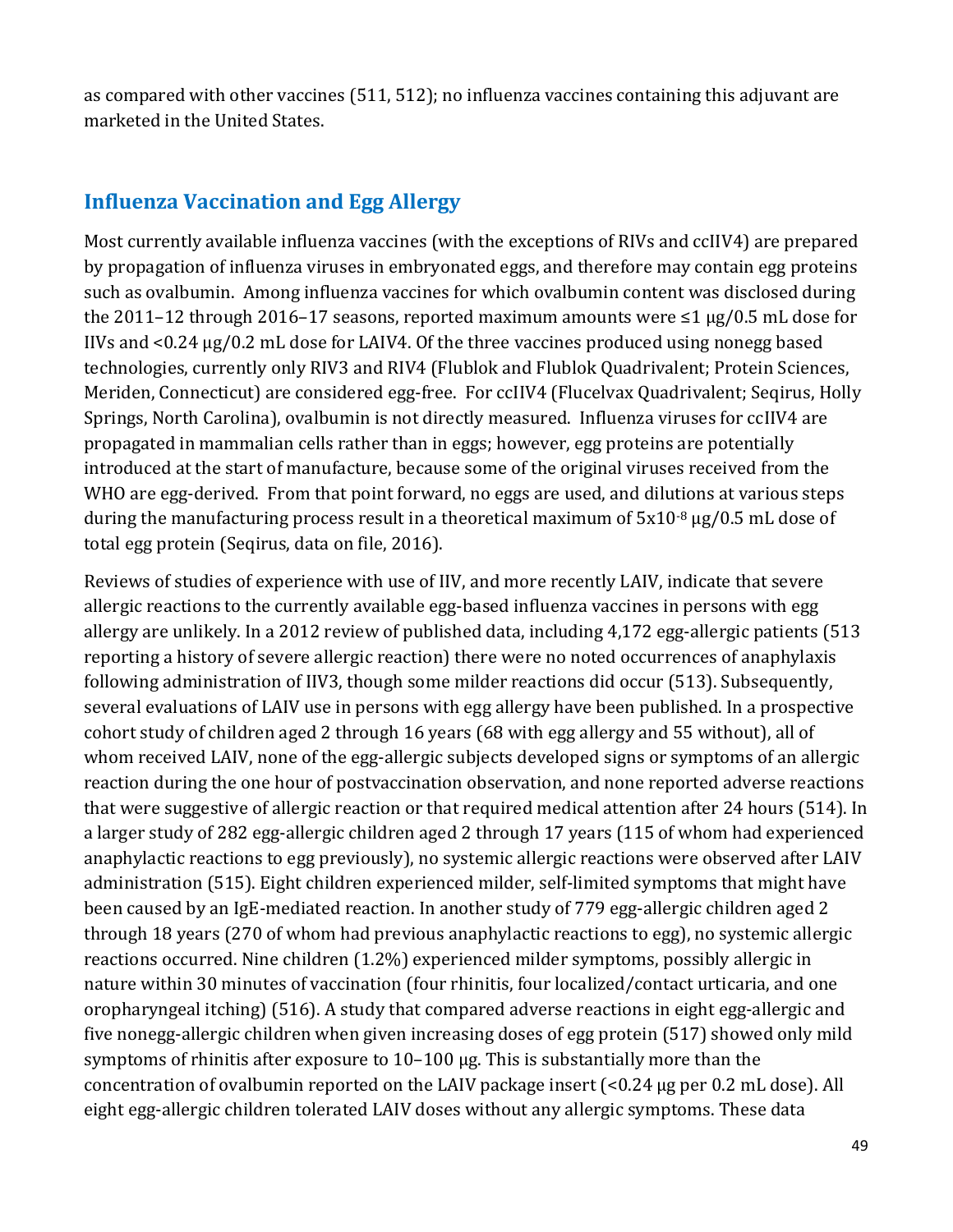as compared with other vaccines (511, 512); no influenza vaccines containing this adjuvant are marketed in the United States.

### **Influenza Vaccination and Egg Allergy**

Most currently available influenza vaccines (with the exceptions of RIVs and ccIIV4) are prepared by propagation of influenza viruses in embryonated eggs, and therefore may contain egg proteins such as ovalbumin. Among influenza vaccines for which ovalbumin content was disclosed during the 2011–12 through 2016–17 seasons, reported maximum amounts were ≤1 µg/0.5 mL dose for IIVs and <0.24 µg/0.2 mL dose for LAIV4. Of the three vaccines produced using nonegg based technologies, currently only RIV3 and RIV4 (Flublok and Flublok Quadrivalent; Protein Sciences, Meriden, Connecticut) are considered egg-free. For ccIIV4 (Flucelvax Quadrivalent; Seqirus, Holly Springs, North Carolina), ovalbumin is not directly measured. Influenza viruses for ccIIV4 are propagated in mammalian cells rather than in eggs; however, egg proteins are potentially introduced at the start of manufacture, because some of the original viruses received from the WHO are egg-derived. From that point forward, no eggs are used, and dilutions at various steps during the manufacturing process result in a theoretical maximum of  $5x10^{-8}$  µg/0.5 mL dose of total egg protein (Seqirus, data on file, 2016).

 through 18 years (270 of whom had previous anaphylactic reactions to egg), no systemic allergic concentration of ovalbumin reported on the LAIV package insert (<0.24 µg per 0.2 mL dose). All Reviews of studies of experience with use of IIV, and more recently LAIV, indicate that severe allergic reactions to the currently available egg-based influenza vaccines in persons with egg allergy are unlikely. In a 2012 review of published data, including 4,172 egg-allergic patients (513 reporting a history of severe allergic reaction) there were no noted occurrences of anaphylaxis following administration of IIV3, though some milder reactions did occur (513). Subsequently, several evaluations of LAIV use in persons with egg allergy have been published. In a prospective cohort study of children aged 2 through 16 years (68 with egg allergy and 55 without), all of whom received LAIV, none of the egg-allergic subjects developed signs or symptoms of an allergic reaction during the one hour of postvaccination observation, and none reported adverse reactions that were suggestive of allergic reaction or that required medical attention after 24 hours (514). In a larger study of 282 egg-allergic children aged 2 through 17 years (115 of whom had experienced anaphylactic reactions to egg previously), no systemic allergic reactions were observed after LAIV administration (515). Eight children experienced milder, self-limited symptoms that might have been caused by an IgE-mediated reaction. In another study of 779 egg-allergic children aged 2 reactions occurred. Nine children (1.2%) experienced milder symptoms, possibly allergic in nature within 30 minutes of vaccination (four rhinitis, four localized/contact urticaria, and one oropharyngeal itching) (516). A study that compared adverse reactions in eight egg-allergic and five nonegg-allergic children when given increasing doses of egg protein (517) showed only mild symptoms of rhinitis after exposure to 10–100 µg. This is substantially more than the eight egg-allergic children tolerated LAIV doses without any allergic symptoms. These data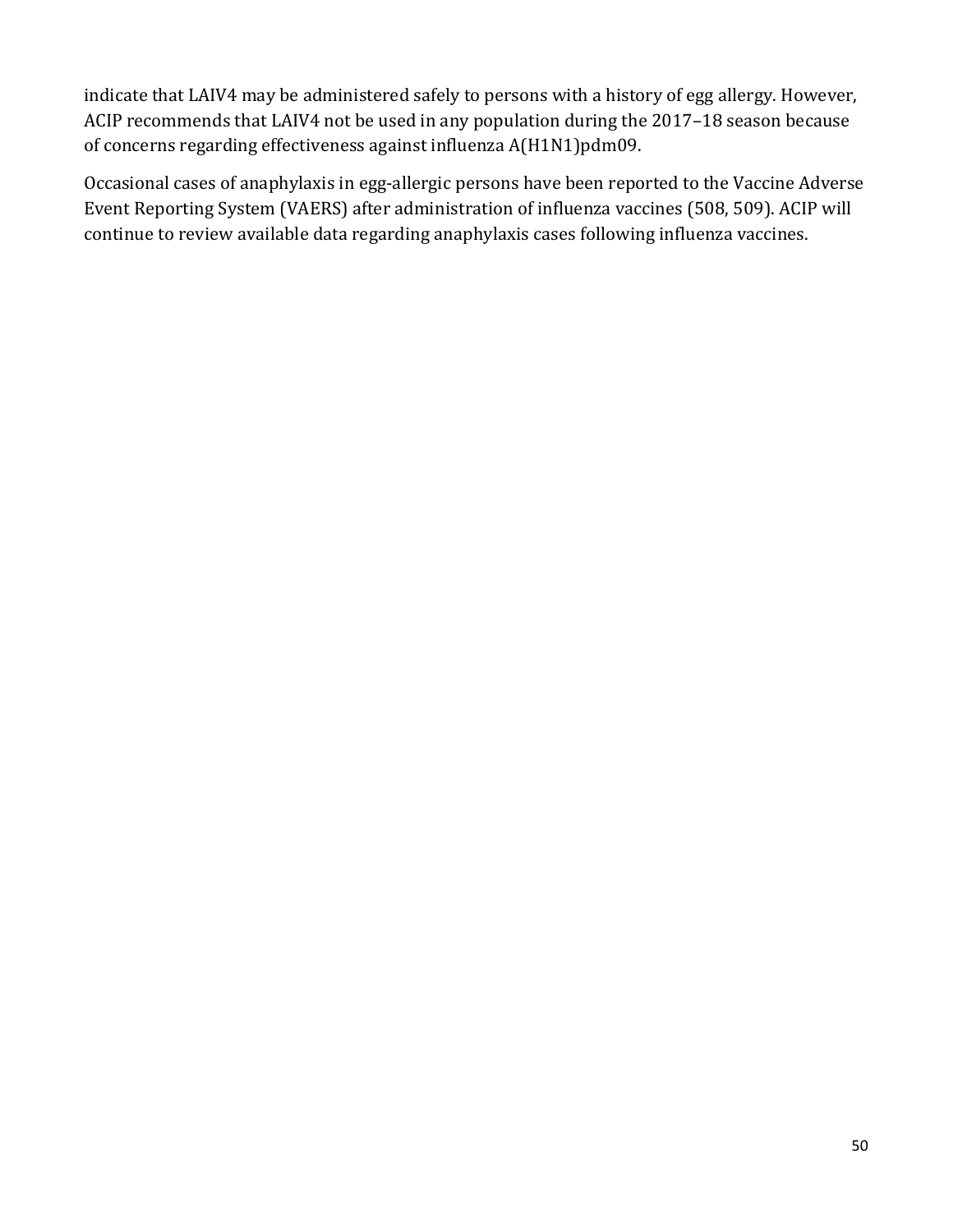indicate that LAIV4 may be administered safely to persons with a history of egg allergy. However, ACIP recommends that LAIV4 not be used in any population during the 2017–18 season because of concerns regarding effectiveness against influenza A(H1N1)pdm09.

 Event Reporting System (VAERS) after administration of influenza vaccines (508, 509). ACIP will Occasional cases of anaphylaxis in egg-allergic persons have been reported to the Vaccine Adverse continue to review available data regarding anaphylaxis cases following influenza vaccines.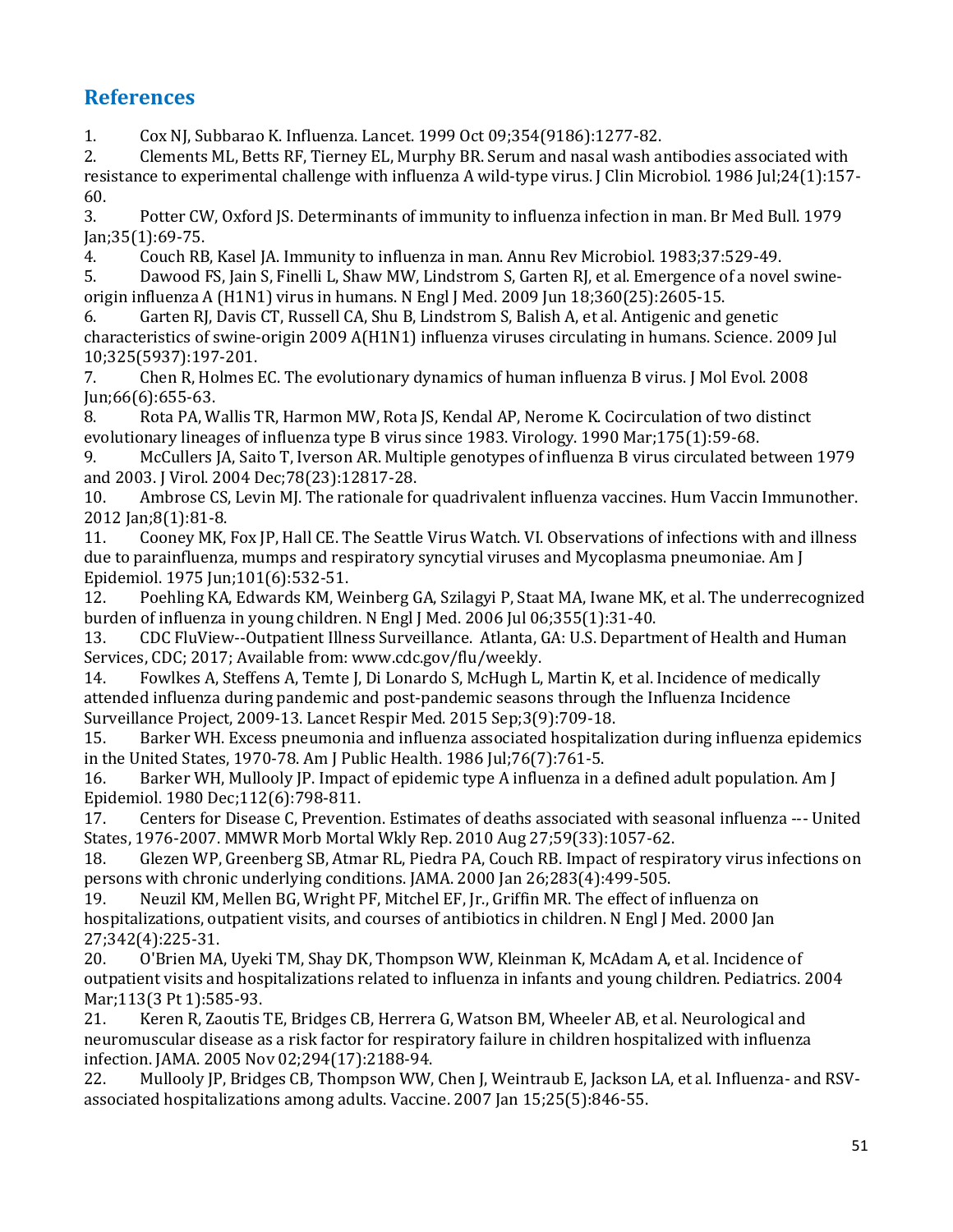# **References**

1. Cox NJ, Subbarao K. Influenza. Lancet. 1999 Oct 09;354(9186):1277-82.<br>2. Clements ML. Betts RF. Tiernev EL. Murphy BR. Serum and nasal wash a

2. Clements ML, Betts RF, Tierney EL, Murphy BR. Serum and nasal wash antibodies associated with resistance to experimental challenge with influenza A wild-type virus. J Clin Microbiol. 1986 Jul;24(1):157- $60.3$ .

3. Potter CW, Oxford JS. Determinants of immunity to influenza infection in man. Br Med Bull. 1979 Jan;35(1):69-75.

4. Couch RB, Kasel JA. Immunity to influenza in man. Annu Rev Microbiol. 1983;37:529-49.<br>5. Dawood FS, Jain S, Finelli L, Shaw MW, Lindstrom S, Garten RJ, et al. Emergence of a nove

Dawood FS, Jain S, Finelli L, Shaw MW, Lindstrom S, Garten RJ, et al. Emergence of a novel swineorigin influenza A (H1N1) virus in humans. N Engl J Med. 2009 Jun 18;360(25):2605-15.

6. Garten RJ, Davis CT, Russell CA, Shu B, Lindstrom S, Balish A, et al. Antigenic and genetic characteristics of swine-origin 2009 A(H1N1) influenza viruses circulating in humans. Science. 2009 Jul

10;325(5937):197-201. 7. Chen R, Holmes EC. The evolutionary dynamics of human influenza B virus. J Mol Evol. 2008 Jun;66(6):655-63.

8. Rota PA, Wallis TR, Harmon MW, Rota JS, Kendal AP, Nerome K. Cocirculation of two distinct evolutionary lineages of influenza type B virus since 1983. Virology. 1990 Mar;175(1):59-68.

9. McCullers JA, Saito T, Iverson AR. Multiple genotypes of influenza B virus circulated between 1979 and 2003. J Virol. 2004 Dec; 78(23): 12817-28.<br>10. Ambrose CS, Levin MJ. The rationale fo

Ambrose CS, Levin MJ. The rationale for quadrivalent influenza vaccines. Hum Vaccin Immunother. 2012 Jan; 8(1): 81-8.<br>11. Cooney MK.

11. Cooney MK, Fox JP, Hall CE. The Seattle Virus Watch. VI. Observations of infections with and illness due to parainfluenza, mumps and respiratory syncytial viruses and Mycoplasma pneumoniae. Am J Epidemiol. 1975 Jun;101(6):532-51.

12. Poehling KA, Edwards KM, Weinberg GA, Szilagyi P, Staat MA, Iwane MK, et al. The underrecognized burden of influenza in young children. N Engl J Med. 2006 Jul 06;355(1):31-40.

 13. CDC FluView--Outpatient Illness Surveillance. Atlanta, GA: U.S. Department of Health and Human Services, CDC; 2017; Available from: www.cdc.gov/flu/weekly.<br>14. Fowlkes A. Steffens A. Temte I. Di Lonardo S. McHugh L.

14. Fowlkes A, Steffens A, Temte J, Di Lonardo S, McHugh L, Martin K, et al. Incidence of medically attended influenza during pandemic and post-pandemic seasons through the Influenza Incidence

Surveillance Project, 2009-13. Lancet Respir Med. 2015 Sep;3(9):709-18. 15. Barker WH. Excess pneumonia and influenza associated hospitalization during influenza epidemics in the United States, 1970-78. Am J Public Health. 1986 Jul; 76(7): 761-5.<br>16. Barker WH, Mullooly JP. Impact of epidemic type A influenza in a

Barker WH, Mullooly JP. Impact of epidemic type A influenza in a defined adult population. Am J Epidemiol. 1980 Dec; 112(6): 798-811.<br>17. Centers for Disease C. Prevention

17. Centers for Disease C, Prevention. Estimates of deaths associated with seasonal influenza --- United States, 1976-2007. MMWR Morb Mortal Wkly Rep. 2010 Aug 27;59(33):1057-62.

18. Glezen WP, Greenberg SB, Atmar RL, Piedra PA, Couch RB. Impact of respiratory virus infections on persons with chronic underlying conditions. JAMA. 2000 Jan 26;283(4):499-505.<br>19. Neuzil KM. Mellen BG. Wright PF. Mitchel EF. Ir., Griffin MR. The effect of i

Neuzil KM, Mellen BG, Wright PF, Mitchel EF, Jr., Griffin MR. The effect of influenza on hospitalizations, outpatient visits, and courses of antibiotics in children. N Engl J Med. 2000 Jan 27;342(4):225-31.<br>20. O'Brien MA

 outpatient visits and hospitalizations related to influenza in infants and young children. Pediatrics. 2004 20. O'Brien MA, Uyeki TM, Shay DK, Thompson WW, Kleinman K, McAdam A, et al. Incidence of

Mar; 113 (3 Pt 1): 585-93.<br>21. Keren R, Zaoutis' Keren R, Zaoutis TE, Bridges CB, Herrera G, Watson BM, Wheeler AB, et al. Neurological and neuromuscular disease as a risk factor for respiratory failure in children hospitalized with influenza infection. JAMA. 2005 Nov 02;294(17):2188-94.<br>22. Mullooly JP. Bridges CB. Thompson WW.

Mullooly JP, Bridges CB, Thompson WW, Chen J, Weintraub E, Jackson LA, et al. Influenza- and RSVassociated hospitalizations among adults. Vaccine. 2007 Jan 15;25(5):846-55.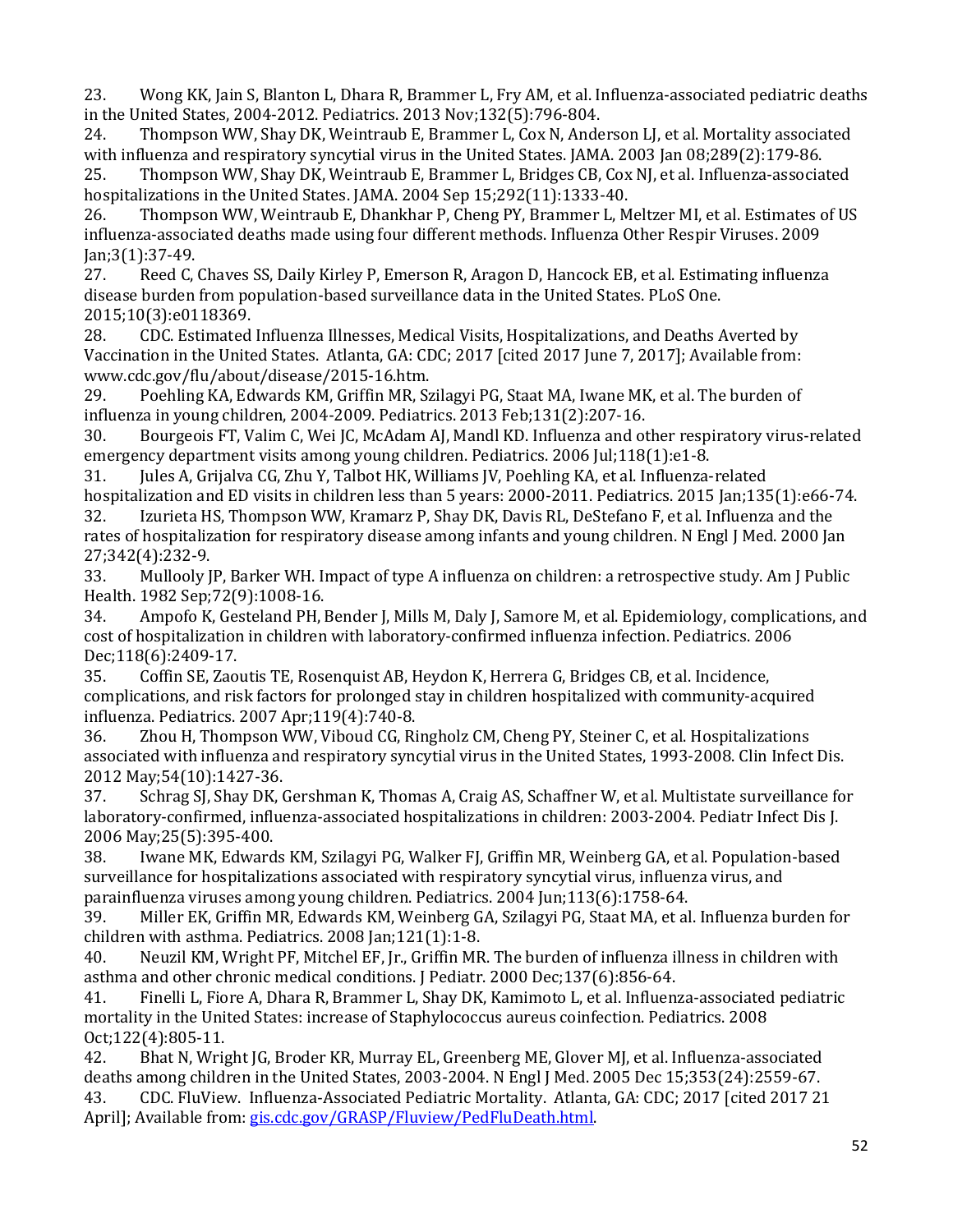23. Wong KK, Jain S, Blanton L, Dhara R, Brammer L, Fry AM, et al. Influenza-associated pediatric deaths in the United States, 2004-2012. Pediatrics. 2013 Nov; 132(5): 796-804.<br>24. Thompson WW, Shay DK, Weintraub E, Brammer L, Cox N, Ande

24. Thompson WW, Shay DK, Weintraub E, Brammer L, Cox N, Anderson LJ, et al. Mortality associated with influenza and respiratory syncytial virus in the United States. JAMA. 2003 Jan 08;289(2):179-86.<br>25. Thompson WW, Shay DK, Weintraub E, Brammer L, Bridges CB, Cox NJ, et al. Influenza-associa

 25. Thompson WW, Shay DK, Weintraub E, Brammer L, Bridges CB, Cox NJ, et al. Influenza-associated hospitalizations in the United States. JAMA. 2004 Sep 15;292(11):1333-40.<br>26. Thompson WW, Weintraub E, Dhankhar P, Cheng PY, Brammer L, M

 26. Thompson WW, Weintraub E, Dhankhar P, Cheng PY, Brammer L, Meltzer MI, et al. Estimates of US influenza-associated deaths made using four different methods. Influenza Other Respir Viruses. 2009 Jan; 3(1): 37 - 49.<br>27. Reed C.

Reed C, Chaves SS, Daily Kirley P, Emerson R, Aragon D, Hancock EB, et al. Estimating influenza disease burden from population-based surveillance data in the United States. PLoS One.

2015;10(3):e0118369. 28. CDC. Estimated Influenza Illnesses, Medical Visits, Hospitalizations, and Deaths Averted by Vaccination in the United States. Atlanta, GA: CDC; 2017 [cited 2017 June 7, 2017]; Available from: www.cdc.gov/flu/about/disease/2015-16.htm.

29. Poehling KA, Edwards KM, Griffin MR, Szilagyi PG, Staat MA, Iwane MK, et al. The burden of influenza in young children, 2004-2009. Pediatrics. 2013 Feb;131(2):207-16.

Bourgeois FT, Valim C, Wei JC, McAdam AJ, Mandl KD. Influenza and other respiratory virus-related emergency department visits among young children. Pediatrics. 2006 Jul;118(1):e1-8.

31. Jules A, Grijalva CG, Zhu Y, Talbot HK, Williams JV, Poehling KA, et al. Influenza-related hospitalization and ED visits in children less than 5 years: 2000-2011. Pediatrics. 2015 Jan;135(1):e66-74.<br>32. Lizurieta HS. Thompson WW. Kramarz P. Shav DK. Davis RL. DeStefano F. et al. Influenza and the

Izurieta HS, Thompson WW, Kramarz P, Shay DK, Davis RL, DeStefano F, et al. Influenza and the rates of hospitalization for respiratory disease among infants and young children. N Engl J Med. 2000 Jan 27;342(4):232-9.<br>33. Mullooly J

33. Mullooly JP, Barker WH. Impact of type A influenza on children: a retrospective study. Am J Public Health. 1982 Sep; 72(9): 1008-16.<br>34. Ampofo K, Gesteland PH, I

Ampofo K, Gesteland PH, Bender J, Mills M, Daly J, Samore M, et al. Epidemiology, complications, and cost of hospitalization in children with laboratory-confirmed influenza infection. Pediatrics. 2006

Dec;118(6):2409-17.<br>35. Coffin SE, Zao 35. Coffin SE, Zaoutis TE, Rosenquist AB, Heydon K, Herrera G, Bridges CB, et al. Incidence, complications, and risk factors for prolonged stay in children hospitalized with community-acquired influenza. Pediatrics. 2007 Apr;119(4):740-8.

 associated with influenza and respiratory syncytial virus in the United States, 1993-2008. Clin Infect Dis. Zhou H, Thompson WW, Viboud CG, Ringholz CM, Cheng PY, Steiner C, et al. Hospitalizations 2012 May;54(10):1427-36.

Schrag SJ, Shay DK, Gershman K, Thomas A, Craig AS, Schaffner W, et al. Multistate surveillance for laboratory-confirmed, influenza-associated hospitalizations in children: 2003-2004. Pediatr Infect Dis J.

2006 May;25(5):395-400. 38. Iwane MK, Edwards KM, Szilagyi PG, Walker FJ, Griffin MR, Weinberg GA, et al. Population-based surveillance for hospitalizations associated with respiratory syncytial virus, influenza virus, and parainfluenza viruses among young children. Pediatrics. 2004 Jun;113(6):1758-64.<br>39. Miller EK, Griffin MR, Edwards KM, Weinberg GA, Szilagyi PG, Staat MA, et al

39. Miller EK, Griffin MR, Edwards KM, Weinberg GA, Szilagyi PG, Staat MA, et al. Influenza burden for children with asthma. Pediatrics. 2008 Jan; 121(1): 1-8.<br>40. Neuzil KM, Wright PF, Mitchel EF, Ir., Griffin MF

 asthma and other chronic medical conditions. J Pediatr. 2000 Dec;137(6):856-64. Neuzil KM, Wright PF, Mitchel EF, Jr., Griffin MR. The burden of influenza illness in children with

41. Finelli L, Fiore A, Dhara R, Brammer L, Shay DK, Kamimoto L, et al. Influenza-associated pediatric mortality in the United States: increase of Staphylococcus aureus coinfection. Pediatrics. 2008 Oct;122(4):805-11.<br>42. Bhat N, Wrig

 43. CDC. FluView. Influenza-Associated Pediatric Mortality. Atlanta, GA: CDC; 2017 [cited 2017 21 42. Bhat N, Wright JG, Broder KR, Murray EL, Greenberg ME, Glover MJ, et al. Influenza-associated deaths among children in the United States, 2003-2004. N Engl J Med. 2005 Dec 15;353(24):2559-67.<br>43. CDC. FluView. Influenza-Associated Pediatric Mortality. Atlanta, GA: CDC: 2017 [cited 2017 21] April]; Available from: [gis.cdc.gov/GRASP/Fluview/PedFluDeath.html.](https://gis.cdc.gov/GRASP/Fluview/PedFluDeath.html)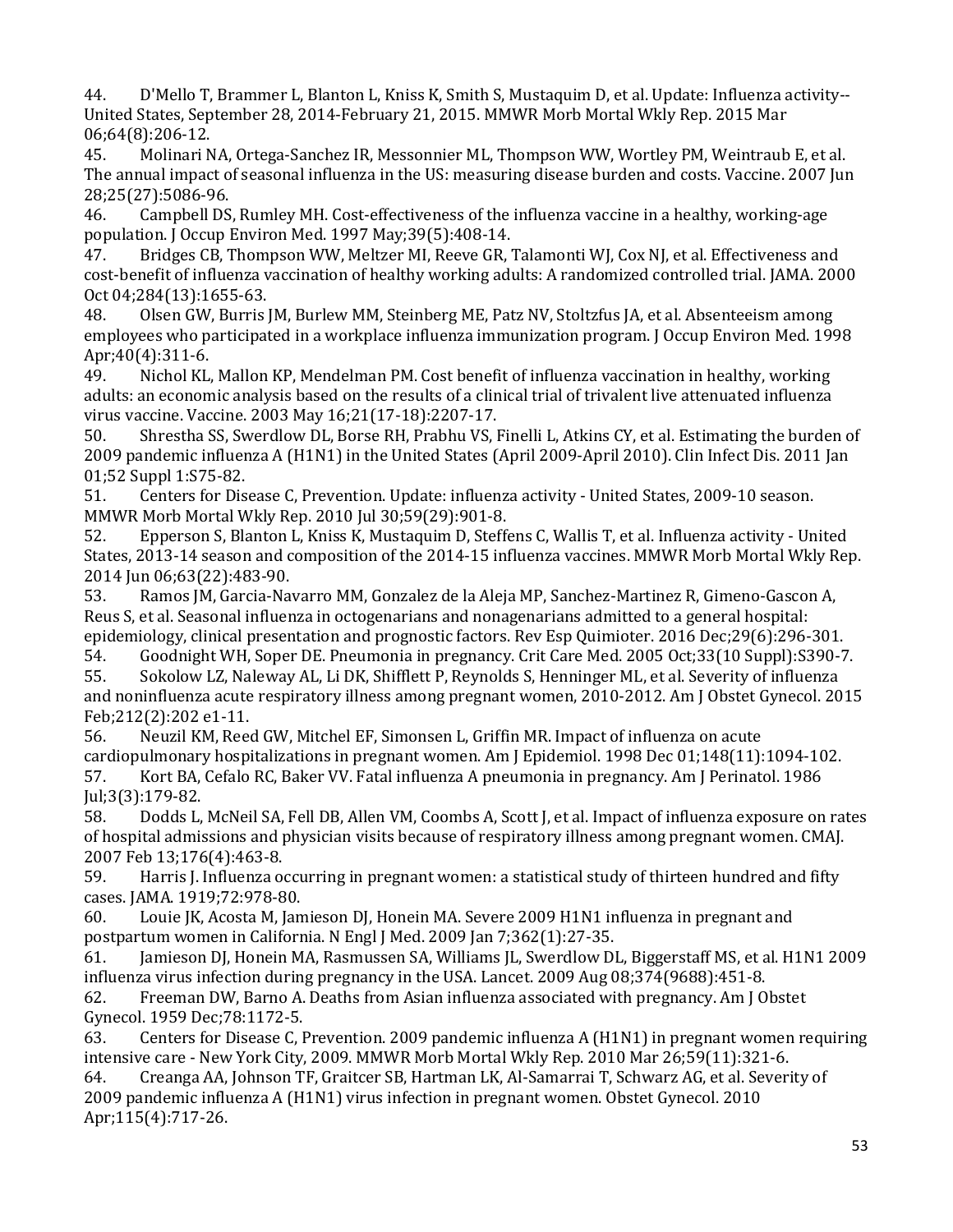United States, September 28, 2014-February 21, 2015. MMWR Morb Mortal Wkly Rep. 2015 Mar 44. D'Mello T, Brammer L, Blanton L, Kniss K, Smith S, Mustaquim D, et al. Update: Influenza activity-- 06;64(8):206-12.<br>45. Molinari N

45. Molinari NA, Ortega-Sanchez IR, Messonnier ML, Thompson WW, Wortley PM, Weintraub E, et al. The annual impact of seasonal influenza in the US: measuring disease burden and costs. Vaccine. 2007 Jun 28;25(27):5086-96.<br>46. Campbell DS

46. Campbell DS, Rumley MH. Cost-effectiveness of the influenza vaccine in a healthy, working-age population. J Occup Environ Med. 1997 May; 39(5): 408-14.<br>47. Bridges CB, Thompson WW, Meltzer MI, Reeve GR, T

Bridges CB, Thompson WW, Meltzer MI, Reeve GR, Talamonti WJ, Cox NJ, et al. Effectiveness and cost-benefit of influenza vaccination of healthy working adults: A randomized controlled trial. JAMA. 2000 Oct 04;284(13):1655-63.<br>48. Olsen GW. Burris

48. Olsen GW, Burris JM, Burlew MM, Steinberg ME, Patz NV, Stoltzfus JA, et al. Absenteeism among employees who participated in a workplace influenza immunization program. J Occup Environ Med. 1998 Apr;40(4):311-6.<br>49. Nichol KL.

Nichol KL, Mallon KP, Mendelman PM. Cost benefit of influenza vaccination in healthy, working adults: an economic analysis based on the results of a clinical trial of trivalent live attenuated influenza virus vaccine. Vaccine. 2003 May 16;21(17-18):2207-17.

Shrestha SS, Swerdlow DL, Borse RH, Prabhu VS, Finelli L, Atkins CY, et al. Estimating the burden of 2009 pandemic influenza A (H1N1) in the United States (April 2009-April 2010). Clin Infect Dis. 2011 Jan 01;52 Suppl 1:S75-82.

51. Centers for Disease C, Prevention. Update: influenza activity - United States, 2009-10 season. MMWR Morb Mortal Wkly Rep. 2010 Jul 30;59(29):901-8.<br>52. Epperson S, Blanton L, Kniss K, Mustaquim D, Steff

Epperson S, Blanton L, Kniss K, Mustaquim D, Steffens C, Wallis T, et al. Influenza activity - United States, 2013-14 season and composition of the 2014-15 influenza vaccines. MMWR Morb Mortal Wkly Rep. 2014 Jun 06;63(22):483-90.

53. Ramos JM, Garcia-Navarro MM, Gonzalez de la Aleja MP, Sanchez-Martinez R, Gimeno-Gascon A, Reus S, et al. Seasonal influenza in octogenarians and nonagenarians admitted to a general hospital: epidemiology, clinical presentation and prognostic factors. Rev Esp Quimioter. 2016 Dec;29(6):296-301.<br>54. Goodnight WH, Soper DE. Pneumonia in pregnancy. Crit Care Med. 2005 Oct;33(10 Suppl):S390-7

54. Goodnight WH, Soper DE. Pneumonia in pregnancy. Crit Care Med. 2005 Oct;33(10 Suppl):S390-7.<br>55. Sokolow LZ, Naleway AL, Li DK, Shifflett P, Reynolds S, Henninger ML, et al. Severity of influenza 55. Sokolow LZ, Naleway AL, Li DK, Shifflett P, Reynolds S, Henninger ML, et al. Severity of influenza and noninfluenza acute respiratory illness among pregnant women, 2010-2012. Am J Obstet Gynecol. 2015

Feb;212(2):202 e1-11. Neuzil KM, Reed GW, Mitchel EF, Simonsen L, Griffin MR. Impact of influenza on acute cardiopulmonary hospitalizations in pregnant women. Am J Epidemiol. 1998 Dec 01;148(11):1094-102.<br>57. Vort BA, Cefalo RC, Baker VV. Fatal influenza A pneumonia in pregnancy. Am J Perinatol. 1986 57. Kort BA, Cefalo RC, Baker VV. Fatal influenza A pneumonia in pregnancy. Am J Perinatol. 1986

Jul;3(3):179-82.<br>58. Dodds L. 58. Dodds L, McNeil SA, Fell DB, Allen VM, Coombs A, Scott J, et al. Impact of influenza exposure on rates of hospital admissions and physician visits because of respiratory illness among pregnant women. CMAJ. 2007 Feb 13;176(4):463-8.

Harris J. Influenza occurring in pregnant women: a statistical study of thirteen hundred and fifty cases. JAMA. 1919;72:978-80.

Louie JK, Acosta M, Jamieson DJ, Honein MA. Severe 2009 H1N1 influenza in pregnant and postpartum women in California. N Engl J Med. 2009 Jan 7;362(1):27-35.

Jamieson DJ, Honein MA, Rasmussen SA, Williams JL, Swerdlow DL, Biggerstaff MS, et al. H1N1 2009 influenza virus infection during pregnancy in the USA. Lancet. 2009 Aug 08;374(9688):451-8.

62. Freeman DW, Barno A. Deaths from Asian influenza associated with pregnancy. Am J Obstet Gynecol. 1959 Dec; 78: 1172-5.<br>63. Centers for Disease C. I

Centers for Disease C, Prevention. 2009 pandemic influenza A (H1N1) in pregnant women requiring intensive care - New York City, 2009. MMWR Morb Mortal Wkly Rep. 2010 Mar 26;59(11):321-6.

64. Creanga AA, Johnson TF, Graitcer SB, Hartman LK, Al-Samarrai T, Schwarz AG, et al. Severity of 2009 pandemic influenza A (H1N1) virus infection in pregnant women. Obstet Gynecol. 2010 Apr;115(4):717-26.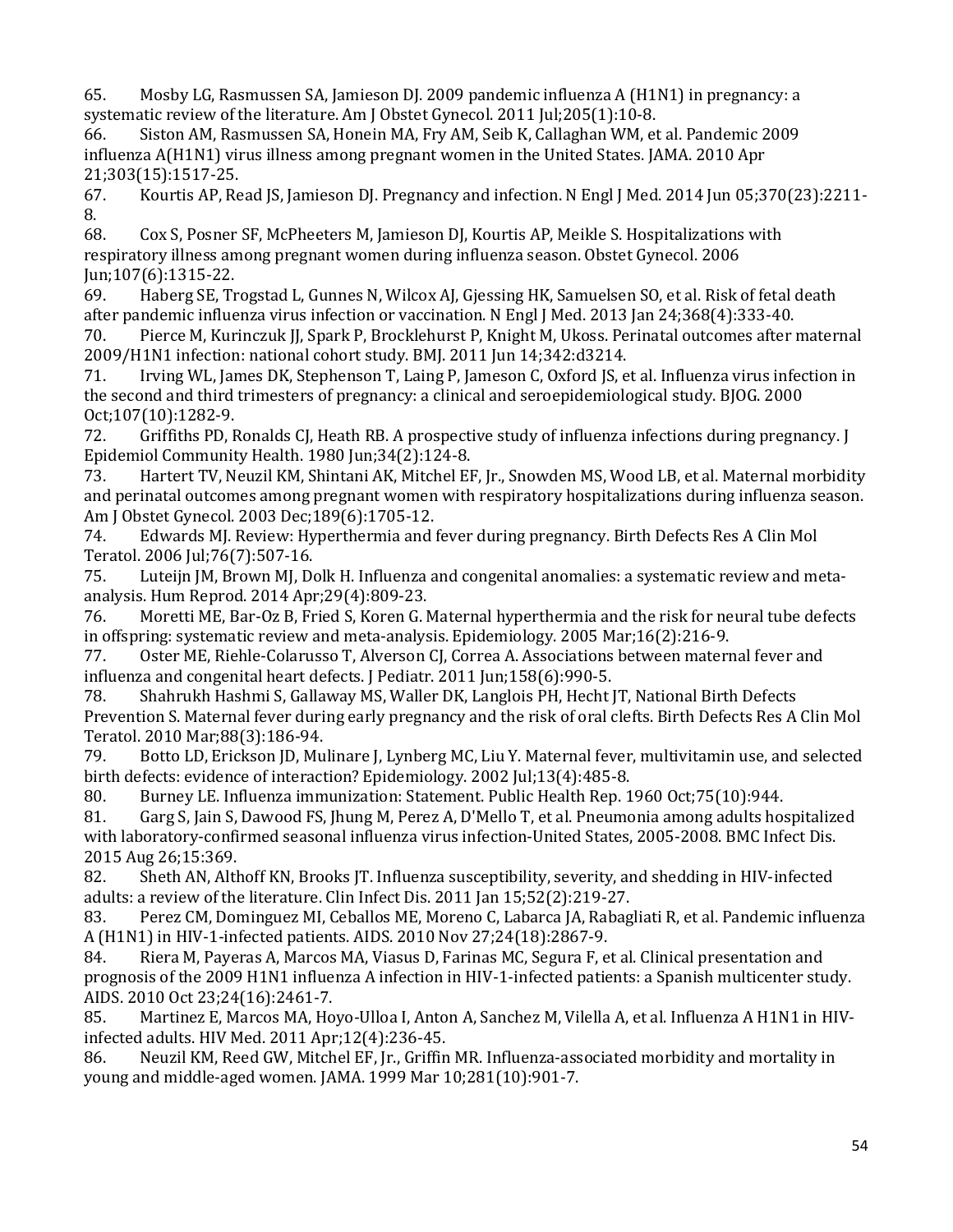65. Mosby LG, Rasmussen SA, Jamieson DJ. 2009 pandemic influenza A (H1N1) in pregnancy: a systematic review of the literature. Am J Obstet Gynecol. 2011 Jul;205(1):10-8.<br>66. Siston AM, Rasmussen SA, Honein MA, Fry AM, Seib K, Callaghan WM, et

66. Siston AM, Rasmussen SA, Honein MA, Fry AM, Seib K, Callaghan WM, et al. Pandemic 2009 influenza A(H1N1) virus illness among pregnant women in the United States. JAMA. 2010 Apr 21;303(15):1517-25.

Kourtis AP, Read JS, Jamieson DJ. Pregnancy and infection. N Engl J Med. 2014 Jun 05;370(23):2211-8.<br>68.

68. Cox S, Posner SF, McPheeters M, Jamieson DJ, Kourtis AP, Meikle S. Hospitalizations with respiratory illness among pregnant women during influenza season. Obstet Gynecol. 2006 Jun;107(6):1315-22.<br>69. Haberg SE. Tr

Haberg SE, Trogstad L, Gunnes N, Wilcox AJ, Gjessing HK, Samuelsen SO, et al. Risk of fetal death after pandemic influenza virus infection or vaccination. N Engl J Med. 2013 Jan 24;368(4):333-40.<br>70. Pierce M. Kurinczuk II. Spark P. Brocklehurst P. Knight M. Ukoss. Perinatal outcomes after i

Pierce M, Kurinczuk II, Spark P, Brocklehurst P, Knight M, Ukoss. Perinatal outcomes after maternal 2009/H1N1 infection: national cohort study. BMJ. 2011 Jun 14;342:d3214.

Irving WL, James DK, Stephenson T, Laing P, Jameson C, Oxford JS, et al. Influenza virus infection in the second and third trimesters of pregnancy: a clinical and seroepidemiological study. BJOG. 2000 Oct;107(10):1282-9.<br>72. Griffiths PD, F

Griffiths PD, Ronalds CJ, Heath RB. A prospective study of influenza infections during pregnancy. J Epidemiol Community Health. 1980 Jun;34(2):124-8.

 and perinatal outcomes among pregnant women with respiratory hospitalizations during influenza season. Hartert TV, Neuzil KM, Shintani AK, Mitchel EF, Jr., Snowden MS, Wood LB, et al. Maternal morbidity Am J Obstet Gynecol. 2003 Dec; 189(6): 1705-12.<br>74. Edwards MJ. Review: Hyperthermia and f

Edwards MJ. Review: Hyperthermia and fever during pregnancy. Birth Defects Res A Clin Mol Teratol. 2006 Jul; 76(7): 507-16.<br>75. Luteiin JM, Brown MJ, Do

Luteijn JM, Brown MJ, Dolk H. Influenza and congenital anomalies: a systematic review and metaanalysis. Hum Reprod. 2014 Apr;29(4):809-23.

Moretti ME, Bar-Oz B, Fried S, Koren G. Maternal hyperthermia and the risk for neural tube defects in offspring: systematic review and meta-analysis. Epidemiology. 2005 Mar;16(2):216-9.

77. Oster ME, Riehle-Colarusso T, Alverson CJ, Correa A. Associations between maternal fever and influenza and congenital heart defects. J Pediatr. 2011 Jun;158(6):990-5.<br>78. Shahrukh Hashmi S. Gallaway MS. Waller DK. Langlois PH. Hecht J

78. Shahrukh Hashmi S, Gallaway MS, Waller DK, Langlois PH, Hecht JT, National Birth Defects Prevention S. Maternal fever during early pregnancy and the risk of oral clefts. Birth Defects Res A Clin Mol Teratol. 2010 Mar;88(3):186-94.

Botto LD, Erickson JD, Mulinare J, Lynberg MC, Liu Y. Maternal fever, multivitamin use, and selected

birth defects: evidence of interaction? Epidemiology. 2002 Jul;13(4):485-8.<br>80. Burney LE. Influenza immunization: Statement. Public Health Rep. 1 80. Burney LE. Influenza immunization: Statement. Public Health Rep. 1960 Oct;75(10):944.<br>81. Garg S. Jain S. Dawood FS. Ihung M. Perez A. D'Mello T. et al. Pneumonia among adults hos

81. Garg S, Jain S, Dawood FS, Jhung M, Perez A, D'Mello T, et al. Pneumonia among adults hospitalized with laboratory-confirmed seasonal influenza virus infection-United States, 2005-2008. BMC Infect Dis.

2015 Aug 26;15:369. 82. Sheth AN, Althoff KN, Brooks JT. Influenza susceptibility, severity, and shedding in HIV-infected adults: a review of the literature. Clin Infect Dis. 2011 Jan 15;52(2):219-27.<br>83. Perez CM, Dominguez MI, Ceballos ME, Moreno C, Labarca JA, Rabag

83. Perez CM, Dominguez MI, Ceballos ME, Moreno C, Labarca JA, Rabagliati R, et al. Pandemic influenza A (H1N1) in HIV-1-infected patients. AIDS. 2010 Nov 27;24(18):2867-9.<br>84. Riera M, Payeras A, Marcos MA, Viasus D, Farinas MC, Segura F, e

Riera M, Payeras A, Marcos MA, Viasus D, Farinas MC, Segura F, et al. Clinical presentation and prognosis of the 2009 H1N1 influenza A infection in HIV-1-infected patients: a Spanish multicenter study. AIDS. 2010 Oct 23;24(16):2461-7.

85. Martinez E, Marcos MA, Hoyo-Ulloa I, Anton A, Sanchez M, Vilella A, et al. Influenza A H1N1 in HIVinfected adults. HIV Med. 2011 Apr; 12(4): 236-45.<br>86. Neuzil KM, Reed GW, Mitchel EF, Jr., Griffin

Neuzil KM, Reed GW, Mitchel EF, Jr., Griffin MR. Influenza-associated morbidity and mortality in young and middle-aged women. JAMA. 1999 Mar 10;281(10):901-7.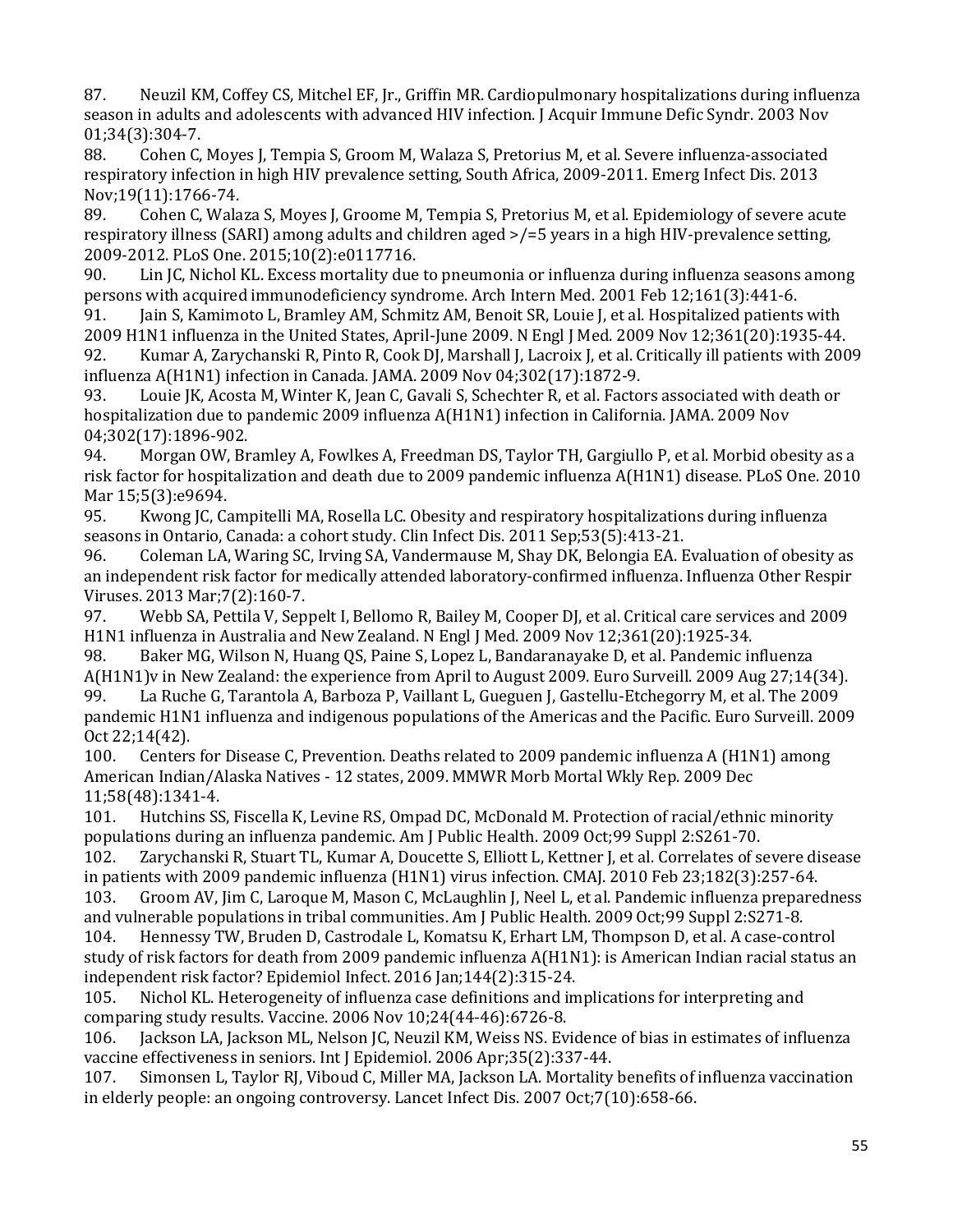season in adults and adolescents with advanced HIV infection. J Acquir Immune Defic Syndr. 2003 Nov 87. Neuzil KM, Coffey CS, Mitchel EF, Jr., Griffin MR. Cardiopulmonary hospitalizations during influenza

01;34(3):304-7.<br>88. Cohen C. Cohen C, Moyes J, Tempia S, Groom M, Walaza S, Pretorius M, et al. Severe influenza-associated respiratory infection in high HIV prevalence setting, South Africa, 2009-2011. Emerg Infect Dis. 2013

Nov;19(11):1766-74.<br>89. Cohen C, Wala 89. Cohen C, Walaza S, Moyes J, Groome M, Tempia S, Pretorius M, et al. Epidemiology of severe acute respiratory illness (SARI) among adults and children aged >/=5 years in a high HIV-prevalence setting, 2009-2012. PLoS One. 2015;10(2):e0117716.

Lin JC, Nichol KL. Excess mortality due to pneumonia or influenza during influenza seasons among persons with acquired immunodeficiency syndrome. Arch Intern Med. 2001 Feb 12;161(3):441-6.<br>91. Jain S, Kamimoto L, Bramley AM, Schmitz AM, Benoit SR, Louie J, et al. Hospitalized patients

Jain S, Kamimoto L, Bramley AM, Schmitz AM, Benoit SR, Louie J, et al. Hospitalized patients with 2009 H1N1 influenza in the United States, April-June 2009. N Engl J Med. 2009 Nov 12;361(20):1935-44.

92. Kumar A, Zarychanski R, Pinto R, Cook DJ, Marshall J, Lacroix J, et al. Critically ill patients with 2009 influenza A(H1N1) infection in Canada. JAMA. 2009 Nov 04;302(17):1872-9.

 hospitalization due to pandemic 2009 influenza A(H1N1) infection in California. JAMA. 2009 Nov Louie JK, Acosta M, Winter K, Jean C, Gavali S, Schechter R, et al. Factors associated with death or 04;302(17):1896-902.<br>94. Morgan OW, Br

94. Morgan OW, Bramley A, Fowlkes A, Freedman DS, Taylor TH, Gargiullo P, et al. Morbid obesity as a risk factor for hospitalization and death due to 2009 pandemic influenza A(H1N1) disease. PLoS One. 2010 Mar 15;5(3):e9694.<br>95. Kwong IC. Ca

95. Kwong JC, Campitelli MA, Rosella LC. Obesity and respiratory hospitalizations during influenza seasons in Ontario, Canada: a cohort study. Clin Infect Dis. 2011 Sep;53(5):413-21.<br>96. Coleman LA, Waring SC, Irving SA, Vandermause M, Shay DK, Belongia EA. E

96. Coleman LA, Waring SC, Irving SA, Vandermause M, Shay DK, Belongia EA. Evaluation of obesity as an independent risk factor for medically attended laboratory-confirmed influenza. Influenza Other Respir Viruses. 2013 Mar;7(2):160-7.

97. Webb SA, Pettila V, Seppelt I, Bellomo R, Bailey M, Cooper DJ, et al. Critical care services and 2009 H1N1 influenza in Australia and New Zealand. N Engl J Med. 2009 Nov 12;361(20):1925-34.

Baker MG, Wilson N, Huang QS, Paine S, Lopez L, Bandaranayake D, et al. Pandemic influenza A(H1N1)v in New Zealand: the experience from April to August 2009. Euro Surveill. 2009 Aug 27;14(34).

99. La Ruche G, Tarantola A, Barboza P, Vaillant L, Gueguen J, Gastellu-Etchegorry M, et al. The 2009 pandemic H1N1 influenza and indigenous populations of the Americas and the Pacific. Euro Surveill. 2009 Oct 22;14(42).<br>100. Centers

Centers for Disease C, Prevention. Deaths related to 2009 pandemic influenza A (H1N1) among American Indian/Alaska Natives - 12 states, 2009. MMWR Morb Mortal Wkly Rep. 2009 Dec 11;58(48):1341-4.<br>101. Hutchins SS

 101. Hutchins SS, Fiscella K, Levine RS, Ompad DC, McDonald M. Protection of racial/ethnic minority populations during an influenza pandemic. Am J Public Health. 2009 Oct;99 Suppl 2:S261-70.

Zarychanski R, Stuart TL, Kumar A, Doucette S, Elliott L, Kettner J, et al. Correlates of severe disease in patients with 2009 pandemic influenza (H1N1) virus infection. CMAJ. 2010 Feb 23;182(3):257-64.<br>103. Groom AV, Jim C, Laroque M, Mason C, McLaughlin J, Neel L, et al. Pandemic influenza prepare

Groom AV, Jim C, Laroque M, Mason C, McLaughlin J, Neel L, et al. Pandemic influenza preparedness and vulnerable populations in tribal communities. Am J Public Health. 2009 Oct;99 Suppl 2:S271-8.<br>104. Hennessy TW. Bruden D. Castrodale L. Komatsu K. Erhart LM. Thompson D. et al. A case-con

104. Hennessy TW, Bruden D, Castrodale L, Komatsu K, Erhart LM, Thompson D, et al. A case-control study of risk factors for death from 2009 pandemic influenza A(H1N1): is American Indian racial status an independent risk factor? Epidemiol Infect. 2016 Jan; 144(2): 315-24.<br>105. Nichol KL. Heterogeneity of influenza case definitions and in

Nichol KL. Heterogeneity of influenza case definitions and implications for interpreting and comparing study results. Vaccine. 2006 Nov 10;24(44-46):6726-8.<br>106. Iackson LA. Jackson ML. Nelson JC. Neuzil KM. Weiss NS. Ev

Jackson LA, Jackson ML, Nelson JC, Neuzil KM, Weiss NS. Evidence of bias in estimates of influenza vaccine effectiveness in seniors. Int J Epidemiol. 2006 Apr;35(2):337-44.<br>107. Simonsen L. Taylor RJ. Viboud C. Miller MA. Jackson LA. Mortality

Simonsen L, Taylor RJ, Viboud C, Miller MA, Jackson LA. Mortality benefits of influenza vaccination in elderly people: an ongoing controversy. Lancet Infect Dis. 2007 Oct;7(10):658-66.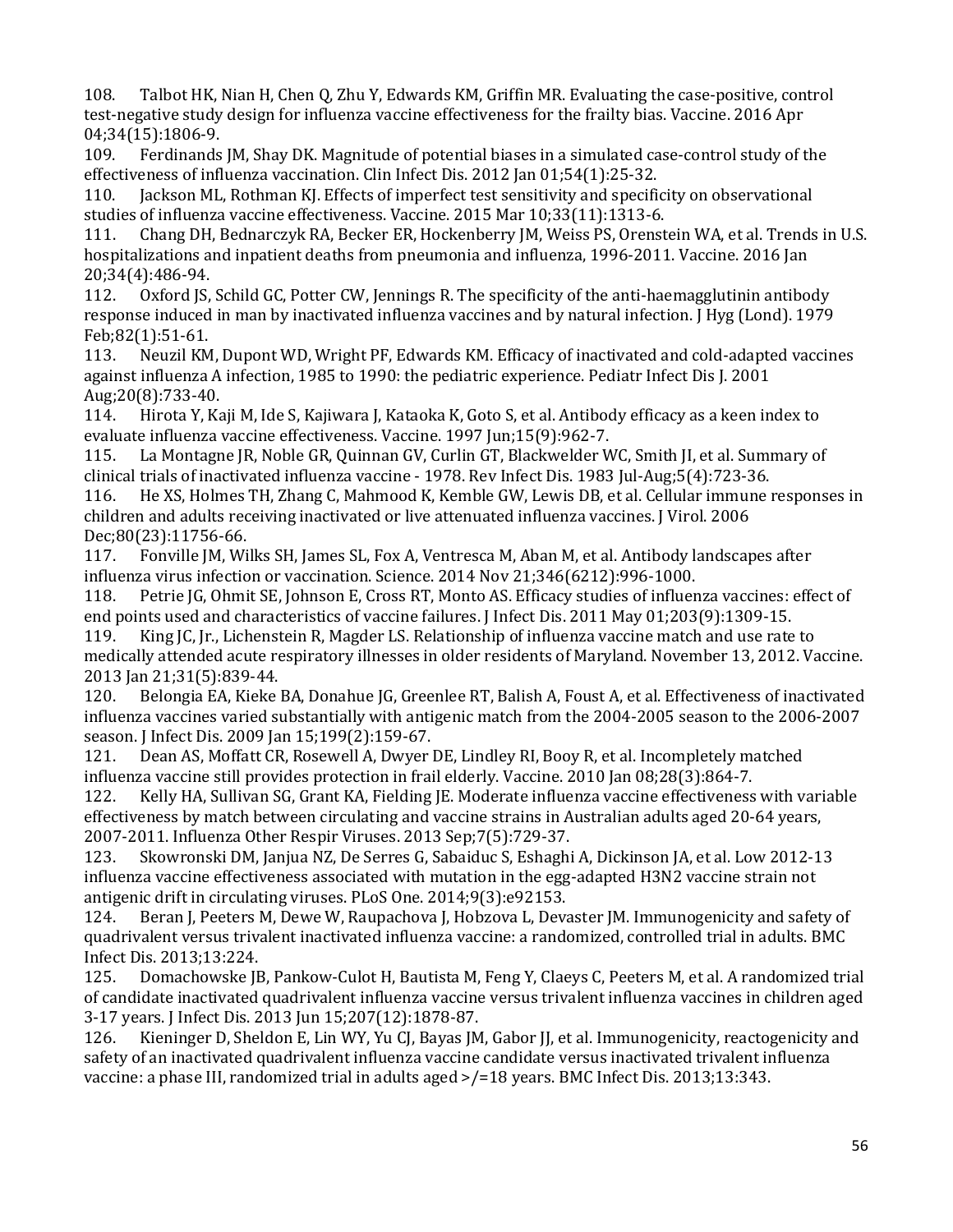108. Talbot HK, Nian H, Chen Q, Zhu Y, Edwards KM, Griffin MR. Evaluating the case-positive, control test-negative study design for influenza vaccine effectiveness for the frailty bias. Vaccine. 2016 Apr 04;34(15):1806-9.<br>109. Ferdinands

Ferdinands JM, Shay DK. Magnitude of potential biases in a simulated case-control study of the effectiveness of influenza vaccination. Clin Infect Dis. 2012 Jan 01;54(1):25-32.<br>110. Iackson ML. Rothman KI. Effects of imperfect test sensitivity and specifi

Jackson ML, Rothman KJ. Effects of imperfect test sensitivity and specificity on observational studies of influenza vaccine effectiveness. Vaccine. 2015 Mar 10;33(11):1313-6.

111. Chang DH, Bednarczyk RA, Becker ER, Hockenberry JM, Weiss PS, Orenstein WA, et al. Trends in U.S. hospitalizations and inpatient deaths from pneumonia and influenza, 1996-2011. Vaccine. 2016 Jan 20;34(4):486-94.<br>112. Oxford IS.

112. Oxford JS, Schild GC, Potter CW, Jennings R. The specificity of the anti-haemagglutinin antibody response induced in man by inactivated influenza vaccines and by natural infection. J Hyg (Lond). 1979 Feb;82(1):51-61.<br>113. Neuzil KM

Neuzil KM, Dupont WD, Wright PF, Edwards KM. Efficacy of inactivated and cold-adapted vaccines against influenza A infection, 1985 to 1990: the pediatric experience. Pediatr Infect Dis J. 2001

Aug;20(8):733-40.<br>114. Hirota Y, Ka 114. Hirota Y, Kaji M, Ide S, Kajiwara J, Kataoka K, Goto S, et al. Antibody efficacy as a keen index to evaluate influenza vaccine effectiveness. Vaccine. 1997 Jun;15(9):962-7.

La Montagne JR, Noble GR, Quinnan GV, Curlin GT, Blackwelder WC, Smith JI, et al. Summary of clinical trials of inactivated influenza vaccine - 1978. Rev Infect Dis. 1983 Jul-Aug;5(4):723-36.

 116. He XS, Holmes TH, Zhang C, Mahmood K, Kemble GW, Lewis DB, et al. Cellular immune responses in children and adults receiving inactivated or live attenuated influenza vaccines. J Virol. 2006

Dec;80(23):11756-66.<br>117. Fonville JM, Wi 117. Fonville JM, Wilks SH, James SL, Fox A, Ventresca M, Aban M, et al. Antibody landscapes after influenza virus infection or vaccination. Science. 2014 Nov 21;346(6212):996-1000.<br>118. Petrie JG, Ohmit SE, Johnson E, Cross RT, Monto AS. Efficacy studies of influer

118. Petrie JG, Ohmit SE, Johnson E, Cross RT, Monto AS. Efficacy studies of influenza vaccines: effect of end points used and characteristics of vaccine failures. J Infect Dis. 2011 May 01;203(9):1309-15.<br>119. King IC. Ir., Lichenstein R. Magder LS. Relationship of influenza vaccine match and use rate

King JC, Jr., Lichenstein R, Magder LS. Relationship of influenza vaccine match and use rate to medically attended acute respiratory illnesses in older residents of Maryland. November 13, 2012. Vaccine. 2013 Jan 21;31(5):839-44.

Belongia EA, Kieke BA, Donahue JG, Greenlee RT, Balish A, Foust A, et al. Effectiveness of inactivated influenza vaccines varied substantially with antigenic match from the 2004-2005 season to the 2006-2007 season. J Infect Dis. 2009 Jan 15;199(2):159-67.

Dean AS, Moffatt CR, Rosewell A, Dwyer DE, Lindley RI, Booy R, et al. Incompletely matched

influenza vaccine still provides protection in frail elderly. Vaccine. 2010 Jan 08;28(3):864-7. Kelly HA, Sullivan SG, Grant KA, Fielding JE. Moderate influenza vaccine effectiveness with variable effectiveness by match between circulating and vaccine strains in Australian adults aged 20-64 years,

2007-2011. Influenza Other Respir Viruses. 2013 Sep;7(5):729-37. 123. Skowronski DM, Janjua NZ, De Serres G, Sabaiduc S, Eshaghi A, Dickinson JA, et al. Low 2012-13 influenza vaccine effectiveness associated with mutation in the egg-adapted H3N2 vaccine strain not antigenic drift in circulating viruses. PLoS One. 2014;9(3):e92153.<br>124. Beran J, Peeters M, Dewe W, Raupachova J, Hobzova L, Deva

Beran J, Peeters M, Dewe W, Raupachova J, Hobzova L, Devaster JM. Immunogenicity and safety of quadrivalent versus trivalent inactivated influenza vaccine: a randomized, controlled trial in adults. BMC Infect Dis. 2013;13:224.<br>125. Domachowske JE

 of candidate inactivated quadrivalent influenza vaccine versus trivalent influenza vaccines in children aged Domachowske JB, Pankow-Culot H, Bautista M, Feng Y, Claeys C, Peeters M, et al. A randomized trial 3-17 years. J Infect Dis. 2013 Jun 15;207(12):1878-87.

Kieninger D, Sheldon E, Lin WY, Yu CJ, Bayas JM, Gabor JJ, et al. Immunogenicity, reactogenicity and safety of an inactivated quadrivalent influenza vaccine candidate versus inactivated trivalent influenza vaccine: a phase III, randomized trial in adults aged >/=18 years. BMC Infect Dis. 2013;13:343.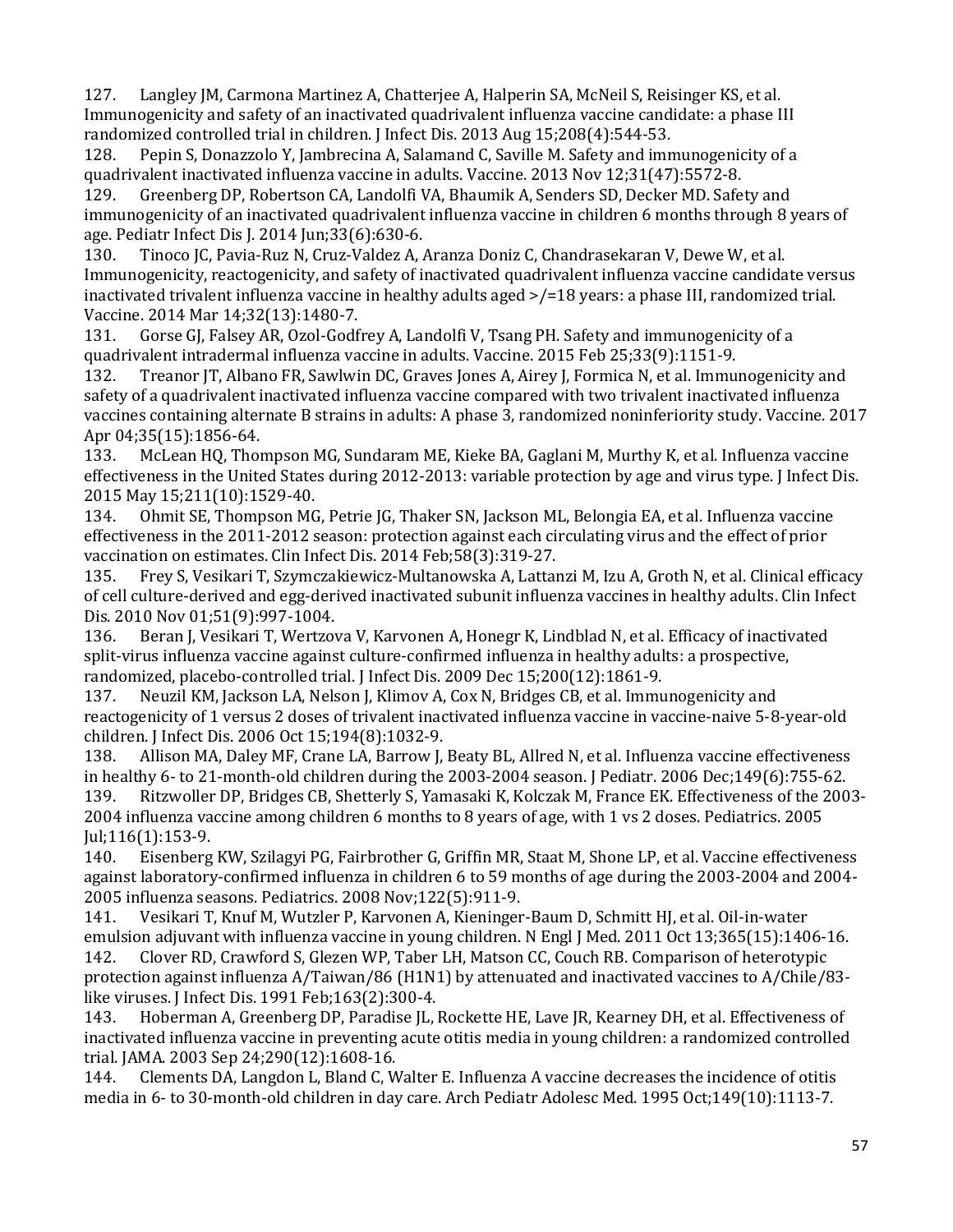127. Langley JM, Carmona Martinez A, Chatterjee A, Halperin SA, McNeil S, Reisinger KS, et al. Immunogenicity and safety of an inactivated quadrivalent influenza vaccine candidate: a phase III randomized controlled trial in children. J Infect Dis. 2013 Aug 15;208(4):544-53.<br>128. Pepin S. Donazzolo Y. Jambrecina A. Salamand C. Saville M. Safety and imn

Pepin S, Donazzolo Y, Jambrecina A, Salamand C, Saville M. Safety and immunogenicity of a quadrivalent inactivated influenza vaccine in adults. Vaccine. 2013 Nov 12;31(47):5572-8.<br>129. Greenberg DP. Robertson CA. Landolfi VA. Bhaumik A. Senders SD. Decker MD. Safe

 age. Pediatr Infect Dis J. 2014 Jun;33(6):630-6. Greenberg DP, Robertson CA, Landolfi VA, Bhaumik A, Senders SD, Decker MD. Safety and immunogenicity of an inactivated quadrivalent influenza vaccine in children 6 months through 8 years of

130. Tinoco JC, Pavia-Ruz N, Cruz-Valdez A, Aranza Doniz C, Chandrasekaran V, Dewe W, et al. Immunogenicity, reactogenicity, and safety of inactivated quadrivalent influenza vaccine candidate versus inactivated trivalent influenza vaccine in healthy adults aged >/=18 years: a phase III, randomized trial. Vaccine. 2014 Mar 14;32(13):1480-7.

131. Gorse GJ, Falsey AR, Ozol-Godfrey A, Landolfi V, Tsang PH. Safety and immunogenicity of a quadrivalent intradermal influenza vaccine in adults. Vaccine. 2015 Feb 25;33(9):1151-9.<br>132. Treanor JT, Albano FR, Sawlwin DC, Graves Jones A, Airey J, Formica N, et al. Immu:

Treanor JT, Albano FR, Sawlwin DC, Graves Jones A, Airey J, Formica N, et al. Immunogenicity and safety of a quadrivalent inactivated influenza vaccine compared with two trivalent inactivated influenza vaccines containing alternate B strains in adults: A phase 3, randomized noninferiority study. Vaccine. 2017 Apr 04;35(15):1856-64.<br>133. McLean HO, Thor

133. McLean HQ, Thompson MG, Sundaram ME, Kieke BA, Gaglani M, Murthy K, et al. Influenza vaccine effectiveness in the United States during 2012-2013: variable protection by age and virus type. J Infect Dis. 2015 May 15;211(10):1529-40.

134. Ohmit SE, Thompson MG, Petrie JG, Thaker SN, Jackson ML, Belongia EA, et al. Influenza vaccine effectiveness in the 2011-2012 season: protection against each circulating virus and the effect of prior vaccination on estimates. Clin Infect Dis. 2014 Feb; 58(3): 319-27.<br>135. Frey S. Vesikari T. Szymczakiewicz-Multanowska A. Lattar

 of cell culture-derived and egg-derived inactivated subunit influenza vaccines in healthy adults. Clin Infect 135. Frey S, Vesikari T, Szymczakiewicz-Multanowska A, Lattanzi M, Izu A, Groth N, et al. Clinical efficacy Dis. 2010 Nov 01;51(9):997-1004.

Beran J, Vesikari T, Wertzova V, Karvonen A, Honegr K, Lindblad N, et al. Efficacy of inactivated split-virus influenza vaccine against culture-confirmed influenza in healthy adults: a prospective, randomized, placebo-controlled trial. J Infect Dis. 2009 Dec 15;200(12):1861-9.<br>137. Neuzil KM. Jackson LA. Nelson J. Klimov A. Cox N. Bridges CB. et al. Immu

Neuzil KM, Jackson LA, Nelson J, Klimov A, Cox N, Bridges CB, et al. Immunogenicity and reactogenicity of 1 versus 2 doses of trivalent inactivated influenza vaccine in vaccine-naive 5-8-year-old children. J Infect Dis. 2006 Oct 15;194(8):1032-9.

Allison MA, Daley MF, Crane LA, Barrow J, Beaty BL, Allred N, et al. Influenza vaccine effectiveness in healthy 6- to 21-month-old children during the 2003-2004 season. J Pediatr. 2006 Dec;149(6):755-62. Ritzwoller DP, Bridges CB, Shetterly S, Yamasaki K, Kolczak M, France EK. Effectiveness of the 2003-2004 influenza vaccine among children 6 months to 8 years of age, with 1 vs 2 doses. Pediatrics. 2005

Jul;116(1):153-9.<br>140. Eisenberg 140. Eisenberg KW, Szilagyi PG, Fairbrother G, Griffin MR, Staat M, Shone LP, et al. Vaccine effectiveness against laboratory-confirmed influenza in children 6 to 59 months of age during the 2003-2004 and 2004-

2005 influenza seasons. Pediatrics. 2008 Nov;122(5):911-9. 141. Vesikari T, Knuf M, Wutzler P, Karvonen A, Kieninger-Baum D, Schmitt HJ, et al. Oil-in-water emulsion adjuvant with influenza vaccine in young children. N Engl J Med. 2011 Oct 13;365(15):1406-16.<br>142. Clover RD, Crawford S, Glezen WP, Taber LH, Matson CC, Couch RB. Comparison of heterotypic 142. Clover RD, Crawford S, Glezen WP, Taber LH, Matson CC, Couch RB. Comparison of heterotypic

protection against influenza A/Taiwan/86 (H1N1) by attenuated and inactivated vaccines to A/Chile/83 like viruses. J Infect Dis. 1991 Feb;163(2):300-4.<br>143. Hoberman A, Greenberg DP, Paradise JL,

 inactivated influenza vaccine in preventing acute otitis media in young children: a randomized controlled 143. Hoberman A, Greenberg DP, Paradise JL, Rockette HE, Lave JR, Kearney DH, et al. Effectiveness of trial. JAMA. 2003 Sep 24;290(12):1608-16.

Clements DA, Langdon L, Bland C, Walter E. Influenza A vaccine decreases the incidence of otitis media in 6- to 30-month-old children in day care. Arch Pediatr Adolesc Med. 1995 Oct;149(10):1113-7.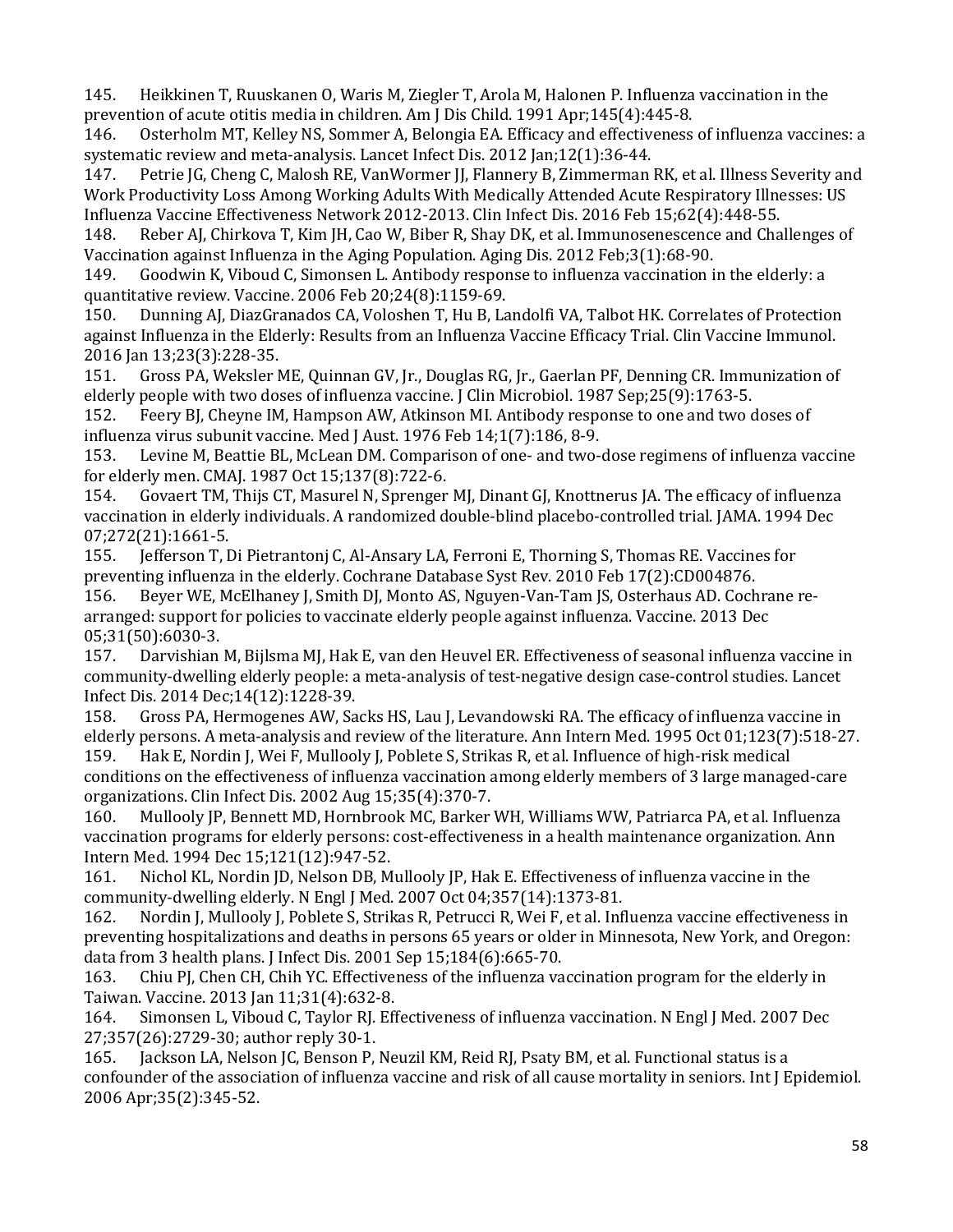145. Heikkinen T, Ruuskanen O, Waris M, Ziegler T, Arola M, Halonen P. Influenza vaccination in the

prevention of acute otitis media in children. Am J Dis Child. 1991 Apr;145(4):445-8.<br>146. Osterholm MT, Kelley NS, Sommer A, Belongia EA. Efficacy and effectiveness 146. Osterholm MT, Kelley NS, Sommer A, Belongia EA. Efficacy and effectiveness of influenza vaccines: a systematic review and meta-analysis. Lancet Infect Dis. 2012 Jan;12(1):36-44.<br>147. Petrie JG, Cheng C, Malosh RE, VanWormer JJ, Flannery B, Zimmerman

 147. Petrie JG, Cheng C, Malosh RE, VanWormer JJ, Flannery B, Zimmerman RK, et al. Illness Severity and Work Productivity Loss Among Working Adults With Medically Attended Acute Respiratory Illnesses: US Influenza Vaccine Effectiveness Network 2012-2013. Clin Infect Dis. 2016 Feb 15;62(4):448-55.<br>148. Reber AJ, Chirkova T, Kim JH, Cao W, Biber R, Shay DK, et al. Immunosenescence and Cha

Reber AJ, Chirkova T, Kim JH, Cao W, Biber R, Shay DK, et al. Immunosenescence and Challenges of Vaccination against Influenza in the Aging Population. Aging Dis. 2012 Feb;3(1):68-90.

Goodwin K, Viboud C, Simonsen L. Antibody response to influenza vaccination in the elderly: a quantitative review. Vaccine. 2006 Feb 20;24(8):1159-69.<br>150. Dunning AJ, DiazGranados CA, Voloshen T, Hu B, La

150. Dunning AJ, DiazGranados CA, Voloshen T, Hu B, Landolfi VA, Talbot HK. Correlates of Protection against Influenza in the Elderly: Results from an Influenza Vaccine Efficacy Trial. Clin Vaccine Immunol.

2016 Jan 13;23(3):228-35.<br>151. Gross PA, Weksler N 151. Gross PA, Weksler ME, Quinnan GV, Jr., Douglas RG, Jr., Gaerlan PF, Denning CR. Immunization of elderly people with two doses of influenza vaccine. J Clin Microbiol. 1987 Sep;25(9):1763-5.<br>152. Feery BJ, Cheyne IM, Hampson AW, Atkinson MI. Antibody response to one and two c

152. Feery BJ, Cheyne IM, Hampson AW, Atkinson MI. Antibody response to one and two doses of influenza virus subunit vaccine. Med J Aust. 1976 Feb 14;1(7):186, 8-9.<br>153. Levine M. Beattie BL. McLean DM. Comparison of one- and two-

Levine M, Beattie BL, McLean DM. Comparison of one- and two-dose regimens of influenza vaccine for elderly men. CMAJ. 1987 Oct 15;137(8):722-6.

154. Govaert TM, Thijs CT, Masurel N, Sprenger MJ, Dinant GJ, Knottnerus JA. The efficacy of influenza vaccination in elderly individuals. A randomized double-blind placebo-controlled trial. JAMA. 1994 Dec 07;272(21):1661-5.<br>155. Jefferson T.I

155. Jefferson T, Di Pietrantonj C, Al-Ansary LA, Ferroni E, Thorning S, Thomas RE. Vaccines for

preventing influenza in the elderly. Cochrane Database Syst Rev. 2010 Feb 17(2):CD004876.<br>156. Beyer WE, McElhaney J, Smith DJ, Monto AS, Nguyen-Van-Tam JS, Osterhaus AD. Coch 156. Beyer WE, McElhaney J, Smith DJ, Monto AS, Nguyen-Van-Tam JS, Osterhaus AD. Cochrane rearranged: support for policies to vaccinate elderly people against influenza. Vaccine. 2013 Dec 05;31(50):6030-3.<br>157. Darvishian

Darvishian M, Bijlsma MJ, Hak E, van den Heuvel ER. Effectiveness of seasonal influenza vaccine in community-dwelling elderly people: a meta-analysis of test-negative design case-control studies. Lancet Infect Dis. 2014 Dec; 14(12): 1228-39.<br>158. Gross PA, Hermogenes AW, Sa

Gross PA, Hermogenes AW, Sacks HS, Lau J, Levandowski RA. The efficacy of influenza vaccine in elderly persons. A meta-analysis and review of the literature. Ann Intern Med. 1995 Oct 01;123(7):518-27.<br>159. Hak E. Nordin I. Wei F. Mulloolv I. Poblete S. Strikas R. et al. Influence of high-risk medical

Hak E, Nordin J, Wei F, Mullooly J, Poblete S, Strikas R, et al. Influence of high-risk medical conditions on the effectiveness of influenza vaccination among elderly members of 3 large managed-care organizations. Clin Infect Dis. 2002 Aug 15;35(4):370-7.

160. Mullooly JP, Bennett MD, Hornbrook MC, Barker WH, Williams WW, Patriarca PA, et al. Influenza vaccination programs for elderly persons: cost-effectiveness in a health maintenance organization. Ann

Intern Med. 1994 Dec 15;121(12):947-52.<br>161. Nichol KL, Nordin JD, Nelson DB, M Nichol KL, Nordin JD, Nelson DB, Mullooly JP, Hak E. Effectiveness of influenza vaccine in the community-dwelling elderly. N Engl J Med. 2007 Oct 04;357(14):1373-81.<br>162. Nordin J, Mullooly J, Poblete S, Strikas R, Petrucci R, Wei F, et al. Inf

Nordin J, Mullooly J, Poblete S, Strikas R, Petrucci R, Wei F, et al. Influenza vaccine effectiveness in preventing hospitalizations and deaths in persons 65 years or older in Minnesota, New York, and Oregon: data from 3 health plans. J Infect Dis. 2001 Sep 15;184(6):665-70.<br>163. Chiu PJ, Chen CH, Chih YC. Effectiveness of the influenza va

163. Chiu PJ, Chen CH, Chih YC. Effectiveness of the influenza vaccination program for the elderly in Taiwan. Vaccine. 2013 Jan 11;31(4):632-8.

164. Simonsen L, Viboud C, Taylor RJ. Effectiveness of influenza vaccination. N Engl J Med. 2007 Dec 27;357(26):2729-30; author reply 30-1.<br>165. Jackson LA, Nelson JC, Benson P,

Jackson LA, Nelson JC, Benson P, Neuzil KM, Reid RJ, Psaty BM, et al. Functional status is a confounder of the association of influenza vaccine and risk of all cause mortality in seniors. Int J Epidemiol. 2006 Apr;35(2):345-52.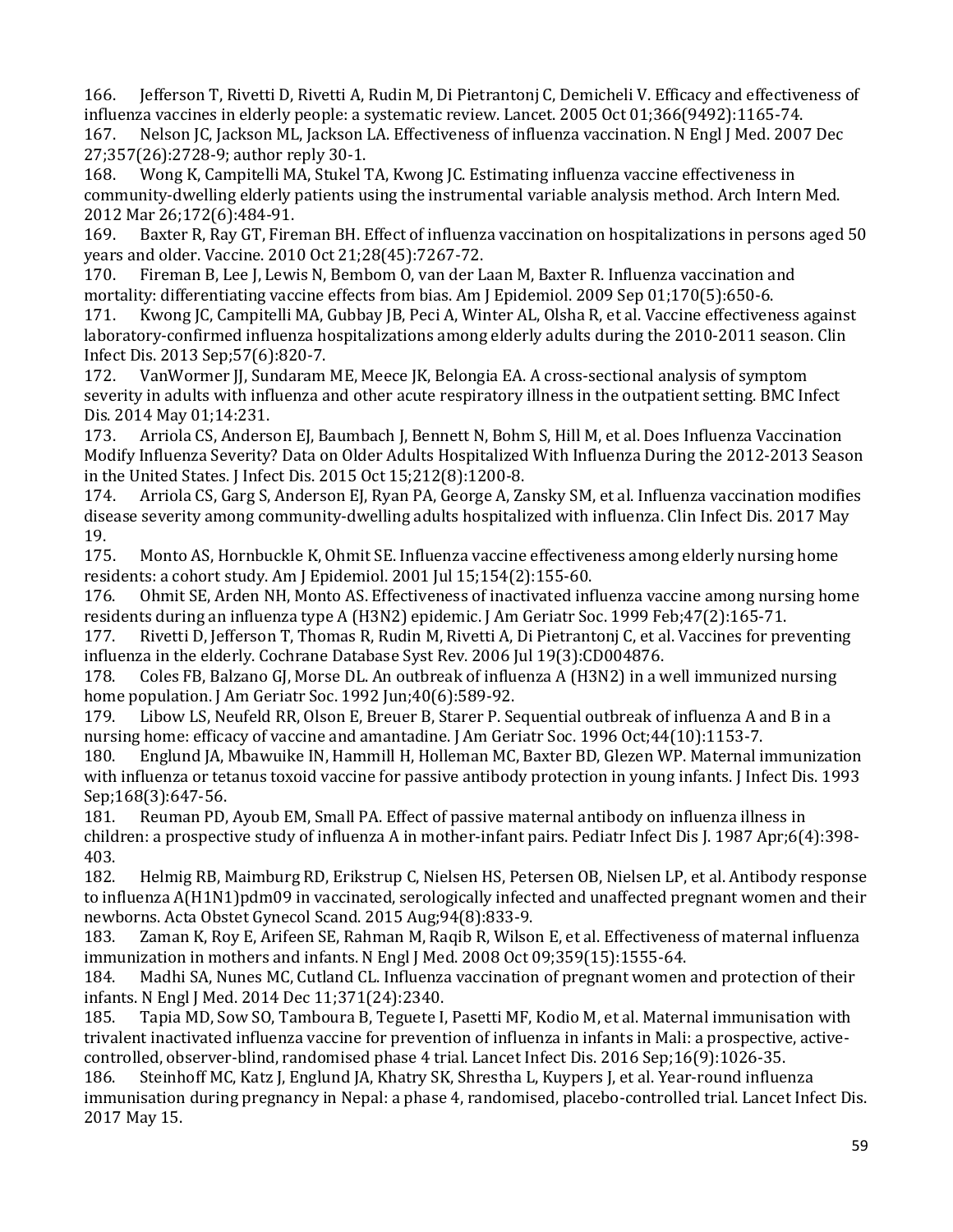166. Jefferson T, Rivetti D, Rivetti A, Rudin M, Di Pietrantonj C, Demicheli V. Efficacy and effectiveness of influenza vaccines in elderly people: a systematic review. Lancet. 2005 Oct 01;366(9492):1165-74.

167. Nelson JC, Jackson ML, Jackson LA. Effectiveness of influenza vaccination. N Engl J Med. 2007 Dec 27;357(26):2728-9; author reply 30-1.<br>168. Wong K, Campitelli MA, Stukel 7

Wong K, Campitelli MA, Stukel TA, Kwong JC. Estimating influenza vaccine effectiveness in community-dwelling elderly patients using the instrumental variable analysis method. Arch Intern Med.

2012 Mar 26;172(6):484-91.<br>169. Baxter R, Ray GT, Fire 169. Baxter R, Ray GT, Fireman BH. Effect of influenza vaccination on hospitalizations in persons aged 50 years and older. Vaccine. 2010 Oct 21;28(45):7267-72.<br>170. Fireman B, Lee J, Lewis N, Bembom O, van der L

Fireman B, Lee J, Lewis N, Bembom O, van der Laan M, Baxter R. Influenza vaccination and mortality: differentiating vaccine effects from bias. Am J Epidemiol. 2009 Sep 01;170(5):650-6.<br>171. Kwong JC, Campitelli MA, Gubbay JB, Peci A, Winter AL, Olsha R, et al. Vaccine effectiven

Kwong JC, Campitelli MA, Gubbay JB, Peci A, Winter AL, Olsha R, et al. Vaccine effectiveness against laboratory-confirmed influenza hospitalizations among elderly adults during the 2010-2011 season. Clin Infect Dis. 2013 Sep;57(6):820-7.<br>172. VanWormer JJ, Sundaram

VanWormer JJ, Sundaram ME, Meece JK, Belongia EA. A cross-sectional analysis of symptom severity in adults with influenza and other acute respiratory illness in the outpatient setting. BMC Infect Dis. 2014 May 01;14:231.

Arriola CS, Anderson EJ, Baumbach J, Bennett N, Bohm S, Hill M, et al. Does Influenza Vaccination Modify Influenza Severity? Data on Older Adults Hospitalized With Influenza During the 2012-2013 Season in the United States. J Infect Dis. 2015 Oct 15;212(8):1200-8.

 disease severity among community-dwelling adults hospitalized with influenza. Clin Infect Dis. 2017 May Arriola CS, Garg S, Anderson EJ, Ryan PA, George A, Zansky SM, et al. Influenza vaccination modifies 19.<br>175.

Monto AS, Hornbuckle K, Ohmit SE. Influenza vaccine effectiveness among elderly nursing home residents: a cohort study. Am J Epidemiol. 2001 Jul 15;154(2):155-60.<br>176. Ohmit SE, Arden NH, Monto AS. Effectiveness of inactivated inf

176. Ohmit SE, Arden NH, Monto AS. Effectiveness of inactivated influenza vaccine among nursing home residents during an influenza type A (H3N2) epidemic. J Am Geriatr Soc. 1999 Feb;47(2):165-71.<br>177. Rivetti D. Jefferson T. Thomas R. Rudin M. Rivetti A. Di Pietrantoni C. et al. Vaccines for pre

Rivetti D, Jefferson T, Thomas R, Rudin M, Rivetti A, Di Pietrantonj C, et al. Vaccines for preventing influenza in the elderly. Cochrane Database Syst Rev. 2006 Jul 19(3):CD004876.

178. Coles FB, Balzano GJ, Morse DL. An outbreak of influenza A (H3N2) in a well immunized nursing home population. J Am Geriatr Soc. 1992 Jun;40(6):589-92.<br>179. Libow LS. Neufeld RR. Olson E. Breuer B. Starer P. Se

Libow LS, Neufeld RR, Olson E, Breuer B, Starer P. Sequential outbreak of influenza A and B in a nursing home: efficacy of vaccine and amantadine. J Am Geriatr Soc. 1996 Oct;44(10):1153-7.<br>180. Englund JA, Mbawuike IN, Hammill H, Holleman MC, Baxter BD, Glezen WP. Maternal in

180. Englund JA, Mbawuike IN, Hammill H, Holleman MC, Baxter BD, Glezen WP. Maternal immunization with influenza or tetanus toxoid vaccine for passive antibody protection in young infants. J Infect Dis. 1993 Sep;168(3):647-56.<br>181. Reuman PD.

Reuman PD, Ayoub EM, Small PA. Effect of passive maternal antibody on influenza illness in children: a prospective study of influenza A in mother-infant pairs. Pediatr Infect Dis J. 1987 Apr;6(4):398- 403.<br>182.

182. Helmig RB, Maimburg RD, Erikstrup C, Nielsen HS, Petersen OB, Nielsen LP, et al. Antibody response to influenza A(H1N1)pdm09 in vaccinated, serologically infected and unaffected pregnant women and their newborns. Acta Obstet Gynecol Scand. 2015 Aug; 94(8): 833-9.<br>183. Zaman K, Roy E, Arifeen SE, Rahman M, Raqib R, Wilso

 immunization in mothers and infants. N Engl J Med. 2008 Oct 09;359(15):1555-64. Zaman K, Roy E, Arifeen SE, Rahman M, Raqib R, Wilson E, et al. Effectiveness of maternal influenza

184. Madhi SA, Nunes MC, Cutland CL. Influenza vaccination of pregnant women and protection of their infants. N Engl J Med. 2014 Dec 11;371(24):2340.

 trivalent inactivated influenza vaccine for prevention of influenza in infants in Mali: a prospective, active-185. Tapia MD, Sow SO, Tamboura B, Teguete I, Pasetti MF, Kodio M, et al. Maternal immunisation with controlled, observer-blind, randomised phase 4 trial. Lancet Infect Dis. 2016 Sep;16(9):1026-35.

Steinhoff MC, Katz J, Englund JA, Khatry SK, Shrestha L, Kuypers J, et al. Year-round influenza immunisation during pregnancy in Nepal: a phase 4, randomised, placebo-controlled trial. Lancet Infect Dis. 2017 May 15.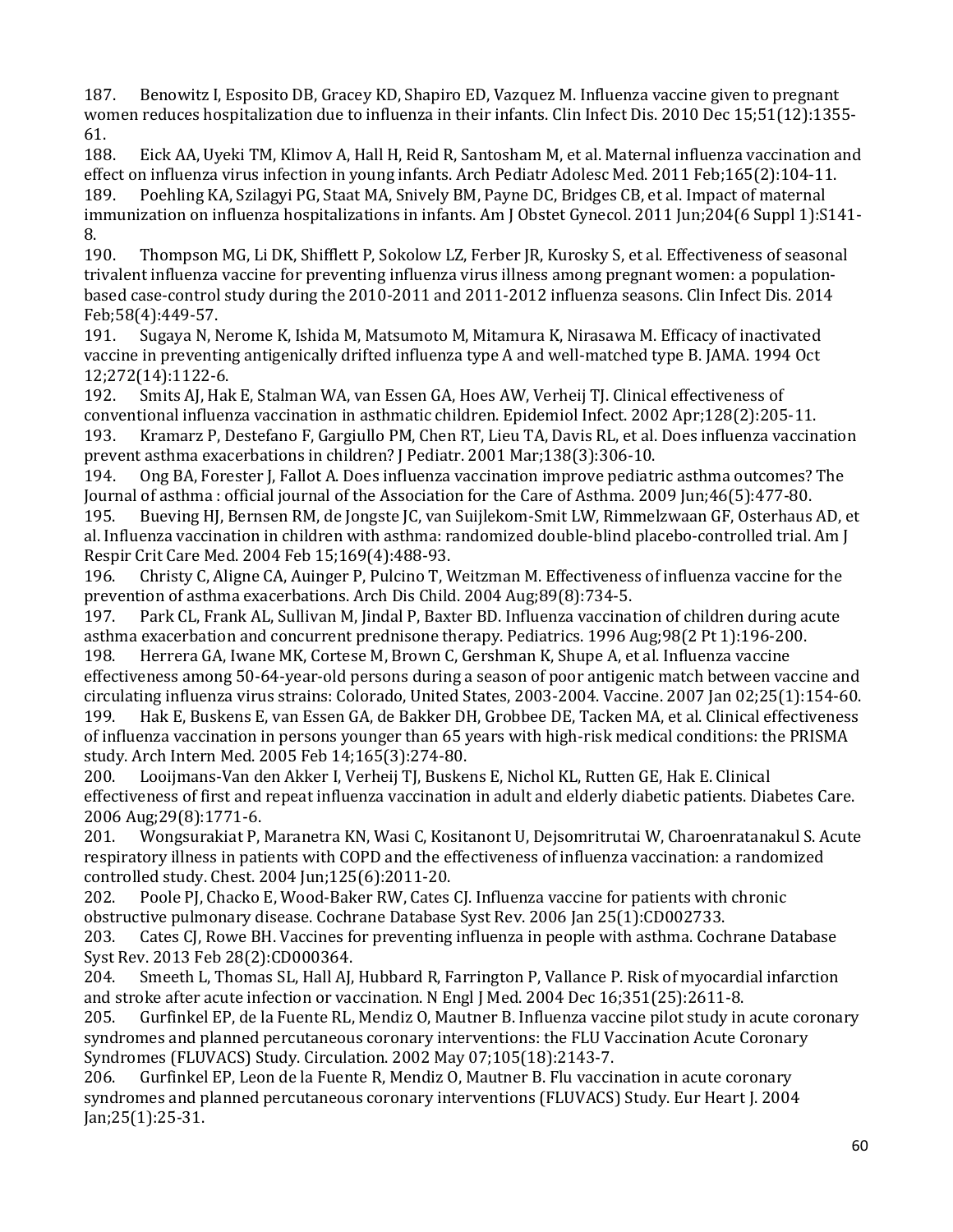women reduces hospitalization due to influenza in their infants. Clin Infect Dis. 2010 Dec 15;51(12):1355- 187. Benowitz I, Esposito DB, Gracey KD, Shapiro ED, Vazquez M. Influenza vaccine given to pregnant

 $61.$ <br>188. Eick AA, Uyeki TM, Klimov A, Hall H, Reid R, Santosham M, et al. Maternal influenza vaccination and effect on influenza virus infection in young infants. Arch Pediatr Adolesc Med. 2011 Feb;165(2):104-11.<br>189. Poehling KA. Szilagvi PG. Staat MA. Snively BM. Payne DC. Bridges CB. et al. Impact of maternal 189. Poehling KA, Szilagyi PG, Staat MA, Snively BM, Payne DC, Bridges CB, et al. Impact of maternal immunization on influenza hospitalizations in infants. Am J Obstet Gynecol. 2011 Jun;204(6 Suppl 1):S141-

 190. Thompson MG, Li DK, Shifflett P, Sokolow LZ, Ferber JR, Kurosky S, et al. Effectiveness of seasonal based case-control study during the 2010-2011 and 2011-2012 influenza seasons. Clin Infect Dis. 2014 8.<br>190. trivalent influenza vaccine for preventing influenza virus illness among pregnant women: a population-Feb; 58(4): 449-57.<br>191. Sugaya N, N

191. Sugaya N, Nerome K, Ishida M, Matsumoto M, Mitamura K, Nirasawa M. Efficacy of inactivated vaccine in preventing antigenically drifted influenza type A and well-matched type B. JAMA. 1994 Oct 12;272(14):1122-6.<br>192. Smits AI. Hal

Smits AJ, Hak E, Stalman WA, van Essen GA, Hoes AW, Verheij TJ. Clinical effectiveness of conventional influenza vaccination in asthmatic children. Epidemiol Infect. 2002 Apr;128(2):205-11. 193. Kramarz P, Destefano F, Gargiullo PM, Chen RT, Lieu TA, Davis RL, et al. Does influenza vaccination

 194. Ong BA, Forester J, Fallot A. Does influenza vaccination improve pediatric asthma outcomes? The prevent asthma exacerbations in children? J Pediatr. 2001 Mar; 138(3): 306-10.<br>194. Ong BA, Forester J, Fallot A. Does influenza vaccination improve pediatr Journal of asthma : official journal of the Association for the Care of Asthma. 2009 Jun;46(5):477-80.

195. Bueving HJ, Bernsen RM, de Jongste JC, van Suijlekom-Smit LW, Rimmelzwaan GF, Osterhaus AD, et al. Influenza vaccination in children with asthma: randomized double-blind placebo-controlled trial. Am J Respir Crit Care Med. 2004 Feb 15;169(4):488-93.<br>196. Christy C. Aligne CA. Auinger P. Pulcino T. V

196. Christy C, Aligne CA, Auinger P, Pulcino T, Weitzman M. Effectiveness of influenza vaccine for the prevention of asthma exacerbations. Arch Dis Child. 2004 Aug;89(8):734-5.<br>197. Park CL, Frank AL, Sullivan M, Jindal P, Baxter BD. Influenza vaccinat

 effectiveness among 50-64-year-old persons during a season of poor antigenic match between vaccine and Park CL, Frank AL, Sullivan M, Jindal P, Baxter BD. Influenza vaccination of children during acute asthma exacerbation and concurrent prednisone therapy. Pediatrics. 1996 Aug;98(2 Pt 1):196-200. 198. Herrera GA, Iwane MK, Cortese M, Brown C, Gershman K, Shupe A, et al. Influenza vaccine circulating influenza virus strains: Colorado, United States, 2003-2004. Vaccine. 2007 Jan 02;25(1):154-60. Hak E, Buskens E, van Essen GA, de Bakker DH, Grobbee DE, Tacken MA, et al. Clinical effectiveness of influenza vaccination in persons younger than 65 years with high-risk medical conditions: the PRISMA

study. Arch Intern Med. 2005 Feb 14;165(3):274-80. 200. Looijmans-Van den Akker I, Verheij TJ, Buskens E, Nichol KL, Rutten GE, Hak E. Clinical effectiveness of first and repeat influenza vaccination in adult and elderly diabetic patients. Diabetes Care.

 201. Wongsurakiat P, Maranetra KN, Wasi C, Kositanont U, Dejsomritrutai W, Charoenratanakul S. Acute 2006 Aug; 29(8): 1771-6.<br>201. Wongsurakiat P, 1 respiratory illness in patients with COPD and the effectiveness of influenza vaccination: a randomized controlled study. Chest. 2004 Jun;125(6):2011-20.

Poole PJ, Chacko E, Wood-Baker RW, Cates CJ. Influenza vaccine for patients with chronic

obstructive pulmonary disease. Cochrane Database Syst Rev. 2006 Jan 25(1):CD002733. Cates CJ, Rowe BH. Vaccines for preventing influenza in people with asthma. Cochrane Database Syst Rev. 2013 Feb 28(2): CD000364.<br>204. Smeeth L. Thomas SL. Hall AI.

204. Smeeth L, Thomas SL, Hall AJ, Hubbard R, Farrington P, Vallance P. Risk of myocardial infarction

and stroke after acute infection or vaccination. N Engl J Med. 2004 Dec 16;351(25):2611-8. Gurfinkel EP, de la Fuente RL, Mendiz O, Mautner B. Influenza vaccine pilot study in acute coronary syndromes and planned percutaneous coronary interventions: the FLU Vaccination Acute Coronary Syndromes (FLUVACS) Study. Circulation. 2002 May 07;105(18):2143-7.

Gurfinkel EP, Leon de la Fuente R, Mendiz O, Mautner B. Flu vaccination in acute coronary syndromes and planned percutaneous coronary interventions (FLUVACS) Study. Eur Heart J. 2004 Jan;25(1):25-31.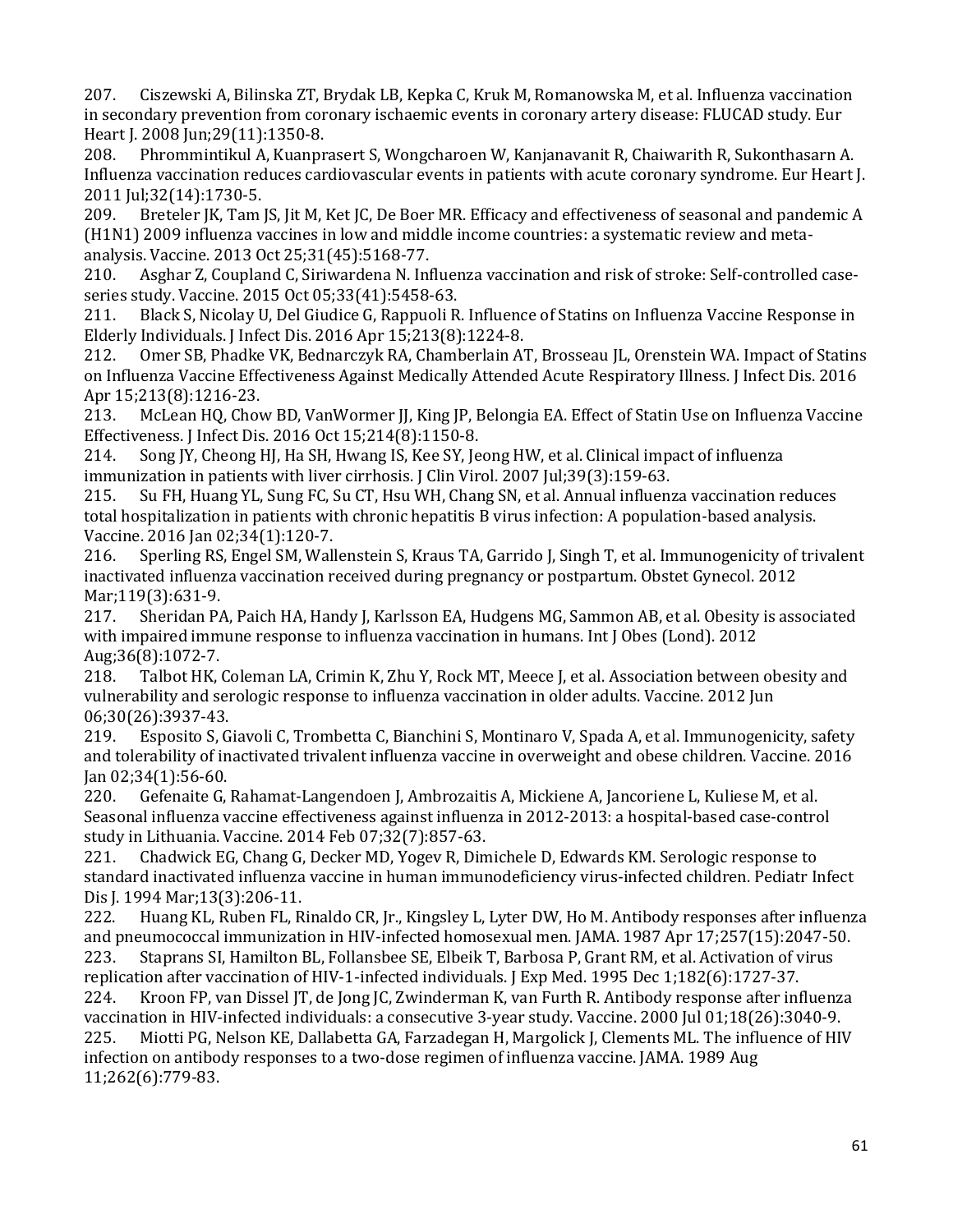207. Ciszewski A, Bilinska ZT, Brydak LB, Kepka C, Kruk M, Romanowska M, et al. Influenza vaccination in secondary prevention from coronary ischaemic events in coronary artery disease: FLUCAD study. Eur Heart J. 2008 Jun;29(11):1350-8.

208. Phrommintikul A, Kuanprasert S, Wongcharoen W, Kanjanavanit R, Chaiwarith R, Sukonthasarn A. Influenza vaccination reduces cardiovascular events in patients with acute coronary syndrome. Eur Heart J.

2011 Jul;32(14):1730-5. Breteler JK, Tam JS, Jit M, Ket JC, De Boer MR. Efficacy and effectiveness of seasonal and pandemic A (H1N1) 2009 influenza vaccines in low and middle income countries: a systematic review and metaanalysis. Vaccine. 2013 Oct 25;31(45):5168-77.<br>210. Asghar Z, Coupland C, Siriwardena N. Inf

Asghar Z, Coupland C, Siriwardena N. Influenza vaccination and risk of stroke: Self-controlled caseseries study. Vaccine. 2015 Oct 05;33(41):5458-63.<br>211. Black S, Nicolay U, Del Giudice G, Rappuoli R

211. Black S, Nicolay U, Del Giudice G, Rappuoli R. Influence of Statins on Influenza Vaccine Response in Elderly Individuals. J Infect Dis. 2016 Apr 15;213(8):1224-8.<br>212. Omer SB, Phadke VK, Bednarczyk RA, Chamberlain A'

Omer SB, Phadke VK, Bednarczyk RA, Chamberlain AT, Brosseau JL, Orenstein WA. Impact of Statins on Influenza Vaccine Effectiveness Against Medically Attended Acute Respiratory Illness. J Infect Dis. 2016 Apr 15;213(8):1216-23.<br>213. McLean HQ, Chov

213. McLean HQ, Chow BD, VanWormer JJ, King JP, Belongia EA. Effect of Statin Use on Influenza Vaccine Effectiveness. J Infect Dis. 2016 Oct 15;214(8):1150-8.<br>214. Song JY, Cheong HJ, Ha SH, Hwang IS, Kee SY, Je

214. Song JY, Cheong HJ, Ha SH, Hwang IS, Kee SY, Jeong HW, et al. Clinical impact of influenza immunization in patients with liver cirrhosis. J Clin Virol. 2007 Jul;39(3):159-63.

215. Su FH, Huang YL, Sung FC, Su CT, Hsu WH, Chang SN, et al. Annual influenza vaccination reduces total hospitalization in patients with chronic hepatitis B virus infection: A population-based analysis. Vaccine. 2016 Jan 02;34(1):120-7.<br>216. Sperling RS, Engel SM, Wall

216. Sperling RS, Engel SM, Wallenstein S, Kraus TA, Garrido J, Singh T, et al. Immunogenicity of trivalent inactivated influenza vaccination received during pregnancy or postpartum. Obstet Gynecol. 2012 Mar;119(3):631-9.<br>217. Sheridan PA

217. Sheridan PA, Paich HA, Handy J, Karlsson EA, Hudgens MG, Sammon AB, et al. Obesity is associated with impaired immune response to influenza vaccination in humans. Int J Obes (Lond). 2012

Aug;36(8):1072-7.<br>218. Talbot HK, 0 Talbot HK, Coleman LA, Crimin K, Zhu Y, Rock MT, Meece J, et al. Association between obesity and vulnerability and serologic response to influenza vaccination in older adults. Vaccine. 2012 Jun 06;30(26):3937-43.<br>219. Esposito S, G

Esposito S, Giavoli C, Trombetta C, Bianchini S, Montinaro V, Spada A, et al. Immunogenicity, safety and tolerability of inactivated trivalent influenza vaccine in overweight and obese children. Vaccine. 2016

Jan 02;34(1):56-60.<br>220. Gefenaite G, 220. Gefenaite G, Rahamat-Langendoen J, Ambrozaitis A, Mickiene A, Jancoriene L, Kuliese M, et al. Seasonal influenza vaccine effectiveness against influenza in 2012-2013: a hospital-based case-control study in Lithuania. Vaccine. 2014 Feb 07;32(7):857-63.

 standard inactivated influenza vaccine in human immunodeficiency virus-infected children. Pediatr Infect 221. Chadwick EG, Chang G, Decker MD, Yogev R, Dimichele D, Edwards KM. Serologic response to

Dis J. 1994 Mar;13(3):206-11. 222. Huang KL, Ruben FL, Rinaldo CR, Jr., Kingsley L, Lyter DW, Ho M. Antibody responses after influenza and pneumococcal immunization in HIV-infected homosexual men. JAMA. 1987 Apr 17;257(15):2047-50. Staprans SI, Hamilton BL, Follansbee SE, Elbeik T, Barbosa P, Grant RM, et al. Activation of virus

replication after vaccination of HIV-1-infected individuals. J Exp Med. 1995 Dec 1;182(6):1727-37.<br>224. Kroon FP, van Dissel JT, de Jong JC, Zwinderman K, van Furth R. Antibody response after inf 224. Kroon FP, van Dissel JT, de Jong JC, Zwinderman K, van Furth R. Antibody response after influenza vaccination in HIV-infected individuals: a consecutive 3-year study. Vaccine. 2000 Jul 01;18(26):3040-9. 225. Miotti PG, Nelson KE, Dallabetta GA, Farzadegan H, Margolick J, Clements ML. The influence of HIV infection on antibody responses to a two-dose regimen of influenza vaccine. JAMA. 1989 Aug 11;262(6):779-83.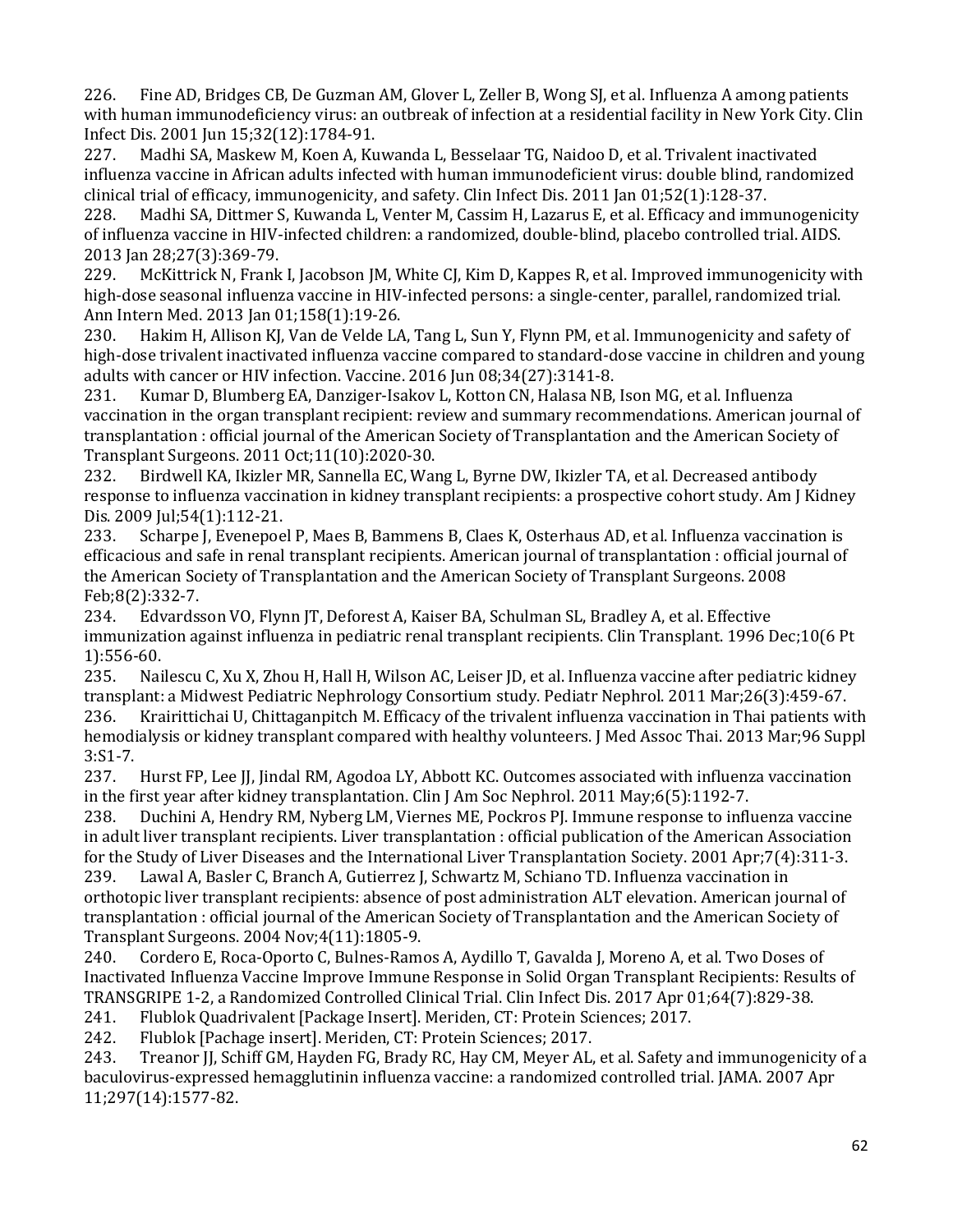with human immunodeficiency virus: an outbreak of infection at a residential facility in New York City. Clin 226. Fine AD, Bridges CB, De Guzman AM, Glover L, Zeller B, Wong SJ, et al. Influenza A among patients

Infect Dis. 2001 Jun 15;32(12):1784-91. Madhi SA, Maskew M, Koen A, Kuwanda L, Besselaar TG, Naidoo D, et al. Trivalent inactivated influenza vaccine in African adults infected with human immunodeficient virus: double blind, randomized clinical trial of efficacy, immunogenicity, and safety. Clin Infect Dis. 2011 Jan 01;52(1):128-37.

228. Madhi SA, Dittmer S, Kuwanda L, Venter M, Cassim H, Lazarus E, et al. Efficacy and immunogenicity of influenza vaccine in HIV-infected children: a randomized, double-blind, placebo controlled trial. AIDS. 2013 Jan 28;27(3):369-79.

McKittrick N, Frank I, Jacobson JM, White CJ, Kim D, Kappes R, et al. Improved immunogenicity with high-dose seasonal influenza vaccine in HIV-infected persons: a single-center, parallel, randomized trial.

Ann Intern Med. 2013 Jan 01;158(1):19-26. 230. Hakim H, Allison KJ, Van de Velde LA, Tang L, Sun Y, Flynn PM, et al. Immunogenicity and safety of high-dose trivalent inactivated influenza vaccine compared to standard-dose vaccine in children and young adults with cancer or HIV infection. Vaccine. 2016 Jun 08;34(27):3141-8.<br>231. Kumar D. Blumberg EA. Danziger-Isakov L. Kotton CN. Halasa NB.

231. Kumar D, Blumberg EA, Danziger-Isakov L, Kotton CN, Halasa NB, Ison MG, et al. Influenza vaccination in the organ transplant recipient: review and summary recommendations. American journal of transplantation : official journal of the American Society of Transplantation and the American Society of Transplant Surgeons. 2011 Oct;11(10):2020-30.

232. Birdwell KA, Ikizler MR, Sannella EC, Wang L, Byrne DW, Ikizler TA, et al. Decreased antibody response to influenza vaccination in kidney transplant recipients: a prospective cohort study. Am J Kidney Dis. 2009 Jul; 54(1): 112-21.<br>233. Scharpe J, Evenepoe

Scharpe J, Evenepoel P, Maes B, Bammens B, Claes K, Osterhaus AD, et al. Influenza vaccination is efficacious and safe in renal transplant recipients. American journal of transplantation : official journal of the American Society of Transplantation and the American Society of Transplant Surgeons. 2008 Feb;8(2):332-7.<br>234. Edvards:

 immunization against influenza in pediatric renal transplant recipients. Clin Transplant. 1996 Dec;10(6 Pt 234. Edvardsson VO, Flynn JT, Deforest A, Kaiser BA, Schulman SL, Bradley A, et al. Effective

1):556-60.<br>235. Nai Nailescu C, Xu X, Zhou H, Hall H, Wilson AC, Leiser JD, et al. Influenza vaccine after pediatric kidney transplant: a Midwest Pediatric Nephrology Consortium study. Pediatr Nephrol. 2011 Mar;26(3):459-67.<br>236. Krairittichai U, Chittaganpitch M. Efficacy of the trivalent influenza vaccination in Thai patients wi 236. Krairittichai U, Chittaganpitch M. Efficacy of the trivalent influenza vaccination in Thai patients with hemodialysis or kidney transplant compared with healthy volunteers. J Med Assoc Thai. 2013 Mar;96 Suppl 3:S1-7.<br>237.

237. Hurst FP, Lee JJ, Jindal RM, Agodoa LY, Abbott KC. Outcomes associated with influenza vaccination in the first year after kidney transplantation. Clin J Am Soc Nephrol. 2011 May;6(5):1192-7.<br>238. Duchini A. Hendry RM. Nyberg LM. Viernes ME. Pockros PI. Immune response to infl

238. Duchini A, Hendry RM, Nyberg LM, Viernes ME, Pockros PJ. Immune response to influenza vaccine in adult liver transplant recipients. Liver transplantation : official publication of the American Association for the Study of Liver Diseases and the International Liver Transplantation Society. 2001 Apr;7(4):311-3.<br>239. Lawal A. Basler C. Branch A. Gutierrez I. Schwartz M. Schiano TD. Influenza vaccination in

 239. Lawal A, Basler C, Branch A, Gutierrez J, Schwartz M, Schiano TD. Influenza vaccination in orthotopic liver transplant recipients: absence of post administration ALT elevation. American journal of transplantation : official journal of the American Society of Transplantation and the American Society of Transplant Surgeons. 2004 Nov;4(11):1805-9.

 240. Cordero E, Roca-Oporto C, Bulnes-Ramos A, Aydillo T, Gavalda J, Moreno A, et al. Two Doses of Inactivated Influenza Vaccine Improve Immune Response in Solid Organ Transplant Recipients: Results of TRANSGRIPE 1-2, a Randomized Controlled Clinical Trial. Clin Infect Dis. 2017 Apr 01;64(7):829-38.

241. Flublok Quadrivalent [Package Insert]. Meriden, CT: Protein Sciences; 2017.<br>242. Flublok [Pachage insert]. Meriden, CT: Protein Sciences; 2017.

242. Flublok [Pachage insert]. Meriden, CT: Protein Sciences; 2017.<br>243. Treanor JJ, Schiff GM, Hayden FG, Brady RC, Hay CM, Meyer AL,

Treanor JJ, Schiff GM, Hayden FG, Brady RC, Hay CM, Meyer AL, et al. Safety and immunogenicity of a baculovirus-expressed hemagglutinin influenza vaccine: a randomized controlled trial. JAMA. 2007 Apr 11;297(14):1577-82.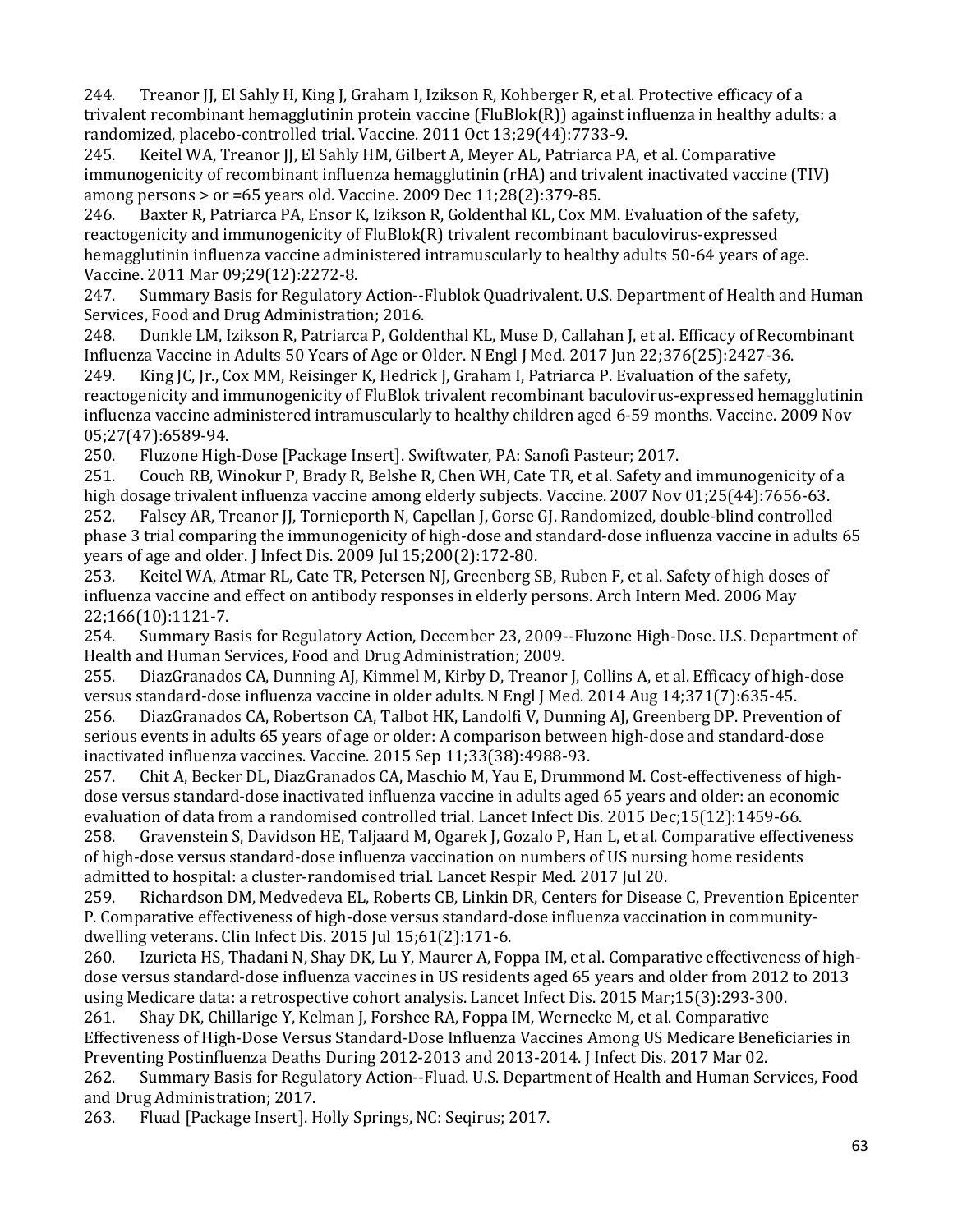244. Treanor JJ, El Sahly H, King J, Graham I, Izikson R, Kohberger R, et al. Protective efficacy of a trivalent recombinant hemagglutinin protein vaccine (FluBlok(R)) against influenza in healthy adults: a randomized, placebo-controlled trial. Vaccine. 2011 Oct 13;29(44):7733-9.<br>245. Keitel WA, Treanor II, El Sahly HM, Gilbert A, Meyer AL, Patriarca P/

Keitel WA, Treanor JJ, El Sahly HM, Gilbert A, Meyer AL, Patriarca PA, et al. Comparative immunogenicity of recombinant influenza hemagglutinin (rHA) and trivalent inactivated vaccine (TIV) among persons > or =65 years old. Vaccine. 2009 Dec 11;28(2):379-85.

Baxter R, Patriarca PA, Ensor K, Izikson R, Goldenthal KL, Cox MM. Evaluation of the safety, reactogenicity and immunogenicity of FluBlok(R) trivalent recombinant baculovirus-expressed hemagglutinin influenza vaccine administered intramuscularly to healthy adults 50-64 years of age. Vaccine. 2011 Mar 09;29(12):2272-8.

247. Summary Basis for Regulatory Action--Flublok Quadrivalent. U.S. Department of Health and Human Services, Food and Drug Administration; 2016.

248. Dunkle LM, Izikson R, Patriarca P, Goldenthal KL, Muse D, Callahan J, et al. Efficacy of Recombinant Influenza Vaccine in Adults 50 Years of Age or Older. N Engl J Med. 2017 Jun 22;376(25):2427-36.<br>249. King JC, Jr., Cox MM, Reisinger K, Hedrick J, Graham I, Patriarca P. Evaluation of the safety,

 influenza vaccine administered intramuscularly to healthy children aged 6-59 months. Vaccine. 2009 Nov King JC, Jr., Cox MM, Reisinger K, Hedrick J, Graham I, Patriarca P. Evaluation of the safety, reactogenicity and immunogenicity of FluBlok trivalent recombinant baculovirus-expressed hemagglutinin

05;27(47):6589-94.<br>250. Fluzone High 250. Fluzone High-Dose [Package Insert]. Swiftwater, PA: Sanofi Pasteur; 2017.<br>251. Couch RB, Winokur P, Brady R, Belshe R, Chen WH, Cate TR, et al. Safety an

 252. Falsey AR, Treanor JJ, Tornieporth N, Capellan J, Gorse GJ. Randomized, double-blind controlled phase 3 trial comparing the immunogenicity of high-dose and standard-dose influenza vaccine in adults 65 251. Couch RB, Winokur P, Brady R, Belshe R, Chen WH, Cate TR, et al. Safety and immunogenicity of a high dosage trivalent influenza vaccine among elderly subjects. Vaccine. 2007 Nov 01;25(44):7656-63.<br>252. Palsev AR. Treanor II. Tornieporth N. Capellan I. Gorse GI. Randomized. double-blind controlled years of age and older. J Infect Dis. 2009 Jul 15;200(2):172-80.<br>253. Keitel WA, Atmar RL, Cate TR, Petersen NJ, Greenberg S

Keitel WA, Atmar RL, Cate TR, Petersen NJ, Greenberg SB, Ruben F, et al. Safety of high doses of influenza vaccine and effect on antibody responses in elderly persons. Arch Intern Med. 2006 May 22;166(10):1121-7.<br>254. Summary Ba

254. Summary Basis for Regulatory Action, December 23, 2009--Fluzone High-Dose. U.S. Department of

Health and Human Services, Food and Drug Administration; 2009.<br>255. DiazGranados CA, Dunning AJ, Kimmel M, Kirby D, Treanor 255. DiazGranados CA, Dunning AJ, Kimmel M, Kirby D, Treanor J, Collins A, et al. Efficacy of high-dose versus standard-dose influenza vaccine in older adults. N Engl J Med. 2014 Aug 14;371(7):635-45. 256. DiazGranados CA, Robertson CA, Talbot HK, Landolfi V, Dunning AJ, Greenberg DP. Prevention of serious events in adults 65 years of age or older: A comparison between high-dose and standard-dose

inactivated influenza vaccines. Vaccine. 2015 Sep 11;33(38):4988-93.<br>257. Chit A, Becker DL, DiazGranados CA, Maschio M, Yau E, Drumm 257. Chit A, Becker DL, DiazGranados CA, Maschio M, Yau E, Drummond M. Cost-effectiveness of highdose versus standard-dose inactivated influenza vaccine in adults aged 65 years and older: an economic evaluation of data from a randomised controlled trial. Lancet Infect Dis. 2015 Dec;15(12):1459-66.<br>258. Gravenstein S. Davidson HE. Taliaard M. Ogarek I. Gozalo P. Han L. et al. Comparative effecti 258. Gravenstein S, Davidson HE, Taljaard M, Ogarek J, Gozalo P, Han L, et al. Comparative effectiveness

of high-dose versus standard-dose influenza vaccination on numbers of US nursing home residents admitted to hospital: a cluster-randomised trial. Lancet Respir Med. 2017 Jul 20.

259. Richardson DM, Medvedeva EL, Roberts CB, Linkin DR, Centers for Disease C, Prevention Epicenter P. Comparative effectiveness of high-dose versus standard-dose influenza vaccination in communitydwelling veterans. Clin Infect Dis. 2015 Jul 15;61(2):171-6.<br>260. Izurieta HS, Thadani N, Shay DK, Lu Y, Maurer A, For

 dose versus standard-dose influenza vaccines in US residents aged 65 years and older from 2012 to 2013 Izurieta HS, Thadani N, Shay DK, Lu Y, Maurer A, Foppa IM, et al. Comparative effectiveness of highusing Medicare data: a retrospective cohort analysis. Lancet Infect Dis. 2015 Mar;15(3):293-300.<br>261. Shay DK, Chillarige Y, Kelman J, Forshee RA, Foppa IM, Wernecke M, et al. Comparative

261. Shay DK, Chillarige Y, Kelman J, Forshee RA, Foppa IM, Wernecke M, et al. Comparative Effectiveness of High-Dose Versus Standard-Dose Influenza Vaccines Among US Medicare Beneficiaries in

Preventing Postinfluenza Deaths During 2012-2013 and 2013-2014. J Infect Dis. 2017 Mar 02. 262. Summary Basis for Regulatory Action--Fluad. U.S. Department of Health and Human Services, Food

and Drug Administration; 2017.<br>263. Fluad [Package Insert]. H 263. Fluad [Package Insert]. Holly Springs, NC: Seqirus; 2017.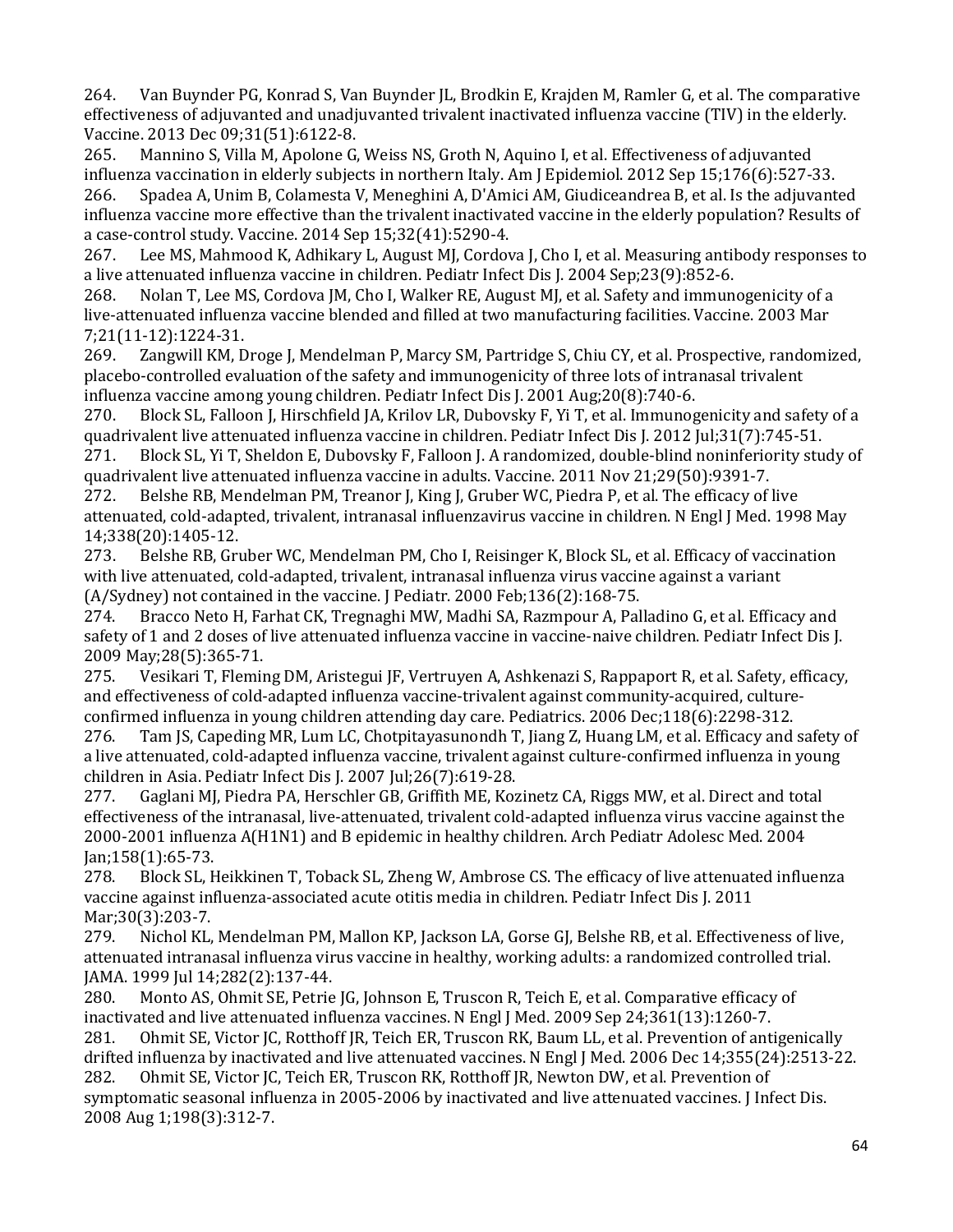264. Van Buynder PG, Konrad S, Van Buynder JL, Brodkin E, Krajden M, Ramler G, et al. The comparative effectiveness of adjuvanted and unadjuvanted trivalent inactivated influenza vaccine (TIV) in the elderly. Vaccine. 2013 Dec 09;31(51):6122-8.

265. Mannino S, Villa M, Apolone G, Weiss NS, Groth N, Aquino I, et al. Effectiveness of adjuvanted influenza vaccination in elderly subjects in northern Italy. Am J Epidemiol. 2012 Sep 15;176(6):527-33.<br>266. Spadea A, Unim B, Colamesta V, Meneghini A, D'Amici AM, Giudiceandrea B, et al. Is the adjuvant 266. Spadea A, Unim B, Colamesta V, Meneghini A, D'Amici AM, Giudiceandrea B, et al. Is the adjuvanted influenza vaccine more effective than the trivalent inactivated vaccine in the elderly population? Results of a case-control study. Vaccine. 2014 Sep 15;32(41):5290-4.

Lee MS, Mahmood K, Adhikary L, August MJ, Cordova J, Cho I, et al. Measuring antibody responses to a live attenuated influenza vaccine in children. Pediatr Infect Dis J. 2004 Sep;23(9):852-6.

Nolan T, Lee MS, Cordova JM, Cho I, Walker RE, August MJ, et al. Safety and immunogenicity of a live-attenuated influenza vaccine blended and filled at two manufacturing facilities. Vaccine. 2003 Mar 7;21(11-12):1224-31.<br>269. Zangwill KM. D

Zangwill KM, Droge J, Mendelman P, Marcy SM, Partridge S, Chiu CY, et al. Prospective, randomized, placebo-controlled evaluation of the safety and immunogenicity of three lots of intranasal trivalent influenza vaccine among young children. Pediatr Infect Dis J. 2001 Aug;20(8):740-6.

270. Block SL, Falloon J, Hirschfield JA, Krilov LR, Dubovsky F, Yi T, et al. Immunogenicity and safety of a quadrivalent live attenuated influenza vaccine in children. Pediatr Infect Dis J. 2012 Jul;31(7):745-51.<br>271. Block SL, Yi T, Sheldon E, Dubovsky F, Falloon J. A randomized, double-blind noninferiority stu

271. Block SL, Yi T, Sheldon E, Dubovsky F, Falloon J. A randomized, double-blind noninferiority study of quadrivalent live attenuated influenza vaccine in adults. Vaccine. 2011 Nov 21;29(50):9391-7.<br>272. Belshe RB. Mendelman PM. Treanor I. King I. Gruber WC. Piedra P. et al. The efficacy of

Belshe RB, Mendelman PM, Treanor J, King J, Gruber WC, Piedra P, et al. The efficacy of live attenuated, cold-adapted, trivalent, intranasal influenzavirus vaccine in children. N Engl J Med. 1998 May 14;338(20):1405-12.

Belshe RB, Gruber WC, Mendelman PM, Cho I, Reisinger K, Block SL, et al. Efficacy of vaccination with live attenuated, cold-adapted, trivalent, intranasal influenza virus vaccine against a variant

(A/Sydney) not contained in the vaccine. J Pediatr. 2000 Feb; 136(2): 168-75.<br>274. Bracco Neto H, Farhat CK, Tregnaghi MW, Madhi SA, Razmpour A, Pal Bracco Neto H, Farhat CK, Tregnaghi MW, Madhi SA, Razmpour A, Palladino G, et al. Efficacy and safety of 1 and 2 doses of live attenuated influenza vaccine in vaccine-naive children. Pediatr Infect Dis J. 2009 May;28(5):365-71.

 and effectiveness of cold-adapted influenza vaccine-trivalent against community-acquired, culture-275. Vesikari T, Fleming DM, Aristegui JF, Vertruyen A, Ashkenazi S, Rappaport R, et al. Safety, efficacy,

confirmed influenza in young children attending day care. Pediatrics. 2006 Dec; 118(6): 2298-312.<br>276. Tam JS, Capeding MR, Lum LC, Chotpitayasunondh T, Jiang Z, Huang LM, et al. Efficacy and 276. Tam JS, Capeding MR, Lum LC, Chotpitayasunondh T, Jiang Z, Huang LM, et al. Efficacy and safety of a live attenuated, cold-adapted influenza vaccine, trivalent against culture-confirmed influenza in young children in Asia. Pediatr Infect Dis J. 2007 Jul;26(7):619-28.

Gaglani MJ, Piedra PA, Herschler GB, Griffith ME, Kozinetz CA, Riggs MW, et al. Direct and total effectiveness of the intranasal, live-attenuated, trivalent cold-adapted influenza virus vaccine against the 2000-2001 influenza A(H1N1) and B epidemic in healthy children. Arch Pediatr Adolesc Med. 2004 Jan;158(1):65-73.

Block SL, Heikkinen T, Toback SL, Zheng W, Ambrose CS. The efficacy of live attenuated influenza vaccine against influenza-associated acute otitis media in children. Pediatr Infect Dis J. 2011 Mar;30(3):203-7.<br>279. Nichol KL.

Nichol KL, Mendelman PM, Mallon KP, Jackson LA, Gorse GJ, Belshe RB, et al. Effectiveness of live, attenuated intranasal influenza virus vaccine in healthy, working adults: a randomized controlled trial. JAMA. 1999 Jul 14;282(2):137-44.

 280. Monto AS, Ohmit SE, Petrie JG, Johnson E, Truscon R, Teich E, et al. Comparative efficacy of inactivated and live attenuated influenza vaccines. N Engl J Med. 2009 Sep 24;361(13):1260-7.<br>281. Ohmit SE. Victor IC. Rotthoff IR. Teich ER. Truscon RK. Baum LL. et al. Prevention of anti

 281. Ohmit SE, Victor JC, Rotthoff JR, Teich ER, Truscon RK, Baum LL, et al. Prevention of antigenically drifted influenza by inactivated and live attenuated vaccines. N Engl J Med. 2006 Dec 14;355(24):2513-22.<br>282. Ohmit SE, Victor JC, Teich ER, Truscon RK, Rotthoff JR, Newton DW, et al. Prevention of 282. Ohmit SE, Victor JC, Teich ER, Truscon RK, Rotthoff JR, Newton DW, et al. Prevention of symptomatic seasonal influenza in 2005-2006 by inactivated and live attenuated vaccines. J Infect Dis. 2008 Aug 1;198(3):312-7.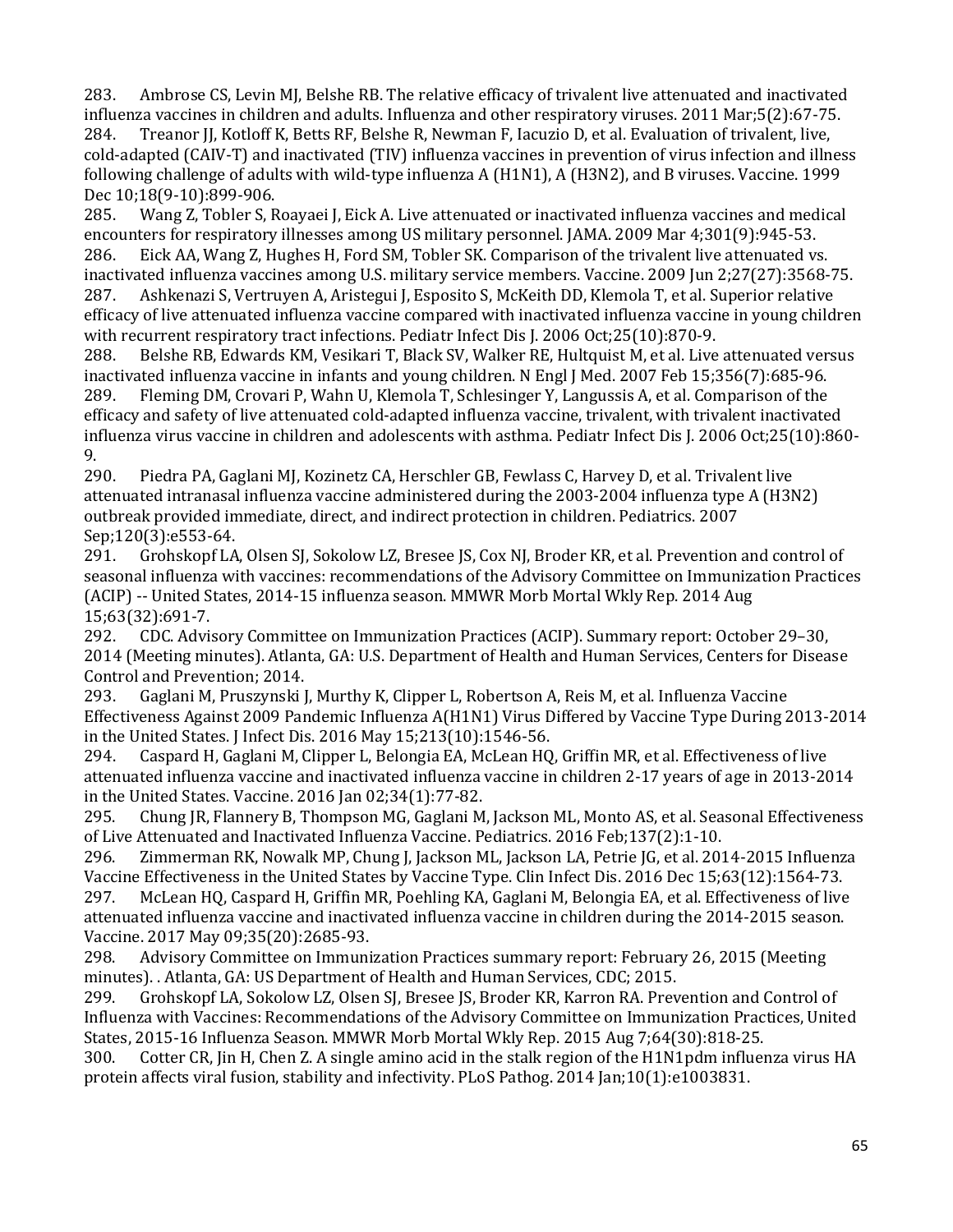283. Ambrose CS, Levin MJ, Belshe RB. The relative efficacy of trivalent live attenuated and inactivated influenza vaccines in children and adults. Influenza and other respiratory viruses. 2011 Mar;5(2):67-75. 284. Treanor JJ, Kotloff K, Betts RF, Belshe R, Newman F, Iacuzio D, et al. Evaluation of trivalent, live, cold-adapted (CAIV-T) and inactivated (TIV) influenza vaccines in prevention of virus infection and illness following challenge of adults with wild-type influenza A (H1N1), A (H3N2), and B viruses. Vaccine. 1999

Dec 10;18(9-10):899-906.<br>285. Wang Z, Tobler S, R Wang Z, Tobler S, Roayaei J, Eick A. Live attenuated or inactivated influenza vaccines and medical encounters for respiratory illnesses among US military personnel. JAMA. 2009 Mar 4;301(9):945-53.<br>286. Eick AA, Wang Z, Hughes H, Ford SM, Tobler SK. Comparison of the trivalent live attenuated vs Eick AA, Wang Z, Hughes H, Ford SM, Tobler SK. Comparison of the trivalent live attenuated vs. inactivated influenza vaccines among U.S. military service members. Vaccine. 2009 Jun 2;27(27):3568-75. 287. Ashkenazi S, Vertruyen A, Aristegui J, Esposito S, McKeith DD, Klemola T, et al. Superior relative efficacy of live attenuated influenza vaccine compared with inactivated influenza vaccine in young children with recurrent respiratory tract infections. Pediatr Infect Dis J. 2006 Oct;25(10):870-9.<br>288. Belshe RB. Edwards KM. Vesikari T. Black SV. Walker RE. Hultquist M. et al. Live

288. Belshe RB, Edwards KM, Vesikari T, Black SV, Walker RE, Hultquist M, et al. Live attenuated versus inactivated influenza vaccine in infants and young children. N Engl J Med. 2007 Feb 15;356(7):685-96. 289. Fleming DM, Crovari P, Wahn U, Klemola T, Schlesinger Y, Langussis A, et al. Comparison of the efficacy and safety of live attenuated cold-adapted influenza vaccine, trivalent, with trivalent inactivated influenza virus vaccine in children and adolescents with asthma. Pediatr Infect Dis J. 2006 Oct;25(10):860-

9.<br>290. Piedra PA, Gaglani MJ, Kozinetz CA, Herschler GB, Fewlass C, Harvey D, et al. Trivalent live attenuated intranasal influenza vaccine administered during the 2003-2004 influenza type A (H3N2) outbreak provided immediate, direct, and indirect protection in children. Pediatrics. 2007 Sep;120(3):e553-64.<br>291. Grohskopf LA

Grohskopf LA, Olsen SJ, Sokolow LZ, Bresee JS, Cox NJ, Broder KR, et al. Prevention and control of seasonal influenza with vaccines: recommendations of the Advisory Committee on Immunization Practices (ACIP) -- United States, 2014-15 influenza season. MMWR Morb Mortal Wkly Rep. 2014 Aug 15;63(32):691-7.<br>292. CDC. Advi

292. CDC. Advisory Committee on Immunization Practices (ACIP). Summary report: October 29–30, 2014 (Meeting minutes). Atlanta, GA: U.S. Department of Health and Human Services, Centers for Disease Control and Prevention; 2014.<br>293. Gaglani M. Pruszynski I

293. Gaglani M, Pruszynski J, Murthy K, Clipper L, Robertson A, Reis M, et al. Influenza Vaccine Effectiveness Against 2009 Pandemic Influenza A(H1N1) Virus Differed by Vaccine Type During 2013-2014 in the United States. J Infect Dis. 2016 May 15;213(10):1546-56.<br>294. Caspard H. Gaglani M. Clipper L. Belongia EA. McLean HO

Caspard H, Gaglani M, Clipper L, Belongia EA, McLean HQ, Griffin MR, et al. Effectiveness of live attenuated influenza vaccine and inactivated influenza vaccine in children 2-17 years of age in 2013-2014 in the United States. Vaccine. 2016 Jan 02;34(1):77-82.<br>295. Chung IR. Flannery B. Thompson MG. Gaglani M

295. Chung JR, Flannery B, Thompson MG, Gaglani M, Jackson ML, Monto AS, et al. Seasonal Effectiveness of Live Attenuated and Inactivated Influenza Vaccine. Pediatrics. 2016 Feb;137(2):1-10.

Zimmerman RK, Nowalk MP, Chung J, Jackson ML, Jackson LA, Petrie JG, et al. 2014-2015 Influenza Vaccine Effectiveness in the United States by Vaccine Type. Clin Infect Dis. 2016 Dec 15;63(12):1564-73.<br>297. McLean HQ, Caspard H, Griffin MR, Poehling KA, Gaglani M, Belongia EA, et al. Effectiveness of live

McLean HQ, Caspard H, Griffin MR, Poehling KA, Gaglani M, Belongia EA, et al. Effectiveness of live attenuated influenza vaccine and inactivated influenza vaccine in children during the 2014-2015 season. Vaccine. 2017 May 09;35(20):2685-93.

298. Advisory Committee on Immunization Practices summary report: February 26, 2015 (Meeting minutes). . Atlanta, GA: US Department of Health and Human Services, CDC; 2015.<br>299. Grohskopf LA, Sokolow LZ, Olsen SJ, Bresee JS, Broder KR, Karron RA. Prev

 Influenza with Vaccines: Recommendations of the Advisory Committee on Immunization Practices, United 299. Grohskopf LA, Sokolow LZ, Olsen SJ, Bresee JS, Broder KR, Karron RA. Prevention and Control of States, 2015-16 Influenza Season. MMWR Morb Mortal Wkly Rep. 2015 Aug 7;64(30):818-25.<br>300. Cotter CR, Jin H, Chen Z. A single amino acid in the stalk region of the H1N1pdm influer

Cotter CR, Jin H, Chen Z. A single amino acid in the stalk region of the H1N1pdm influenza virus HA protein affects viral fusion, stability and infectivity. PLoS Pathog. 2014 Jan;10(1):e1003831.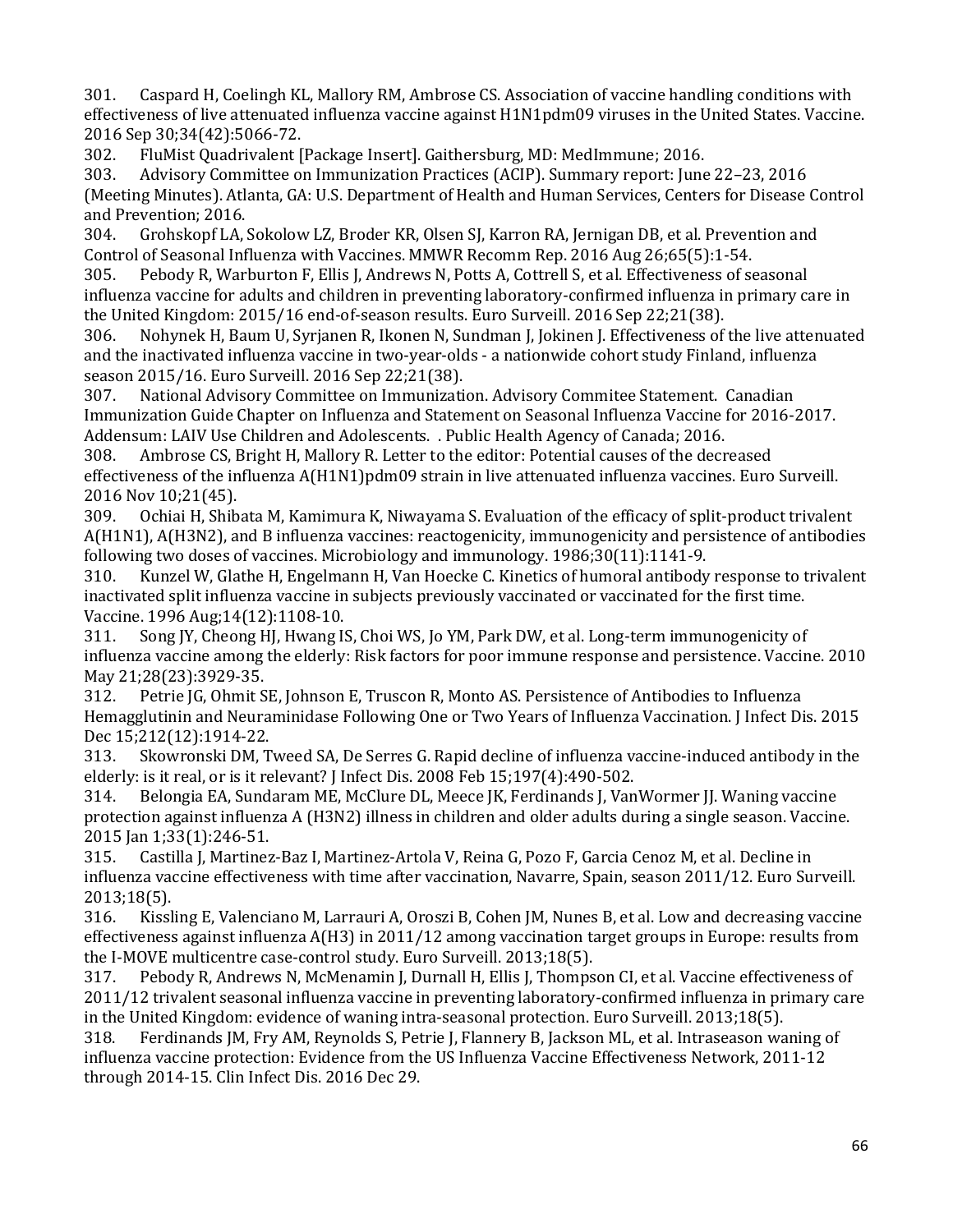301. Caspard H, Coelingh KL, Mallory RM, Ambrose CS. Association of vaccine handling conditions with effectiveness of live attenuated influenza vaccine against H1N1pdm09 viruses in the United States. Vaccine. 2016 Sep 30;34(42):5066-72.

302. FluMist Quadrivalent [Package Insert]. Gaithersburg, MD: MedImmune; 2016.

303. Advisory Committee on Immunization Practices (ACIP). Summary report: June 22–23, 2016 (Meeting Minutes). Atlanta, GA: U.S. Department of Health and Human Services, Centers for Disease Control and Prevention; 2016.<br>304. Grohskopf LA, 9

304. Grohskopf LA, Sokolow LZ, Broder KR, Olsen SJ, Karron RA, Jernigan DB, et al. Prevention and Control of Seasonal Influenza with Vaccines. MMWR Recomm Rep. 2016 Aug 26;65(5):1-54.<br>305. Pebody R, Warburton F, Ellis J, Andrews N, Potts A, Cottrell S, et al. Effectiveness of se

 influenza vaccine for adults and children in preventing laboratory-confirmed influenza in primary care in the United Kingdom: 2015/16 end-of-season results. Euro Surveill. 2016 Sep 22;21(38). Pebody R, Warburton F, Ellis J, Andrews N, Potts A, Cottrell S, et al. Effectiveness of seasonal

 and the inactivated influenza vaccine in two-year-olds - a nationwide cohort study Finland, influenza season 2015/16. Euro Surveill. 2016 Sep 22;21(38). 306. Nohynek H, Baum U, Syrjanen R, Ikonen N, Sundman J, Jokinen J. Effectiveness of the live attenuated

307. National Advisory Committee on Immunization. Advisory Commitee Statement. Canadian Immunization Guide Chapter on Influenza and Statement on Seasonal Influenza Vaccine for 2016-2017.

Addensum: LAIV Use Children and Adolescents. . Public Health Agency of Canada; 2016.<br>308. Ambrose CS, Bright H, Mallory R. Letter to the editor: Potential causes of the decr Ambrose CS, Bright H, Mallory R. Letter to the editor: Potential causes of the decreased effectiveness of the influenza A(H1N1)pdm09 strain in live attenuated influenza vaccines. Euro Surveill. 2016 Nov 10;21(45).

309. Ochiai H, Shibata M, Kamimura K, Niwayama S. Evaluation of the efficacy of split-product trivalent A(H1N1), A(H3N2), and B influenza vaccines: reactogenicity, immunogenicity and persistence of antibodies following two doses of vaccines. Microbiology and immunology. 1986;30(11):1141-9.<br>310. Kunzel W. Glathe H. Engelmann H. Van Hoecke C. Kinetics of humoral antibody

 inactivated split influenza vaccine in subjects previously vaccinated or vaccinated for the first time. Kunzel W, Glathe H, Engelmann H, Van Hoecke C. Kinetics of humoral antibody response to trivalent Vaccine. 1996 Aug;14(12):1108-10.

311. Song JY, Cheong HJ, Hwang IS, Choi WS, Jo YM, Park DW, et al. Long-term immunogenicity of influenza vaccine among the elderly: Risk factors for poor immune response and persistence. Vaccine. 2010 May 21;28(23):3929-35.

312. Petrie JG, Ohmit SE, Johnson E, Truscon R, Monto AS. Persistence of Antibodies to Influenza Hemagglutinin and Neuraminidase Following One or Two Years of Influenza Vaccination. J Infect Dis. 2015 Dec 15;212(12):1914-22.

Skowronski DM, Tweed SA, De Serres G. Rapid decline of influenza vaccine-induced antibody in the elderly: is it real, or is it relevant? J Infect Dis. 2008 Feb 15;197(4):490-502.<br>314. Belongia EA, Sundaram ME, McClure DL, Meece JK, Ferdinands J, Van

 protection against influenza A (H3N2) illness in children and older adults during a single season. Vaccine. Belongia EA, Sundaram ME, McClure DL, Meece JK, Ferdinands J, VanWormer JJ. Waning vaccine

2015 Jan 1;33(1):246-51. Castilla J, Martinez-Baz I, Martinez-Artola V, Reina G, Pozo F, Garcia Cenoz M, et al. Decline in influenza vaccine effectiveness with time after vaccination, Navarre, Spain, season 2011/12. Euro Surveill. 2013;18(5).<br>316. Kissl

 effectiveness against influenza A(H3) in 2011/12 among vaccination target groups in Europe: results from Kissling E, Valenciano M, Larrauri A, Oroszi B, Cohen JM, Nunes B, et al. Low and decreasing vaccine the I-MOVE multicentre case-control study. Euro Surveill. 2013;18(5).<br>317. Pebody R, Andrews N, McMenamin J, Durnall H, Ellis J, Thomps

 2011/12 trivalent seasonal influenza vaccine in preventing laboratory-confirmed influenza in primary care Pebody R, Andrews N, McMenamin J, Durnall H, Ellis J, Thompson CI, et al. Vaccine effectiveness of in the United Kingdom: evidence of waning intra-seasonal protection. Euro Surveill. 2013;18(5).

318. Ferdinands JM, Fry AM, Reynolds S, Petrie J, Flannery B, Jackson ML, et al. Intraseason waning of influenza vaccine protection: Evidence from the US Influenza Vaccine Effectiveness Network, 2011-12 through 2014-15. Clin Infect Dis. 2016 Dec 29.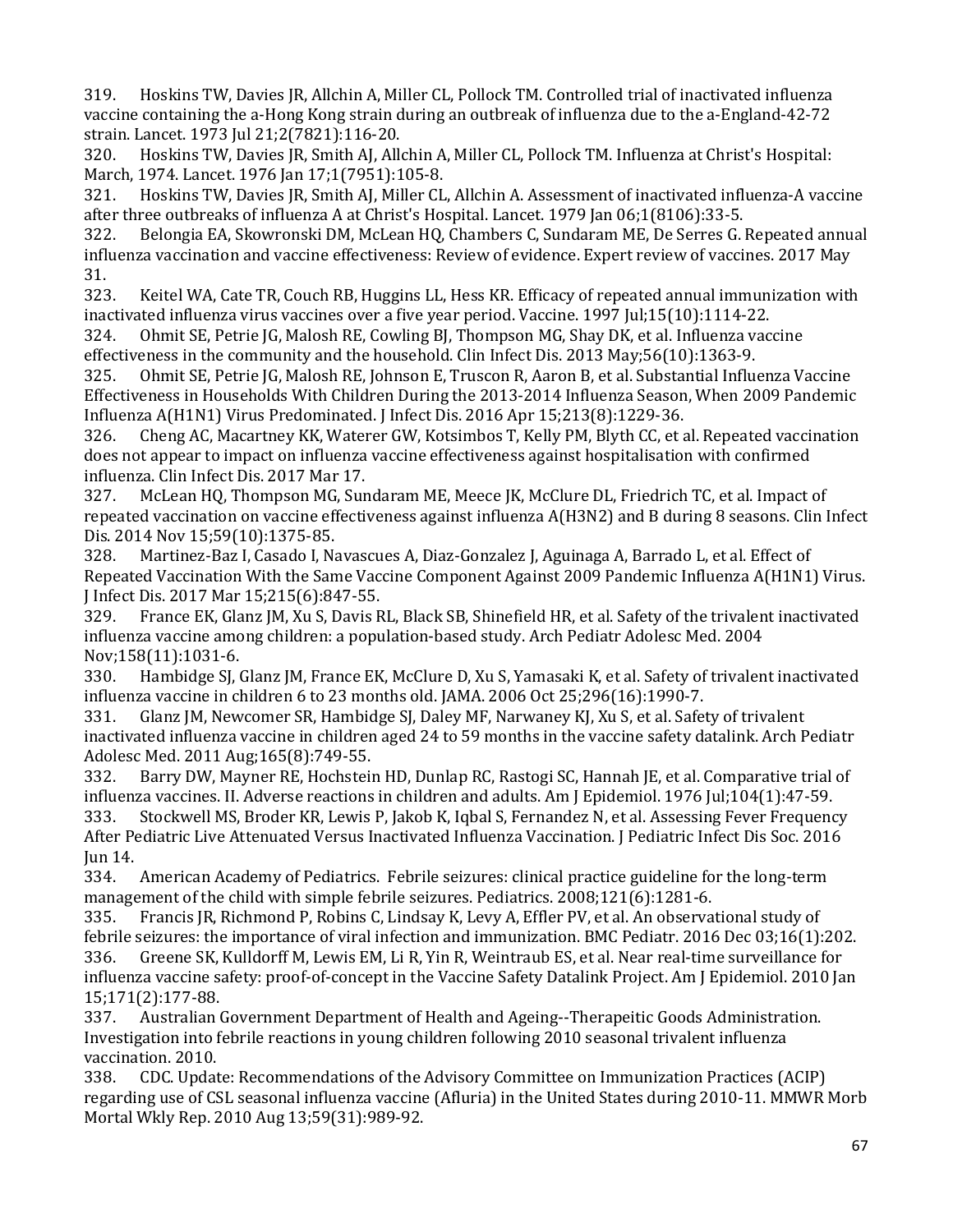319. Hoskins TW, Davies JR, Allchin A, Miller CL, Pollock TM. Controlled trial of inactivated influenza vaccine containing the a-Hong Kong strain during an outbreak of influenza due to the a-England-42-72 strain. Lancet. 1973 Jul 21;2(7821):116-20.

320. Hoskins TW, Davies JR, Smith AJ, Allchin A, Miller CL, Pollock TM. Influenza at Christ's Hospital: March, 1974. Lancet. 1976 Jan 17;1(7951):105-8.<br>321. Hoskins TW, Davies JR, Smith AJ, Miller CL

321. Hoskins TW, Davies JR, Smith AJ, Miller CL, Allchin A. Assessment of inactivated influenza-A vaccine after three outbreaks of influenza A at Christ's Hospital. Lancet. 1979 Jan 06;1(8106):33-5.<br>322. Belongia EA, Skowronski DM, McLean HQ, Chambers C, Sundaram ME, De Serres G.

322. Belongia EA, Skowronski DM, McLean HQ, Chambers C, Sundaram ME, De Serres G. Repeated annual influenza vaccination and vaccine effectiveness: Review of evidence. Expert review of vaccines. 2017 May 31.<br>323.

323. Keitel WA, Cate TR, Couch RB, Huggins LL, Hess KR. Efficacy of repeated annual immunization with inactivated influenza virus vaccines over a five year period. Vaccine. 1997 Jul;15(10):1114-22.<br>324. Ohmit SE, Petrie JG, Malosh RE, Cowling BJ, Thompson MG, Shay DK, et al. Influenza vac

324. Ohmit SE, Petrie JG, Malosh RE, Cowling BJ, Thompson MG, Shay DK, et al. Influenza vaccine effectiveness in the community and the household. Clin Infect Dis. 2013 May;56(10):1363-9.<br>325. Ohmit SE, Petrie JG, Malosh RE, Johnson E, Truscon R, Aaron B, et al. Substantial Influe

 Influenza A(H1N1) Virus Predominated. J Infect Dis. 2016 Apr 15;213(8):1229-36. 325. Ohmit SE, Petrie JG, Malosh RE, Johnson E, Truscon R, Aaron B, et al. Substantial Influenza Vaccine Effectiveness in Households With Children During the 2013-2014 Influenza Season, When 2009 Pandemic

 does not appear to impact on influenza vaccine effectiveness against hospitalisation with confirmed 326. Cheng AC, Macartney KK, Waterer GW, Kotsimbos T, Kelly PM, Blyth CC, et al. Repeated vaccination influenza. Clin Infect Dis. 2017 Mar 17.

327. McLean HQ, Thompson MG, Sundaram ME, Meece JK, McClure DL, Friedrich TC, et al. Impact of repeated vaccination on vaccine effectiveness against influenza A(H3N2) and B during 8 seasons. Clin Infect Dis. 2014 Nov 15;59(10):1375-85.

Martinez-Baz I, Casado I, Navascues A, Diaz-Gonzalez J, Aguinaga A, Barrado L, et al. Effect of Repeated Vaccination With the Same Vaccine Component Against 2009 Pandemic Influenza A(H1N1) Virus.

J Infect Dis. 2017 Mar 15;215(6):847-55. 329. France EK, Glanz JM, Xu S, Davis RL, Black SB, Shinefield HR, et al. Safety of the trivalent inactivated influenza vaccine among children: a population-based study. Arch Pediatr Adolesc Med. 2004

Nov;158(11):1031-6.<br>330. Hambidge SI. Hambidge SJ, Glanz JM, France EK, McClure D, Xu S, Yamasaki K, et al. Safety of trivalent inactivated influenza vaccine in children 6 to 23 months old. JAMA. 2006 Oct 25;296(16):1990-7.

 331. Glanz JM, Newcomer SR, Hambidge SJ, Daley MF, Narwaney KJ, Xu S, et al. Safety of trivalent inactivated influenza vaccine in children aged 24 to 59 months in the vaccine safety datalink. Arch Pediatr Adolesc Med. 2011 Aug;165(8):749-55.

 After Pediatric Live Attenuated Versus Inactivated Influenza Vaccination. J Pediatric Infect Dis Soc. 2016 Barry DW, Mayner RE, Hochstein HD, Dunlap RC, Rastogi SC, Hannah JE, et al. Comparative trial of influenza vaccines. II. Adverse reactions in children and adults. Am J Epidemiol. 1976 Jul;104(1):47-59. 333. Stockwell MS, Broder KR, Lewis P, Jakob K, Iqbal S, Fernandez N, et al. Assessing Fever Frequency Jun 14.<br>334.

American Academy of Pediatrics. Febrile seizures: clinical practice guideline for the long-term management of the child with simple febrile seizures. Pediatrics. 2008;121(6):1281-6.<br>335. Francis JR, Richmond P, Robins C, Lindsay K, Levy A, Effler PV, et al. An observa

 influenza vaccine safety: proof-of-concept in the Vaccine Safety Datalink Project. Am J Epidemiol. 2010 Jan 335. Francis JR, Richmond P, Robins C, Lindsay K, Levy A, Effler PV, et al. An observational study of febrile seizures: the importance of viral infection and immunization. BMC Pediatr. 2016 Dec 03;16(1):202. 336. Greene SK, Kulldorff M, Lewis EM, Li R, Yin R, Weintraub ES, et al. Near real-time surveillance for

 337. Australian Government Department of Health and Ageing--Therapeitic Goods Administration. 15;171(2):177-88.<br>337. Australian Investigation into febrile reactions in young children following 2010 seasonal trivalent influenza

vaccination. 2010.<br>338. CDC. Updat 338. CDC. Update: Recommendations of the Advisory Committee on Immunization Practices (ACIP) regarding use of CSL seasonal influenza vaccine (Afluria) in the United States during 2010-11. MMWR Morb Mortal Wkly Rep. 2010 Aug 13;59(31):989-92.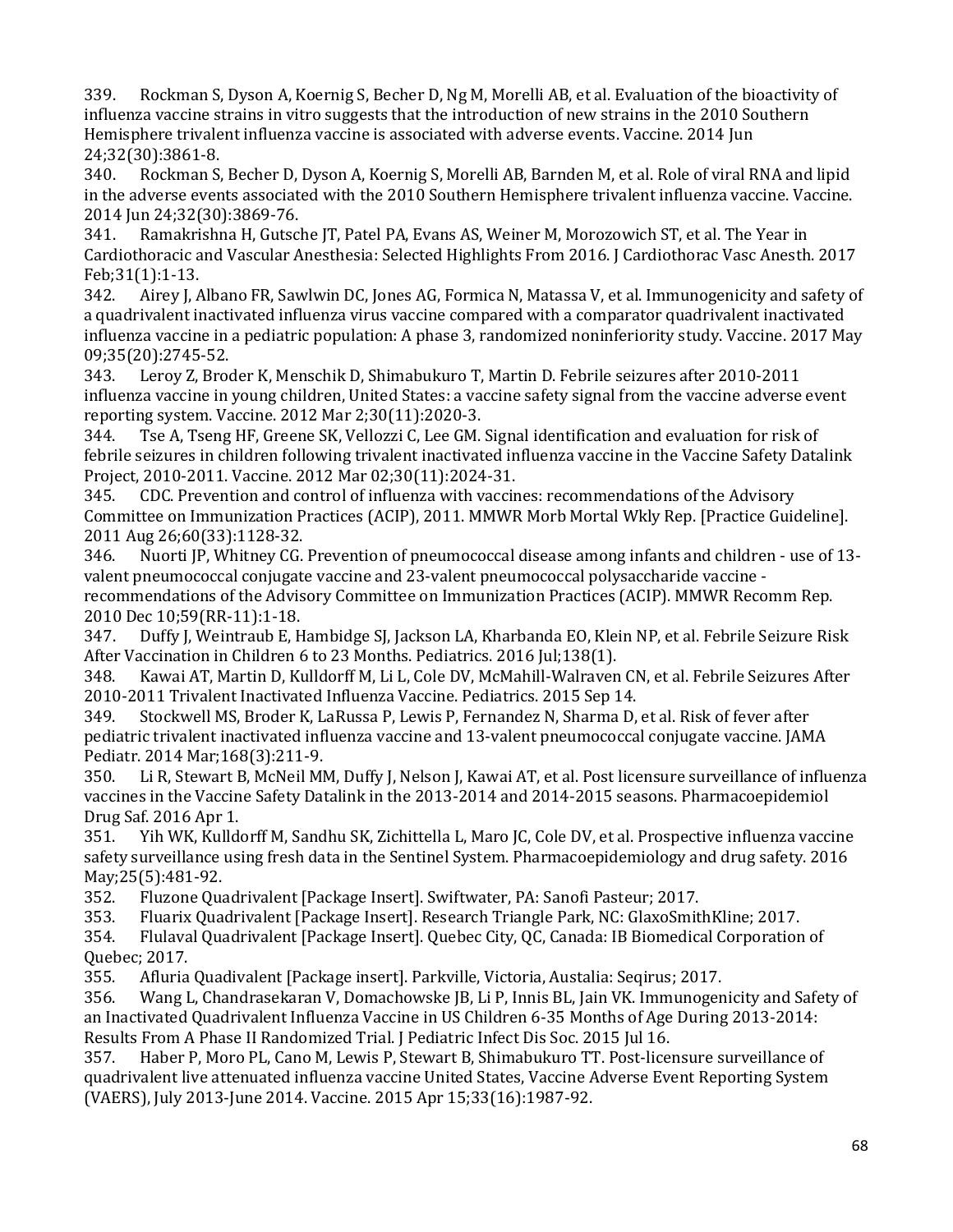339. Rockman S, Dyson A, Koernig S, Becher D, Ng M, Morelli AB, et al. Evaluation of the bioactivity of influenza vaccine strains in vitro suggests that the introduction of new strains in the 2010 Southern Hemisphere trivalent influenza vaccine is associated with adverse events. Vaccine. 2014 Jun 24;32(30):3861-8.<br>340. Rockman S.

340. Rockman S, Becher D, Dyson A, Koernig S, Morelli AB, Barnden M, et al. Role of viral RNA and lipid in the adverse events associated with the 2010 Southern Hemisphere trivalent influenza vaccine. Vaccine.

 341. Ramakrishna H, Gutsche JT, Patel PA, Evans AS, Weiner M, Morozowich ST, et al. The Year in 2014 Jun 24;32(30):3869-76. Cardiothoracic and Vascular Anesthesia: Selected Highlights From 2016. J Cardiothorac Vasc Anesth. 2017 Feb;31(1):1-13.<br>342. Airev I. A

 influenza vaccine in a pediatric population: A phase 3, randomized noninferiority study. Vaccine. 2017 May Airey J, Albano FR, Sawlwin DC, Jones AG, Formica N, Matassa V, et al. Immunogenicity and safety of a quadrivalent inactivated influenza virus vaccine compared with a comparator quadrivalent inactivated 09;35(20):2745-52.<br>343. Leroy Z, Broo

Leroy Z, Broder K, Menschik D, Shimabukuro T, Martin D. Febrile seizures after 2010-2011 influenza vaccine in young children, United States: a vaccine safety signal from the vaccine adverse event reporting system. Vaccine. 2012 Mar 2;30(11):2020-3.

Tse A, Tseng HF, Greene SK, Vellozzi C, Lee GM. Signal identification and evaluation for risk of febrile seizures in children following trivalent inactivated influenza vaccine in the Vaccine Safety Datalink Project, 2010-2011. Vaccine. 2012 Mar 02;30(11):2024-31.

345. CDC. Prevention and control of influenza with vaccines: recommendations of the Advisory Committee on Immunization Practices (ACIP), 2011. MMWR Morb Mortal Wkly Rep. [Practice Guideline]. 2011 Aug 26;60(33):1128-32.

Nuorti JP, Whitney CG. Prevention of pneumococcal disease among infants and children - use of 13valent pneumococcal conjugate vaccine and 23-valent pneumococcal polysaccharide vaccine recommendations of the Advisory Committee on Immunization Practices (ACIP). MMWR Recomm Rep. 2010 Dec 10;59(RR-11):1-18.

347. Duffy J, Weintraub E, Hambidge SJ, Jackson LA, Kharbanda EO, Klein NP, et al. Febrile Seizure Risk After Vaccination in Children 6 to 23 Months. Pediatrics. 2016 Jul;138(1).<br>348. Kawai AT, Martin D, Kulldorff M, Li L, Cole DV, McMahill-Walraven

348. Kawai AT, Martin D, Kulldorff M, Li L, Cole DV, McMahill-Walraven CN, et al. Febrile Seizures After 2010-2011 Trivalent Inactivated Influenza Vaccine. Pediatrics. 2015 Sep 14.

Stockwell MS, Broder K, LaRussa P, Lewis P, Fernandez N, Sharma D, et al. Risk of fever after pediatric trivalent inactivated influenza vaccine and 13-valent pneumococcal conjugate vaccine. JAMA Pediatr. 2014 Mar;168(3):211-9.

Li R, Stewart B, McNeil MM, Duffy J, Nelson J, Kawai AT, et al. Post licensure surveillance of influenza vaccines in the Vaccine Safety Datalink in the 2013-2014 and 2014-2015 seasons. Pharmacoepidemiol

Drug Saf. 2016 Apr 1. 351. Yih WK, Kulldorff M, Sandhu SK, Zichittella L, Maro JC, Cole DV, et al. Prospective influenza vaccine safety surveillance using fresh data in the Sentinel System. Pharmacoepidemiology and drug safety. 2016 May; 25(5): 481-92.<br>352. Fluzone Qua

352. Fluzone Quadrivalent [Package Insert]. Swiftwater, PA: Sanofi Pasteur; 2017.

353. Fluarix Quadrivalent [Package Insert]. Research Triangle Park, NC: GlaxoSmithKline; 2017.

354. Flulaval Quadrivalent [Package Insert]. Quebec City, QC, Canada: IB Biomedical Corporation of Quebec; 2017.<br>355. Afluria

355. Afluria Quadivalent [Package insert]. Parkville, Victoria, Austalia: Seqirus; 2017.

Wang L, Chandrasekaran V, Domachowske JB, Li P, Innis BL, Jain VK. Immunogenicity and Safety of an Inactivated Quadrivalent Influenza Vaccine in US Children 6-35 Months of Age During 2013-2014: Results From A Phase II Randomized Trial. J Pediatric Infect Dis Soc. 2015 Jul 16.<br>357. Haber P. Moro PL. Cano M. Lewis P. Stewart B. Shimabukuro TT. Post-lice

Haber P, Moro PL, Cano M, Lewis P, Stewart B, Shimabukuro TT. Post-licensure surveillance of quadrivalent live attenuated influenza vaccine United States, Vaccine Adverse Event Reporting System (VAERS), July 2013-June 2014. Vaccine. 2015 Apr 15;33(16):1987-92.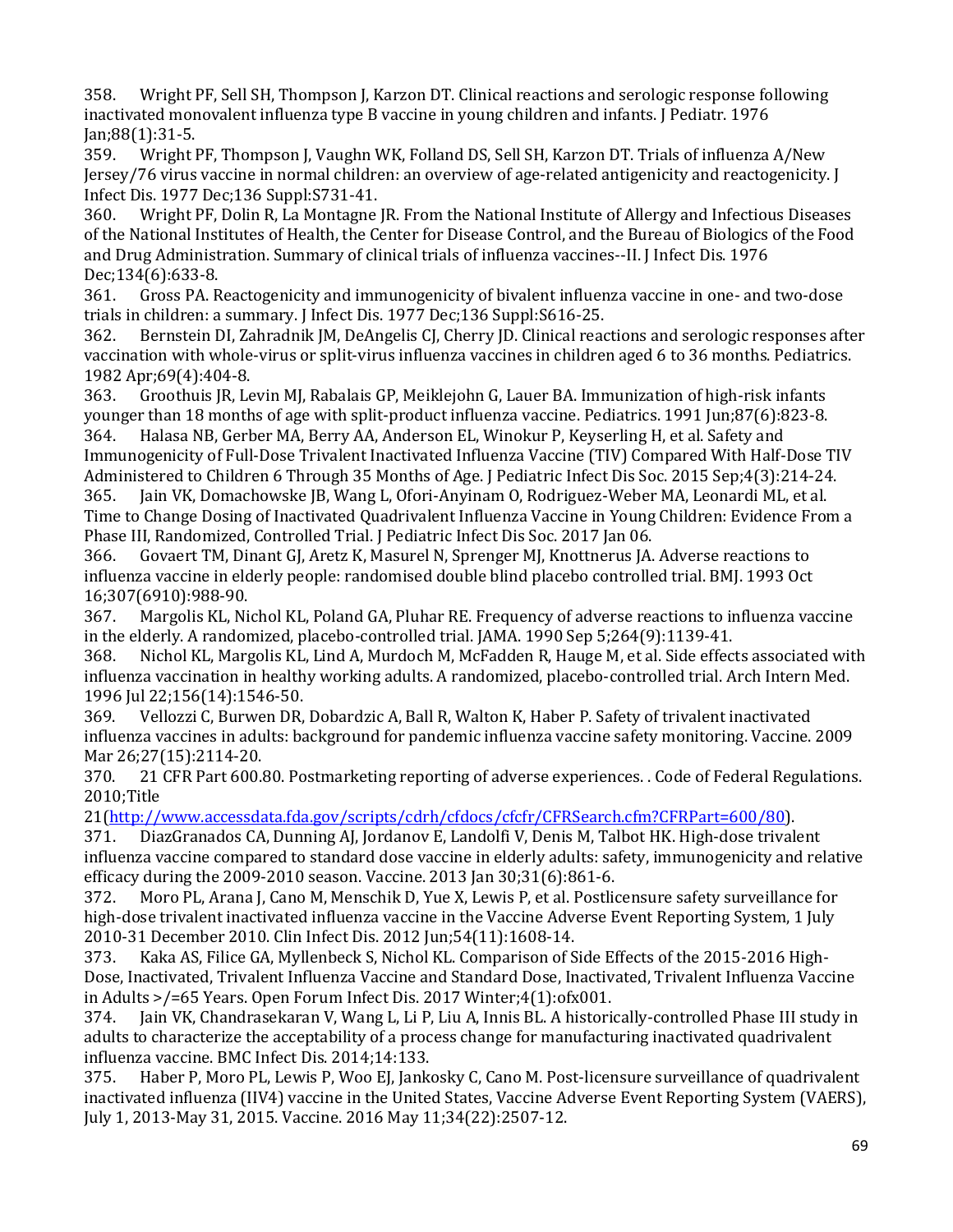358. Wright PF, Sell SH, Thompson J, Karzon DT. Clinical reactions and serologic response following inactivated monovalent influenza type B vaccine in young children and infants. J Pediatr. 1976

Jan;88(1):31-5. 359. Wright PF, Thompson J, Vaughn WK, Folland DS, Sell SH, Karzon DT. Trials of influenza A/New Jersey/76 virus vaccine in normal children: an overview of age-related antigenicity and reactogenicity. J Infect Dis. 1977 Dec; 136 Suppl: S731-41.<br>360. Wright PF. Dolin R. La Montagne

360. Wright PF, Dolin R, La Montagne JR. From the National Institute of Allergy and Infectious Diseases of the National Institutes of Health, the Center for Disease Control, and the Bureau of Biologics of the Food and Drug Administration. Summary of clinical trials of influenza vaccines--II. J Infect Dis. 1976 Dec;134(6):633-8.<br>361. Gross PA. R

Gross PA. Reactogenicity and immunogenicity of bivalent influenza vaccine in one- and two-dose trials in children: a summary. J Infect Dis. 1977 Dec;136 Suppl:S616-25.<br>362. Bernstein DI, Zahradnik JM, DeAngelis CJ, Cherry JD. Clinical read

 362. Bernstein DI, Zahradnik JM, DeAngelis CJ, Cherry JD. Clinical reactions and serologic responses after vaccination with whole-virus or split-virus influenza vaccines in children aged 6 to 36 months. Pediatrics. 1982 Apr;69(4):404-8.<br>363. Groothuis IR. Le

 younger than 18 months of age with split-product influenza vaccine. Pediatrics. 1991 Jun;87(6):823-8. 363. Groothuis JR, Levin MJ, Rabalais GP, Meiklejohn G, Lauer BA. Immunization of high-risk infants 364. Halasa NB, Gerber MA, Berry AA, Anderson EL, Winokur P, Keyserling H, et al. Safety and

 Immunogenicity of Full-Dose Trivalent Inactivated Influenza Vaccine (TIV) Compared With Half-Dose TIV Administered to Children 6 Through 35 Months of Age. J Pediatric Infect Dis Soc. 2015 Sep;4(3):214-24. 365. Jain VK, Domachowske JB, Wang L, Ofori-Anyinam O, Rodriguez-Weber MA, Leonardi ML, et al. Time to Change Dosing of Inactivated Quadrivalent Influenza Vaccine in Young Children: Evidence From a

Phase III, Randomized, Controlled Trial. J Pediatric Infect Dis Soc. 2017 Jan 06. 366. Govaert TM, Dinant GJ, Aretz K, Masurel N, Sprenger MJ, Knottnerus JA. Adverse reactions to influenza vaccine in elderly people: randomised double blind placebo controlled trial. BMJ. 1993 Oct 16;307(6910):988-90.<br>367. Margolis KL, Ni

Margolis KL, Nichol KL, Poland GA, Pluhar RE. Frequency of adverse reactions to influenza vaccine in the elderly. A randomized, placebo-controlled trial. JAMA. 1990 Sep 5;264(9):1139-41.

368. Nichol KL, Margolis KL, Lind A, Murdoch M, McFadden R, Hauge M, et al. Side effects associated with influenza vaccination in healthy working adults. A randomized, placebo-controlled trial. Arch Intern Med. 1996 Jul 22;156(14):1546-50.

369. Vellozzi C, Burwen DR, Dobardzic A, Ball R, Walton K, Haber P. Safety of trivalent inactivated influenza vaccines in adults: background for pandemic influenza vaccine safety monitoring. Vaccine. 2009 Mar 26;27(15):2114-20.<br>370. 21 CFR Part 600.8

21 CFR Part 600.80. Postmarketing reporting of adverse experiences. . Code of Federal Regulations. 2010;Title

21[\(http://www.accessdata.fda.gov/scripts/cdrh/cfdocs/cfcfr/CFRSearch.cfm?CFRPart=600/80\)](http://www.accessdata.fda.gov/scripts/cdrh/cfdocs/cfcfr/CFRSearch.cfm?CFRPart=600/80).<br>371. DiazGranados CA. Dunning AI. Jordanov E. Landolfi V. Denis M. Talbot HK. High-dose trivale

371. DiazGranados CA, Dunning AJ, Jordanov E, Landolfi V, Denis M, Talbot HK. High-dose trivalent influenza vaccine compared to standard dose vaccine in elderly adults: safety, immunogenicity and relative efficacy during the 2009-2010 season. Vaccine. 2013 Jan 30;31(6):861-6.<br>372. Moro PL. Arana J. Cano M. Menschik D. Yue X. Lewis P. et al. Postliq

372. Moro PL, Arana J, Cano M, Menschik D, Yue X, Lewis P, et al. Postlicensure safety surveillance for high-dose trivalent inactivated influenza vaccine in the Vaccine Adverse Event Reporting System, 1 July 2010-31 December 2010. Clin Infect Dis. 2012 Jun;54(11):1608-14.

Kaka AS, Filice GA, Myllenbeck S, Nichol KL. Comparison of Side Effects of the 2015-2016 High-Dose, Inactivated, Trivalent Influenza Vaccine and Standard Dose, Inactivated, Trivalent Influenza Vaccine in Adults >/=65 Years. Open Forum Infect Dis. 2017 Winter;4(1):ofx001.

Jain VK, Chandrasekaran V, Wang L, Li P, Liu A, Innis BL. A historically-controlled Phase III study in adults to characterize the acceptability of a process change for manufacturing inactivated quadrivalent influenza vaccine. BMC Infect Dis. 2014;14:133.

Haber P, Moro PL, Lewis P, Woo EJ, Jankosky C, Cano M. Post-licensure surveillance of quadrivalent inactivated influenza (IIV4) vaccine in the United States, Vaccine Adverse Event Reporting System (VAERS), July 1, 2013-May 31, 2015. Vaccine. 2016 May 11;34(22):2507-12.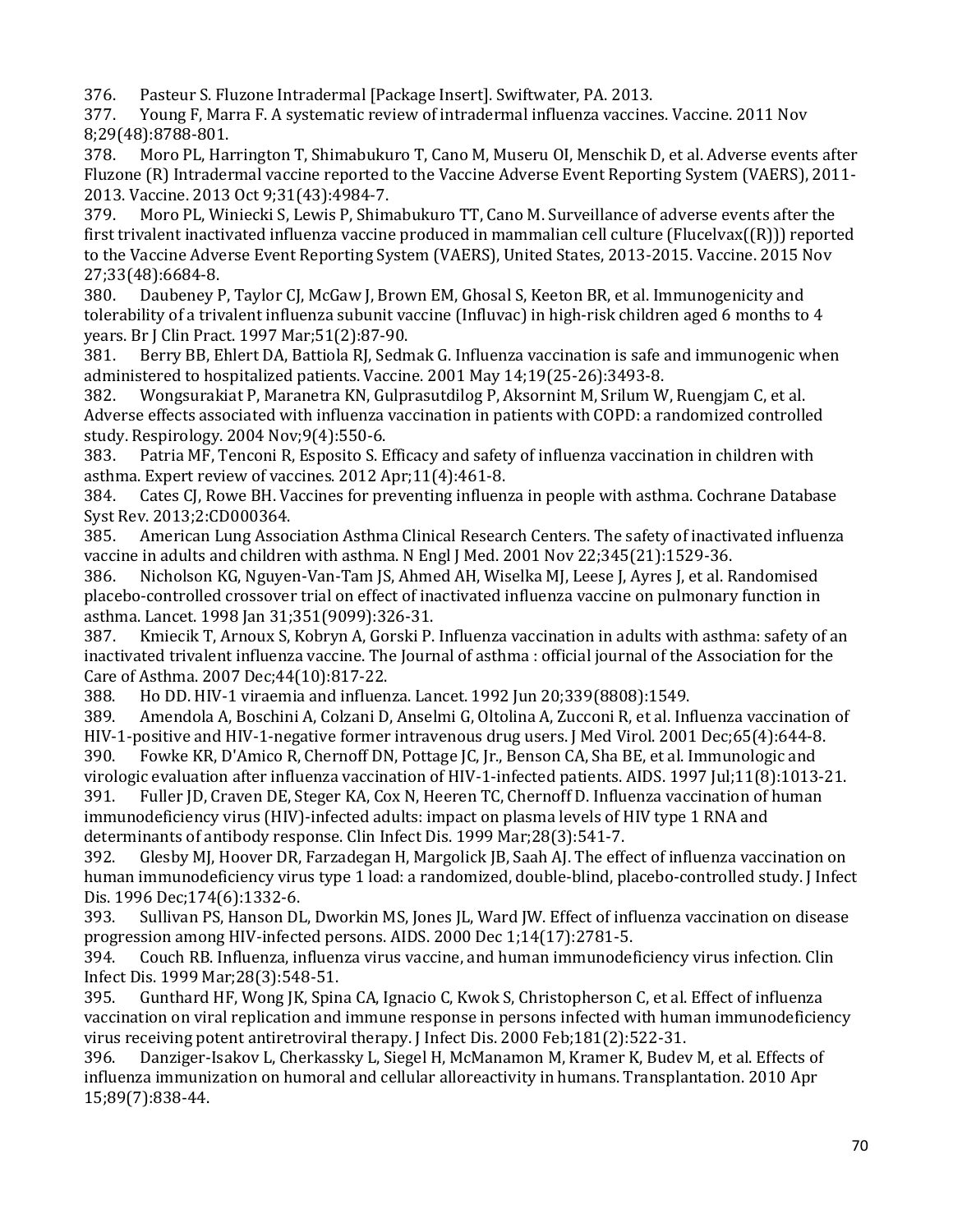376. Pasteur S. Fluzone Intradermal [Package Insert]. Swiftwater, PA. 2013.

377. Young F, Marra F. A systematic review of intradermal influenza vaccines. Vaccine. 2011 Nov 8;29(48):8788-801.<br>378. Moro PL, Hai

378. Moro PL, Harrington T, Shimabukuro T, Cano M, Museru OI, Menschik D, et al. Adverse events after Fluzone (R) Intradermal vaccine reported to the Vaccine Adverse Event Reporting System (VAERS), 2011- 2013. Vaccine. 2013 Oct 9;31(43):4984-7.

 379. Moro PL, Winiecki S, Lewis P, Shimabukuro TT, Cano M. Surveillance of adverse events after the first trivalent inactivated influenza vaccine produced in mammalian cell culture (Flucelvax((R))) reported to the Vaccine Adverse Event Reporting System (VAERS), United States, 2013-2015. Vaccine. 2015 Nov 27;33(48):6684-8.<br>380. Daubenev F

 tolerability of a trivalent influenza subunit vaccine (Influvac) in high-risk children aged 6 months to 4 Daubeney P, Taylor CJ, McGaw J, Brown EM, Ghosal S, Keeton BR, et al. Immunogenicity and years. Br J Clin Pract. 1997 Mar;51(2):87-90.

Berry BB, Ehlert DA, Battiola RJ, Sedmak G. Influenza vaccination is safe and immunogenic when administered to hospitalized patients. Vaccine. 2001 May 14;19(25-26):3493-8.

 Adverse effects associated with influenza vaccination in patients with COPD: a randomized controlled 382. Wongsurakiat P, Maranetra KN, Gulprasutdilog P, Aksornint M, Srilum W, Ruengjam C, et al.

study. Respirology. 2004 Nov;9(4):550-6. Patria MF, Tenconi R, Esposito S. Efficacy and safety of influenza vaccination in children with

asthma. Expert review of vaccines. 2012 Apr;11(4):461-8. Cates CJ, Rowe BH. Vaccines for preventing influenza in people with asthma. Cochrane Database Syst Rev. 2013;2:CD000364.

American Lung Association Asthma Clinical Research Centers. The safety of inactivated influenza vaccine in adults and children with asthma. N Engl J Med. 2001 Nov 22;345(21):1529-36.<br>386. Nicholson KG, Nguyen-Van-Tam JS, Ahmed AH, Wiselka MJ, Leese J, Ayres J, et al. R

Nicholson KG, Nguyen-Van-Tam JS, Ahmed AH, Wiselka MJ, Leese J, Ayres J, et al. Randomised placebo-controlled crossover trial on effect of inactivated influenza vaccine on pulmonary function in asthma. Lancet. 1998 Jan 31;351(9099):326-31.

387. Kmiecik T, Arnoux S, Kobryn A, Gorski P. Influenza vaccination in adults with asthma: safety of an inactivated trivalent influenza vaccine. The Journal of asthma : official journal of the Association for the Care of Asthma. 2007 Dec;44(10):817-22.

388. Ho DD. HIV-1 viraemia and influenza. Lancet. 1992 Jun 20;339(8808):1549.

389. Amendola A, Boschini A, Colzani D, Anselmi G, Oltolina A, Zucconi R, et al. Influenza vaccination of

 391. Fuller JD, Craven DE, Steger KA, Cox N, Heeren TC, Chernoff D. Influenza vaccination of human HIV-1-positive and HIV-1-negative former intravenous drug users. J Med Virol. 2001 Dec;65(4):644-8.<br>390. Fowke KR. D'Amico R. Chernoff DN. Pottage IC. Ir.. Benson CA. Sha BE. et al. Immunologic and Fowke KR, D'Amico R, Chernoff DN, Pottage JC, Jr., Benson CA, Sha BE, et al. Immunologic and virologic evaluation after influenza vaccination of HIV-1-infected patients. AIDS. 1997 Jul;11(8):1013-21.<br>391. Fuller JD, Craven DE, Steger KA, Cox N, Heeren TC, Chernoff D. Influenza vaccination of human immunodeficiency virus (HIV)-infected adults: impact on plasma levels of HIV type 1 RNA and

determinants of antibody response. Clin Infect Dis. 1999 Mar;28(3):541-7.<br>392. Glesby MJ, Hoover DR, Farzadegan H, Margolick JB, Saah AJ. The eff Glesby MJ, Hoover DR, Farzadegan H, Margolick JB, Saah AJ. The effect of influenza vaccination on human immunodeficiency virus type 1 load: a randomized, double-blind, placebo-controlled study. J Infect Dis. 1996 Dec; 174(6): 1332-6.<br>393. Sullivan PS, Hanson DI

Sullivan PS, Hanson DL, Dworkin MS, Jones JL, Ward JW. Effect of influenza vaccination on disease progression among HIV-infected persons. AIDS. 2000 Dec 1;14(17):2781-5.

394. Couch RB. Influenza, influenza virus vaccine, and human immunodeficiency virus infection. Clin Infect Dis. 1999 Mar; 28 (3): 548-51.<br>395. Gunthard HF, Wong JK, Spin

Gunthard HF, Wong JK, Spina CA, Ignacio C, Kwok S, Christopherson C, et al. Effect of influenza vaccination on viral replication and immune response in persons infected with human immunodeficiency virus receiving potent antiretroviral therapy. J Infect Dis. 2000 Feb; 181(2): 522-31.<br>396. Danziger-Isakov L, Cherkassky L, Siegel H, McManamon M, Kramer K, Budey

Danziger-Isakov L, Cherkassky L, Siegel H, McManamon M, Kramer K, Budev M, et al. Effects of influenza immunization on humoral and cellular alloreactivity in humans. Transplantation. 2010 Apr 15;89(7):838-44.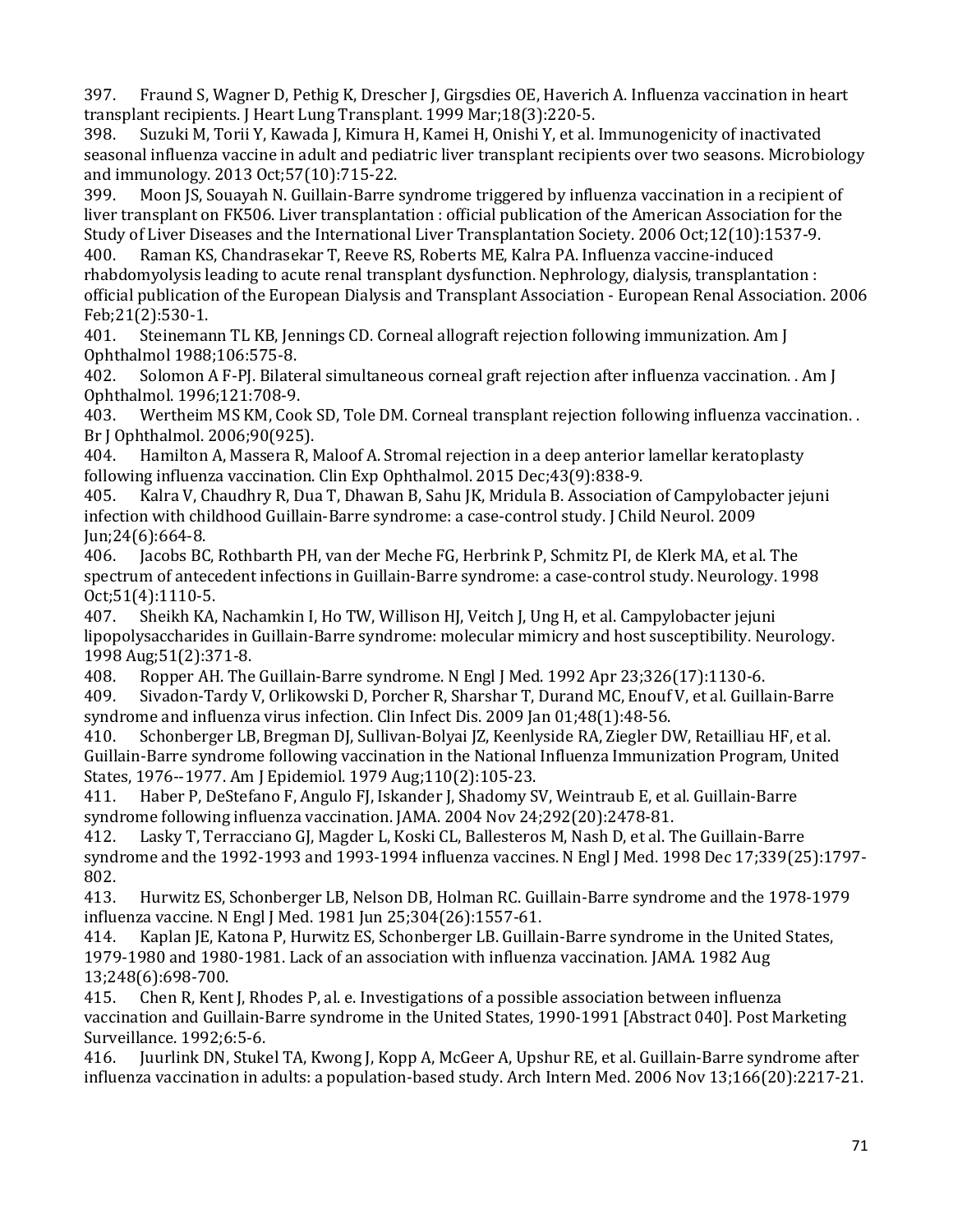397. Fraund S, Wagner D, Pethig K, Drescher J, Girgsdies OE, Haverich A. Influenza vaccination in heart transplant recipients. J Heart Lung Transplant. 1999 Mar;18(3):220-5.<br>398. Suzuki M. Torii Y. Kawada I. Kimura H. Kamei H. Onishi Y. et al.

398. Suzuki M, Torii Y, Kawada J, Kimura H, Kamei H, Onishi Y, et al. Immunogenicity of inactivated seasonal influenza vaccine in adult and pediatric liver transplant recipients over two seasons. Microbiology and immunology. 2013 Oct;57(10):715-22.<br>399. Moon IS. Souavah N. Guillain-Barre :

Moon JS, Souayah N. Guillain-Barre syndrome triggered by influenza vaccination in a recipient of liver transplant on FK506. Liver transplantation : official publication of the American Association for the Study of Liver Diseases and the International Liver Transplantation Society. 2006 Oct;12(10):1537-9.

400. Raman KS, Chandrasekar T, Reeve RS, Roberts ME, Kalra PA. Influenza vaccine-induced rhabdomyolysis leading to acute renal transplant dysfunction. Nephrology, dialysis, transplantation : official publication of the European Dialysis and Transplant Association - European Renal Association. 2006

Feb;21(2):530-1. Steinemann TL KB, Jennings CD. Corneal allograft rejection following immunization. Am J Ophthalmol 1988;106:575-8.<br>402. Solomon A F-PJ. Bilate

Solomon A F-PJ. Bilateral simultaneous corneal graft rejection after influenza vaccination. . Am J Ophthalmol. 1996;121:708-9.<br>403. Wertheim MS KM, Coo

Wertheim MS KM, Cook SD, Tole DM. Corneal transplant rejection following influenza vaccination. . Br J Ophthalmol. 2006;90(925).<br>404. Hamilton A, Massera R, N

404. Hamilton A, Massera R, Maloof A. Stromal rejection in a deep anterior lamellar keratoplasty following influenza vaccination. Clin Exp Ophthalmol. 2015 Dec;43(9):838-9.

405. Kalra V, Chaudhry R, Dua T, Dhawan B, Sahu JK, Mridula B. Association of Campylobacter jejuni infection with childhood Guillain-Barre syndrome: a case-control study. J Child Neurol. 2009 Jun;24(6):664-8.

Jacobs BC, Rothbarth PH, van der Meche FG, Herbrink P, Schmitz PI, de Klerk MA, et al. The spectrum of antecedent infections in Guillain-Barre syndrome: a case-control study. Neurology. 1998 Oct;51(4):1110-5.<br>407. Sheikh KA.

 lipopolysaccharides in Guillain-Barre syndrome: molecular mimicry and host susceptibility. Neurology. Sheikh KA, Nachamkin I, Ho TW, Willison HJ, Veitch J, Ung H, et al. Campylobacter jejuni 1998 Aug;51(2):371-8.

408. Ropper AH. The Guillain-Barre syndrome. N Engl J Med. 1992 Apr 23;326(17):1130-6.

409. Sivadon-Tardy V, Orlikowski D, Porcher R, Sharshar T, Durand MC, Enouf V, et al. Guillain-Barre syndrome and influenza virus infection. Clin Infect Dis. 2009 Jan 01;48(1):48-56.<br>410. Schonberger LB, Bregman DJ, Sullivan-Bolyai JZ, Keenlyside RA, Ziegler D'

 Guillain-Barre syndrome following vaccination in the National Influenza Immunization Program, United Schonberger LB, Bregman DJ, Sullivan-Bolyai JZ, Keenlyside RA, Ziegler DW, Retailliau HF, et al. States, 1976--1977. Am J Epidemiol. 1979 Aug;110(2):105-23.

Haber P, DeStefano F, Angulo FJ, Iskander J, Shadomy SV, Weintraub E, et al. Guillain-Barre syndrome following influenza vaccination. JAMA. 2004 Nov 24;292(20):2478-81.<br>412. Lasky T, Terracciano GJ, Magder L, Koski CL, Ballesteros M, Nash D, et al. T

Lasky T, Terracciano GJ, Magder L, Koski CL, Ballesteros M, Nash D, et al. The Guillain-Barre syndrome and the 1992-1993 and 1993-1994 influenza vaccines. N Engl J Med. 1998 Dec 17;339(25):1797- 802.

413. Hurwitz ES, Schonberger LB, Nelson DB, Holman RC. Guillain-Barre syndrome and the 1978-1979 influenza vaccine. N Engl J Med. 1981 Jun 25;304(26):1557-61.

Kaplan JE, Katona P, Hurwitz ES, Schonberger LB. Guillain-Barre syndrome in the United States, 1979-1980 and 1980-1981. Lack of an association with influenza vaccination. JAMA. 1982 Aug 13;248(6):698-700.<br>415. Chen R, Kent

415. Chen R, Kent J, Rhodes P, al. e. Investigations of a possible association between influenza vaccination and Guillain-Barre syndrome in the United States, 1990-1991 [Abstract 040]. Post Marketing Surveillance. 1992;6:5-6.<br>416. Iuurlink DN. Stuke

416. Juurlink DN, Stukel TA, Kwong J, Kopp A, McGeer A, Upshur RE, et al. Guillain-Barre syndrome after influenza vaccination in adults: a population-based study. Arch Intern Med. 2006 Nov 13;166(20):2217-21.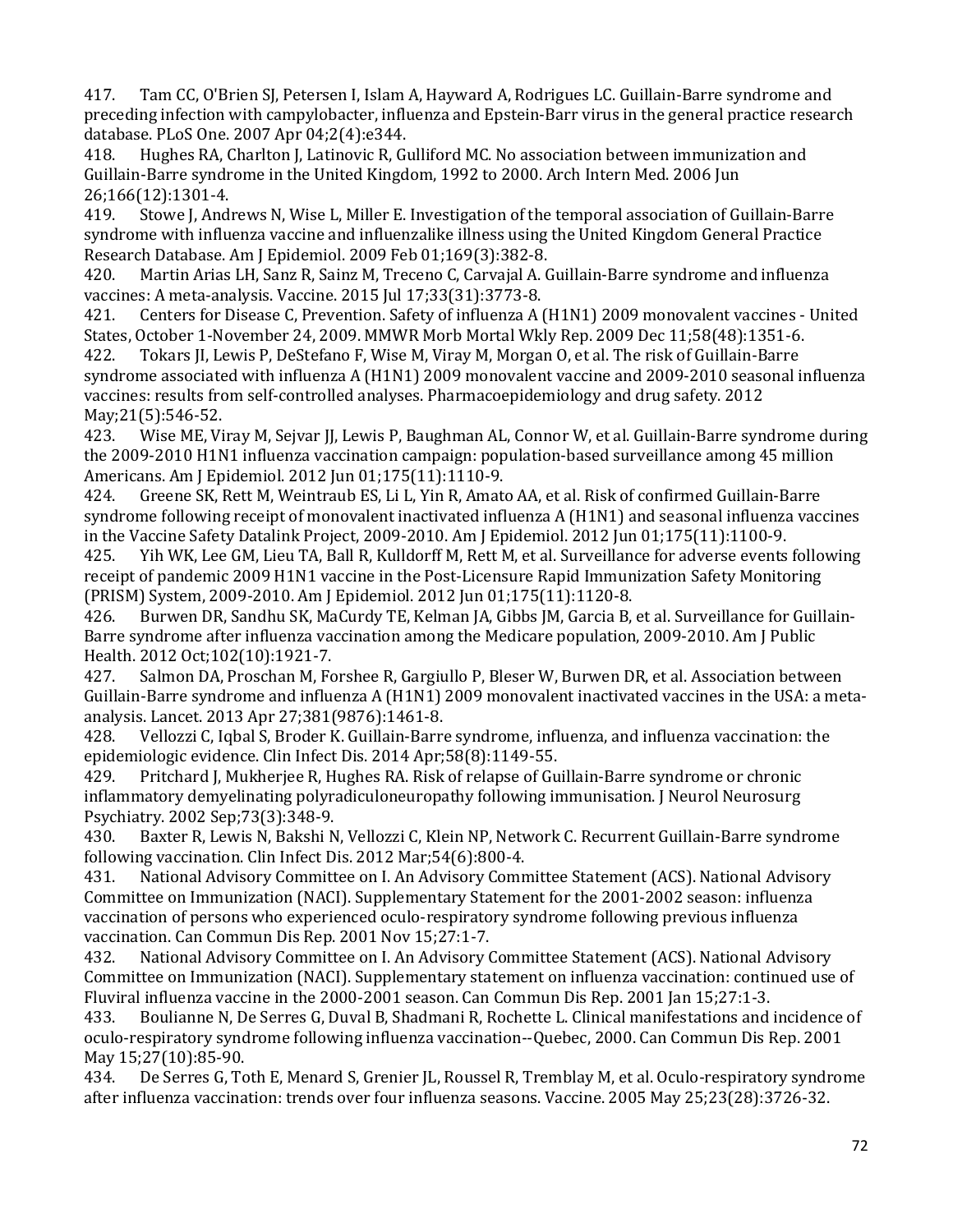417. Tam CC, O'Brien SJ, Petersen I, Islam A, Hayward A, Rodrigues LC. Guillain-Barre syndrome and preceding infection with campylobacter, influenza and Epstein-Barr virus in the general practice research database. PLoS One. 2007 Apr 04;2(4):e344.<br>418. Hughes RA, Charlton J, Latinovic R, Gu

Hughes RA, Charlton J, Latinovic R, Gulliford MC. No association between immunization and Guillain-Barre syndrome in the United Kingdom, 1992 to 2000. Arch Intern Med. 2006 Jun 26;166(12):1301-4.<br>419. Stowe J, And

419. Stowe J, Andrews N, Wise L, Miller E. Investigation of the temporal association of Guillain-Barre syndrome with influenza vaccine and influenzalike illness using the United Kingdom General Practice Research Database. Am J Epidemiol. 2009 Feb 01;169(3):382-8.<br>420. Martin Arias LH, Sanz R, Sainz M, Treceno C, Carvajal A. (

Martin Arias LH, Sanz R, Sainz M, Treceno C, Carvajal A. Guillain-Barre syndrome and influenza vaccines: A meta-analysis. Vaccine. 2015 Jul 17;33(31):3773-8.<br>421. Centers for Disease C, Prevention. Safety of influenza A (

421. Centers for Disease C, Prevention. Safety of influenza A (H1N1) 2009 monovalent vaccines - United States, October 1-November 24, 2009. MMWR Morb Mortal Wkly Rep. 2009 Dec 11;58(48):1351-6.<br>422. Tokars II. Lewis P. DeStefano F. Wise M. Virav M. Morgan O. et al. The risk of Guillain-Barre

Tokars JI, Lewis P, DeStefano F, Wise M, Viray M, Morgan O, et al. The risk of Guillain-Barre syndrome associated with influenza A (H1N1) 2009 monovalent vaccine and 2009-2010 seasonal influenza vaccines: results from self-controlled analyses. Pharmacoepidemiology and drug safety. 2012

May; 21(5): 546-52.<br>423. Wise ME, Vi Wise ME, Viray M, Sejvar JJ, Lewis P, Baughman AL, Connor W, et al. Guillain-Barre syndrome during the 2009-2010 H1N1 influenza vaccination campaign: population-based surveillance among 45 million Americans. Am J Epidemiol. 2012 Jun 01;175(11):1110-9.<br>424. Greene SK. Rett M. Weintraub ES. Li L. Yin R. Amato

424. Greene SK, Rett M, Weintraub ES, Li L, Yin R, Amato AA, et al. Risk of confirmed Guillain-Barre syndrome following receipt of monovalent inactivated influenza A (H1N1) and seasonal influenza vaccines in the Vaccine Safety Datalink Project, 2009-2010. Am J Epidemiol. 2012 Jun 01;175(11):1100-9.

Yih WK, Lee GM, Lieu TA, Ball R, Kulldorff M, Rett M, et al. Surveillance for adverse events following receipt of pandemic 2009 H1N1 vaccine in the Post-Licensure Rapid Immunization Safety Monitoring (PRISM) System, 2009-2010. Am J Epidemiol. 2012 Jun 01;175(11):1120-8.

Burwen DR, Sandhu SK, MaCurdy TE, Kelman JA, Gibbs JM, Garcia B, et al. Surveillance for Guillain-Barre syndrome after influenza vaccination among the Medicare population, 2009-2010. Am J Public Health. 2012 Oct;102(10):1921-7.

Salmon DA, Proschan M, Forshee R, Gargiullo P, Bleser W, Burwen DR, et al. Association between Guillain-Barre syndrome and influenza A (H1N1) 2009 monovalent inactivated vaccines in the USA: a metaanalysis. Lancet. 2013 Apr 27;381(9876):1461-8.

Vellozzi C, Iqbal S, Broder K. Guillain-Barre syndrome, influenza, and influenza vaccination: the epidemiologic evidence. Clin Infect Dis. 2014 Apr;58(8):1149-55.<br>429. Pritchard J. Mukherjee R. Hughes RA. Risk of relapse of Gu

 429. Pritchard J, Mukherjee R, Hughes RA. Risk of relapse of Guillain-Barre syndrome or chronic inflammatory demyelinating polyradiculoneuropathy following immunisation. J Neurol Neurosurg

 430. Baxter R, Lewis N, Bakshi N, Vellozzi C, Klein NP, Network C. Recurrent Guillain-Barre syndrome Psychiatry. 2002 Sep;73(3):348-9. following vaccination. Clin Infect Dis. 2012 Mar;54(6):800-4.<br>431. National Advisory Committee on I. An Advisory Comn

431. National Advisory Committee on I. An Advisory Committee Statement (ACS). National Advisory Committee on Immunization (NACI). Supplementary Statement for the 2001-2002 season: influenza vaccination of persons who experienced oculo-respiratory syndrome following previous influenza vaccination. Can Commun Dis Rep. 2001 Nov 15;27:1-7.

National Advisory Committee on I. An Advisory Committee Statement (ACS). National Advisory Committee on Immunization (NACI). Supplementary statement on influenza vaccination: continued use of Fluviral influenza vaccine in the 2000-2001 season. Can Commun Dis Rep. 2001 Jan 15;27:1-3.

433. Boulianne N, De Serres G, Duval B, Shadmani R, Rochette L. Clinical manifestations and incidence of oculo-respiratory syndrome following influenza vaccination--Quebec, 2000. Can Commun Dis Rep. 2001 May 15;27(10):85-90.<br>434. De Serres G. To

De Serres G, Toth E, Menard S, Grenier JL, Roussel R, Tremblay M, et al. Oculo-respiratory syndrome after influenza vaccination: trends over four influenza seasons. Vaccine. 2005 May 25;23(28):3726-32.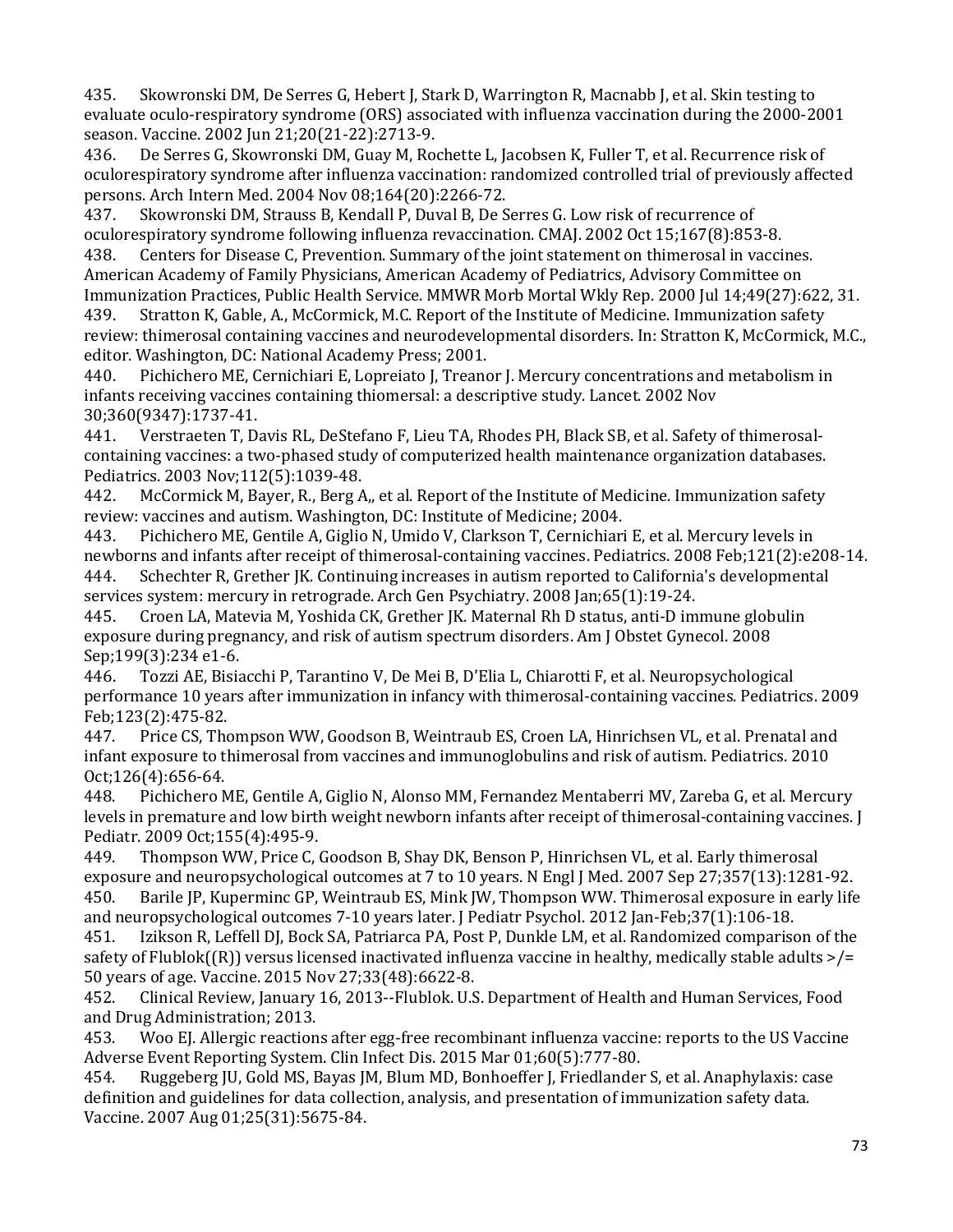435. Skowronski DM, De Serres G, Hebert J, Stark D, Warrington R, Macnabb J, et al. Skin testing to evaluate oculo-respiratory syndrome (ORS) associated with influenza vaccination during the 2000-2001 season. Vaccine. 2002 Jun 21;20(21-22):2713-9.

 436. De Serres G, Skowronski DM, Guay M, Rochette L, Jacobsen K, Fuller T, et al. Recurrence risk of oculorespiratory syndrome after influenza vaccination: randomized controlled trial of previously affected

persons. Arch Intern Med. 2004 Nov 08;164(20):2266-72. 437. Skowronski DM, Strauss B, Kendall P, Duval B, De Serres G. Low risk of recurrence of oculorespiratory syndrome following influenza revaccination. CMAJ. 2002 Oct 15;167(8):853-8.

Centers for Disease C, Prevention. Summary of the joint statement on thimerosal in vaccines. American Academy of Family Physicians, American Academy of Pediatrics, Advisory Committee on Immunization Practices, Public Health Service. MMWR Morb Mortal Wkly Rep. 2000 Jul 14;49(27):622, 31.<br>439. Stratton K. Gable. A., McCormick. M.C. Report of the Institute of Medicine. Immunization safety

439. Stratton K, Gable, A., McCormick, M.C. Report of the Institute of Medicine. Immunization safety review: thimerosal containing vaccines and neurodevelopmental disorders. In: Stratton K, McCormick, M.C., editor. Washington, DC: National Academy Press; 2001.<br>440. Pichichero ME, Cernichiari E, Lopreiato J, Treano

 440. Pichichero ME, Cernichiari E, Lopreiato J, Treanor J. Mercury concentrations and metabolism in infants receiving vaccines containing thiomersal: a descriptive study. Lancet. 2002 Nov

30;360(9347):1737-41. 441. Verstraeten T, Davis RL, DeStefano F, Lieu TA, Rhodes PH, Black SB, et al. Safety of thimerosalcontaining vaccines: a two-phased study of computerized health maintenance organization databases.

Pediatrics. 2003 Nov;112(5):1039-48.<br>442. McCormick M, Bayer, R., Berg A McCormick M, Bayer, R., Berg A,, et al. Report of the Institute of Medicine. Immunization safety review: vaccines and autism. Washington, DC: Institute of Medicine; 2004.<br>443. Pichichero ME, Gentile A, Giglio N, Umido V, Clarkson T, Cernichiar

 443. Pichichero ME, Gentile A, Giglio N, Umido V, Clarkson T, Cernichiari E, et al. Mercury levels in newborns and infants after receipt of thimerosal-containing vaccines. Pediatrics. 2008 Feb;121(2):e208-14.<br>444. Schechter R. Grether JK. Continuing increases in autism reported to California's developmental Schechter R, Grether JK. Continuing increases in autism reported to California's developmental

services system: mercury in retrograde. Arch Gen Psychiatry. 2008 Jan;65(1):19-24.<br>445. Croen LA, Matevia M, Yoshida CK, Grether JK. Maternal Rh D status, anti-D im Croen LA, Matevia M, Yoshida CK, Grether JK. Maternal Rh D status, anti-D immune globulin exposure during pregnancy, and risk of autism spectrum disorders. Am J Obstet Gynecol. 2008

Sep;199(3):234 e1-6. 446. Tozzi AE, Bisiacchi P, Tarantino V, De Mei B, D'Elia L, Chiarotti F, et al. Neuropsychological performance 10 years after immunization in infancy with thimerosal-containing vaccines. Pediatrics. 2009 Feb;123(2):475-82.<br>447. Price CS, Tho

Price CS, Thompson WW, Goodson B, Weintraub ES, Croen LA, Hinrichsen VL, et al. Prenatal and infant exposure to thimerosal from vaccines and immunoglobulins and risk of autism. Pediatrics. 2010 Oct;126(4):656-64.<br>448. Pichichero M

 448. Pichichero ME, Gentile A, Giglio N, Alonso MM, Fernandez Mentaberri MV, Zareba G, et al. Mercury levels in premature and low birth weight newborn infants after receipt of thimerosal-containing vaccines. J

Pediatr. 2009 Oct; 155(4): 495-9.<br>449. Thompson WW, Price C, 0 449. Thompson WW, Price C, Goodson B, Shay DK, Benson P, Hinrichsen VL, et al. Early thimerosal exposure and neuropsychological outcomes at 7 to 10 years. N Engl J Med. 2007 Sep 27;357(13):1281-92.<br>450. Barile JP, Kuperminc GP, Weintraub ES, Mink JW, Thompson WW. Thimerosal exposure in early life Barile JP, Kuperminc GP, Weintraub ES, Mink JW, Thompson WW. Thimerosal exposure in early life

 safety of Flublok((R)) versus licensed inactivated influenza vaccine in healthy, medically stable adults >/= and neuropsychological outcomes 7-10 years later. J Pediatr Psychol. 2012 Jan-Feb;37(1):106-18. Izikson R, Leffell DJ, Bock SA, Patriarca PA, Post P, Dunkle LM, et al. Randomized comparison of the 50 years of age. Vaccine. 2015 Nov 27;33(48):6622-8.

452. Clinical Review, January 16, 2013--Flublok. U.S. Department of Health and Human Services, Food and Drug Administration; 2013.<br>453. Woo El. Allergic reaction

453. Woo EJ. Allergic reactions after egg-free recombinant influenza vaccine: reports to the US Vaccine

Adverse Event Reporting System. Clin Infect Dis. 2015 Mar 01;60(5):777-80.<br>454. Ruggeberg JU, Gold MS, Bayas JM, Blum MD, Bonhoeffer J, Friedlander Ruggeberg JU, Gold MS, Bayas JM, Blum MD, Bonhoeffer J, Friedlander S, et al. Anaphylaxis: case definition and guidelines for data collection, analysis, and presentation of immunization safety data. Vaccine. 2007 Aug 01;25(31):5675-84.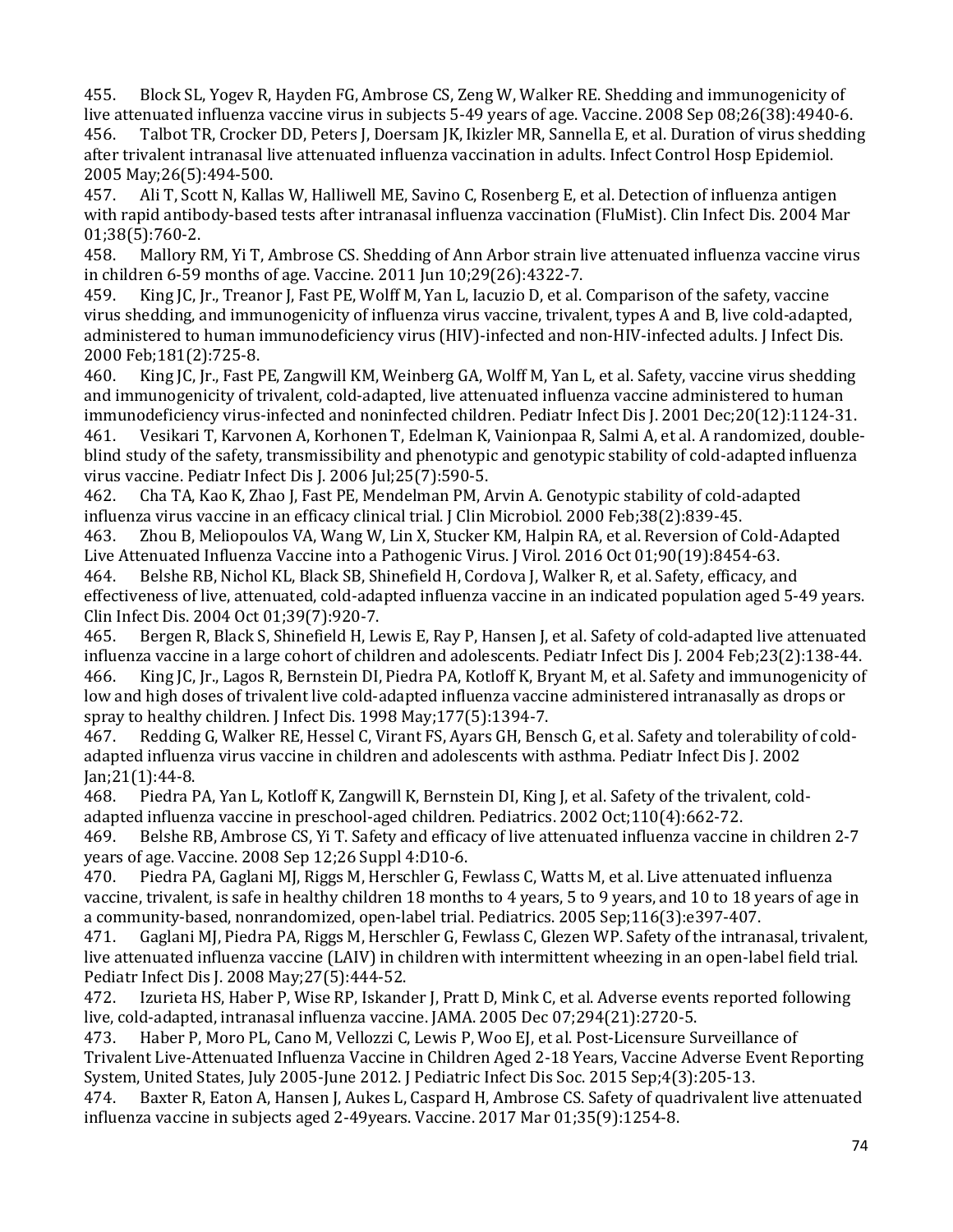456. Talbot TR, Crocker DD, Peters J, Doersam JK, Ikizler MR, Sannella E, et al. Duration of virus shedding 455. Block SL, Yogev R, Hayden FG, Ambrose CS, Zeng W, Walker RE. Shedding and immunogenicity of live attenuated influenza vaccine virus in subjects 5-49 years of age. Vaccine. 2008 Sep 08;26(38):4940-6.<br>456. Talbot TR. Crocker DD. Peters I. Doersam IK. Ikizler MR. Sannella E. et al. Duration of virus sheddin after trivalent intranasal live attenuated influenza vaccination in adults. Infect Control Hosp Epidemiol. 2005 May;26(5):494-500.

 457. Ali T, Scott N, Kallas W, Halliwell ME, Savino C, Rosenberg E, et al. Detection of influenza antigen with rapid antibody-based tests after intranasal influenza vaccination (FluMist). Clin Infect Dis. 2004 Mar 01;38(5):760-2.<br>458. Mallory l

Mallory RM, Yi T, Ambrose CS. Shedding of Ann Arbor strain live attenuated influenza vaccine virus in children 6-59 months of age. Vaccine. 2011 Jun 10;29(26):4322-7.

King JC, Jr., Treanor J, Fast PE, Wolff M, Yan L, Iacuzio D, et al. Comparison of the safety, vaccine virus shedding, and immunogenicity of influenza virus vaccine, trivalent, types A and B, live cold-adapted, administered to human immunodeficiency virus (HIV)-infected and non-HIV-infected adults. J Infect Dis. 2000 Feb;181(2):725-8.<br>460. King JC, Jr., Fast F

King JC, Jr., Fast PE, Zangwill KM, Weinberg GA, Wolff M, Yan L, et al. Safety, vaccine virus shedding and immunogenicity of trivalent, cold-adapted, live attenuated influenza vaccine administered to human immunodeficiency virus-infected and noninfected children. Pediatr Infect Dis J. 2001 Dec;20(12):1124-31.<br>461. Vesikari T, Karvonen A, Korhonen T, Edelman K, Vainionpaa R, Salmi A, et al. A randomized, double

461. Vesikari T, Karvonen A, Korhonen T, Edelman K, Vainionpaa R, Salmi A, et al. A randomized, doubleblind study of the safety, transmissibility and phenotypic and genotypic stability of cold-adapted influenza virus vaccine. Pediatr Infect Dis J. 2006 Jul;25(7):590-5.

462. Cha TA, Kao K, Zhao J, Fast PE, Mendelman PM, Arvin A. Genotypic stability of cold-adapted influenza virus vaccine in an efficacy clinical trial. J Clin Microbiol. 2000 Feb;38(2):839-45.

463. Zhou B, Meliopoulos VA, Wang W, Lin X, Stucker KM, Halpin RA, et al. Reversion of Cold-Adapted Live Attenuated Influenza Vaccine into a Pathogenic Virus. J Virol. 2016 Oct 01;90(19):8454-63.<br>464. Belshe RB, Nichol KL, Black SB, Shinefield H, Cordova J, Walker R, et al. Safety, efficacy, are

464. Belshe RB, Nichol KL, Black SB, Shinefield H, Cordova J, Walker R, et al. Safety, efficacy, and effectiveness of live, attenuated, cold-adapted influenza vaccine in an indicated population aged 5-49 years. Clin Infect Dis. 2004 Oct 01;39(7):920-7.<br>465. Bergen R. Black S. Shinefield H. Le

465. Bergen R, Black S, Shinefield H, Lewis E, Ray P, Hansen J, et al. Safety of cold-adapted live attenuated influenza vaccine in a large cohort of children and adolescents. Pediatr Infect Dis J. 2004 Feb;23(2):138-44. King JC, Jr., Lagos R, Bernstein DI, Piedra PA, Kotloff K, Bryant M, et al. Safety and immunogenicity of low and high doses of trivalent live cold-adapted influenza vaccine administered intranasally as drops or spray to healthy children. J Infect Dis. 1998 May; 177(5): 1394-7.<br>467. Redding G. Walker RE. Hessel C. Virant FS. Avars GH. Ben

Redding G, Walker RE, Hessel C, Virant FS, Ayars GH, Bensch G, et al. Safety and tolerability of coldadapted influenza virus vaccine in children and adolescents with asthma. Pediatr Infect Dis J. 2002 Jan;21(1):44-8.

Piedra PA, Yan L, Kotloff K, Zangwill K, Bernstein DI, King J, et al. Safety of the trivalent, coldadapted influenza vaccine in preschool-aged children. Pediatrics. 2002 Oct;110(4):662-72.<br>469. Belshe RB, Ambrose CS, Yi T. Safety and efficacy of live attenuated influenza vaccine

469. Belshe RB, Ambrose CS, Yi T. Safety and efficacy of live attenuated influenza vaccine in children 2-7 years of age. Vaccine. 2008 Sep 12;26 Suppl 4:D10-6.<br>470. Piedra PA, Gaglani MJ, Riggs M, Herschler G, F

 vaccine, trivalent, is safe in healthy children 18 months to 4 years, 5 to 9 years, and 10 to 18 years of age in Piedra PA, Gaglani MJ, Riggs M, Herschler G, Fewlass C, Watts M, et al. Live attenuated influenza a community-based, nonrandomized, open-label trial. Pediatrics. 2005 Sep;116(3):e397-407.

Gaglani MJ, Piedra PA, Riggs M, Herschler G, Fewlass C, Glezen WP. Safety of the intranasal, trivalent, live attenuated influenza vaccine (LAIV) in children with intermittent wheezing in an open-label field trial. Pediatr Infect Dis J. 2008 May;27(5):444-52.

Izurieta HS, Haber P, Wise RP, Iskander J, Pratt D, Mink C, et al. Adverse events reported following live, cold-adapted, intranasal influenza vaccine. JAMA. 2005 Dec 07;294(21):2720-5.

Haber P, Moro PL, Cano M, Vellozzi C, Lewis P, Woo EJ, et al. Post-Licensure Surveillance of Trivalent Live-Attenuated Influenza Vaccine in Children Aged 2-18 Years, Vaccine Adverse Event Reporting System, United States, July 2005-June 2012. J Pediatric Infect Dis Soc. 2015 Sep;4(3):205-13.<br>474. Baxter R. Eaton A. Hansen J. Aukes L. Caspard H. Ambrose CS. Safety of quadrivalent l

Baxter R, Eaton A, Hansen J, Aukes L, Caspard H, Ambrose CS. Safety of quadrivalent live attenuated influenza vaccine in subjects aged 2-49years. Vaccine. 2017 Mar 01;35(9):1254-8.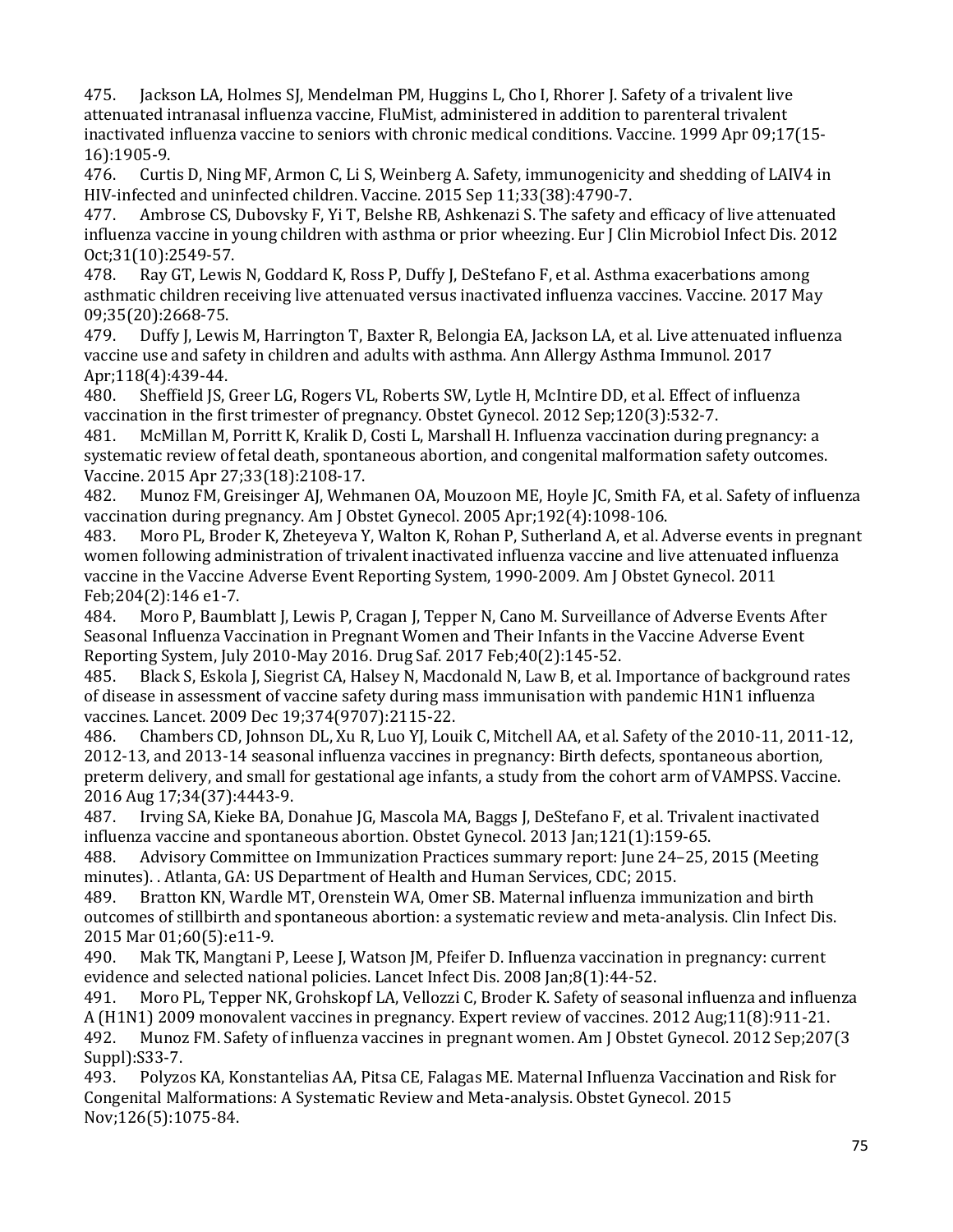475. Jackson LA, Holmes SJ, Mendelman PM, Huggins L, Cho I, Rhorer J. Safety of a trivalent live attenuated intranasal influenza vaccine, FluMist, administered in addition to parenteral trivalent inactivated influenza vaccine to seniors with chronic medical conditions. Vaccine. 1999 Apr 09;17(15- 16):1905-9.<br>476. Curti

 476. Curtis D, Ning MF, Armon C, Li S, Weinberg A. Safety, immunogenicity and shedding of LAIV4 in HIV-infected and uninfected children. Vaccine. 2015 Sep 11;33(38):4790-7.<br>477. Ambrose CS. Dubovsky F. Yi T. Belshe RB. Ashkenazi S. The safety an

 influenza vaccine in young children with asthma or prior wheezing. Eur J Clin Microbiol Infect Dis. 2012 Ambrose CS, Dubovsky F, Yi T, Belshe RB, Ashkenazi S. The safety and efficacy of live attenuated Oct;31(10):2549-57.<br>478. Ray GT, Lewis

Ray GT, Lewis N, Goddard K, Ross P, Duffy J, DeStefano F, et al. Asthma exacerbations among asthmatic children receiving live attenuated versus inactivated influenza vaccines. Vaccine. 2017 May

09;35(20):2668-75.<br>479. Duffy J. Lewi 479. Duffy J, Lewis M, Harrington T, Baxter R, Belongia EA, Jackson LA, et al. Live attenuated influenza vaccine use and safety in children and adults with asthma. Ann Allergy Asthma Immunol. 2017 Apr;118(4):439-44.<br>480. Sheffield IS.

480. Sheffield JS, Greer LG, Rogers VL, Roberts SW, Lytle H, McIntire DD, et al. Effect of influenza vaccination in the first trimester of pregnancy. Obstet Gynecol. 2012 Sep;120(3):532-7.<br>481. McMillan M, Porritt K, Kralik D, Costi L, Marshall H. Influenza vaccination during

McMillan M, Porritt K, Kralik D, Costi L, Marshall H. Influenza vaccination during pregnancy: a systematic review of fetal death, spontaneous abortion, and congenital malformation safety outcomes. Vaccine. 2015 Apr 27;33(18):2108-17.

482. Munoz FM, Greisinger AJ, Wehmanen OA, Mouzoon ME, Hoyle JC, Smith FA, et al. Safety of influenza vaccination during pregnancy. Am J Obstet Gynecol. 2005 Apr;192(4):1098-106.<br>483. Moro PL, Broder K, Zheteyeva Y, Walton K, Rohan P, Sutherland A, et al. A

Moro PL, Broder K, Zheteyeva Y, Walton K, Rohan P, Sutherland A, et al. Adverse events in pregnant women following administration of trivalent inactivated influenza vaccine and live attenuated influenza vaccine in the Vaccine Adverse Event Reporting System, 1990-2009. Am J Obstet Gynecol. 2011 Feb;204(2):146 e1-7.<br>484. Moro P. Bauml

Moro P, Baumblatt J, Lewis P, Cragan J, Tepper N, Cano M. Surveillance of Adverse Events After Seasonal Influenza Vaccination in Pregnant Women and Their Infants in the Vaccine Adverse Event Reporting System, July 2010-May 2016. Drug Saf. 2017 Feb; 40(2): 145-52.<br>485. Black S. Eskola J. Siegrist CA, Halsey N. Macdonald N. Law B. et al. In

 of disease in assessment of vaccine safety during mass immunisation with pandemic H1N1 influenza 485. Black S, Eskola J, Siegrist CA, Halsey N, Macdonald N, Law B, et al. Importance of background rates vaccines. Lancet. 2009 Dec 19;374(9707):2115-22.

486. Chambers CD, Johnson DL, Xu R, Luo YJ, Louik C, Mitchell AA, et al. Safety of the 2010-11, 2011-12, 2012-13, and 2013-14 seasonal influenza vaccines in pregnancy: Birth defects, spontaneous abortion, preterm delivery, and small for gestational age infants, a study from the cohort arm of VAMPSS. Vaccine. 2016 Aug 17;34(37):4443-9.

487. Irving SA, Kieke BA, Donahue JG, Mascola MA, Baggs J, DeStefano F, et al. Trivalent inactivated influenza vaccine and spontaneous abortion. Obstet Gynecol. 2013 Jan;121(1):159-65.

488. Advisory Committee on Immunization Practices summary report: June 24–25, 2015 (Meeting minutes). . Atlanta, GA: US Department of Health and Human Services, CDC; 2015.

489. Bratton KN, Wardle MT, Orenstein WA, Omer SB. Maternal influenza immunization and birth outcomes of stillbirth and spontaneous abortion: a systematic review and meta-analysis. Clin Infect Dis. 2015 Mar 01;60(5):e11-9.

490. Mak TK, Mangtani P, Leese J, Watson JM, Pfeifer D. Influenza vaccination in pregnancy: current evidence and selected national policies. Lancet Infect Dis. 2008 Jan;8(1):44-52.<br>491. Moro PL, Tepper NK, Grohskopf LA, Vellozzi C, Broder K. Safety of seaso

 492. Munoz FM. Safety of influenza vaccines in pregnant women. Am J Obstet Gynecol. 2012 Sep;207(3 491. Moro PL, Tepper NK, Grohskopf LA, Vellozzi C, Broder K. Safety of seasonal influenza and influenza A (H1N1) 2009 monovalent vaccines in pregnancy. Expert review of vaccines. 2012 Aug;11(8):911-21.<br>492. Munoz FM. Safety of influenza vaccines in pregnant women. Am J Obstet Gynecol. 2012 Sep;207

Suppl):S33-7.<br>493. Polvzo 493. Polyzos KA, Konstantelias AA, Pitsa CE, Falagas ME. Maternal Influenza Vaccination and Risk for Congenital Malformations: A Systematic Review and Meta-analysis. Obstet Gynecol. 2015 Nov;126(5):1075-84.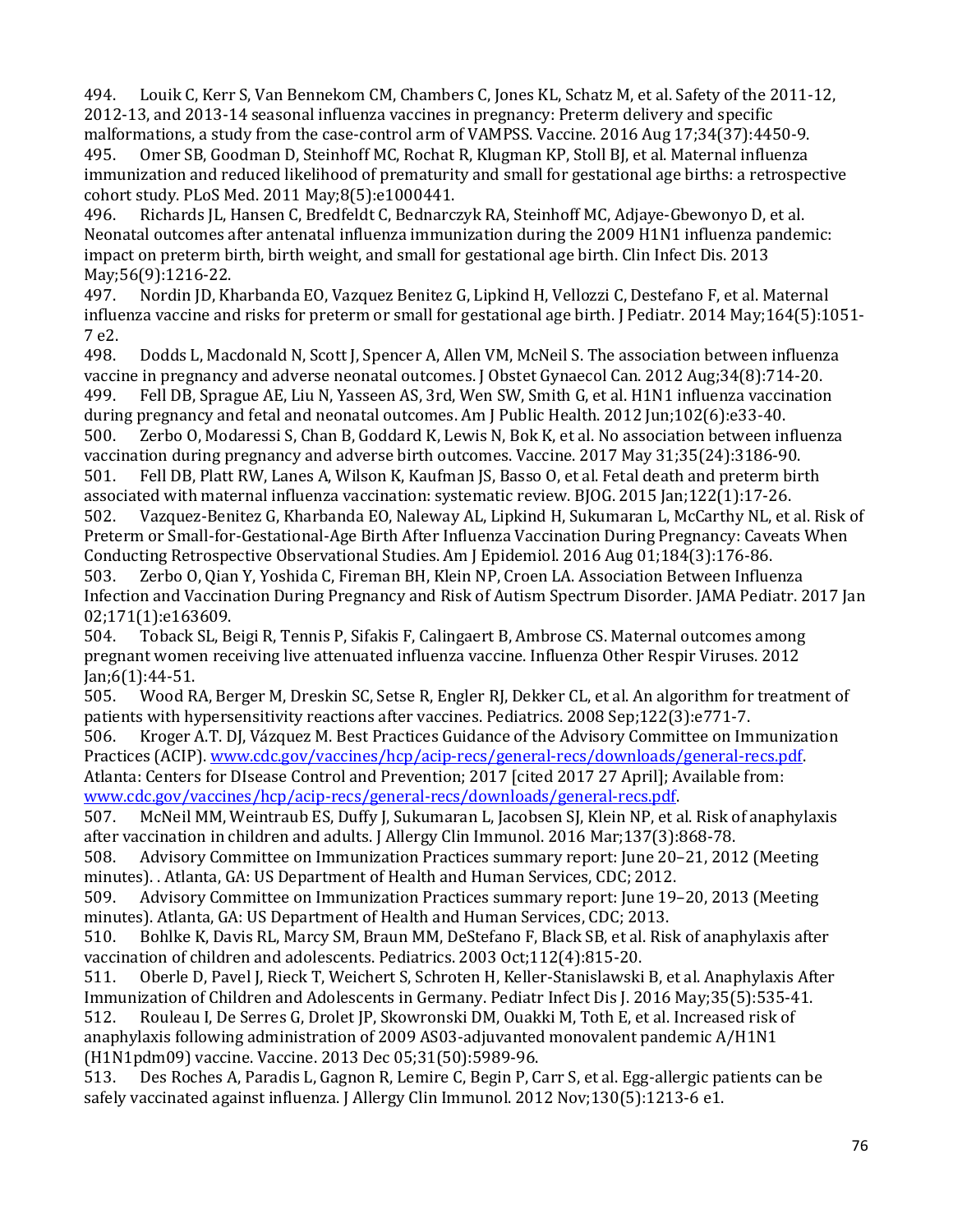494. Louik C, Kerr S, Van Bennekom CM, Chambers C, Jones KL, Schatz M, et al. Safety of the 2011-12, 2012-13, and 2013-14 seasonal influenza vaccines in pregnancy: Preterm delivery and specific malformations, a study from the case-control arm of VAMPSS. Vaccine. 2016 Aug 17;34(37):4450-9.<br>495. Omer SB, Goodman D, Steinhoff MC, Rochat R, Klugman KP, Stoll BJ, et al. Maternal influenza

495. Omer SB, Goodman D, Steinhoff MC, Rochat R, Klugman KP, Stoll BJ, et al. Maternal influenza immunization and reduced likelihood of prematurity and small for gestational age births: a retrospective cohort study. PLoS Med. 2011 May;8(5):e1000441.<br>496. Richards JL, Hansen C, Bredfeldt C, Bednarc:

496. Richards JL, Hansen C, Bredfeldt C, Bednarczyk RA, Steinhoff MC, Adjaye-Gbewonyo D, et al. Neonatal outcomes after antenatal influenza immunization during the 2009 H1N1 influenza pandemic: impact on preterm birth, birth weight, and small for gestational age birth. Clin Infect Dis. 2013 May;56(9):1216-22.<br>497. Nordin ID. Kl

 influenza vaccine and risks for preterm or small for gestational age birth. J Pediatr. 2014 May;164(5):1051- 497. Nordin JD, Kharbanda EO, Vazquez Benitez G, Lipkind H, Vellozzi C, Destefano F, et al. Maternal 7 e2.

Dodds L, Macdonald N, Scott J, Spencer A, Allen VM, McNeil S. The association between influenza vaccine in pregnancy and adverse neonatal outcomes. J Obstet Gynaecol Can. 2012 Aug;34(8):714-20. Fell DB, Sprague AE, Liu N, Yasseen AS, 3rd, Wen SW, Smith G, et al. H1N1 influenza vaccination during pregnancy and fetal and neonatal outcomes. Am J Public Health. 2012 Jun;102(6):e33-40.<br>500. Zerbo O, Modaressi S, Chan B, Goddard K, Lewis N, Bok K, et al. No association between in

Zerbo O, Modaressi S, Chan B, Goddard K, Lewis N, Bok K, et al. No association between influenza vaccination during pregnancy and adverse birth outcomes. Vaccine. 2017 May 31;35(24):3186-90. 501. Fell DB, Platt RW, Lanes A, Wilson K, Kaufman JS, Basso O, et al. Fetal death and preterm birth

associated with maternal influenza vaccination: systematic review. BJOG. 2015 Jan;122(1):17-26. 502. Vazquez-Benitez G, Kharbanda EO, Naleway AL, Lipkind H, Sukumaran L, McCarthy NL, et al. Risk of Preterm or Small-for-Gestational-Age Birth After Influenza Vaccination During Pregnancy: Caveats When

Conducting Retrospective Observational Studies. Am J Epidemiol. 2016 Aug 01;184(3):176-86. 503. Zerbo O, Qian Y, Yoshida C, Fireman BH, Klein NP, Croen LA. Association Between Influenza Infection and Vaccination During Pregnancy and Risk of Autism Spectrum Disorder. JAMA Pediatr. 2017 Jan 02;171(1):e163609.

504. 504. Toback SL, Beigi R, Tennis P, Sifakis F, Calingaert B, Ambrose CS. Maternal outcomes among pregnant women receiving live attenuated influenza vaccine. Influenza Other Respir Viruses. 2012

Jan;6(1):44-51. 505. Wood RA, Berger M, Dreskin SC, Setse R, Engler RJ, Dekker CL, et al. An algorithm for treatment of patients with hypersensitivity reactions after vaccines. Pediatrics. 2008 Sep;122(3):e771-7.<br>506. Kroger A.T. DJ, Vázquez M. Best Practices Guidance of the Advisory Committee on Im

Kroger A.T. DJ, Vázquez M. Best Practices Guidance of the Advisory Committee on Immunization Practices (ACIP). [www.cdc.gov/vaccines/hcp/acip-recs/general-recs/downloads/general-recs.pdf.](https://www.cdc.gov/vaccines/hcp/acip-recs/general-recs/downloads/general-recs.pdf)

Atlanta: Centers for DIsease Control and Prevention; 2017 [cited 2017 27 April]; Available from: www.cdc.gov/vaccines/hcp/acip-recs/general-recs/downloads/general-recs.pdf.<br>507. McNeil MM. Weintraub ES. Duffy I. Sukumaran L. Jacobsen SI. Klein NP. et a

507. McNeil MM, Weintraub ES, Duffy J, Sukumaran L, Jacobsen SJ, Klein NP, et al. Risk of anaphylaxis after vaccination in children and adults. J Allergy Clin Immunol. 2016 Mar;137(3):868-78.

508. Advisory Committee on Immunization Practices summary report: June 20–21, 2012 (Meeting minutes). . Atlanta, GA: US Department of Health and Human Services, CDC; 2012.<br>509. Advisory Committee on Immunization Practices summary report: June 19-

509. Advisory Committee on Immunization Practices summary report: June 19–20, 2013 (Meeting minutes). Atlanta, GA: US Department of Health and Human Services, CDC; 2013.<br>510. Bohlke K, Davis RL, Marcy SM, Braun MM, DeStefano F, Black SB, et al. Ris

510. Bohlke K, Davis RL, Marcy SM, Braun MM, DeStefano F, Black SB, et al. Risk of anaphylaxis after

vaccination of children and adolescents. Pediatrics. 2003 Oct;112(4):815-20. 511. Oberle D, Pavel J, Rieck T, Weichert S, Schroten H, Keller-Stanislawski B, et al. Anaphylaxis After Immunization of Children and Adolescents in Germany. Pediatr Infect Dis J. 2016 May; 35(5): 535-41.<br>512. Rouleau I, De Serres G, Drolet JP, Skowronski DM, Quakki M, Toth E, et al. Increased risk of 512. Rouleau I, De Serres G, Drolet JP, Skowronski DM, Ouakki M, Toth E, et al. Increased risk of anaphylaxis following administration of 2009 AS03-adjuvanted monovalent pandemic A/H1N1

(H1N1pdm09) vaccine. Vaccine. 2013 Dec 05;31(50):5989-96. 513. Des Roches A, Paradis L, Gagnon R, Lemire C, Begin P, Carr S, et al. Egg-allergic patients can be safely vaccinated against influenza. J Allergy Clin Immunol. 2012 Nov;130(5):1213-6 e1.